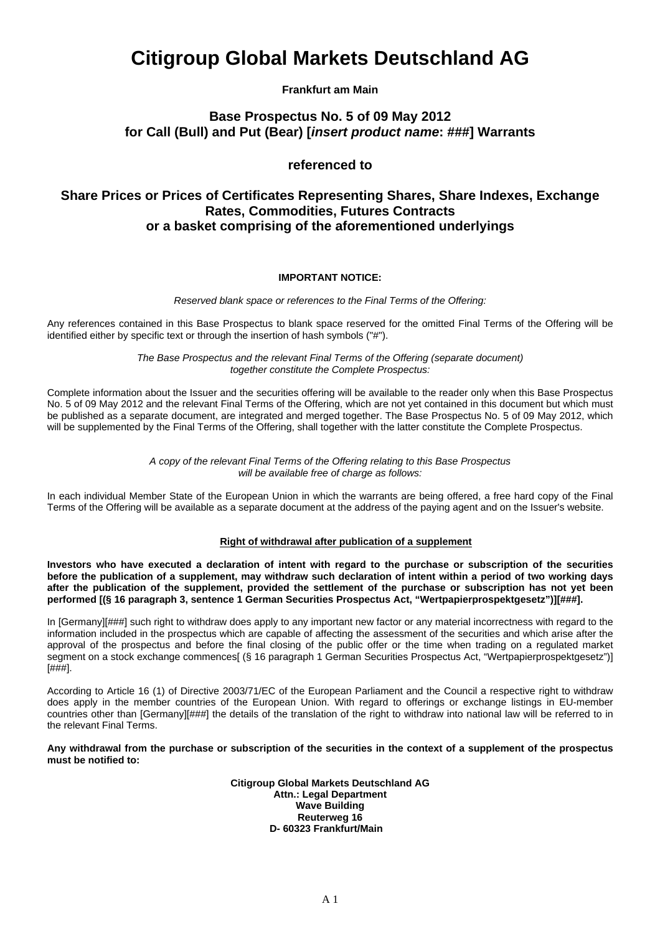# **Citigroup Global Markets Deutschland AG**

**Frankfurt am Main** 

# **Base Prospectus No. 5 of 09 May 2012 for Call (Bull) and Put (Bear) [***insert product name***: ###] Warrants**

# **referenced to**

# **Share Prices or Prices of Certificates Representing Shares, Share Indexes, Exchange Rates, Commodities, Futures Contracts or a basket comprising of the aforementioned underlyings**

#### **IMPORTANT NOTICE:**

*Reserved blank space or references to the Final Terms of the Offering:* 

Any references contained in this Base Prospectus to blank space reserved for the omitted Final Terms of the Offering will be identified either by specific text or through the insertion of hash symbols ("#").

> The Base Prospectus and the relevant Final Terms of the Offering (separate document) *together constitute the Complete Prospectus:*

Complete information about the Issuer and the securities offering will be available to the reader only when this Base Prospectus No. 5 of 09 May 2012 and the relevant Final Terms of the Offering, which are not yet contained in this document but which must be published as a separate document, are integrated and merged together. The Base Prospectus No. 5 of 09 May 2012, which will be supplemented by the Final Terms of the Offering, shall together with the latter constitute the Complete Prospectus.

> *A copy of the relevant Final Terms of the Offering relating to this Base Prospectus will be available free of charge as follows:*

In each individual Member State of the European Union in which the warrants are being offered, a free hard copy of the Final Terms of the Offering will be available as a separate document at the address of the paying agent and on the Issuer's website.

#### **Right of withdrawal after publication of a supplement**

**Investors who have executed a declaration of intent with regard to the purchase or subscription of the securities before the publication of a supplement, may withdraw such declaration of intent within a period of two working days after the publication of the supplement, provided the settlement of the purchase or subscription has not yet been performed [(§ 16 paragraph 3, sentence 1 German Securities Prospectus Act, "Wertpapierprospektgesetz")][###].** 

In [Germany][###] such right to withdraw does apply to any important new factor or any material incorrectness with regard to the information included in the prospectus which are capable of affecting the assessment of the securities and which arise after the approval of the prospectus and before the final closing of the public offer or the time when trading on a regulated market segment on a stock exchange commences[ (§ 16 paragraph 1 German Securities Prospectus Act, "Wertpapierprospektgesetz")] [###].

According to Article 16 (1) of Directive 2003/71/EC of the European Parliament and the Council a respective right to withdraw does apply in the member countries of the European Union. With regard to offerings or exchange listings in EU-member countries other than [Germany][###] the details of the translation of the right to withdraw into national law will be referred to in the relevant Final Terms.

**Any withdrawal from the purchase or subscription of the securities in the context of a supplement of the prospectus must be notified to:** 

#### **Citigroup Global Markets Deutschland AG Attn.: Legal Department Wave Building Reuterweg 16 D- 60323 Frankfurt/Main**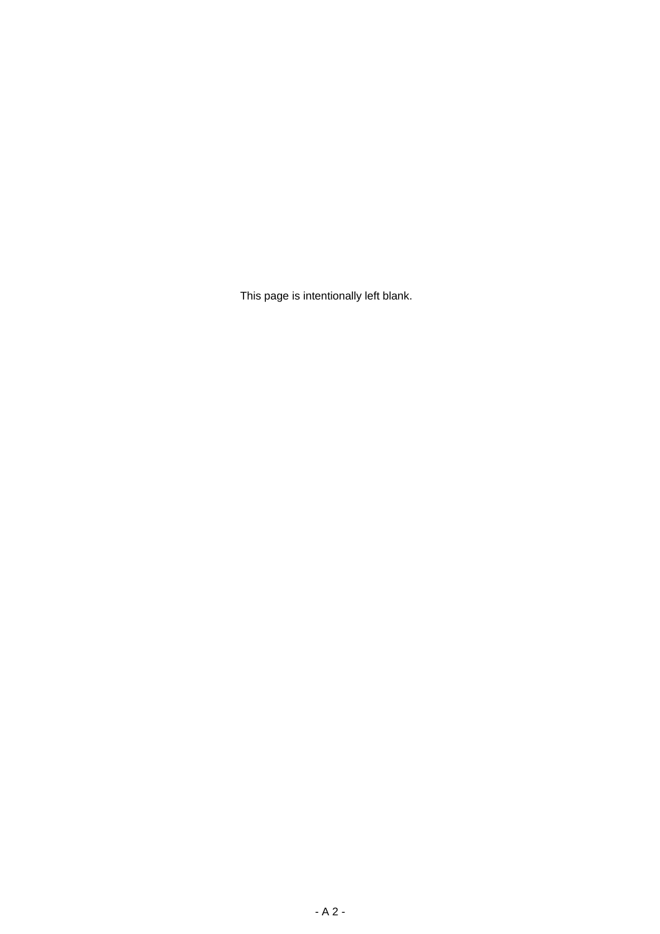This page is intentionally left blank.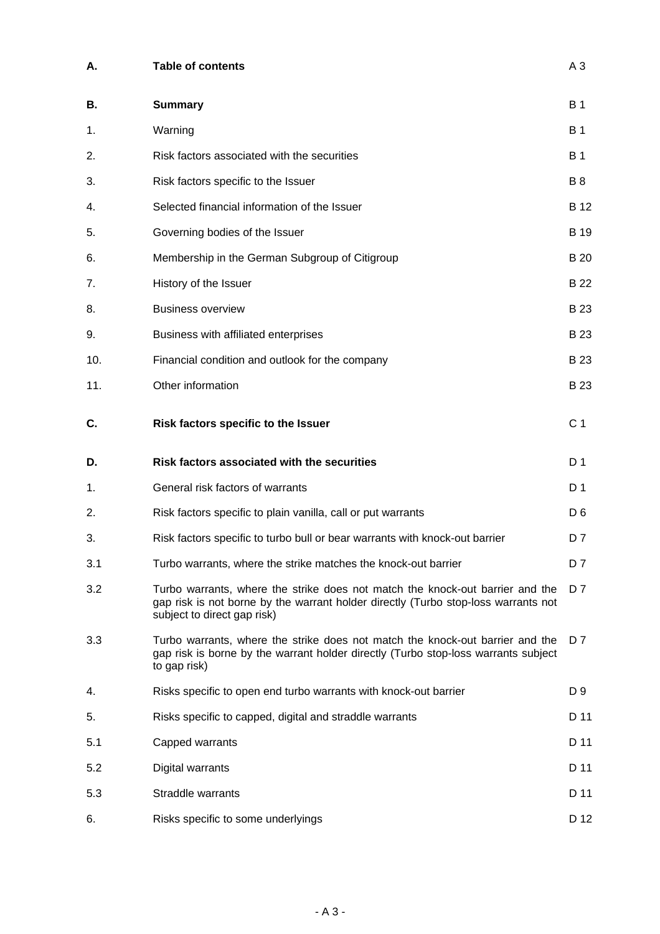| А.  | <b>Table of contents</b>                                                                                                                                                                           | $A_3$          |
|-----|----------------------------------------------------------------------------------------------------------------------------------------------------------------------------------------------------|----------------|
| В.  | <b>Summary</b>                                                                                                                                                                                     | <b>B</b> 1     |
| 1.  | Warning                                                                                                                                                                                            | <b>B</b> 1     |
| 2.  | Risk factors associated with the securities                                                                                                                                                        | <b>B</b> 1     |
| 3.  | Risk factors specific to the Issuer                                                                                                                                                                | <b>B</b> 8     |
| 4.  | Selected financial information of the Issuer                                                                                                                                                       | B 12           |
| 5.  | Governing bodies of the Issuer                                                                                                                                                                     | <b>B</b> 19    |
| 6.  | Membership in the German Subgroup of Citigroup                                                                                                                                                     | <b>B</b> 20    |
| 7.  | History of the Issuer                                                                                                                                                                              | <b>B22</b>     |
| 8.  | <b>Business overview</b>                                                                                                                                                                           | B 23           |
| 9.  | Business with affiliated enterprises                                                                                                                                                               | <b>B23</b>     |
| 10. | Financial condition and outlook for the company                                                                                                                                                    | <b>B</b> 23    |
| 11. | Other information                                                                                                                                                                                  | <b>B23</b>     |
| C.  | Risk factors specific to the Issuer                                                                                                                                                                | C <sub>1</sub> |
| D.  | Risk factors associated with the securities                                                                                                                                                        | D <sub>1</sub> |
| 1.  | General risk factors of warrants                                                                                                                                                                   | D 1            |
| 2.  | Risk factors specific to plain vanilla, call or put warrants                                                                                                                                       | D <sub>6</sub> |
| 3.  | Risk factors specific to turbo bull or bear warrants with knock-out barrier                                                                                                                        | D <sub>7</sub> |
| 3.1 | Turbo warrants, where the strike matches the knock-out barrier                                                                                                                                     | D <sub>7</sub> |
| 3.2 | Turbo warrants, where the strike does not match the knock-out barrier and the<br>gap risk is not borne by the warrant holder directly (Turbo stop-loss warrants not<br>subject to direct gap risk) | D 7            |
| 3.3 | Turbo warrants, where the strike does not match the knock-out barrier and the<br>gap risk is borne by the warrant holder directly (Turbo stop-loss warrants subject<br>to gap risk)                | D 7            |
| 4.  | Risks specific to open end turbo warrants with knock-out barrier                                                                                                                                   | D9             |
| 5.  | Risks specific to capped, digital and straddle warrants                                                                                                                                            | D 11           |
|     |                                                                                                                                                                                                    |                |
| 5.1 | Capped warrants                                                                                                                                                                                    | D 11           |
| 5.2 | Digital warrants                                                                                                                                                                                   | D 11           |
| 5.3 | Straddle warrants                                                                                                                                                                                  | D 11           |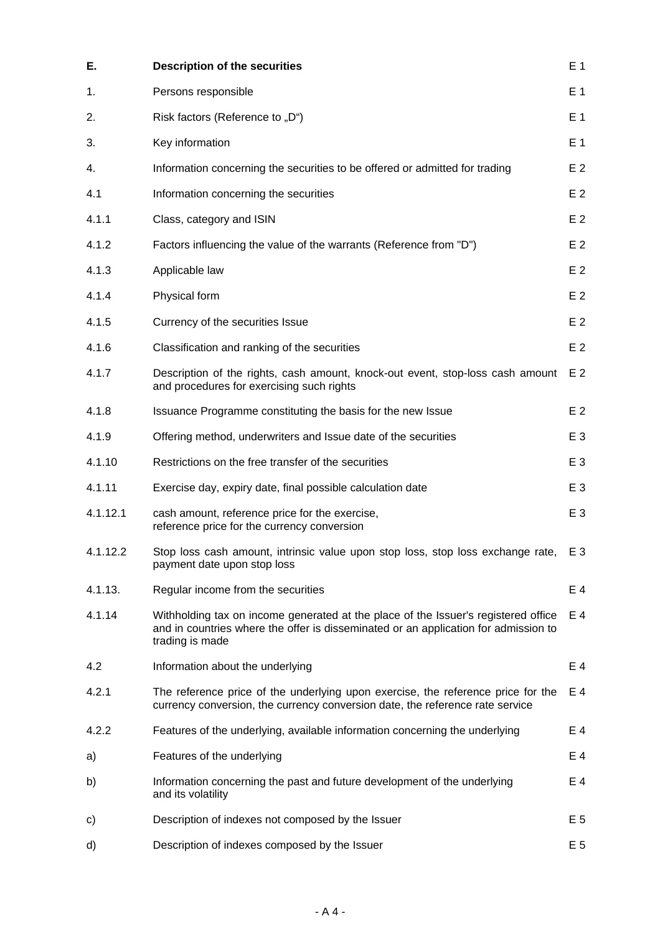| Е.       | <b>Description of the securities</b>                                                                                                                                                         | E 1            |
|----------|----------------------------------------------------------------------------------------------------------------------------------------------------------------------------------------------|----------------|
| 1.       | Persons responsible                                                                                                                                                                          | E <sub>1</sub> |
| 2.       | Risk factors (Reference to "D")                                                                                                                                                              | E <sub>1</sub> |
| 3.       | Key information                                                                                                                                                                              | E <sub>1</sub> |
| 4.       | Information concerning the securities to be offered or admitted for trading                                                                                                                  | E <sub>2</sub> |
| 4.1      | Information concerning the securities                                                                                                                                                        | E <sub>2</sub> |
| 4.1.1    | Class, category and ISIN                                                                                                                                                                     | E <sub>2</sub> |
| 4.1.2    | Factors influencing the value of the warrants (Reference from "D")                                                                                                                           | E <sub>2</sub> |
| 4.1.3    | Applicable law                                                                                                                                                                               | E <sub>2</sub> |
| 4.1.4    | Physical form                                                                                                                                                                                | E <sub>2</sub> |
| 4.1.5    | Currency of the securities Issue                                                                                                                                                             | E <sub>2</sub> |
| 4.1.6    | Classification and ranking of the securities                                                                                                                                                 | E <sub>2</sub> |
| 4.1.7    | Description of the rights, cash amount, knock-out event, stop-loss cash amount<br>and procedures for exercising such rights                                                                  | E 2            |
| 4.1.8    | Issuance Programme constituting the basis for the new Issue                                                                                                                                  | E <sub>2</sub> |
| 4.1.9    | Offering method, underwriters and Issue date of the securities                                                                                                                               | E <sub>3</sub> |
| 4.1.10   | Restrictions on the free transfer of the securities                                                                                                                                          | E 3            |
| 4.1.11   | Exercise day, expiry date, final possible calculation date                                                                                                                                   | E <sub>3</sub> |
| 4.1.12.1 | cash amount, reference price for the exercise,<br>reference price for the currency conversion                                                                                                | E <sub>3</sub> |
| 4.1.12.2 | Stop loss cash amount, intrinsic value upon stop loss, stop loss exchange rate,<br>payment date upon stop loss                                                                               | E <sub>3</sub> |
| 4.1.13.  | Regular income from the securities                                                                                                                                                           | E 4            |
| 4.1.14   | Withholding tax on income generated at the place of the Issuer's registered office<br>and in countries where the offer is disseminated or an application for admission to<br>trading is made | E 4            |
| 4.2      | Information about the underlying                                                                                                                                                             | E 4            |
| 4.2.1    | The reference price of the underlying upon exercise, the reference price for the<br>currency conversion, the currency conversion date, the reference rate service                            | E 4            |
| 4.2.2    | Features of the underlying, available information concerning the underlying                                                                                                                  | E 4            |
| a)       | Features of the underlying                                                                                                                                                                   | E 4            |
| b)       | Information concerning the past and future development of the underlying<br>and its volatility                                                                                               | E 4            |
| C)       | Description of indexes not composed by the Issuer                                                                                                                                            | E 5            |
| d)       | Description of indexes composed by the Issuer                                                                                                                                                | E <sub>5</sub> |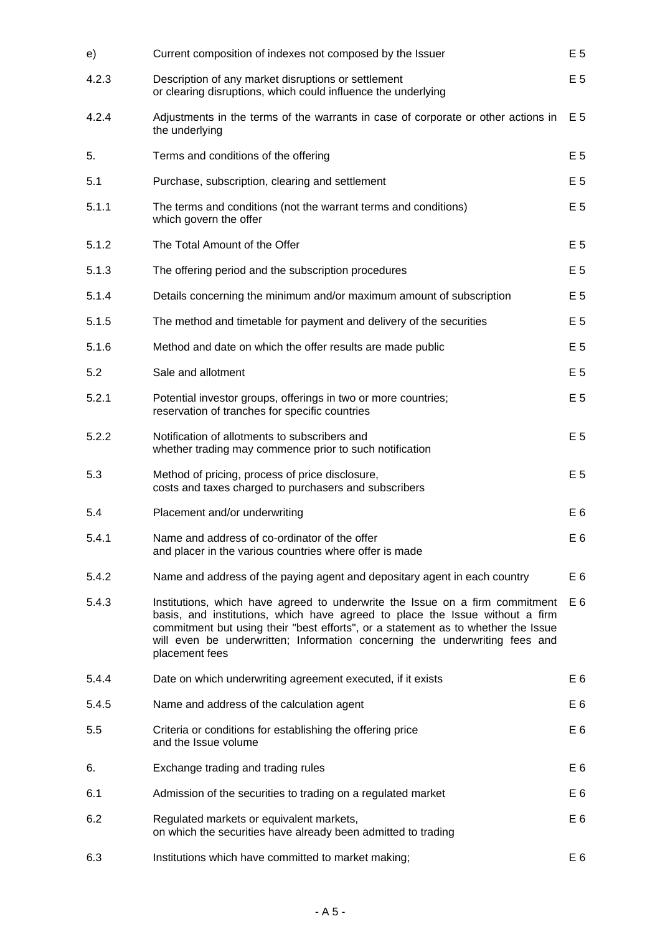| e)    | Current composition of indexes not composed by the Issuer                                                                                                                                                                                                                                                                                          | E 5            |
|-------|----------------------------------------------------------------------------------------------------------------------------------------------------------------------------------------------------------------------------------------------------------------------------------------------------------------------------------------------------|----------------|
| 4.2.3 | Description of any market disruptions or settlement<br>or clearing disruptions, which could influence the underlying                                                                                                                                                                                                                               | E <sub>5</sub> |
| 4.2.4 | Adjustments in the terms of the warrants in case of corporate or other actions in<br>the underlying                                                                                                                                                                                                                                                | E 5            |
| 5.    | Terms and conditions of the offering                                                                                                                                                                                                                                                                                                               | E 5            |
| 5.1   | Purchase, subscription, clearing and settlement                                                                                                                                                                                                                                                                                                    | E 5            |
| 5.1.1 | The terms and conditions (not the warrant terms and conditions)<br>which govern the offer                                                                                                                                                                                                                                                          | E 5            |
| 5.1.2 | The Total Amount of the Offer                                                                                                                                                                                                                                                                                                                      | E 5            |
| 5.1.3 | The offering period and the subscription procedures                                                                                                                                                                                                                                                                                                | E 5            |
| 5.1.4 | Details concerning the minimum and/or maximum amount of subscription                                                                                                                                                                                                                                                                               | E 5            |
| 5.1.5 | The method and timetable for payment and delivery of the securities                                                                                                                                                                                                                                                                                | E 5            |
| 5.1.6 | Method and date on which the offer results are made public                                                                                                                                                                                                                                                                                         | E 5            |
| 5.2   | Sale and allotment                                                                                                                                                                                                                                                                                                                                 | E 5            |
| 5.2.1 | Potential investor groups, offerings in two or more countries;<br>reservation of tranches for specific countries                                                                                                                                                                                                                                   | E 5            |
| 5.2.2 | Notification of allotments to subscribers and<br>whether trading may commence prior to such notification                                                                                                                                                                                                                                           | E 5            |
| 5.3   | Method of pricing, process of price disclosure,<br>costs and taxes charged to purchasers and subscribers                                                                                                                                                                                                                                           | E 5            |
| 5.4   | Placement and/or underwriting                                                                                                                                                                                                                                                                                                                      | E <sub>6</sub> |
| 5.4.1 | Name and address of co-ordinator of the offer<br>and placer in the various countries where offer is made                                                                                                                                                                                                                                           | E 6            |
| 5.4.2 | Name and address of the paying agent and depositary agent in each country                                                                                                                                                                                                                                                                          | E 6            |
| 5.4.3 | Institutions, which have agreed to underwrite the Issue on a firm commitment<br>basis, and institutions, which have agreed to place the Issue without a firm<br>commitment but using their "best efforts", or a statement as to whether the Issue<br>will even be underwritten; Information concerning the underwriting fees and<br>placement fees | E 6            |
| 5.4.4 | Date on which underwriting agreement executed, if it exists                                                                                                                                                                                                                                                                                        | E <sub>6</sub> |
| 5.4.5 | Name and address of the calculation agent                                                                                                                                                                                                                                                                                                          | E 6            |
| 5.5   | Criteria or conditions for establishing the offering price<br>and the Issue volume                                                                                                                                                                                                                                                                 | E <sub>6</sub> |
| 6.    | Exchange trading and trading rules                                                                                                                                                                                                                                                                                                                 | E <sub>6</sub> |
| 6.1   | Admission of the securities to trading on a regulated market                                                                                                                                                                                                                                                                                       | E <sub>6</sub> |
| 6.2   | Regulated markets or equivalent markets,<br>on which the securities have already been admitted to trading                                                                                                                                                                                                                                          | E <sub>6</sub> |
| 6.3   | Institutions which have committed to market making;                                                                                                                                                                                                                                                                                                | E <sub>6</sub> |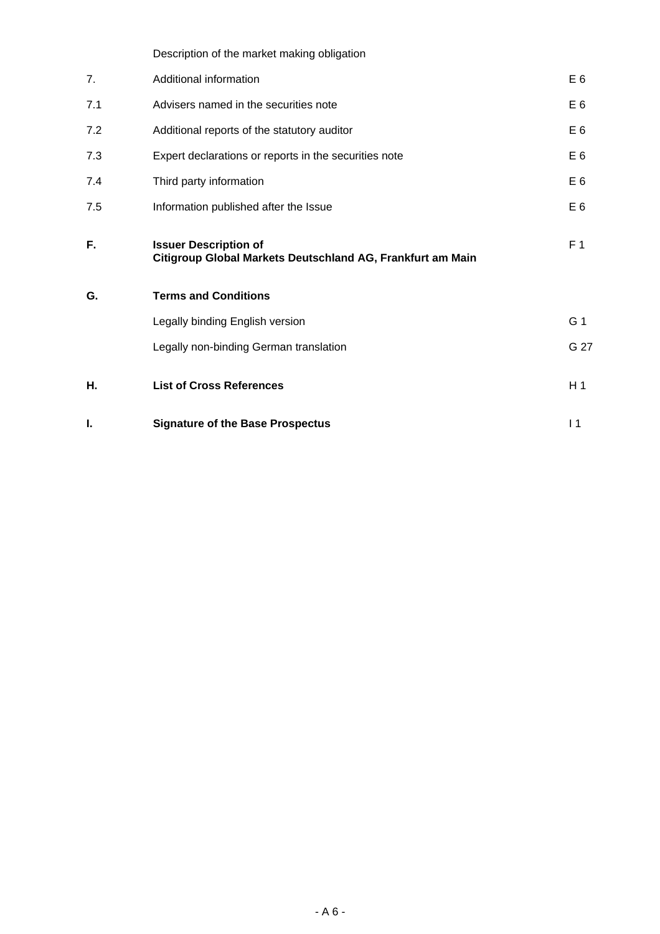|     | Description of the market making obligation                                                |                |
|-----|--------------------------------------------------------------------------------------------|----------------|
| 7.  | Additional information                                                                     | E <sub>6</sub> |
| 7.1 | Advisers named in the securities note                                                      | E 6            |
| 7.2 | Additional reports of the statutory auditor                                                | E 6            |
| 7.3 | Expert declarations or reports in the securities note                                      | E <sub>6</sub> |
| 7.4 | Third party information                                                                    | E <sub>6</sub> |
| 7.5 | Information published after the Issue                                                      | E <sub>6</sub> |
|     |                                                                                            |                |
| F.  | <b>Issuer Description of</b><br>Citigroup Global Markets Deutschland AG, Frankfurt am Main | F <sub>1</sub> |
| G.  | <b>Terms and Conditions</b>                                                                |                |
|     | Legally binding English version                                                            | G 1            |
|     | Legally non-binding German translation                                                     | G 27           |
| Η.  | <b>List of Cross References</b>                                                            | H <sub>1</sub> |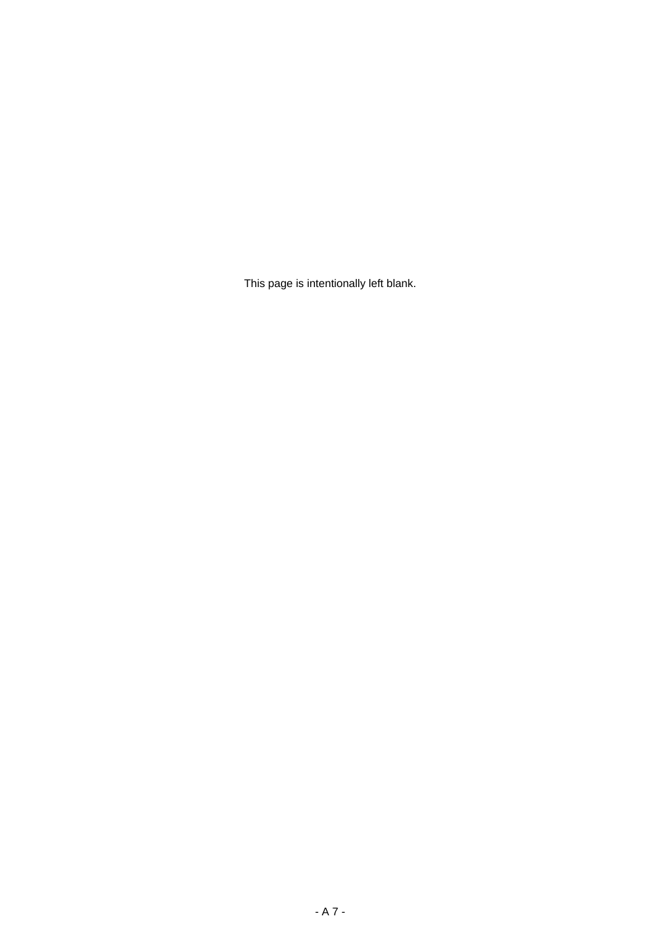This page is intentionally left blank.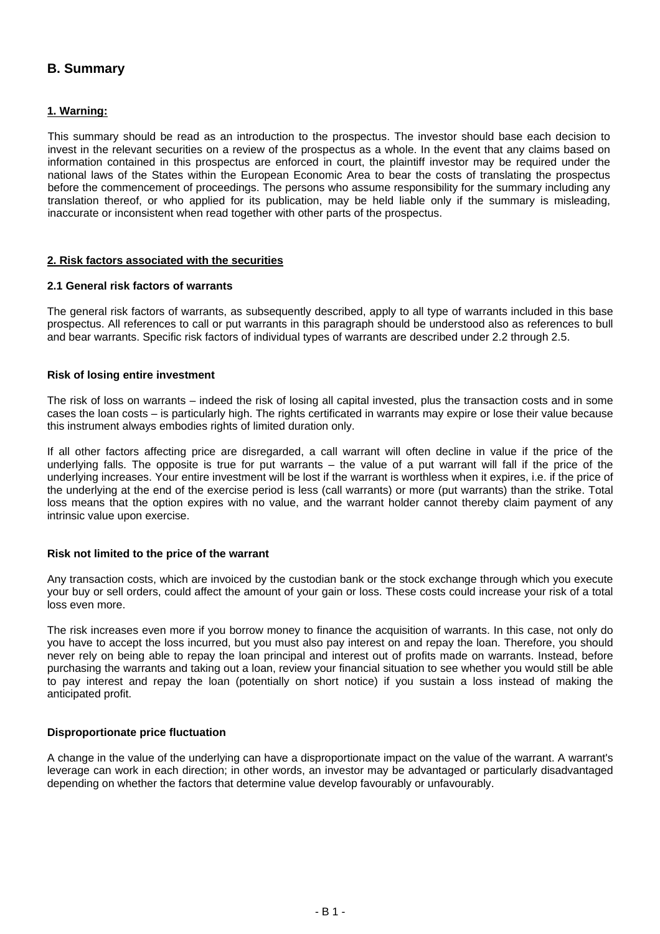# **B. Summary**

# **1. Warning:**

This summary should be read as an introduction to the prospectus. The investor should base each decision to invest in the relevant securities on a review of the prospectus as a whole. In the event that any claims based on information contained in this prospectus are enforced in court, the plaintiff investor may be required under the national laws of the States within the European Economic Area to bear the costs of translating the prospectus before the commencement of proceedings. The persons who assume responsibility for the summary including any translation thereof, or who applied for its publication, may be held liable only if the summary is misleading, inaccurate or inconsistent when read together with other parts of the prospectus.

#### **2. Risk factors associated with the securities**

# **2.1 General risk factors of warrants**

The general risk factors of warrants, as subsequently described, apply to all type of warrants included in this base prospectus. All references to call or put warrants in this paragraph should be understood also as references to bull and bear warrants. Specific risk factors of individual types of warrants are described under 2.2 through 2.5.

#### **Risk of losing entire investment**

The risk of loss on warrants – indeed the risk of losing all capital invested, plus the transaction costs and in some cases the loan costs – is particularly high. The rights certificated in warrants may expire or lose their value because this instrument always embodies rights of limited duration only.

If all other factors affecting price are disregarded, a call warrant will often decline in value if the price of the underlying falls. The opposite is true for put warrants – the value of a put warrant will fall if the price of the underlying increases. Your entire investment will be lost if the warrant is worthless when it expires, i.e. if the price of the underlying at the end of the exercise period is less (call warrants) or more (put warrants) than the strike. Total loss means that the option expires with no value, and the warrant holder cannot thereby claim payment of any intrinsic value upon exercise.

#### **Risk not limited to the price of the warrant**

Any transaction costs, which are invoiced by the custodian bank or the stock exchange through which you execute your buy or sell orders, could affect the amount of your gain or loss. These costs could increase your risk of a total loss even more.

The risk increases even more if you borrow money to finance the acquisition of warrants. In this case, not only do you have to accept the loss incurred, but you must also pay interest on and repay the loan. Therefore, you should never rely on being able to repay the loan principal and interest out of profits made on warrants. Instead, before purchasing the warrants and taking out a loan, review your financial situation to see whether you would still be able to pay interest and repay the loan (potentially on short notice) if you sustain a loss instead of making the anticipated profit.

#### **Disproportionate price fluctuation**

A change in the value of the underlying can have a disproportionate impact on the value of the warrant. A warrant's leverage can work in each direction; in other words, an investor may be advantaged or particularly disadvantaged depending on whether the factors that determine value develop favourably or unfavourably.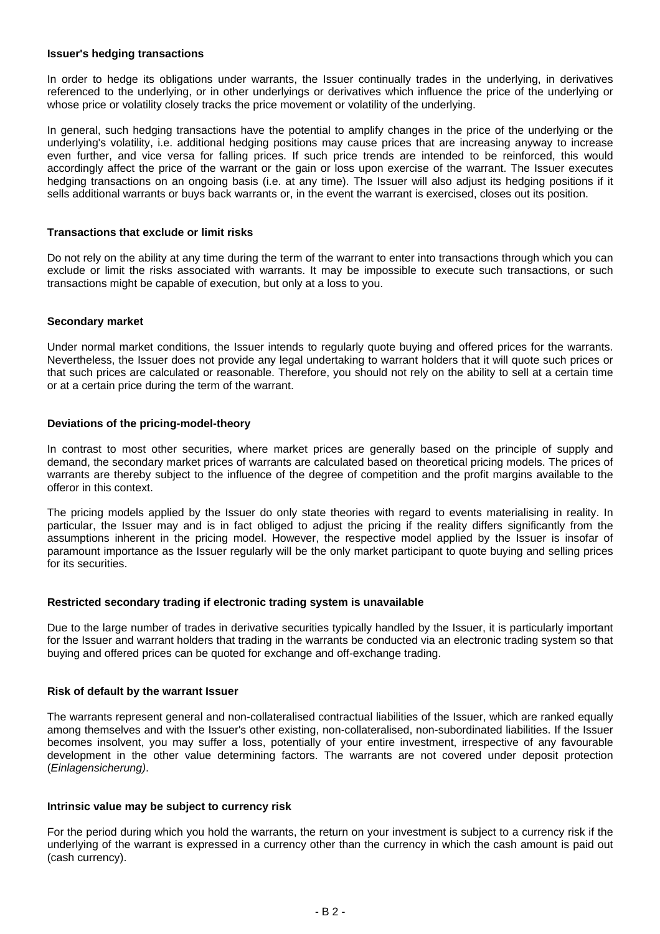#### **Issuer's hedging transactions**

In order to hedge its obligations under warrants, the Issuer continually trades in the underlying, in derivatives referenced to the underlying, or in other underlyings or derivatives which influence the price of the underlying or whose price or volatility closely tracks the price movement or volatility of the underlying.

In general, such hedging transactions have the potential to amplify changes in the price of the underlying or the underlying's volatility, i.e. additional hedging positions may cause prices that are increasing anyway to increase even further, and vice versa for falling prices. If such price trends are intended to be reinforced, this would accordingly affect the price of the warrant or the gain or loss upon exercise of the warrant. The Issuer executes hedging transactions on an ongoing basis (i.e. at any time). The Issuer will also adjust its hedging positions if it sells additional warrants or buys back warrants or, in the event the warrant is exercised, closes out its position.

#### **Transactions that exclude or limit risks**

Do not rely on the ability at any time during the term of the warrant to enter into transactions through which you can exclude or limit the risks associated with warrants. It may be impossible to execute such transactions, or such transactions might be capable of execution, but only at a loss to you.

#### **Secondary market**

Under normal market conditions, the Issuer intends to regularly quote buying and offered prices for the warrants. Nevertheless, the Issuer does not provide any legal undertaking to warrant holders that it will quote such prices or that such prices are calculated or reasonable. Therefore, you should not rely on the ability to sell at a certain time or at a certain price during the term of the warrant.

#### **Deviations of the pricing-model-theory**

In contrast to most other securities, where market prices are generally based on the principle of supply and demand, the secondary market prices of warrants are calculated based on theoretical pricing models. The prices of warrants are thereby subject to the influence of the degree of competition and the profit margins available to the offeror in this context.

The pricing models applied by the Issuer do only state theories with regard to events materialising in reality. In particular, the Issuer may and is in fact obliged to adjust the pricing if the reality differs significantly from the assumptions inherent in the pricing model. However, the respective model applied by the Issuer is insofar of paramount importance as the Issuer regularly will be the only market participant to quote buying and selling prices for its securities.

#### **Restricted secondary trading if electronic trading system is unavailable**

Due to the large number of trades in derivative securities typically handled by the Issuer, it is particularly important for the Issuer and warrant holders that trading in the warrants be conducted via an electronic trading system so that buying and offered prices can be quoted for exchange and off-exchange trading.

#### **Risk of default by the warrant Issuer**

The warrants represent general and non-collateralised contractual liabilities of the Issuer, which are ranked equally among themselves and with the Issuer's other existing, non-collateralised, non-subordinated liabilities. If the Issuer becomes insolvent, you may suffer a loss, potentially of your entire investment, irrespective of any favourable development in the other value determining factors. The warrants are not covered under deposit protection (*Einlagensicherung)*.

#### **Intrinsic value may be subject to currency risk**

For the period during which you hold the warrants, the return on your investment is subject to a currency risk if the underlying of the warrant is expressed in a currency other than the currency in which the cash amount is paid out (cash currency).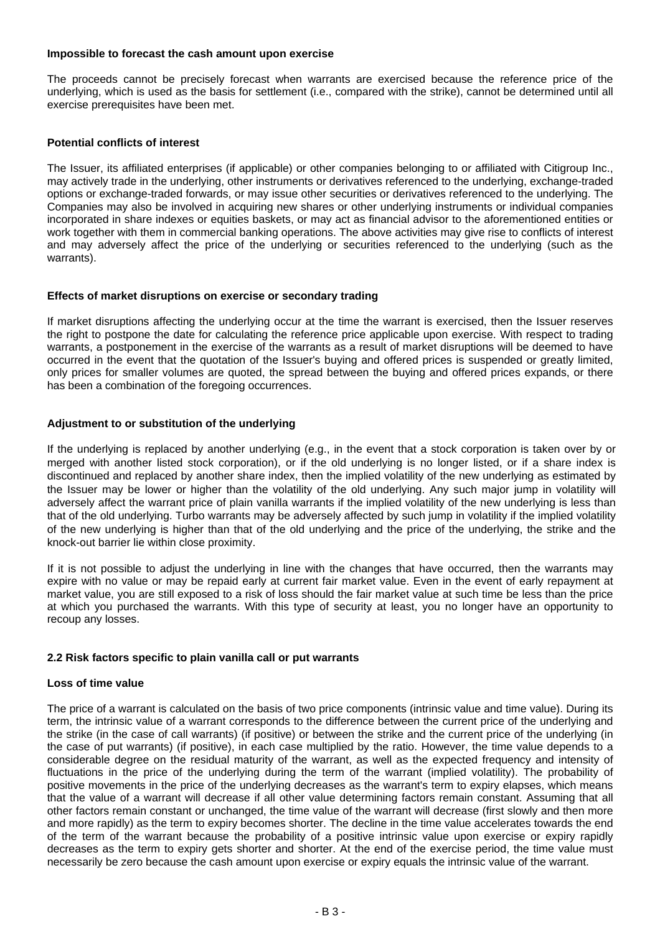#### **Impossible to forecast the cash amount upon exercise**

The proceeds cannot be precisely forecast when warrants are exercised because the reference price of the underlying, which is used as the basis for settlement (i.e., compared with the strike), cannot be determined until all exercise prerequisites have been met.

#### **Potential conflicts of interest**

The Issuer, its affiliated enterprises (if applicable) or other companies belonging to or affiliated with Citigroup Inc., may actively trade in the underlying, other instruments or derivatives referenced to the underlying, exchange-traded options or exchange-traded forwards, or may issue other securities or derivatives referenced to the underlying. The Companies may also be involved in acquiring new shares or other underlying instruments or individual companies incorporated in share indexes or equities baskets, or may act as financial advisor to the aforementioned entities or work together with them in commercial banking operations. The above activities may give rise to conflicts of interest and may adversely affect the price of the underlying or securities referenced to the underlying (such as the warrants).

#### **Effects of market disruptions on exercise or secondary trading**

If market disruptions affecting the underlying occur at the time the warrant is exercised, then the Issuer reserves the right to postpone the date for calculating the reference price applicable upon exercise. With respect to trading warrants, a postponement in the exercise of the warrants as a result of market disruptions will be deemed to have occurred in the event that the quotation of the Issuer's buying and offered prices is suspended or greatly limited, only prices for smaller volumes are quoted, the spread between the buying and offered prices expands, or there has been a combination of the foregoing occurrences.

#### **Adjustment to or substitution of the underlying**

If the underlying is replaced by another underlying (e.g., in the event that a stock corporation is taken over by or merged with another listed stock corporation), or if the old underlying is no longer listed, or if a share index is discontinued and replaced by another share index, then the implied volatility of the new underlying as estimated by the Issuer may be lower or higher than the volatility of the old underlying. Any such major jump in volatility will adversely affect the warrant price of plain vanilla warrants if the implied volatility of the new underlying is less than that of the old underlying. Turbo warrants may be adversely affected by such jump in volatility if the implied volatility of the new underlying is higher than that of the old underlying and the price of the underlying, the strike and the knock-out barrier lie within close proximity.

If it is not possible to adjust the underlying in line with the changes that have occurred, then the warrants may expire with no value or may be repaid early at current fair market value. Even in the event of early repayment at market value, you are still exposed to a risk of loss should the fair market value at such time be less than the price at which you purchased the warrants. With this type of security at least, you no longer have an opportunity to recoup any losses.

# **2.2 Risk factors specific to plain vanilla call or put warrants**

#### **Loss of time value**

The price of a warrant is calculated on the basis of two price components (intrinsic value and time value). During its term, the intrinsic value of a warrant corresponds to the difference between the current price of the underlying and the strike (in the case of call warrants) (if positive) or between the strike and the current price of the underlying (in the case of put warrants) (if positive), in each case multiplied by the ratio. However, the time value depends to a considerable degree on the residual maturity of the warrant, as well as the expected frequency and intensity of fluctuations in the price of the underlying during the term of the warrant (implied volatility). The probability of positive movements in the price of the underlying decreases as the warrant's term to expiry elapses, which means that the value of a warrant will decrease if all other value determining factors remain constant. Assuming that all other factors remain constant or unchanged, the time value of the warrant will decrease (first slowly and then more and more rapidly) as the term to expiry becomes shorter. The decline in the time value accelerates towards the end of the term of the warrant because the probability of a positive intrinsic value upon exercise or expiry rapidly decreases as the term to expiry gets shorter and shorter. At the end of the exercise period, the time value must necessarily be zero because the cash amount upon exercise or expiry equals the intrinsic value of the warrant.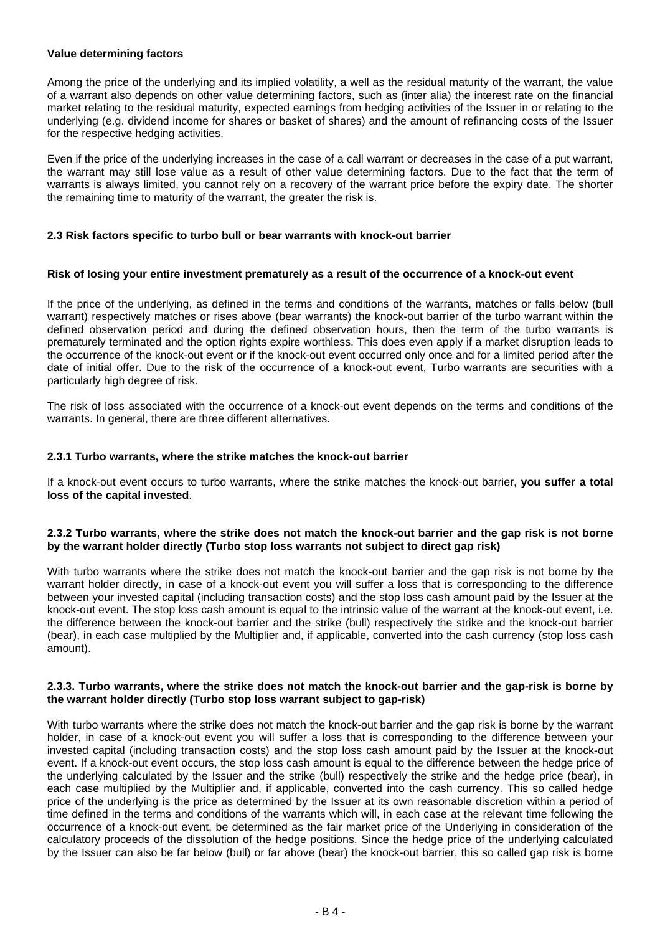#### **Value determining factors**

Among the price of the underlying and its implied volatility, a well as the residual maturity of the warrant, the value of a warrant also depends on other value determining factors, such as (inter alia) the interest rate on the financial market relating to the residual maturity, expected earnings from hedging activities of the Issuer in or relating to the underlying (e.g. dividend income for shares or basket of shares) and the amount of refinancing costs of the Issuer for the respective hedging activities.

Even if the price of the underlying increases in the case of a call warrant or decreases in the case of a put warrant, the warrant may still lose value as a result of other value determining factors. Due to the fact that the term of warrants is always limited, you cannot rely on a recovery of the warrant price before the expiry date. The shorter the remaining time to maturity of the warrant, the greater the risk is.

#### **2.3 Risk factors specific to turbo bull or bear warrants with knock-out barrier**

#### **Risk of losing your entire investment prematurely as a result of the occurrence of a knock-out event**

If the price of the underlying, as defined in the terms and conditions of the warrants, matches or falls below (bull warrant) respectively matches or rises above (bear warrants) the knock-out barrier of the turbo warrant within the defined observation period and during the defined observation hours, then the term of the turbo warrants is prematurely terminated and the option rights expire worthless. This does even apply if a market disruption leads to the occurrence of the knock-out event or if the knock-out event occurred only once and for a limited period after the date of initial offer. Due to the risk of the occurrence of a knock-out event, Turbo warrants are securities with a particularly high degree of risk.

The risk of loss associated with the occurrence of a knock-out event depends on the terms and conditions of the warrants. In general, there are three different alternatives.

#### **2.3.1 Turbo warrants, where the strike matches the knock-out barrier**

If a knock-out event occurs to turbo warrants, where the strike matches the knock-out barrier, **you suffer a total loss of the capital invested**.

#### **2.3.2 Turbo warrants, where the strike does not match the knock-out barrier and the gap risk is not borne by the warrant holder directly (Turbo stop loss warrants not subject to direct gap risk)**

With turbo warrants where the strike does not match the knock-out barrier and the gap risk is not borne by the warrant holder directly, in case of a knock-out event you will suffer a loss that is corresponding to the difference between your invested capital (including transaction costs) and the stop loss cash amount paid by the Issuer at the knock-out event. The stop loss cash amount is equal to the intrinsic value of the warrant at the knock-out event, i.e. the difference between the knock-out barrier and the strike (bull) respectively the strike and the knock-out barrier (bear), in each case multiplied by the Multiplier and, if applicable, converted into the cash currency (stop loss cash amount).

#### **2.3.3. Turbo warrants, where the strike does not match the knock-out barrier and the gap-risk is borne by the warrant holder directly (Turbo stop loss warrant subject to gap-risk)**

With turbo warrants where the strike does not match the knock-out barrier and the gap risk is borne by the warrant holder, in case of a knock-out event you will suffer a loss that is corresponding to the difference between your invested capital (including transaction costs) and the stop loss cash amount paid by the Issuer at the knock-out event. If a knock-out event occurs, the stop loss cash amount is equal to the difference between the hedge price of the underlying calculated by the Issuer and the strike (bull) respectively the strike and the hedge price (bear), in each case multiplied by the Multiplier and, if applicable, converted into the cash currency. This so called hedge price of the underlying is the price as determined by the Issuer at its own reasonable discretion within a period of time defined in the terms and conditions of the warrants which will, in each case at the relevant time following the occurrence of a knock-out event, be determined as the fair market price of the Underlying in consideration of the calculatory proceeds of the dissolution of the hedge positions. Since the hedge price of the underlying calculated by the Issuer can also be far below (bull) or far above (bear) the knock-out barrier, this so called gap risk is borne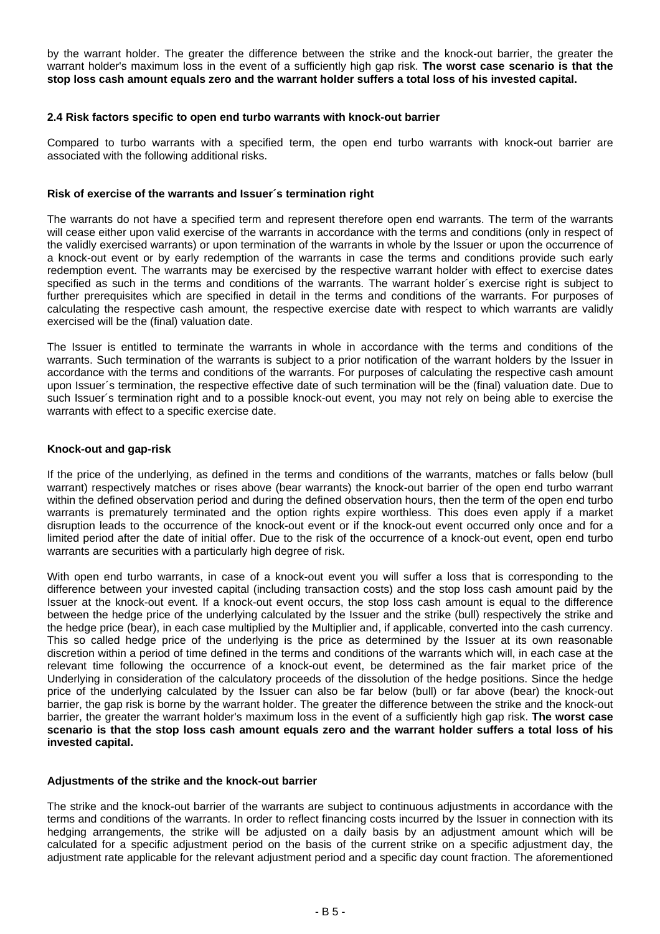by the warrant holder. The greater the difference between the strike and the knock-out barrier, the greater the warrant holder's maximum loss in the event of a sufficiently high gap risk. **The worst case scenario is that the stop loss cash amount equals zero and the warrant holder suffers a total loss of his invested capital.** 

#### **2.4 Risk factors specific to open end turbo warrants with knock-out barrier**

Compared to turbo warrants with a specified term, the open end turbo warrants with knock-out barrier are associated with the following additional risks.

#### **Risk of exercise of the warrants and Issuer´s termination right**

The warrants do not have a specified term and represent therefore open end warrants. The term of the warrants will cease either upon valid exercise of the warrants in accordance with the terms and conditions (only in respect of the validly exercised warrants) or upon termination of the warrants in whole by the Issuer or upon the occurrence of a knock-out event or by early redemption of the warrants in case the terms and conditions provide such early redemption event. The warrants may be exercised by the respective warrant holder with effect to exercise dates specified as such in the terms and conditions of the warrants. The warrant holder´s exercise right is subject to further prerequisites which are specified in detail in the terms and conditions of the warrants. For purposes of calculating the respective cash amount, the respective exercise date with respect to which warrants are validly exercised will be the (final) valuation date.

The Issuer is entitled to terminate the warrants in whole in accordance with the terms and conditions of the warrants. Such termination of the warrants is subject to a prior notification of the warrant holders by the Issuer in accordance with the terms and conditions of the warrants. For purposes of calculating the respective cash amount upon Issuer´s termination, the respective effective date of such termination will be the (final) valuation date. Due to such Issuer´s termination right and to a possible knock-out event, you may not rely on being able to exercise the warrants with effect to a specific exercise date.

#### **Knock-out and gap-risk**

If the price of the underlying, as defined in the terms and conditions of the warrants, matches or falls below (bull warrant) respectively matches or rises above (bear warrants) the knock-out barrier of the open end turbo warrant within the defined observation period and during the defined observation hours, then the term of the open end turbo warrants is prematurely terminated and the option rights expire worthless. This does even apply if a market disruption leads to the occurrence of the knock-out event or if the knock-out event occurred only once and for a limited period after the date of initial offer. Due to the risk of the occurrence of a knock-out event, open end turbo warrants are securities with a particularly high degree of risk.

With open end turbo warrants, in case of a knock-out event you will suffer a loss that is corresponding to the difference between your invested capital (including transaction costs) and the stop loss cash amount paid by the Issuer at the knock-out event. If a knock-out event occurs, the stop loss cash amount is equal to the difference between the hedge price of the underlying calculated by the Issuer and the strike (bull) respectively the strike and the hedge price (bear), in each case multiplied by the Multiplier and, if applicable, converted into the cash currency. This so called hedge price of the underlying is the price as determined by the Issuer at its own reasonable discretion within a period of time defined in the terms and conditions of the warrants which will, in each case at the relevant time following the occurrence of a knock-out event, be determined as the fair market price of the Underlying in consideration of the calculatory proceeds of the dissolution of the hedge positions. Since the hedge price of the underlying calculated by the Issuer can also be far below (bull) or far above (bear) the knock-out barrier, the gap risk is borne by the warrant holder. The greater the difference between the strike and the knock-out barrier, the greater the warrant holder's maximum loss in the event of a sufficiently high gap risk. **The worst case scenario is that the stop loss cash amount equals zero and the warrant holder suffers a total loss of his invested capital.**

#### **Adjustments of the strike and the knock-out barrier**

The strike and the knock-out barrier of the warrants are subject to continuous adjustments in accordance with the terms and conditions of the warrants. In order to reflect financing costs incurred by the Issuer in connection with its hedging arrangements, the strike will be adjusted on a daily basis by an adjustment amount which will be calculated for a specific adjustment period on the basis of the current strike on a specific adjustment day, the adjustment rate applicable for the relevant adjustment period and a specific day count fraction. The aforementioned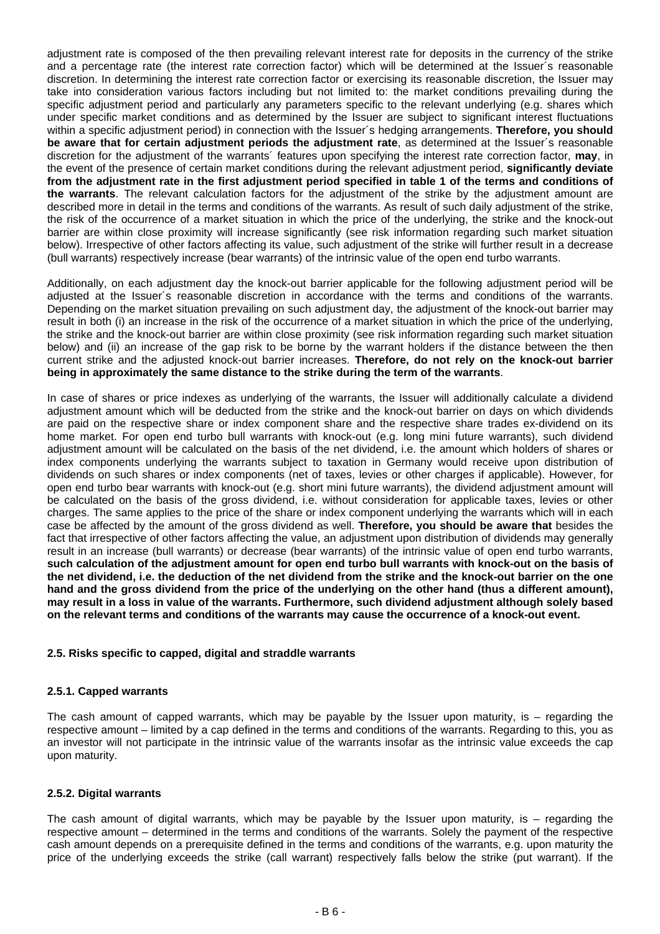adjustment rate is composed of the then prevailing relevant interest rate for deposits in the currency of the strike and a percentage rate (the interest rate correction factor) which will be determined at the Issuer´s reasonable discretion. In determining the interest rate correction factor or exercising its reasonable discretion, the Issuer may take into consideration various factors including but not limited to: the market conditions prevailing during the specific adjustment period and particularly any parameters specific to the relevant underlying (e.g. shares which under specific market conditions and as determined by the Issuer are subject to significant interest fluctuations within a specific adjustment period) in connection with the Issuer´s hedging arrangements. **Therefore, you should be aware that for certain adjustment periods the adjustment rate**, as determined at the Issuer´s reasonable discretion for the adjustment of the warrants´ features upon specifying the interest rate correction factor, **may**, in the event of the presence of certain market conditions during the relevant adjustment period, **significantly deviate from the adjustment rate in the first adjustment period specified in table 1 of the terms and conditions of the warrants**. The relevant calculation factors for the adjustment of the strike by the adjustment amount are described more in detail in the terms and conditions of the warrants. As result of such daily adjustment of the strike, the risk of the occurrence of a market situation in which the price of the underlying, the strike and the knock-out barrier are within close proximity will increase significantly (see risk information regarding such market situation below). Irrespective of other factors affecting its value, such adjustment of the strike will further result in a decrease (bull warrants) respectively increase (bear warrants) of the intrinsic value of the open end turbo warrants.

Additionally, on each adjustment day the knock-out barrier applicable for the following adjustment period will be adjusted at the Issuer´s reasonable discretion in accordance with the terms and conditions of the warrants. Depending on the market situation prevailing on such adjustment day, the adjustment of the knock-out barrier may result in both (i) an increase in the risk of the occurrence of a market situation in which the price of the underlying, the strike and the knock-out barrier are within close proximity (see risk information regarding such market situation below) and (ii) an increase of the gap risk to be borne by the warrant holders if the distance between the then current strike and the adjusted knock-out barrier increases. **Therefore, do not rely on the knock-out barrier being in approximately the same distance to the strike during the term of the warrants**.

In case of shares or price indexes as underlying of the warrants, the Issuer will additionally calculate a dividend adjustment amount which will be deducted from the strike and the knock-out barrier on days on which dividends are paid on the respective share or index component share and the respective share trades ex-dividend on its home market. For open end turbo bull warrants with knock-out (e.g. long mini future warrants), such dividend adjustment amount will be calculated on the basis of the net dividend, i.e. the amount which holders of shares or index components underlying the warrants subject to taxation in Germany would receive upon distribution of dividends on such shares or index components (net of taxes, levies or other charges if applicable). However, for open end turbo bear warrants with knock-out (e.g. short mini future warrants), the dividend adjustment amount will be calculated on the basis of the gross dividend, i.e. without consideration for applicable taxes, levies or other charges. The same applies to the price of the share or index component underlying the warrants which will in each case be affected by the amount of the gross dividend as well. **Therefore, you should be aware that** besides the fact that irrespective of other factors affecting the value, an adjustment upon distribution of dividends may generally result in an increase (bull warrants) or decrease (bear warrants) of the intrinsic value of open end turbo warrants, **such calculation of the adjustment amount for open end turbo bull warrants with knock-out on the basis of the net dividend, i.e. the deduction of the net dividend from the strike and the knock-out barrier on the one hand and the gross dividend from the price of the underlying on the other hand (thus a different amount), may result in a loss in value of the warrants. Furthermore, such dividend adjustment although solely based on the relevant terms and conditions of the warrants may cause the occurrence of a knock-out event.** 

# **2.5. Risks specific to capped, digital and straddle warrants**

#### **2.5.1. Capped warrants**

The cash amount of capped warrants, which may be payable by the Issuer upon maturity, is – regarding the respective amount – limited by a cap defined in the terms and conditions of the warrants. Regarding to this, you as an investor will not participate in the intrinsic value of the warrants insofar as the intrinsic value exceeds the cap upon maturity.

#### **2.5.2. Digital warrants**

The cash amount of digital warrants, which may be payable by the Issuer upon maturity, is – regarding the respective amount – determined in the terms and conditions of the warrants. Solely the payment of the respective cash amount depends on a prerequisite defined in the terms and conditions of the warrants, e.g. upon maturity the price of the underlying exceeds the strike (call warrant) respectively falls below the strike (put warrant). If the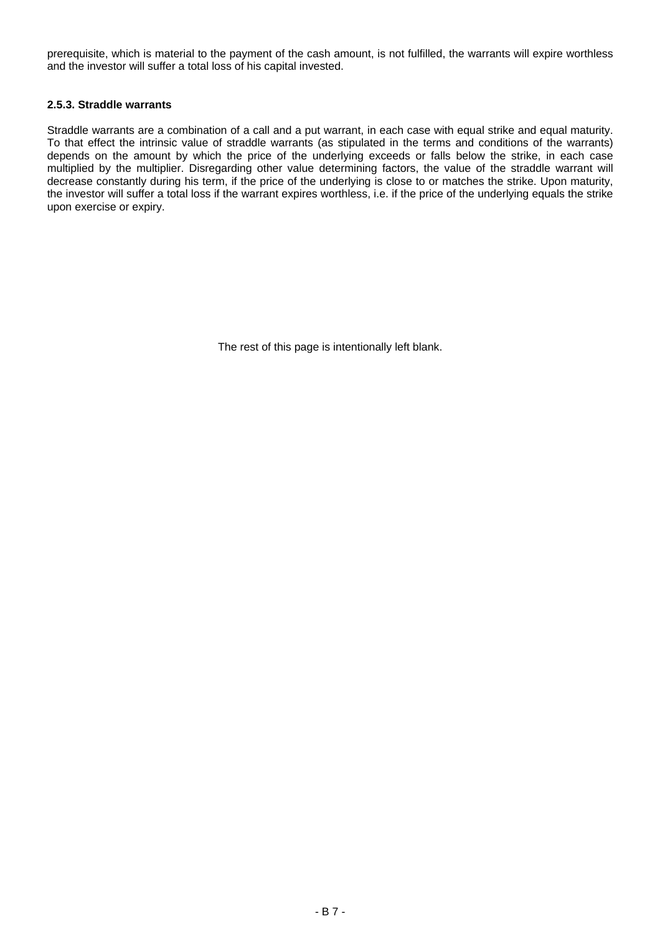prerequisite, which is material to the payment of the cash amount, is not fulfilled, the warrants will expire worthless and the investor will suffer a total loss of his capital invested.

## **2.5.3. Straddle warrants**

Straddle warrants are a combination of a call and a put warrant, in each case with equal strike and equal maturity. To that effect the intrinsic value of straddle warrants (as stipulated in the terms and conditions of the warrants) depends on the amount by which the price of the underlying exceeds or falls below the strike, in each case multiplied by the multiplier. Disregarding other value determining factors, the value of the straddle warrant will decrease constantly during his term, if the price of the underlying is close to or matches the strike. Upon maturity, the investor will suffer a total loss if the warrant expires worthless, i.e. if the price of the underlying equals the strike upon exercise or expiry.

The rest of this page is intentionally left blank.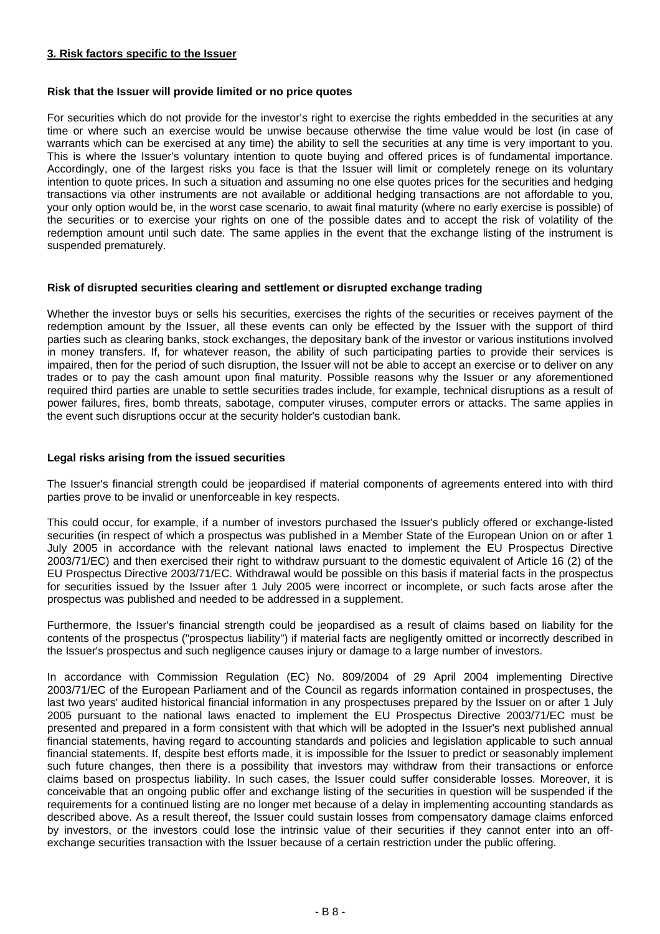#### **3. Risk factors specific to the Issuer**

## **Risk that the Issuer will provide limited or no price quotes**

For securities which do not provide for the investor's right to exercise the rights embedded in the securities at any time or where such an exercise would be unwise because otherwise the time value would be lost (in case of warrants which can be exercised at any time) the ability to sell the securities at any time is very important to you. This is where the Issuer's voluntary intention to quote buying and offered prices is of fundamental importance. Accordingly, one of the largest risks you face is that the Issuer will limit or completely renege on its voluntary intention to quote prices. In such a situation and assuming no one else quotes prices for the securities and hedging transactions via other instruments are not available or additional hedging transactions are not affordable to you, your only option would be, in the worst case scenario, to await final maturity (where no early exercise is possible) of the securities or to exercise your rights on one of the possible dates and to accept the risk of volatility of the redemption amount until such date. The same applies in the event that the exchange listing of the instrument is suspended prematurely.

#### **Risk of disrupted securities clearing and settlement or disrupted exchange trading**

Whether the investor buys or sells his securities, exercises the rights of the securities or receives payment of the redemption amount by the Issuer, all these events can only be effected by the Issuer with the support of third parties such as clearing banks, stock exchanges, the depositary bank of the investor or various institutions involved in money transfers. If, for whatever reason, the ability of such participating parties to provide their services is impaired, then for the period of such disruption, the Issuer will not be able to accept an exercise or to deliver on any trades or to pay the cash amount upon final maturity. Possible reasons why the Issuer or any aforementioned required third parties are unable to settle securities trades include, for example, technical disruptions as a result of power failures, fires, bomb threats, sabotage, computer viruses, computer errors or attacks. The same applies in the event such disruptions occur at the security holder's custodian bank.

# **Legal risks arising from the issued securities**

The Issuer's financial strength could be jeopardised if material components of agreements entered into with third parties prove to be invalid or unenforceable in key respects.

This could occur, for example, if a number of investors purchased the Issuer's publicly offered or exchange-listed securities (in respect of which a prospectus was published in a Member State of the European Union on or after 1 July 2005 in accordance with the relevant national laws enacted to implement the EU Prospectus Directive 2003/71/EC) and then exercised their right to withdraw pursuant to the domestic equivalent of Article 16 (2) of the EU Prospectus Directive 2003/71/EC. Withdrawal would be possible on this basis if material facts in the prospectus for securities issued by the Issuer after 1 July 2005 were incorrect or incomplete, or such facts arose after the prospectus was published and needed to be addressed in a supplement.

Furthermore, the Issuer's financial strength could be jeopardised as a result of claims based on liability for the contents of the prospectus ("prospectus liability") if material facts are negligently omitted or incorrectly described in the Issuer's prospectus and such negligence causes injury or damage to a large number of investors.

In accordance with Commission Regulation (EC) No. 809/2004 of 29 April 2004 implementing Directive 2003/71/EC of the European Parliament and of the Council as regards information contained in prospectuses, the last two years' audited historical financial information in any prospectuses prepared by the Issuer on or after 1 July 2005 pursuant to the national laws enacted to implement the EU Prospectus Directive 2003/71/EC must be presented and prepared in a form consistent with that which will be adopted in the Issuer's next published annual financial statements, having regard to accounting standards and policies and legislation applicable to such annual financial statements. If, despite best efforts made, it is impossible for the Issuer to predict or seasonably implement such future changes, then there is a possibility that investors may withdraw from their transactions or enforce claims based on prospectus liability. In such cases, the Issuer could suffer considerable losses. Moreover, it is conceivable that an ongoing public offer and exchange listing of the securities in question will be suspended if the requirements for a continued listing are no longer met because of a delay in implementing accounting standards as described above. As a result thereof, the Issuer could sustain losses from compensatory damage claims enforced by investors, or the investors could lose the intrinsic value of their securities if they cannot enter into an offexchange securities transaction with the Issuer because of a certain restriction under the public offering.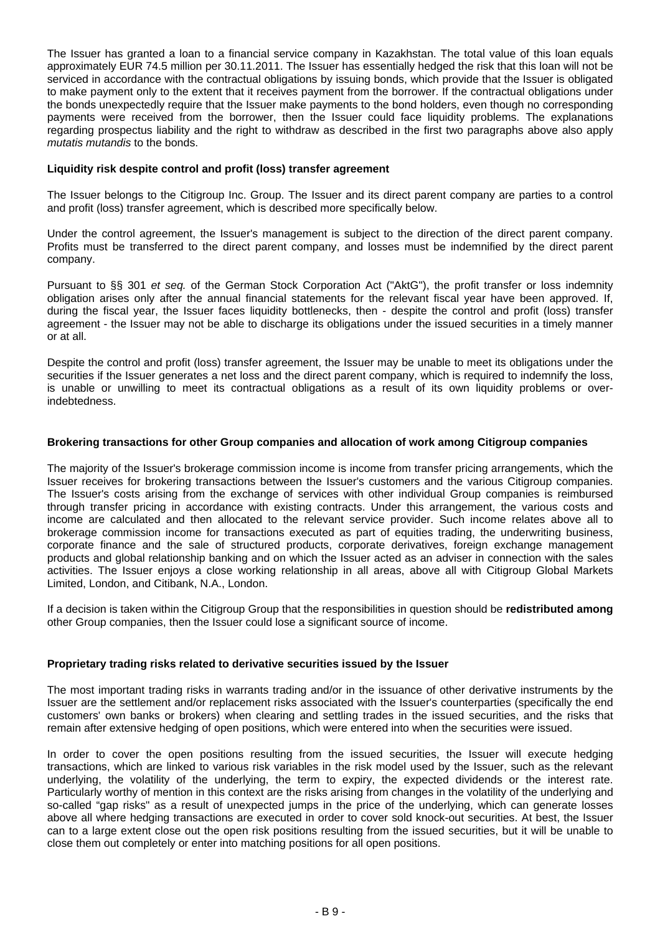The Issuer has granted a loan to a financial service company in Kazakhstan. The total value of this loan equals approximately EUR 74.5 million per 30.11.2011. The Issuer has essentially hedged the risk that this loan will not be serviced in accordance with the contractual obligations by issuing bonds, which provide that the Issuer is obligated to make payment only to the extent that it receives payment from the borrower. If the contractual obligations under the bonds unexpectedly require that the Issuer make payments to the bond holders, even though no corresponding payments were received from the borrower, then the Issuer could face liquidity problems. The explanations regarding prospectus liability and the right to withdraw as described in the first two paragraphs above also apply *mutatis mutandis* to the bonds.

#### **Liquidity risk despite control and profit (loss) transfer agreement**

The Issuer belongs to the Citigroup Inc. Group. The Issuer and its direct parent company are parties to a control and profit (loss) transfer agreement, which is described more specifically below.

Under the control agreement, the Issuer's management is subject to the direction of the direct parent company. Profits must be transferred to the direct parent company, and losses must be indemnified by the direct parent company.

Pursuant to §§ 301 *et seq.* of the German Stock Corporation Act ("AktG"), the profit transfer or loss indemnity obligation arises only after the annual financial statements for the relevant fiscal year have been approved. If, during the fiscal year, the Issuer faces liquidity bottlenecks, then - despite the control and profit (loss) transfer agreement - the Issuer may not be able to discharge its obligations under the issued securities in a timely manner or at all.

Despite the control and profit (loss) transfer agreement, the Issuer may be unable to meet its obligations under the securities if the Issuer generates a net loss and the direct parent company, which is required to indemnify the loss, is unable or unwilling to meet its contractual obligations as a result of its own liquidity problems or overindebtedness.

#### **Brokering transactions for other Group companies and allocation of work among Citigroup companies**

The majority of the Issuer's brokerage commission income is income from transfer pricing arrangements, which the Issuer receives for brokering transactions between the Issuer's customers and the various Citigroup companies. The Issuer's costs arising from the exchange of services with other individual Group companies is reimbursed through transfer pricing in accordance with existing contracts. Under this arrangement, the various costs and income are calculated and then allocated to the relevant service provider. Such income relates above all to brokerage commission income for transactions executed as part of equities trading, the underwriting business, corporate finance and the sale of structured products, corporate derivatives, foreign exchange management products and global relationship banking and on which the Issuer acted as an adviser in connection with the sales activities. The Issuer enjoys a close working relationship in all areas, above all with Citigroup Global Markets Limited, London, and Citibank, N.A., London.

If a decision is taken within the Citigroup Group that the responsibilities in question should be **redistributed among**  other Group companies, then the Issuer could lose a significant source of income.

#### **Proprietary trading risks related to derivative securities issued by the Issuer**

The most important trading risks in warrants trading and/or in the issuance of other derivative instruments by the Issuer are the settlement and/or replacement risks associated with the Issuer's counterparties (specifically the end customers' own banks or brokers) when clearing and settling trades in the issued securities, and the risks that remain after extensive hedging of open positions, which were entered into when the securities were issued.

In order to cover the open positions resulting from the issued securities, the Issuer will execute hedging transactions, which are linked to various risk variables in the risk model used by the Issuer, such as the relevant underlying, the volatility of the underlying, the term to expiry, the expected dividends or the interest rate. Particularly worthy of mention in this context are the risks arising from changes in the volatility of the underlying and so-called "gap risks" as a result of unexpected jumps in the price of the underlying, which can generate losses above all where hedging transactions are executed in order to cover sold knock-out securities. At best, the Issuer can to a large extent close out the open risk positions resulting from the issued securities, but it will be unable to close them out completely or enter into matching positions for all open positions.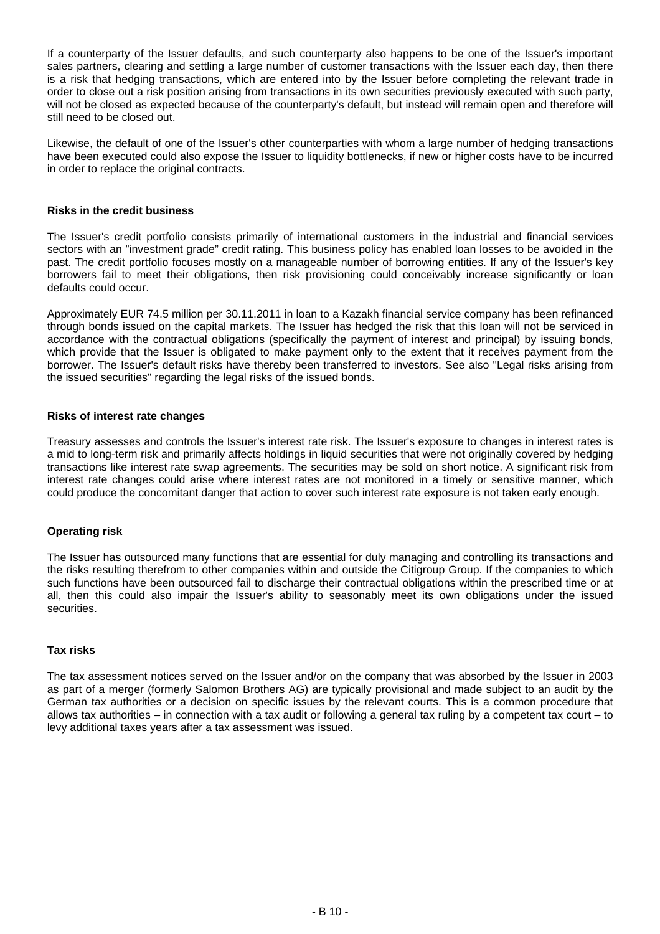If a counterparty of the Issuer defaults, and such counterparty also happens to be one of the Issuer's important sales partners, clearing and settling a large number of customer transactions with the Issuer each day, then there is a risk that hedging transactions, which are entered into by the Issuer before completing the relevant trade in order to close out a risk position arising from transactions in its own securities previously executed with such party, will not be closed as expected because of the counterparty's default, but instead will remain open and therefore will still need to be closed out.

Likewise, the default of one of the Issuer's other counterparties with whom a large number of hedging transactions have been executed could also expose the Issuer to liquidity bottlenecks, if new or higher costs have to be incurred in order to replace the original contracts.

#### **Risks in the credit business**

The Issuer's credit portfolio consists primarily of international customers in the industrial and financial services sectors with an "investment grade" credit rating. This business policy has enabled loan losses to be avoided in the past. The credit portfolio focuses mostly on a manageable number of borrowing entities. If any of the Issuer's key borrowers fail to meet their obligations, then risk provisioning could conceivably increase significantly or loan defaults could occur.

Approximately EUR 74.5 million per 30.11.2011 in loan to a Kazakh financial service company has been refinanced through bonds issued on the capital markets. The Issuer has hedged the risk that this loan will not be serviced in accordance with the contractual obligations (specifically the payment of interest and principal) by issuing bonds, which provide that the Issuer is obligated to make payment only to the extent that it receives payment from the borrower. The Issuer's default risks have thereby been transferred to investors. See also "Legal risks arising from the issued securities" regarding the legal risks of the issued bonds.

#### **Risks of interest rate changes**

Treasury assesses and controls the Issuer's interest rate risk. The Issuer's exposure to changes in interest rates is a mid to long-term risk and primarily affects holdings in liquid securities that were not originally covered by hedging transactions like interest rate swap agreements. The securities may be sold on short notice. A significant risk from interest rate changes could arise where interest rates are not monitored in a timely or sensitive manner, which could produce the concomitant danger that action to cover such interest rate exposure is not taken early enough.

# **Operating risk**

The Issuer has outsourced many functions that are essential for duly managing and controlling its transactions and the risks resulting therefrom to other companies within and outside the Citigroup Group. If the companies to which such functions have been outsourced fail to discharge their contractual obligations within the prescribed time or at all, then this could also impair the Issuer's ability to seasonably meet its own obligations under the issued securities.

#### **Tax risks**

The tax assessment notices served on the Issuer and/or on the company that was absorbed by the Issuer in 2003 as part of a merger (formerly Salomon Brothers AG) are typically provisional and made subject to an audit by the German tax authorities or a decision on specific issues by the relevant courts. This is a common procedure that allows tax authorities – in connection with a tax audit or following a general tax ruling by a competent tax court – to levy additional taxes years after a tax assessment was issued.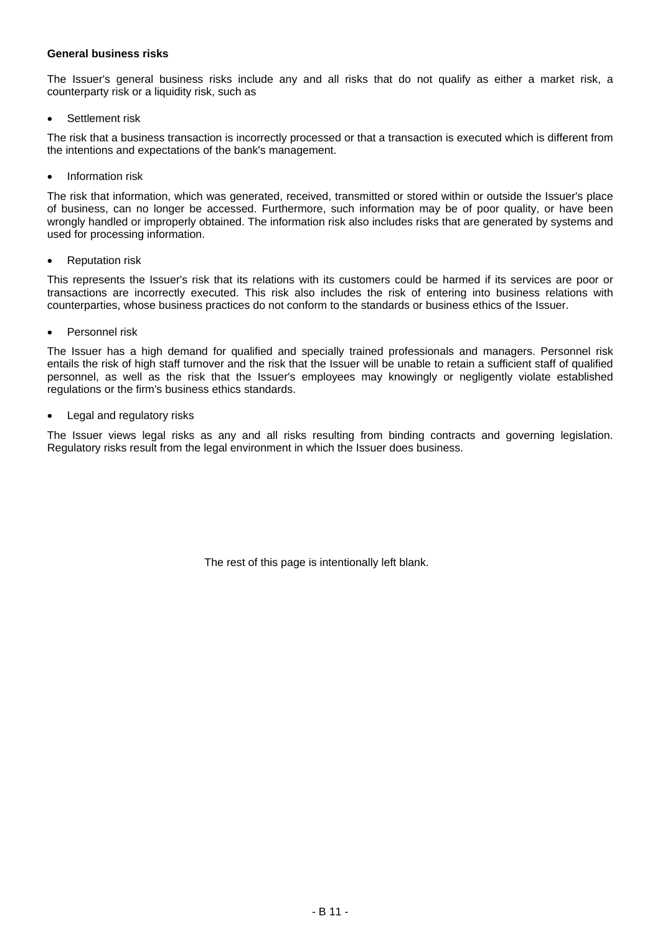## **General business risks**

The Issuer's general business risks include any and all risks that do not qualify as either a market risk, a counterparty risk or a liquidity risk, such as

Settlement risk

The risk that a business transaction is incorrectly processed or that a transaction is executed which is different from the intentions and expectations of the bank's management.

Information risk

The risk that information, which was generated, received, transmitted or stored within or outside the Issuer's place of business, can no longer be accessed. Furthermore, such information may be of poor quality, or have been wrongly handled or improperly obtained. The information risk also includes risks that are generated by systems and used for processing information.

• Reputation risk

This represents the Issuer's risk that its relations with its customers could be harmed if its services are poor or transactions are incorrectly executed. This risk also includes the risk of entering into business relations with counterparties, whose business practices do not conform to the standards or business ethics of the Issuer.

• Personnel risk

The Issuer has a high demand for qualified and specially trained professionals and managers. Personnel risk entails the risk of high staff turnover and the risk that the Issuer will be unable to retain a sufficient staff of qualified personnel, as well as the risk that the Issuer's employees may knowingly or negligently violate established regulations or the firm's business ethics standards.

• Legal and regulatory risks

The Issuer views legal risks as any and all risks resulting from binding contracts and governing legislation. Regulatory risks result from the legal environment in which the Issuer does business.

The rest of this page is intentionally left blank.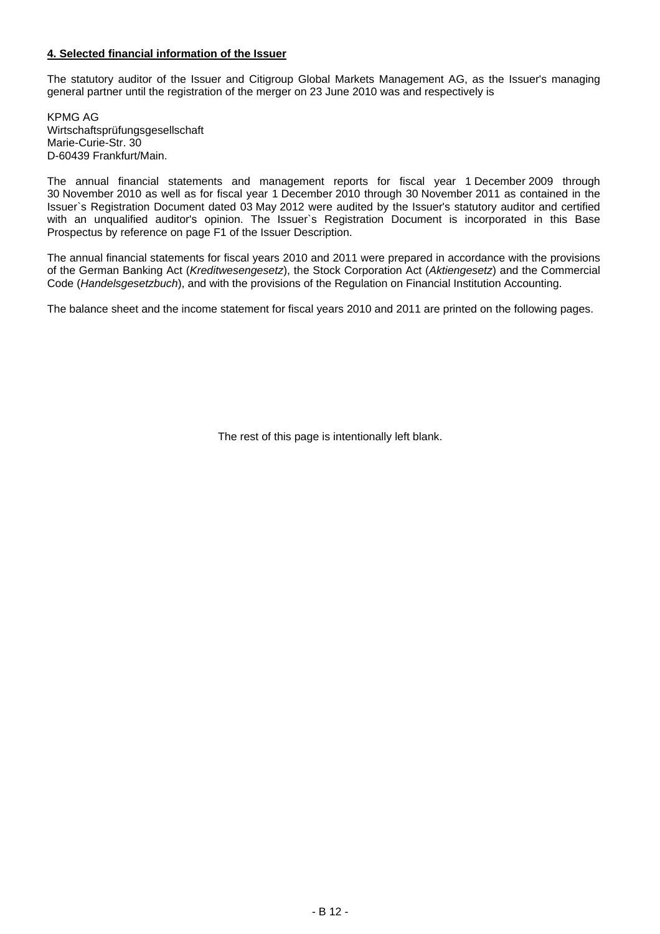## **4. Selected financial information of the Issuer**

The statutory auditor of the Issuer and Citigroup Global Markets Management AG, as the Issuer's managing general partner until the registration of the merger on 23 June 2010 was and respectively is

KPMG AG Wirtschaftsprüfungsgesellschaft Marie-Curie-Str. 30 D-60439 Frankfurt/Main.

The annual financial statements and management reports for fiscal year 1 December 2009 through 30 November 2010 as well as for fiscal year 1 December 2010 through 30 November 2011 as contained in the Issuer`s Registration Document dated 03 May 2012 were audited by the Issuer's statutory auditor and certified with an unqualified auditor's opinion. The Issuer's Registration Document is incorporated in this Base Prospectus by reference on page F1 of the Issuer Description.

The annual financial statements for fiscal years 2010 and 2011 were prepared in accordance with the provisions of the German Banking Act (*Kreditwesengesetz*), the Stock Corporation Act (*Aktiengesetz*) and the Commercial Code (*Handelsgesetzbuch*), and with the provisions of the Regulation on Financial Institution Accounting.

The balance sheet and the income statement for fiscal years 2010 and 2011 are printed on the following pages.

The rest of this page is intentionally left blank.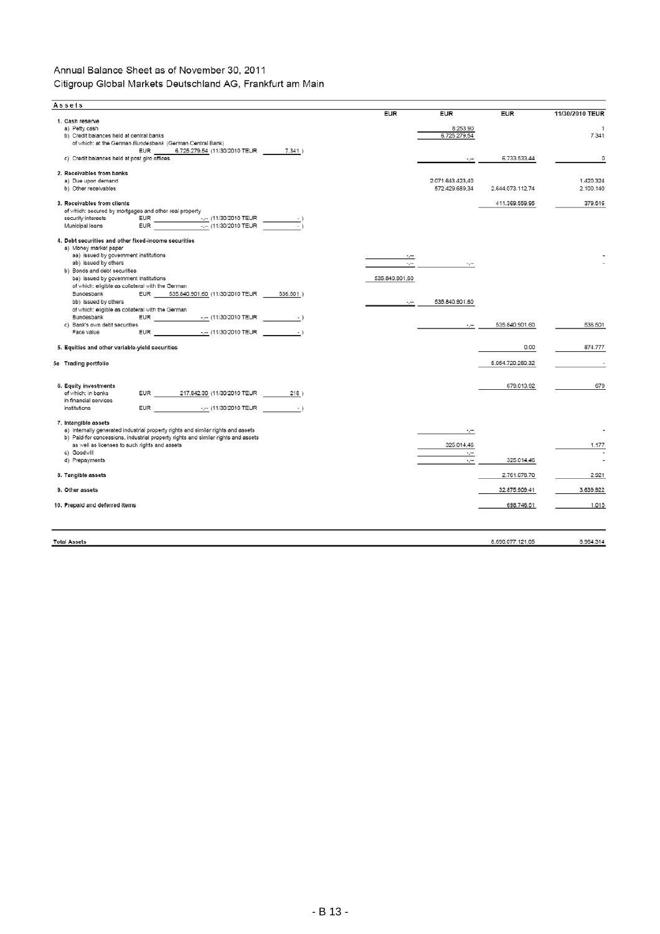### Annual Balance Sheet as of November 30, 2011 Citigroup Global Markets Deutschland AG, Frankfurt am Main

| Assets                                                                                                                                                                                            | <b>EUR</b>     | <b>EUR</b>            | <b>EUR</b>       | 11/30/2010 TEUR |
|---------------------------------------------------------------------------------------------------------------------------------------------------------------------------------------------------|----------------|-----------------------|------------------|-----------------|
| 1. Cash reserve                                                                                                                                                                                   |                |                       |                  |                 |
| a) Petty cash                                                                                                                                                                                     |                | 8.253,90              |                  |                 |
| b) Credit balances held at central banks                                                                                                                                                          |                | 6.725.279.54          |                  | 7.341           |
| of which: at the German Bundesbank (German Central Bank)                                                                                                                                          |                |                       |                  |                 |
| EUR<br>6.725.279,54 (11/30/2010 TEUR<br>7.341                                                                                                                                                     |                |                       |                  |                 |
| c) Credit balances held at post giro offices                                                                                                                                                      |                | ۰,۰                   | 6.733.533,44     | $\circ$         |
| 2. Receivables from banks                                                                                                                                                                         |                |                       |                  |                 |
| a) Due upon demand                                                                                                                                                                                |                | 2.071.643.423.40      |                  | 1.420.324       |
| b) Other receivables                                                                                                                                                                              |                | 572.429.689.34        | 2.644.073.112.74 | 2.100.140       |
| 3. Receivables from clients                                                                                                                                                                       |                |                       | 411.369.559.95   | 379.516         |
| of which: secured by mortgages and other real property                                                                                                                                            |                |                       |                  |                 |
| EUR<br><sub>_________________</sub><br>-,-- (11/30/2010 TEUR<br>security interests                                                                                                                |                |                       |                  |                 |
| EUR $\frac{1}{\sqrt{2\pi} \cdot (11/30/2010 \text{ TeUR}} \cdot \frac{1}{\sqrt{2\pi} \cdot 11/30/2010 \text{ TeUR}} \cdot \frac{1}{\sqrt{2\pi} \cdot 11/30/2010 \text{ TeUR}}$<br>Municipal loans |                |                       |                  |                 |
| 4. Debt securities and other fixed-income securities                                                                                                                                              |                |                       |                  |                 |
| a) Money market paper                                                                                                                                                                             |                |                       |                  |                 |
| aa) issued by government institutions                                                                                                                                                             | ٠,             |                       |                  |                 |
| ab) issued by others                                                                                                                                                                              | مبرد           | -,--                  |                  |                 |
| b) Bonds and debt securities                                                                                                                                                                      |                |                       |                  |                 |
| ba) issued by government institutions                                                                                                                                                             | 535.840.901,60 |                       |                  |                 |
| of which: eligible as collateral with the German                                                                                                                                                  |                |                       |                  |                 |
| Bundesbank<br>535.840.901,60 (11/30/2010 TEUR 536.501)<br>EUR                                                                                                                                     |                |                       |                  |                 |
| bb) issued by others                                                                                                                                                                              | -,--           | 535.840.901.60        |                  |                 |
| of which: eligible as collateral with the German                                                                                                                                                  |                |                       |                  |                 |
| EUR - - (11/30/2010 TEUR - )<br>Bundesbank                                                                                                                                                        |                |                       |                  |                 |
| c) Bank's own debt securities                                                                                                                                                                     |                | ۰,۰۰                  | 535.840.901,60   | 536.501         |
| EUR -.-- (11/30/2010 TEUR - )<br>Face value                                                                                                                                                       |                |                       |                  |                 |
| 5. Equities and other variable-yield securities                                                                                                                                                   |                |                       | 0.00             | 874.777         |
|                                                                                                                                                                                                   |                |                       |                  |                 |
| 5a Trading portfolio                                                                                                                                                                              |                |                       | 5.054.720.250,32 |                 |
|                                                                                                                                                                                                   |                |                       |                  |                 |
| 6. Equity investments                                                                                                                                                                             |                |                       | 679.013,92       | 679             |
| EUR 217.842,30 (11/30/2010 TEUR 218)<br>of which: in banks                                                                                                                                        |                |                       |                  |                 |
| in financial services                                                                                                                                                                             |                |                       |                  |                 |
| EUR -,-- (11/30/2010 TEUR - )<br>institutions                                                                                                                                                     |                |                       |                  |                 |
| 7. Intangible assets                                                                                                                                                                              |                |                       |                  |                 |
| a) Internally generated industrial property rights and similar rights and assets                                                                                                                  |                | $\tilde{\phantom{a}}$ |                  |                 |
| b) Paid-for concessions, industrial property rights and similar rights and assets                                                                                                                 |                |                       |                  |                 |
| as well as licenses to such rights and assets                                                                                                                                                     |                | 325.014.46            |                  | 1.177           |
| c) Goodwill                                                                                                                                                                                       |                | $\sim$                |                  |                 |
| d) Prepayments                                                                                                                                                                                    |                | -,--                  | 325.014.46       |                 |
| 8. Tangible assets                                                                                                                                                                                |                |                       | 2.761.078,70     | 2.921           |
| 9. Other assets                                                                                                                                                                                   |                |                       | 32.875.909,41    | 3.639.922       |
|                                                                                                                                                                                                   |                |                       |                  |                 |
| 10. Prepaid and deferred items                                                                                                                                                                    |                |                       | 698.746.51       | 1.015           |
|                                                                                                                                                                                                   |                |                       |                  |                 |
|                                                                                                                                                                                                   |                |                       |                  |                 |
| <b>Total Assets</b>                                                                                                                                                                               |                |                       | 8.690.077.121.05 | 8.964.314       |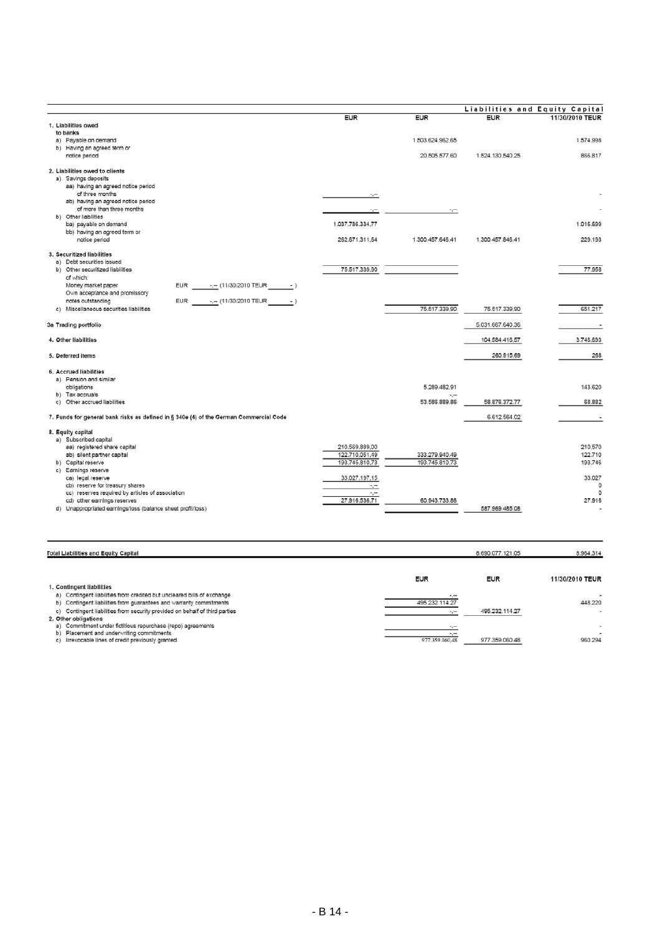|                                                                                        |                                  |                                  |                  | Liabilities and Equity Capital |
|----------------------------------------------------------------------------------------|----------------------------------|----------------------------------|------------------|--------------------------------|
|                                                                                        | <b>EUR</b>                       | <b>EUR</b>                       | <b>EUR</b>       | 11/30/2010 TEUR                |
| 1. Liabilities owed<br>to banks                                                        |                                  |                                  |                  |                                |
| a) Payable on demand                                                                   |                                  | 1.503.624.962.65                 |                  | 1.574.998                      |
| b) Having an agreed term or                                                            |                                  |                                  |                  |                                |
| notice period                                                                          |                                  | 20.505.577.60                    | 1.524.130.540.25 | 866.817                        |
| 2. Liabilities owed to clients                                                         |                                  |                                  |                  |                                |
| a) Savings deposits                                                                    |                                  |                                  |                  |                                |
| aa) having an agreed notice period<br>of three months                                  | -.-                              |                                  |                  |                                |
| ab) having an agreed notice period                                                     |                                  |                                  |                  |                                |
| of more than three months                                                              |                                  | 7,77                             |                  |                                |
| b) Other liabilities                                                                   | 1.037.786.334.77                 |                                  |                  | 1.016.699                      |
| ba) payable on demand<br>bb) having an agreed term or                                  |                                  |                                  |                  |                                |
| notice period                                                                          | 262.671.311,64                   | 1.300.457.646,41                 | 1.300.457.846,41 | 229.193                        |
| 3. Securitized liabilities                                                             |                                  |                                  |                  |                                |
| a) Debt securities issued                                                              |                                  |                                  |                  |                                |
| b) Other securitized liabilities<br>of which:                                          | 75.517.339.90                    |                                  |                  | 77.958                         |
| Money market paper<br><b>EUR</b><br>-,-- (11/30/2010 TEUR                              |                                  |                                  |                  |                                |
| Own acceptance and promissory                                                          |                                  |                                  |                  |                                |
| notes outstanding<br>EUR<br>-.-- (11/30/2010 TEUR                                      |                                  |                                  |                  |                                |
| c) Miscellaneous securities liabilities                                                |                                  | 75.517.339.90                    | 75.517.339,90    | 651.217                        |
| 3a Trading portfolio                                                                   |                                  |                                  | 5.031.667.640,36 |                                |
| 4. Other liabilities                                                                   |                                  |                                  | 104.584.416,57   | 3.746.693                      |
| 5. Deferred items                                                                      |                                  |                                  | 260.915,69       | 268                            |
|                                                                                        |                                  |                                  |                  |                                |
| 6. Accrued liabilities                                                                 |                                  |                                  |                  |                                |
| a) Pension and similar<br>obligations                                                  |                                  | 5.289.482.91                     |                  | 143.620                        |
| b) Tax accruals                                                                        |                                  |                                  |                  |                                |
| c) Other accrued liabilities                                                           |                                  | 53.586.889.86                    | 58.876.372.77    | 68.882                         |
| 7. Funds for general bank risks as defined in § 340e (4) of the German Commercial Code |                                  |                                  | 6.612.564,02     |                                |
| 8. Equity capital                                                                      |                                  |                                  |                  |                                |
| a) Subscribed capital                                                                  |                                  |                                  |                  |                                |
| aa) registered share capital                                                           | 210.569.889.00                   |                                  |                  | 210.570                        |
| ab) silent partner capital<br>b) Capital reserve                                       | 122.710.051.49<br>193.745.810.73 | 333.279.940.49<br>193.745.810.73 |                  | 122.710<br>193.746             |
| c) Earnings reserve                                                                    |                                  |                                  |                  |                                |
| ca) legal reserve                                                                      | 33.027.197.15                    |                                  |                  | 33.027                         |
| cb) reserve for treasury shares                                                        | 1,00                             |                                  |                  | $\Omega$                       |
| cc) reserves required by articles of association<br>cd) other earnings reserves        | 1,77<br>27.916.536,71            | 60.943.733.86                    |                  | $\Omega$<br>27.916             |
| d) Unappropriated earnings/loss (balance sheet profit/loss)                            |                                  |                                  | 587.969.485.08   |                                |
|                                                                                        |                                  |                                  |                  |                                |

| <b>Total Liabilities and Equity Capita</b> |  |  |
|--------------------------------------------|--|--|
|--------------------------------------------|--|--|

| <b>Total Liabilities and Equity Capital</b>                                 |                | 8.690.077.121.05 | 8.964.314       |
|-----------------------------------------------------------------------------|----------------|------------------|-----------------|
|                                                                             | <b>EUR</b>     | <b>EUR</b>       | 11/30/2010 TEUR |
| 1. Contingent liabilities                                                   |                |                  |                 |
| a) Contingent liabilities from credited but uncleared bills of exchange     | -.-            |                  |                 |
| b) Contingent liabilities from guarantees and warranty commitments          | 495.232.114.27 |                  | 448.220         |
| c) Contingent liabilities from security provided on behalf of third parties |                | 495.232.114.27   |                 |
| 2. Other obligations                                                        |                |                  |                 |
| a) Commitment under fictitious repurchase (repo) agreements                 | -.--           |                  |                 |
| b) Placement and underwriting commitments                                   |                |                  |                 |
| c) Irrevocable lines of credit previously granted                           | 977.359.060,48 | 977.359.060.48   | 960.294         |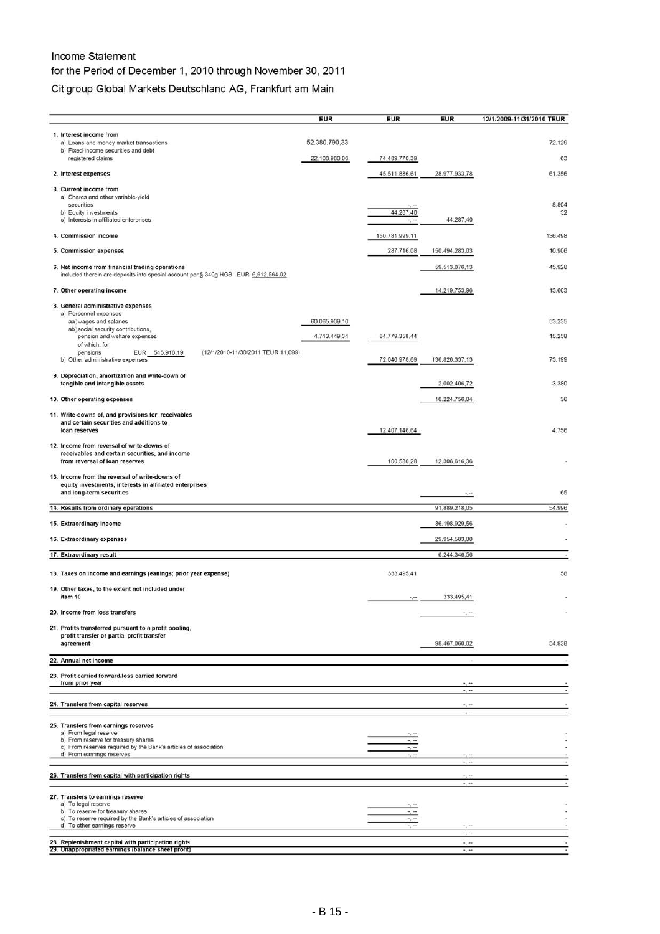# Income Statement

# for the Period of December 1, 2010 through November 30, 2011

Citigroup Global Markets Deutschland AG, Frankfurt am Main

|                                                                                                                                       | <b>EUR</b>    | <b>EUR</b>                   | <b>EUR</b>            | 12/1/2009-11/31/2010 TEUR |
|---------------------------------------------------------------------------------------------------------------------------------------|---------------|------------------------------|-----------------------|---------------------------|
| 1. Interest income from                                                                                                               |               |                              |                       |                           |
| a) Loans and money market transactions<br>b) Fixed-income securities and debt                                                         | 52.380.790,33 |                              |                       | 72.129                    |
| registered claims                                                                                                                     | 22.108.980,06 | 74.489.770,39                |                       | 63                        |
| 2. Interest expenses                                                                                                                  |               | 45.511.836,61                | 28.977.933,78         | 61.356                    |
| 3. Current income from                                                                                                                |               |                              |                       |                           |
| a) Shares and other variable-yield<br>securities                                                                                      |               |                              |                       | 8.804                     |
| b) Equity investments<br>c) Interests in affiliated enterprises                                                                       |               | 44.287,40<br>$-1.44$         | 44.287,40             | 32                        |
| 4. Commission income                                                                                                                  |               | 150.781.999,11               |                       | 136.498                   |
|                                                                                                                                       |               |                              |                       |                           |
| 5. Commission expenses                                                                                                                |               | 287.716,08                   | 150.494.283,03        | 10.906                    |
| 6. Net income from financial trading operations<br>included therein are deposits into special account per § 340g HGB EUR 6,612,564.02 |               |                              | 59.513.076.13         | 45.928                    |
| 7. Other operating income                                                                                                             |               |                              | 14.219.753,96         | 13.603                    |
| 8. General administrative expenses                                                                                                    |               |                              |                       |                           |
| a) Personnel expenses<br>aa) wages and salaries                                                                                       | 60.065.909,10 |                              |                       | 53.235                    |
| ab) social security contributions,<br>pension and welfare expenses                                                                    | 4.713.449,34  | 64.779.358,44                |                       | 15.258                    |
| of which: for<br>515.918,19<br>(12/1/2010-11/30/2011 TEUR 11,099)<br>pensions<br>EUR                                                  |               |                              |                       |                           |
| b) Other administrative expenses                                                                                                      |               | 72.046.978,69                | 136.826.337,13        | 73.199                    |
| 9. Depreciation, amortization and write-down of<br>tangible and intangible assets                                                     |               |                              | 2.002.406,72          | 3.380                     |
| 10. Other operating expenses                                                                                                          |               |                              | 10.224.756,04         | 36                        |
| 11. Write-downs of, and provisions for, receivables                                                                                   |               |                              |                       |                           |
| and certain securities and additions to<br>loan reserves                                                                              |               | 12.407.146,64                |                       | 4.756                     |
| 12. Income from reversal of write-downs of                                                                                            |               |                              |                       |                           |
| receivables and certain securities, and income<br>from reversal of loan reserves                                                      |               | 100.530,28                   | 12.306.616,36         |                           |
| 13. Income from the reversal of write-downs of<br>equity investments, interests in affiliated enterprises                             |               |                              |                       |                           |
| and long-term securities                                                                                                              |               |                              | ۰,۰۰                  | 65                        |
| 14. Results from ordinary operations                                                                                                  |               |                              | 91.889.218,05         | 54.996                    |
| 15. Extraordinary income                                                                                                              |               |                              | 36.198.929,56         |                           |
| 16. Extraordinary expenses                                                                                                            |               |                              | 29.954.583,00         |                           |
| 17. Extraordinary result                                                                                                              |               |                              | 6.244.346,56          |                           |
| 18. Taxes on income and earnings (eanings; prior year expense)                                                                        |               | 333.495,41                   |                       | 58                        |
| 19. Other taxes, to the extent not included under<br>item 10                                                                          |               |                              | 333.495,41            |                           |
| 20. Income from loss transfers                                                                                                        |               |                              | 4, 44                 |                           |
| 21. Profits transferred pursuant to a profit pooling,                                                                                 |               |                              |                       |                           |
| profit transfer or partial profit transfer<br>agreement                                                                               |               |                              | 98.467.060,02         | 54.938                    |
|                                                                                                                                       |               |                              |                       |                           |
| 22. Annual net income                                                                                                                 |               |                              | ٠                     |                           |
| 23. Profit carried forward/loss carried forward<br>from prior year                                                                    |               |                              | 15,000                |                           |
| 24. Transfers from capital reserves                                                                                                   |               |                              | -, --                 |                           |
| 25. Transfers from earnings reserves                                                                                                  |               |                              | $\sigma_{\rm g}$ are  |                           |
| a) From legal reserve                                                                                                                 |               |                              |                       |                           |
| b) From reserve for treasury shares<br>c) From reserves required by the Bank's articles of association                                |               | -, --<br>$\sim$ , $\sim$     |                       |                           |
| d) From earnings reserves                                                                                                             |               | $\sigma_{\rm g}$ are         | ۰, ۰۰<br>$\star$ , we | ۰.                        |
| 26. Transfers from capital with participation rights                                                                                  |               |                              | <b>.</b><br>۰, ۰۰     |                           |
| 27. Transfers to earnings reserve                                                                                                     |               |                              |                       |                           |
| a) To legal reserve<br>b) To reserve for treasury shares                                                                              |               | $\sim$                       |                       |                           |
| c) To reserve required by the Bank's articles of association<br>d) To other earnings reserve                                          |               | $\mathcal{F}_1$ and<br>4, 44 |                       |                           |
| 28. Replenishment capital with participation rights                                                                                   |               |                              | مدرد<br>4, 44         |                           |
| 29. Unappropriated earnings (balance sheet profit)                                                                                    |               |                              |                       |                           |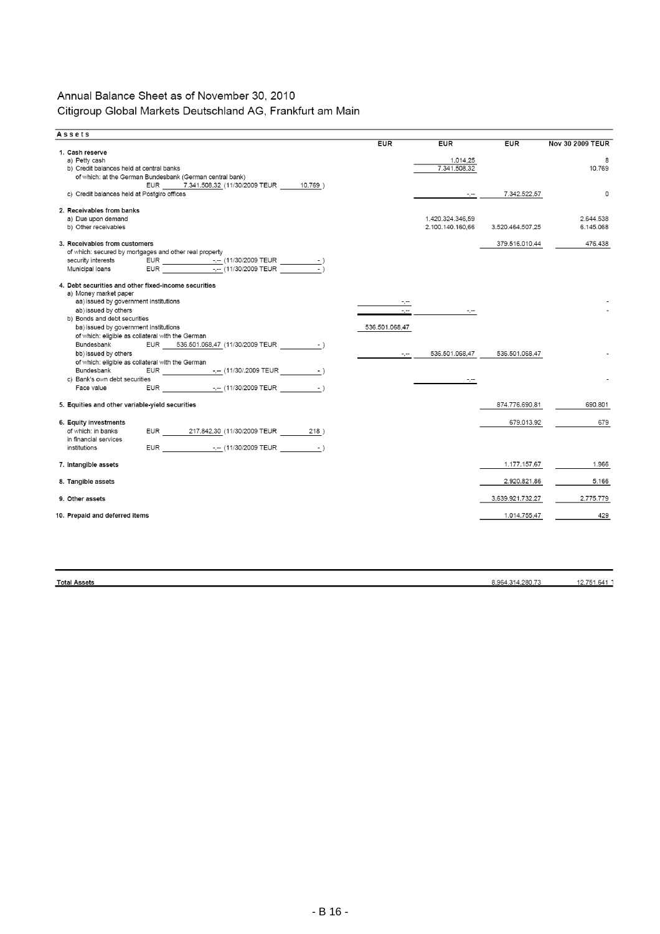# Annual Balance Sheet as of November 30, 2010 Citigroup Global Markets Deutschland AG, Frankfurt am Main

| <b>Assets</b>                                                  |            |                                                                                                    |  |                |                          |                  |                  |
|----------------------------------------------------------------|------------|----------------------------------------------------------------------------------------------------|--|----------------|--------------------------|------------------|------------------|
|                                                                |            |                                                                                                    |  | <b>EUR</b>     | <b>EUR</b>               | <b>EUR</b>       | Nov 30 2009 TEUR |
| 1. Cash reserve                                                |            |                                                                                                    |  |                |                          |                  |                  |
| a) Petty cash                                                  |            |                                                                                                    |  |                | 1.014,25<br>7.341.508.32 |                  | 8<br>10.769      |
| b) Credit balances held at central banks                       |            |                                                                                                    |  |                |                          |                  |                  |
|                                                                | EUR        | of which: at the German Bundesbank (German central bank)<br>7.341.508,32 (11/30/2009 TEUR 10.769 ) |  |                |                          |                  |                  |
| c) Credit balances held at Postgiro offices                    |            |                                                                                                    |  |                |                          | 7.342.522,57     | $\Omega$         |
| 2. Receivables from banks                                      |            |                                                                                                    |  |                |                          |                  |                  |
| a) Due upon demand                                             |            |                                                                                                    |  |                | 1.420.324.346.59         |                  | 2.644.538        |
| b) Other receivables                                           |            |                                                                                                    |  |                | 2.100.140.160.66         | 3.520.464.507,25 | 6.145.068        |
| 3. Receivables from customers                                  |            |                                                                                                    |  |                |                          | 379.516.010,44   | 476.438          |
| of which: secured by mortgages and other real property         |            |                                                                                                    |  |                |                          |                  |                  |
| security interests                                             |            |                                                                                                    |  |                |                          |                  |                  |
| Municipal loans                                                |            | EUR EUR <sup>2</sup>                                                                               |  |                |                          |                  |                  |
| 4. Debt securities and other fixed-income securities           |            |                                                                                                    |  |                |                          |                  |                  |
| a) Money market paper<br>aa) issued by government institutions |            |                                                                                                    |  |                |                          |                  |                  |
|                                                                |            |                                                                                                    |  |                |                          |                  |                  |
| ab) issued by others<br>b) Bonds and debt securities           |            |                                                                                                    |  |                | $-,-$                    |                  |                  |
| ba) issued by government institutions                          |            |                                                                                                    |  | 536.501.068,47 |                          |                  |                  |
| of which: eligible as collateral with the German               |            |                                                                                                    |  |                |                          |                  |                  |
| <b>Bundesbank</b>                                              | <b>EUR</b> | 536.501.068,47 (11/30/2009 TEUR - )                                                                |  |                |                          |                  |                  |
| bb) issued by others                                           |            |                                                                                                    |  | -.-            | 536.501.068.47           | 536.501.068,47   |                  |
| of which: eligible as collateral with the German               |            |                                                                                                    |  |                |                          |                  |                  |
| Bundesbank                                                     | EUR        | $-,- (11/30/.2009 TEUR - )$                                                                        |  |                |                          |                  |                  |
| c) Bank's own debt securities                                  |            |                                                                                                    |  |                |                          |                  |                  |
| Face value                                                     |            | EUR -- (11/30/2009 TEUR -)                                                                         |  |                |                          |                  |                  |
|                                                                |            |                                                                                                    |  |                |                          |                  |                  |
| 5. Equities and other variable-yield securities                |            |                                                                                                    |  |                |                          | 874.776.690.81   | 690.801          |
| 6. Equity investments                                          |            |                                                                                                    |  |                |                          | 679.013,92       | 679              |
| of which: in banks<br>in financial services                    |            | EUR 217.842,30 (11/30/2009 TEUR 218)                                                               |  |                |                          |                  |                  |
| institutions                                                   |            | EUR --- (11/30/2009 TEUR - )                                                                       |  |                |                          |                  |                  |
| 7. Intangible assets                                           |            |                                                                                                    |  |                |                          | 1.177.157.67     | 1.966            |
| 8. Tangible assets                                             |            |                                                                                                    |  |                |                          | 2.920.821,86     | 5.166            |
| 9. Other assets                                                |            |                                                                                                    |  |                |                          | 3.639.921.732,27 | 2.775.779        |
| 10. Prepaid and deferred items                                 |            |                                                                                                    |  |                |                          | 1.014.755,47     | 429              |
|                                                                |            |                                                                                                    |  |                |                          |                  |                  |

**Total Assets** 

8.964.314.280,73 12.751.641 1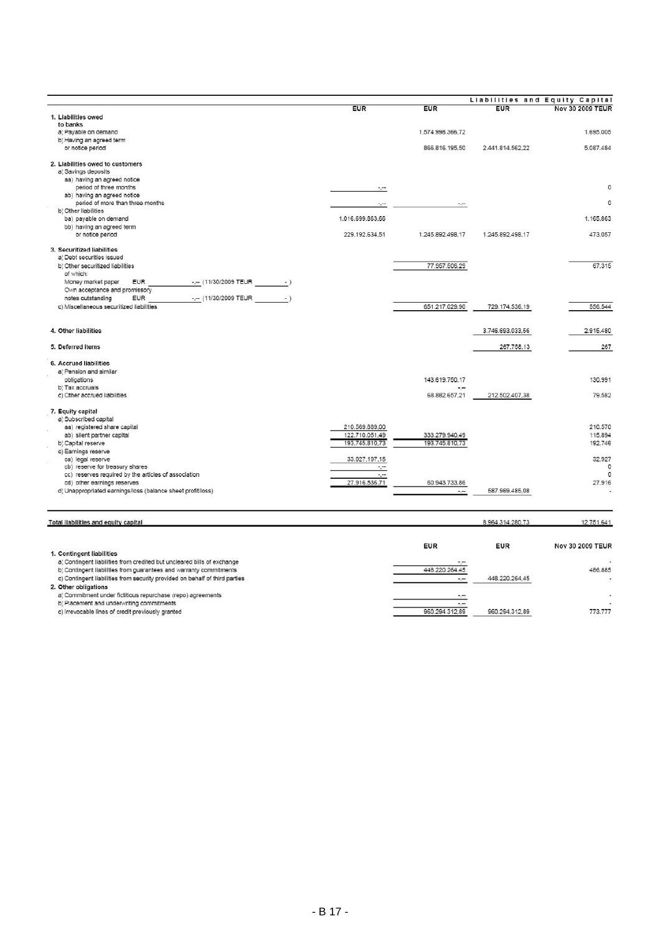|                                                                            |                          |                             |                  | Liabilities and Equity Capital |
|----------------------------------------------------------------------------|--------------------------|-----------------------------|------------------|--------------------------------|
|                                                                            | <b>EUR</b>               | <b>EUR</b>                  | <b>EUR</b>       | Nov 30 2009 TEUR               |
| 1. Liabilities owed                                                        |                          |                             |                  |                                |
| to banks                                                                   |                          |                             |                  |                                |
| a) Payable on demand                                                       |                          | 1.574.998.366.72            |                  | 1.695.005                      |
| b) Having an agreed term                                                   |                          |                             |                  |                                |
| or notice period                                                           |                          | 866.816.195.50              | 2.441.814.562.22 | 5.087.484                      |
| 2. Liabilities owed to customers                                           |                          |                             |                  |                                |
| a) Savings deposits                                                        |                          |                             |                  |                                |
| aa) having an agreed notice                                                |                          |                             |                  |                                |
| period of three months                                                     | ۰,۰۰                     |                             |                  | $\circ$                        |
| ab) having an agreed notice                                                |                          |                             |                  |                                |
| period of more than three months                                           | -,--                     | -,-                         |                  | $\Omega$                       |
| b) Other liabilities                                                       |                          |                             |                  |                                |
| ba) payable on demand                                                      | 1.016.699.863.66         |                             |                  | 1.165.863                      |
| bb) having an agreed term                                                  | 229.192.634.51           | 1.245.892.498.17            | 1.245.892.498.17 | 473.057                        |
| or notice period                                                           |                          |                             |                  |                                |
| 3. Securitized liabilities                                                 |                          |                             |                  |                                |
| a) Debt securities issued                                                  |                          |                             |                  |                                |
| b) Other securitized liabilities                                           |                          | 77,957,506.29               |                  | 67.315                         |
| of which:                                                                  |                          |                             |                  |                                |
| <b>EUR</b><br>Money market paper<br>$-.$ (11/30/2009 TEUR                  |                          |                             |                  |                                |
| Own acceptance and promissory                                              |                          |                             |                  |                                |
| <b>EUR</b><br>$-. (11/30/2009)$ TEUR<br>notes outstanding<br>$\rightarrow$ |                          |                             |                  |                                |
| c) Miscellaneous securitized liabilities                                   |                          | 651.217.029.90              | 729.174.536.19   | 556.544                        |
|                                                                            |                          |                             |                  |                                |
| 4. Other liabilities                                                       |                          |                             | 3.746.693.033,56 | 2.915.480                      |
|                                                                            |                          |                             |                  |                                |
| 5. Deferred items                                                          |                          |                             | 267.758.13       | 267                            |
| 6. Accrued liabilities                                                     |                          |                             |                  |                                |
| a) Pension and similar                                                     |                          |                             |                  |                                |
| obligations                                                                |                          | 143.619.750.17              |                  | 130.991                        |
| b) Tax accruals                                                            |                          | ۰,۰                         |                  |                                |
| c) Other accrued liabilities                                               |                          | 68.882.657,21               | 212.502.407,38   | 79.582                         |
|                                                                            |                          |                             |                  |                                |
| 7. Equity capital<br>a) Subscribed capital                                 |                          |                             |                  |                                |
| aa) registered share capital                                               | 210.569.889,00           |                             |                  | 210.570                        |
| ab) silent partner capital                                                 | 122.710.051.49           | 333.279.940.49              |                  | 115,894                        |
| b) Capital reserve                                                         | 193.745.810,73           | 193.745.810,73              |                  | 192.746                        |
| c) Earnings reserve                                                        |                          |                             |                  |                                |
| ca) legal reserve                                                          | 33.027.197.15            |                             |                  | 32.927                         |
| cb) reserve for treasury shares                                            | -,--                     |                             |                  | $\mathbf C$                    |
| cc) reserves required by the articles of association                       | $\overline{\phantom{a}}$ |                             |                  | $\Omega$                       |
| cd) other earnings reserves                                                | 27.916.536.71            | 60.943.733,86               |                  | 27.916                         |
| d) Unappropriated earnings/loss (balance sheet profit/loss)                |                          | $\mathcal{L}_{\mathcal{L}}$ | 587.969.485.08   |                                |
|                                                                            |                          |                             |                  |                                |
|                                                                            |                          |                             |                  |                                |

| Total liabilities and equity capital |  |  |
|--------------------------------------|--|--|
|                                      |  |  |

8.964.314.280,73 12.751.641

|                                                                             | <b>EUR</b>     | <b>EUR</b>     | <b>Nov 30 2009 TEUR</b> |
|-----------------------------------------------------------------------------|----------------|----------------|-------------------------|
| 1. Contingent liabilities                                                   |                |                |                         |
| a) Contingent liabilities from credited but uncleared bills of exchange     |                |                |                         |
| b) Contingent liabilities from guarantees and warranty commitments          | 448.220.264.45 |                | 486.885                 |
| c) Contingent liabilities from security provided on behalf of third parties | $-1$           | 448.220.264.45 |                         |
| 2. Other obligations                                                        |                |                |                         |
| a) Commitment under fictitious repurchase (repo) agreements                 |                |                |                         |
| b) Placement and underwriting commitments                                   |                |                | $\sim$                  |
| c) Irrevocable lines of credit previously granted                           | 960.294.312.89 | 960.294.312.89 | 773.777                 |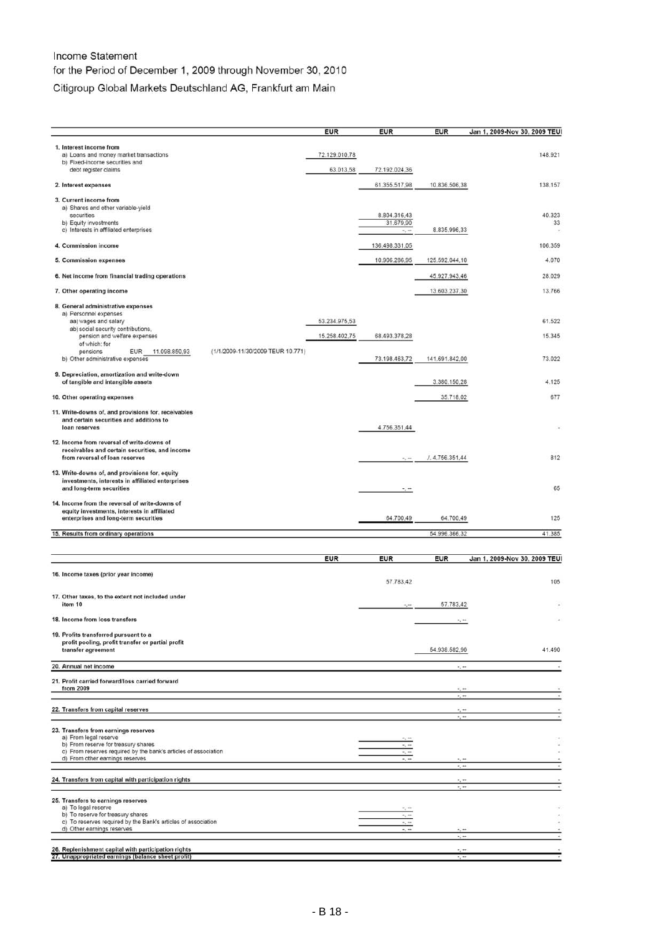# Income Statement for the Period of December 1, 2009 through November 30, 2010

Citigroup Global Markets Deutschland AG, Frankfurt am Main

|                                                                                                                                       |                                   | <b>EUR</b>    | <b>EUR</b>                                | <b>EUR</b>                      | Jan 1, 2009-Nov 30, 2009 TEU |
|---------------------------------------------------------------------------------------------------------------------------------------|-----------------------------------|---------------|-------------------------------------------|---------------------------------|------------------------------|
| 1. Interest income from<br>a) Loans and money market transactions                                                                     |                                   | 72.129.010,78 |                                           |                                 | 148.921                      |
| b) Fixed-income securities and<br>debt register claims                                                                                |                                   | 63.013,58     | 72.192.024,36                             |                                 |                              |
| 2. Interest expenses                                                                                                                  |                                   |               | 61.355.517,98                             | 10.836.506,38                   | 138.157                      |
| 3. Current income from                                                                                                                |                                   |               |                                           |                                 |                              |
| a) Shares and other variable-yield<br>securities<br>b) Equity investments                                                             |                                   |               | 8.804.316,43<br>31.679,90                 |                                 | 40.323<br>33                 |
| c) Interests in affiliated enterprises                                                                                                |                                   |               | $-1.14$                                   | 8.835.996,33                    |                              |
| 4. Commission income                                                                                                                  |                                   |               | 136.498.331.05                            |                                 | 106.359                      |
| 5. Commission expenses                                                                                                                |                                   |               | 10.906.286,95                             | 125.592.044,10                  | 4.070                        |
| 6. Net income from financial trading operations                                                                                       |                                   |               |                                           | 45.927.943,46                   | 28.029                       |
| 7. Other operating income                                                                                                             |                                   |               |                                           | 13.603.237,30                   | 13.766                       |
| 8. General administrative expenses<br>a) Personnel expenses                                                                           |                                   |               |                                           |                                 |                              |
| aa) wages and salary<br>ab) social security contributions,                                                                            |                                   | 53.234.975,53 |                                           |                                 | 61.522                       |
| pension and welfare expenses<br>of which: for                                                                                         |                                   | 15.258.402.75 | 68.493.378.28                             |                                 | 15.345                       |
| pensions<br>11.098.850,93<br>EUR<br>b) Other administrative expenses                                                                  | (1/1/2009-11/30/2009 TEUR 10.771) |               | 73.198.463,72                             | 141.691.842,00                  | 73.022                       |
| 9. Depreciation, amortization and write-down<br>of tangible and intangible assets                                                     |                                   |               |                                           | 3.380.150,28                    | 4.125                        |
| 10. Other operating expenses                                                                                                          |                                   |               |                                           | 35.718,02                       | 677                          |
| 11. Write-downs of, and provisions for, receivables<br>and certain securities and additions to<br>loan reserves                       |                                   |               | 4.756.351,44                              |                                 |                              |
| 12. Income from reversal of write-downs of<br>receivables and certain securities, and income<br>from reversal of loan reserves        |                                   |               |                                           | /.4.756.351.44                  | 812                          |
| 13. Write-downs of, and provisions for, equity<br>investments, interests in affiliated enterprises<br>and long-term securities        |                                   |               | -, --                                     |                                 | 65                           |
| 14. Income from the reversal of write-downs of<br>equity investments, interests in affiliated<br>enterprises and long-term securities |                                   |               | 64.700,49                                 | 64.700,49                       | 125                          |
|                                                                                                                                       |                                   |               |                                           | 54.996.366,32                   | 41.385                       |
| 15. Results from ordinary operations                                                                                                  |                                   |               |                                           |                                 |                              |
|                                                                                                                                       |                                   | <b>EUR</b>    | <b>EUR</b>                                | <b>EUR</b>                      | Jan 1, 2009-Nov 30, 2009 TEU |
| 16. Income taxes (prior year income)                                                                                                  |                                   |               | 57.783,42                                 |                                 | 105                          |
| 17. Other taxes, to the extent not included under<br>item 10                                                                          |                                   |               | -,--                                      | 57.783,42                       |                              |
| 18. Income from loss transfers                                                                                                        |                                   |               |                                           |                                 |                              |
| 19. Profits transferred pursuant to a<br>profit pooling, profit transfer or partial profit                                            |                                   |               |                                           |                                 |                              |
| transfer agreement                                                                                                                    |                                   |               |                                           | 54.938.582,90                   | 41.490                       |
| 20. Annual net income                                                                                                                 |                                   |               |                                           | $\sigma_{\rm g}$ are            |                              |
| 21. Profit carried forward/loss carried forward<br>from 2009                                                                          |                                   |               |                                           |                                 |                              |
| 22. Transfers from capital reserves                                                                                                   |                                   |               |                                           | $\sigma_{\rm g}$ are<br>$-1.14$ |                              |
| 23. Transfers from earnings reserves                                                                                                  |                                   |               |                                           | $\star$ , $\star\star$          |                              |
| a) From legal reserve<br>b) From reserve for treasury shares<br>c) From reserves required by the bank's articles of association       |                                   |               | $\tau_i \leftrightarrow$<br>$\gamma_i$ as |                                 |                              |
| d) From other earnings reserves                                                                                                       |                                   |               | ٠,٠                                       | 27.29<br>-, --                  |                              |
| 24. Transfers from capital with participation rights                                                                                  |                                   |               |                                           | ٠, ٠٠                           |                              |
| 25. Transfers to earnings reserves                                                                                                    |                                   |               |                                           |                                 |                              |
| a) To legal reserve<br>b) To reserve for treasury shares<br>c) To reserves required by the Bank's articles of association             |                                   |               | $\sim$ $\sim$<br>$^{+}$ .                 |                                 |                              |
| d) Other earnings reserves                                                                                                            |                                   |               |                                           | $\frac{1}{2}$                   |                              |
| 26. Replenishment capital with participation rights                                                                                   |                                   |               |                                           |                                 |                              |
| 27. Unappropriated earnings (balance sheet profit)                                                                                    |                                   |               |                                           |                                 |                              |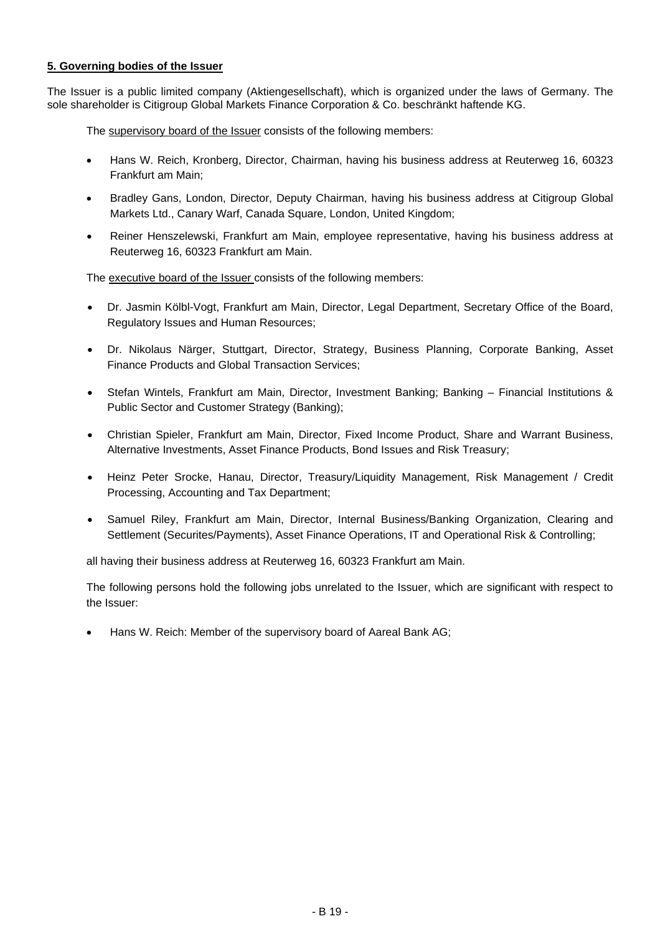# **5. Governing bodies of the Issuer**

The Issuer is a public limited company (Aktiengesellschaft), which is organized under the laws of Germany. The sole shareholder is Citigroup Global Markets Finance Corporation & Co. beschränkt haftende KG.

The supervisory board of the Issuer consists of the following members:

- Hans W. Reich, Kronberg, Director, Chairman, having his business address at Reuterweg 16, 60323 Frankfurt am Main;
- Bradley Gans, London, Director, Deputy Chairman, having his business address at Citigroup Global Markets Ltd., Canary Warf, Canada Square, London, United Kingdom;
- Reiner Henszelewski, Frankfurt am Main, employee representative, having his business address at Reuterweg 16, 60323 Frankfurt am Main.

The executive board of the Issuer consists of the following members:

- Dr. Jasmin Kölbl-Vogt, Frankfurt am Main, Director, Legal Department, Secretary Office of the Board, Regulatory Issues and Human Resources;
- Dr. Nikolaus Närger, Stuttgart, Director, Strategy, Business Planning, Corporate Banking, Asset Finance Products and Global Transaction Services;
- Stefan Wintels, Frankfurt am Main, Director, Investment Banking; Banking Financial Institutions & Public Sector and Customer Strategy (Banking);
- Christian Spieler, Frankfurt am Main, Director, Fixed Income Product, Share and Warrant Business, Alternative Investments, Asset Finance Products, Bond Issues and Risk Treasury;
- Heinz Peter Srocke, Hanau, Director, Treasury/Liquidity Management, Risk Management / Credit Processing, Accounting and Tax Department;
- Samuel Riley, Frankfurt am Main, Director, Internal Business/Banking Organization, Clearing and Settlement (Securites/Payments), Asset Finance Operations, IT and Operational Risk & Controlling;

all having their business address at Reuterweg 16, 60323 Frankfurt am Main.

The following persons hold the following jobs unrelated to the Issuer, which are significant with respect to the Issuer:

Hans W. Reich: Member of the supervisory board of Aareal Bank AG;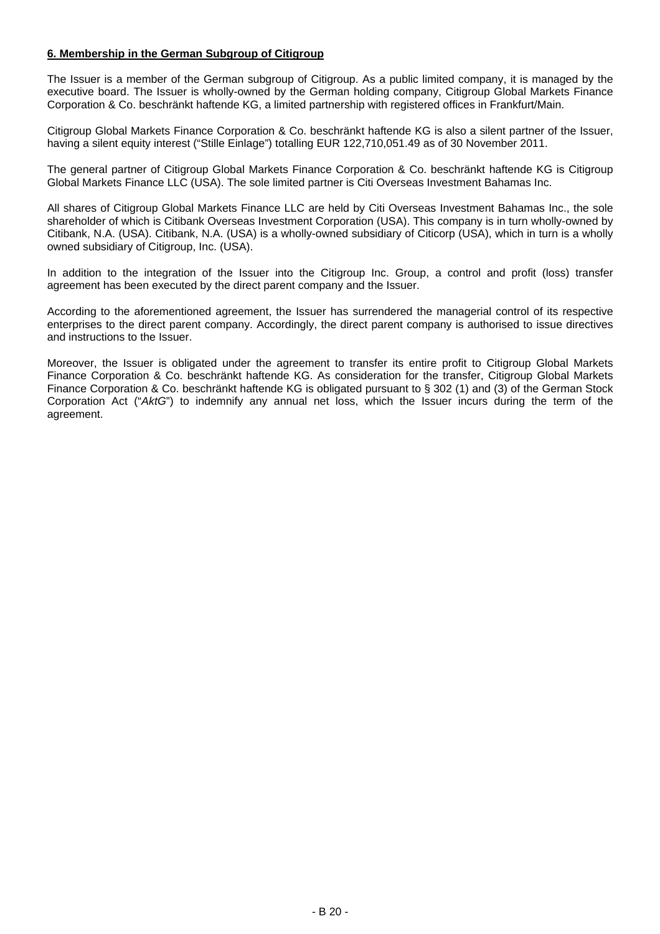# **6. Membership in the German Subgroup of Citigroup**

The Issuer is a member of the German subgroup of Citigroup. As a public limited company, it is managed by the executive board. The Issuer is wholly-owned by the German holding company, Citigroup Global Markets Finance Corporation & Co. beschränkt haftende KG, a limited partnership with registered offices in Frankfurt/Main.

Citigroup Global Markets Finance Corporation & Co. beschränkt haftende KG is also a silent partner of the Issuer, having a silent equity interest ("Stille Einlage") totalling EUR 122,710,051.49 as of 30 November 2011.

The general partner of Citigroup Global Markets Finance Corporation & Co. beschränkt haftende KG is Citigroup Global Markets Finance LLC (USA). The sole limited partner is Citi Overseas Investment Bahamas Inc.

All shares of Citigroup Global Markets Finance LLC are held by Citi Overseas Investment Bahamas Inc., the sole shareholder of which is Citibank Overseas Investment Corporation (USA). This company is in turn wholly-owned by Citibank, N.A. (USA). Citibank, N.A. (USA) is a wholly-owned subsidiary of Citicorp (USA), which in turn is a wholly owned subsidiary of Citigroup, Inc. (USA).

In addition to the integration of the Issuer into the Citigroup Inc. Group, a control and profit (loss) transfer agreement has been executed by the direct parent company and the Issuer.

According to the aforementioned agreement, the Issuer has surrendered the managerial control of its respective enterprises to the direct parent company. Accordingly, the direct parent company is authorised to issue directives and instructions to the Issuer.

Moreover, the Issuer is obligated under the agreement to transfer its entire profit to Citigroup Global Markets Finance Corporation & Co. beschränkt haftende KG. As consideration for the transfer, Citigroup Global Markets Finance Corporation & Co. beschränkt haftende KG is obligated pursuant to § 302 (1) and (3) of the German Stock Corporation Act ("*AktG*") to indemnify any annual net loss, which the Issuer incurs during the term of the agreement.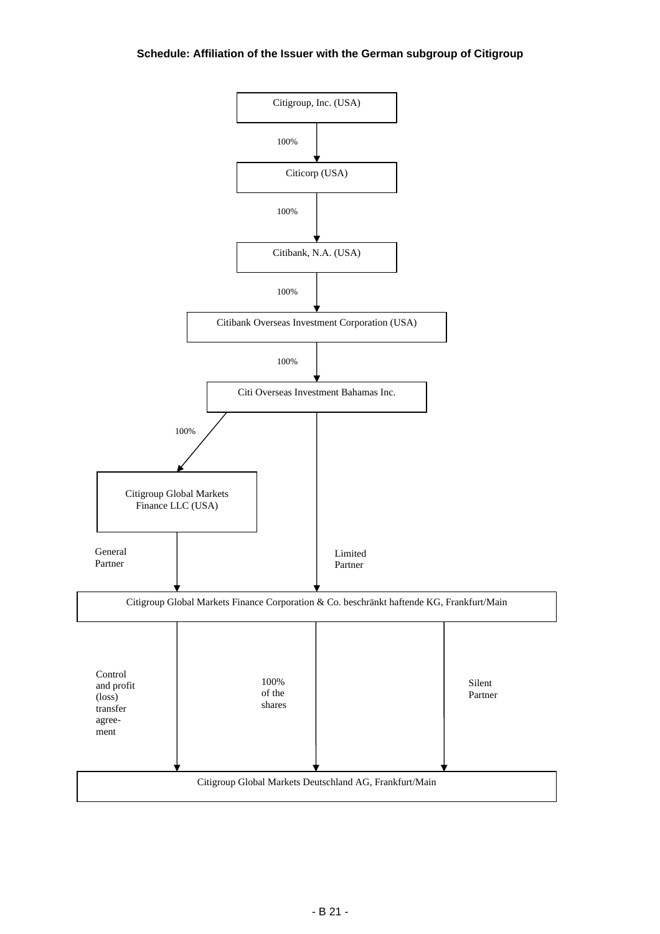## **Schedule: Affiliation of the Issuer with the German subgroup of Citigroup**

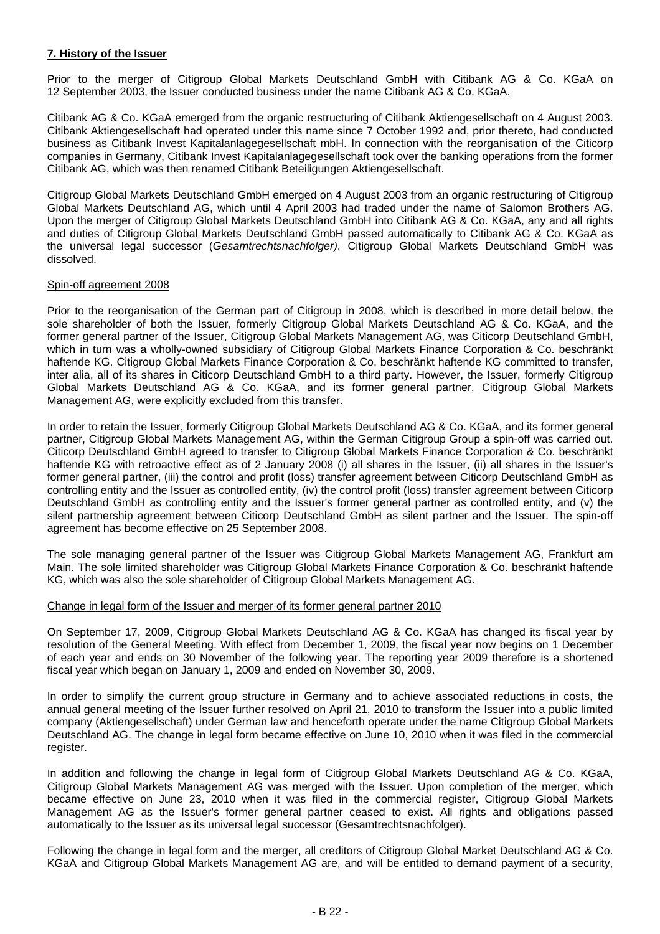# **7. History of the Issuer**

Prior to the merger of Citigroup Global Markets Deutschland GmbH with Citibank AG & Co. KGaA on 12 September 2003, the Issuer conducted business under the name Citibank AG & Co. KGaA.

Citibank AG & Co. KGaA emerged from the organic restructuring of Citibank Aktiengesellschaft on 4 August 2003. Citibank Aktiengesellschaft had operated under this name since 7 October 1992 and, prior thereto, had conducted business as Citibank Invest Kapitalanlagegesellschaft mbH. In connection with the reorganisation of the Citicorp companies in Germany, Citibank Invest Kapitalanlagegesellschaft took over the banking operations from the former Citibank AG, which was then renamed Citibank Beteiligungen Aktiengesellschaft.

Citigroup Global Markets Deutschland GmbH emerged on 4 August 2003 from an organic restructuring of Citigroup Global Markets Deutschland AG, which until 4 April 2003 had traded under the name of Salomon Brothers AG. Upon the merger of Citigroup Global Markets Deutschland GmbH into Citibank AG & Co. KGaA, any and all rights and duties of Citigroup Global Markets Deutschland GmbH passed automatically to Citibank AG & Co. KGaA as the universal legal successor (*Gesamtrechtsnachfolger)*. Citigroup Global Markets Deutschland GmbH was dissolved.

#### Spin-off agreement 2008

Prior to the reorganisation of the German part of Citigroup in 2008, which is described in more detail below, the sole shareholder of both the Issuer, formerly Citigroup Global Markets Deutschland AG & Co. KGaA, and the former general partner of the Issuer, Citigroup Global Markets Management AG, was Citicorp Deutschland GmbH, which in turn was a wholly-owned subsidiary of Citigroup Global Markets Finance Corporation & Co. beschränkt haftende KG. Citigroup Global Markets Finance Corporation & Co. beschränkt haftende KG committed to transfer, inter alia, all of its shares in Citicorp Deutschland GmbH to a third party. However, the Issuer, formerly Citigroup Global Markets Deutschland AG & Co. KGaA, and its former general partner, Citigroup Global Markets Management AG, were explicitly excluded from this transfer.

In order to retain the Issuer, formerly Citigroup Global Markets Deutschland AG & Co. KGaA, and its former general partner, Citigroup Global Markets Management AG, within the German Citigroup Group a spin-off was carried out. Citicorp Deutschland GmbH agreed to transfer to Citigroup Global Markets Finance Corporation & Co. beschränkt haftende KG with retroactive effect as of 2 January 2008 (i) all shares in the Issuer, (ii) all shares in the Issuer's former general partner, (iii) the control and profit (loss) transfer agreement between Citicorp Deutschland GmbH as controlling entity and the Issuer as controlled entity, (iv) the control profit (loss) transfer agreement between Citicorp Deutschland GmbH as controlling entity and the Issuer's former general partner as controlled entity, and (v) the silent partnership agreement between Citicorp Deutschland GmbH as silent partner and the Issuer. The spin-off agreement has become effective on 25 September 2008.

The sole managing general partner of the Issuer was Citigroup Global Markets Management AG, Frankfurt am Main. The sole limited shareholder was Citigroup Global Markets Finance Corporation & Co. beschränkt haftende KG, which was also the sole shareholder of Citigroup Global Markets Management AG.

#### Change in legal form of the Issuer and merger of its former general partner 2010

On September 17, 2009, Citigroup Global Markets Deutschland AG & Co. KGaA has changed its fiscal year by resolution of the General Meeting. With effect from December 1, 2009, the fiscal year now begins on 1 December of each year and ends on 30 November of the following year. The reporting year 2009 therefore is a shortened fiscal year which began on January 1, 2009 and ended on November 30, 2009.

In order to simplify the current group structure in Germany and to achieve associated reductions in costs, the annual general meeting of the Issuer further resolved on April 21, 2010 to transform the Issuer into a public limited company (Aktiengesellschaft) under German law and henceforth operate under the name Citigroup Global Markets Deutschland AG. The change in legal form became effective on June 10, 2010 when it was filed in the commercial register.

In addition and following the change in legal form of Citigroup Global Markets Deutschland AG & Co. KGaA, Citigroup Global Markets Management AG was merged with the Issuer. Upon completion of the merger, which became effective on June 23, 2010 when it was filed in the commercial register, Citigroup Global Markets Management AG as the Issuer's former general partner ceased to exist. All rights and obligations passed automatically to the Issuer as its universal legal successor (Gesamtrechtsnachfolger).

Following the change in legal form and the merger, all creditors of Citigroup Global Market Deutschland AG & Co. KGaA and Citigroup Global Markets Management AG are, and will be entitled to demand payment of a security,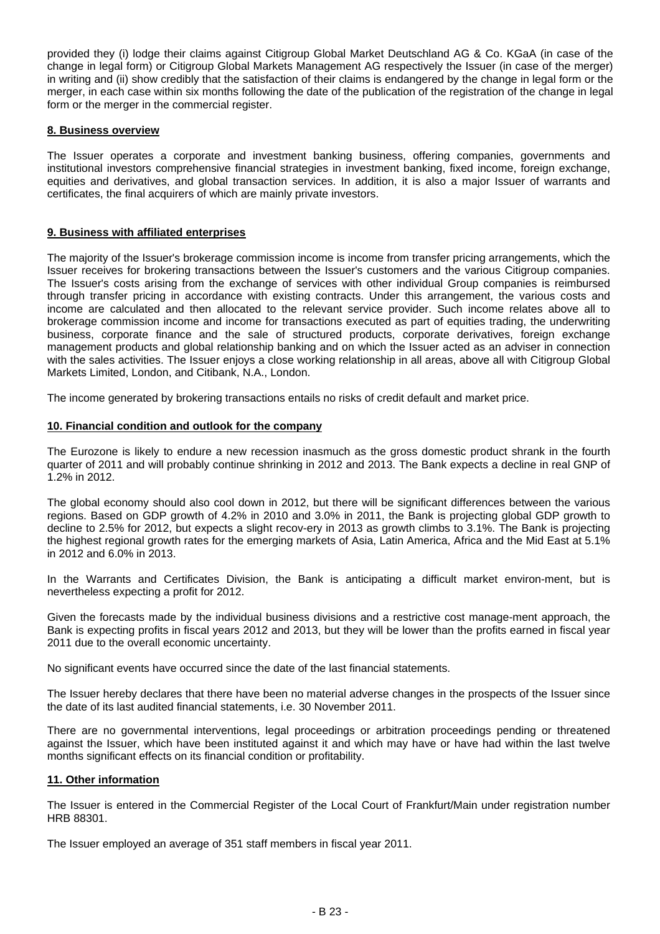provided they (i) lodge their claims against Citigroup Global Market Deutschland AG & Co. KGaA (in case of the change in legal form) or Citigroup Global Markets Management AG respectively the Issuer (in case of the merger) in writing and (ii) show credibly that the satisfaction of their claims is endangered by the change in legal form or the merger, in each case within six months following the date of the publication of the registration of the change in legal form or the merger in the commercial register.

#### **8. Business overview**

The Issuer operates a corporate and investment banking business, offering companies, governments and institutional investors comprehensive financial strategies in investment banking, fixed income, foreign exchange, equities and derivatives, and global transaction services. In addition, it is also a major Issuer of warrants and certificates, the final acquirers of which are mainly private investors.

### **9. Business with affiliated enterprises**

The majority of the Issuer's brokerage commission income is income from transfer pricing arrangements, which the Issuer receives for brokering transactions between the Issuer's customers and the various Citigroup companies. The Issuer's costs arising from the exchange of services with other individual Group companies is reimbursed through transfer pricing in accordance with existing contracts. Under this arrangement, the various costs and income are calculated and then allocated to the relevant service provider. Such income relates above all to brokerage commission income and income for transactions executed as part of equities trading, the underwriting business, corporate finance and the sale of structured products, corporate derivatives, foreign exchange management products and global relationship banking and on which the Issuer acted as an adviser in connection with the sales activities. The Issuer enjoys a close working relationship in all areas, above all with Citigroup Global Markets Limited, London, and Citibank, N.A., London.

The income generated by brokering transactions entails no risks of credit default and market price.

#### **10. Financial condition and outlook for the company**

The Eurozone is likely to endure a new recession inasmuch as the gross domestic product shrank in the fourth quarter of 2011 and will probably continue shrinking in 2012 and 2013. The Bank expects a decline in real GNP of 1.2% in 2012.

The global economy should also cool down in 2012, but there will be significant differences between the various regions. Based on GDP growth of 4.2% in 2010 and 3.0% in 2011, the Bank is projecting global GDP growth to decline to 2.5% for 2012, but expects a slight recov-ery in 2013 as growth climbs to 3.1%. The Bank is projecting the highest regional growth rates for the emerging markets of Asia, Latin America, Africa and the Mid East at 5.1% in 2012 and 6.0% in 2013.

In the Warrants and Certificates Division, the Bank is anticipating a difficult market environ-ment, but is nevertheless expecting a profit for 2012.

Given the forecasts made by the individual business divisions and a restrictive cost manage-ment approach, the Bank is expecting profits in fiscal years 2012 and 2013, but they will be lower than the profits earned in fiscal year 2011 due to the overall economic uncertainty.

No significant events have occurred since the date of the last financial statements.

The Issuer hereby declares that there have been no material adverse changes in the prospects of the Issuer since the date of its last audited financial statements, i.e. 30 November 2011.

There are no governmental interventions, legal proceedings or arbitration proceedings pending or threatened against the Issuer, which have been instituted against it and which may have or have had within the last twelve months significant effects on its financial condition or profitability.

#### **11. Other information**

The Issuer is entered in the Commercial Register of the Local Court of Frankfurt/Main under registration number HRB 88301.

The Issuer employed an average of 351 staff members in fiscal year 2011.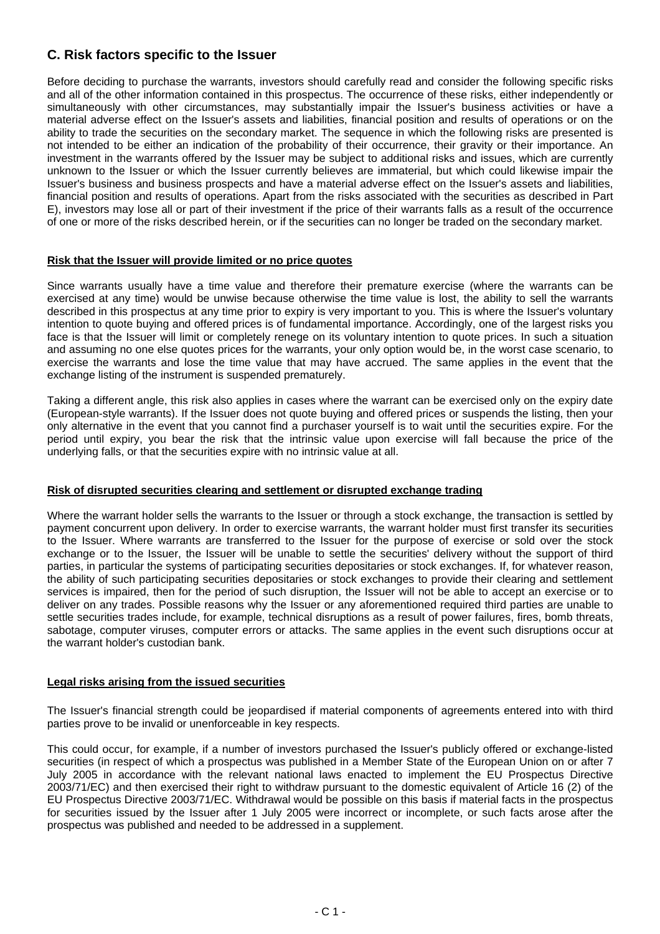# **C. Risk factors specific to the Issuer**

Before deciding to purchase the warrants, investors should carefully read and consider the following specific risks and all of the other information contained in this prospectus. The occurrence of these risks, either independently or simultaneously with other circumstances, may substantially impair the Issuer's business activities or have a material adverse effect on the Issuer's assets and liabilities, financial position and results of operations or on the ability to trade the securities on the secondary market. The sequence in which the following risks are presented is not intended to be either an indication of the probability of their occurrence, their gravity or their importance. An investment in the warrants offered by the Issuer may be subject to additional risks and issues, which are currently unknown to the Issuer or which the Issuer currently believes are immaterial, but which could likewise impair the Issuer's business and business prospects and have a material adverse effect on the Issuer's assets and liabilities, financial position and results of operations. Apart from the risks associated with the securities as described in Part E), investors may lose all or part of their investment if the price of their warrants falls as a result of the occurrence of one or more of the risks described herein, or if the securities can no longer be traded on the secondary market.

# **Risk that the Issuer will provide limited or no price quotes**

Since warrants usually have a time value and therefore their premature exercise (where the warrants can be exercised at any time) would be unwise because otherwise the time value is lost, the ability to sell the warrants described in this prospectus at any time prior to expiry is very important to you. This is where the Issuer's voluntary intention to quote buying and offered prices is of fundamental importance. Accordingly, one of the largest risks you face is that the Issuer will limit or completely renege on its voluntary intention to quote prices. In such a situation and assuming no one else quotes prices for the warrants, your only option would be, in the worst case scenario, to exercise the warrants and lose the time value that may have accrued. The same applies in the event that the exchange listing of the instrument is suspended prematurely.

Taking a different angle, this risk also applies in cases where the warrant can be exercised only on the expiry date (European-style warrants). If the Issuer does not quote buying and offered prices or suspends the listing, then your only alternative in the event that you cannot find a purchaser yourself is to wait until the securities expire. For the period until expiry, you bear the risk that the intrinsic value upon exercise will fall because the price of the underlying falls, or that the securities expire with no intrinsic value at all.

# **Risk of disrupted securities clearing and settlement or disrupted exchange trading**

Where the warrant holder sells the warrants to the Issuer or through a stock exchange, the transaction is settled by payment concurrent upon delivery. In order to exercise warrants, the warrant holder must first transfer its securities to the Issuer. Where warrants are transferred to the Issuer for the purpose of exercise or sold over the stock exchange or to the Issuer, the Issuer will be unable to settle the securities' delivery without the support of third parties, in particular the systems of participating securities depositaries or stock exchanges. If, for whatever reason, the ability of such participating securities depositaries or stock exchanges to provide their clearing and settlement services is impaired, then for the period of such disruption, the Issuer will not be able to accept an exercise or to deliver on any trades. Possible reasons why the Issuer or any aforementioned required third parties are unable to settle securities trades include, for example, technical disruptions as a result of power failures, fires, bomb threats, sabotage, computer viruses, computer errors or attacks. The same applies in the event such disruptions occur at the warrant holder's custodian bank.

# **Legal risks arising from the issued securities**

The Issuer's financial strength could be jeopardised if material components of agreements entered into with third parties prove to be invalid or unenforceable in key respects.

This could occur, for example, if a number of investors purchased the Issuer's publicly offered or exchange-listed securities (in respect of which a prospectus was published in a Member State of the European Union on or after 7 July 2005 in accordance with the relevant national laws enacted to implement the EU Prospectus Directive 2003/71/EC) and then exercised their right to withdraw pursuant to the domestic equivalent of Article 16 (2) of the EU Prospectus Directive 2003/71/EC. Withdrawal would be possible on this basis if material facts in the prospectus for securities issued by the Issuer after 1 July 2005 were incorrect or incomplete, or such facts arose after the prospectus was published and needed to be addressed in a supplement.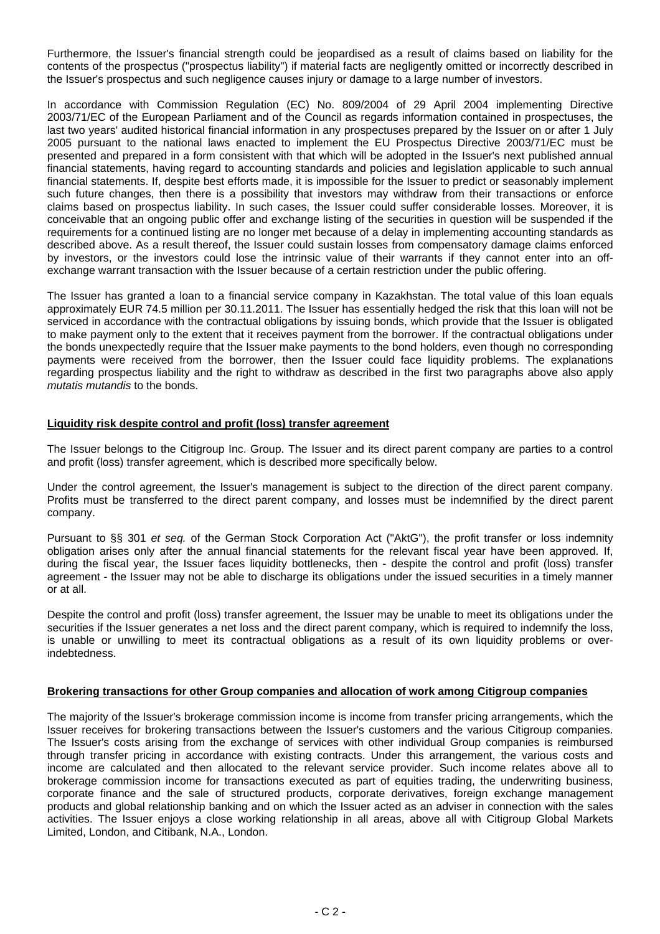Furthermore, the Issuer's financial strength could be jeopardised as a result of claims based on liability for the contents of the prospectus ("prospectus liability") if material facts are negligently omitted or incorrectly described in the Issuer's prospectus and such negligence causes injury or damage to a large number of investors.

In accordance with Commission Regulation (EC) No. 809/2004 of 29 April 2004 implementing Directive 2003/71/EC of the European Parliament and of the Council as regards information contained in prospectuses, the last two years' audited historical financial information in any prospectuses prepared by the Issuer on or after 1 July 2005 pursuant to the national laws enacted to implement the EU Prospectus Directive 2003/71/EC must be presented and prepared in a form consistent with that which will be adopted in the Issuer's next published annual financial statements, having regard to accounting standards and policies and legislation applicable to such annual financial statements. If, despite best efforts made, it is impossible for the Issuer to predict or seasonably implement such future changes, then there is a possibility that investors may withdraw from their transactions or enforce claims based on prospectus liability. In such cases, the Issuer could suffer considerable losses. Moreover, it is conceivable that an ongoing public offer and exchange listing of the securities in question will be suspended if the requirements for a continued listing are no longer met because of a delay in implementing accounting standards as described above. As a result thereof, the Issuer could sustain losses from compensatory damage claims enforced by investors, or the investors could lose the intrinsic value of their warrants if they cannot enter into an offexchange warrant transaction with the Issuer because of a certain restriction under the public offering.

The Issuer has granted a loan to a financial service company in Kazakhstan. The total value of this loan equals approximately EUR 74.5 million per 30.11.2011. The Issuer has essentially hedged the risk that this loan will not be serviced in accordance with the contractual obligations by issuing bonds, which provide that the Issuer is obligated to make payment only to the extent that it receives payment from the borrower. If the contractual obligations under the bonds unexpectedly require that the Issuer make payments to the bond holders, even though no corresponding payments were received from the borrower, then the Issuer could face liquidity problems. The explanations regarding prospectus liability and the right to withdraw as described in the first two paragraphs above also apply *mutatis mutandis* to the bonds.

#### **Liquidity risk despite control and profit (loss) transfer agreement**

The Issuer belongs to the Citigroup Inc. Group. The Issuer and its direct parent company are parties to a control and profit (loss) transfer agreement, which is described more specifically below.

Under the control agreement, the Issuer's management is subject to the direction of the direct parent company. Profits must be transferred to the direct parent company, and losses must be indemnified by the direct parent company.

Pursuant to §§ 301 *et seq.* of the German Stock Corporation Act ("AktG"), the profit transfer or loss indemnity obligation arises only after the annual financial statements for the relevant fiscal year have been approved. If, during the fiscal year, the Issuer faces liquidity bottlenecks, then - despite the control and profit (loss) transfer agreement - the Issuer may not be able to discharge its obligations under the issued securities in a timely manner or at all.

Despite the control and profit (loss) transfer agreement, the Issuer may be unable to meet its obligations under the securities if the Issuer generates a net loss and the direct parent company, which is required to indemnify the loss, is unable or unwilling to meet its contractual obligations as a result of its own liquidity problems or overindebtedness.

#### **Brokering transactions for other Group companies and allocation of work among Citigroup companies**

The majority of the Issuer's brokerage commission income is income from transfer pricing arrangements, which the Issuer receives for brokering transactions between the Issuer's customers and the various Citigroup companies. The Issuer's costs arising from the exchange of services with other individual Group companies is reimbursed through transfer pricing in accordance with existing contracts. Under this arrangement, the various costs and income are calculated and then allocated to the relevant service provider. Such income relates above all to brokerage commission income for transactions executed as part of equities trading, the underwriting business, corporate finance and the sale of structured products, corporate derivatives, foreign exchange management products and global relationship banking and on which the Issuer acted as an adviser in connection with the sales activities. The Issuer enjoys a close working relationship in all areas, above all with Citigroup Global Markets Limited, London, and Citibank, N.A., London.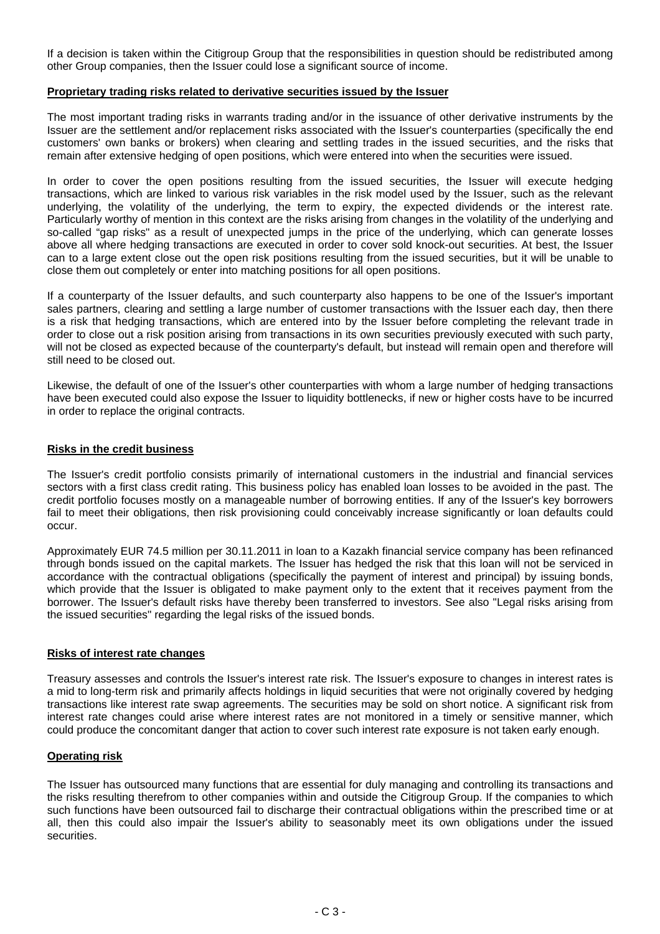If a decision is taken within the Citigroup Group that the responsibilities in question should be redistributed among other Group companies, then the Issuer could lose a significant source of income.

#### **Proprietary trading risks related to derivative securities issued by the Issuer**

The most important trading risks in warrants trading and/or in the issuance of other derivative instruments by the Issuer are the settlement and/or replacement risks associated with the Issuer's counterparties (specifically the end customers' own banks or brokers) when clearing and settling trades in the issued securities, and the risks that remain after extensive hedging of open positions, which were entered into when the securities were issued.

In order to cover the open positions resulting from the issued securities, the Issuer will execute hedging transactions, which are linked to various risk variables in the risk model used by the Issuer, such as the relevant underlying, the volatility of the underlying, the term to expiry, the expected dividends or the interest rate. Particularly worthy of mention in this context are the risks arising from changes in the volatility of the underlying and so-called "gap risks" as a result of unexpected jumps in the price of the underlying, which can generate losses above all where hedging transactions are executed in order to cover sold knock-out securities. At best, the Issuer can to a large extent close out the open risk positions resulting from the issued securities, but it will be unable to close them out completely or enter into matching positions for all open positions.

If a counterparty of the Issuer defaults, and such counterparty also happens to be one of the Issuer's important sales partners, clearing and settling a large number of customer transactions with the Issuer each day, then there is a risk that hedging transactions, which are entered into by the Issuer before completing the relevant trade in order to close out a risk position arising from transactions in its own securities previously executed with such party, will not be closed as expected because of the counterparty's default, but instead will remain open and therefore will still need to be closed out.

Likewise, the default of one of the Issuer's other counterparties with whom a large number of hedging transactions have been executed could also expose the Issuer to liquidity bottlenecks, if new or higher costs have to be incurred in order to replace the original contracts.

#### **Risks in the credit business**

The Issuer's credit portfolio consists primarily of international customers in the industrial and financial services sectors with a first class credit rating. This business policy has enabled loan losses to be avoided in the past. The credit portfolio focuses mostly on a manageable number of borrowing entities. If any of the Issuer's key borrowers fail to meet their obligations, then risk provisioning could conceivably increase significantly or loan defaults could occur.

Approximately EUR 74.5 million per 30.11.2011 in loan to a Kazakh financial service company has been refinanced through bonds issued on the capital markets. The Issuer has hedged the risk that this loan will not be serviced in accordance with the contractual obligations (specifically the payment of interest and principal) by issuing bonds, which provide that the Issuer is obligated to make payment only to the extent that it receives payment from the borrower. The Issuer's default risks have thereby been transferred to investors. See also "Legal risks arising from the issued securities" regarding the legal risks of the issued bonds.

#### **Risks of interest rate changes**

Treasury assesses and controls the Issuer's interest rate risk. The Issuer's exposure to changes in interest rates is a mid to long-term risk and primarily affects holdings in liquid securities that were not originally covered by hedging transactions like interest rate swap agreements. The securities may be sold on short notice. A significant risk from interest rate changes could arise where interest rates are not monitored in a timely or sensitive manner, which could produce the concomitant danger that action to cover such interest rate exposure is not taken early enough.

#### **Operating risk**

The Issuer has outsourced many functions that are essential for duly managing and controlling its transactions and the risks resulting therefrom to other companies within and outside the Citigroup Group. If the companies to which such functions have been outsourced fail to discharge their contractual obligations within the prescribed time or at all, then this could also impair the Issuer's ability to seasonably meet its own obligations under the issued securities.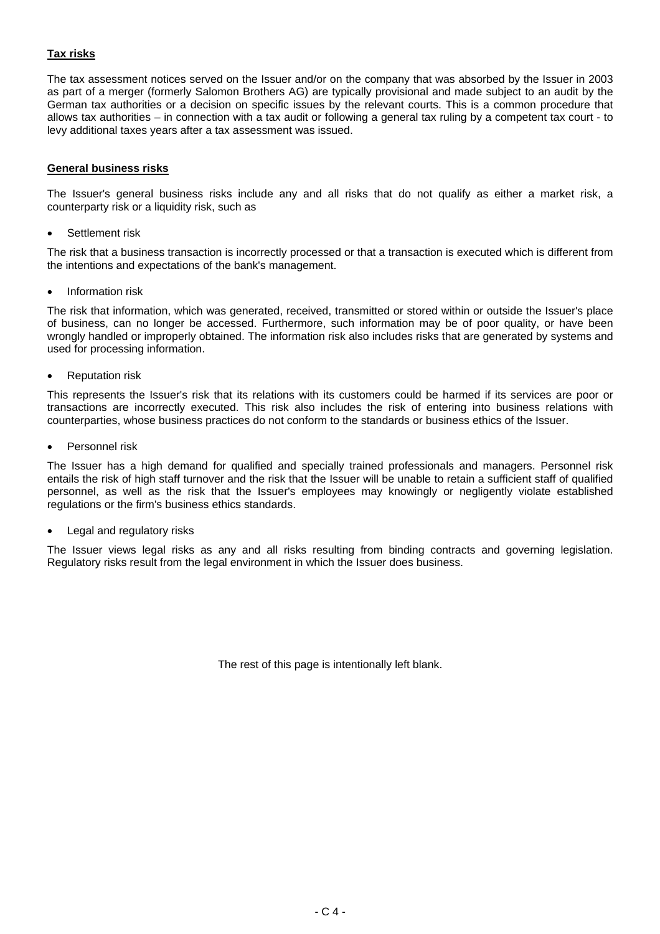# **Tax risks**

The tax assessment notices served on the Issuer and/or on the company that was absorbed by the Issuer in 2003 as part of a merger (formerly Salomon Brothers AG) are typically provisional and made subject to an audit by the German tax authorities or a decision on specific issues by the relevant courts. This is a common procedure that allows tax authorities – in connection with a tax audit or following a general tax ruling by a competent tax court - to levy additional taxes years after a tax assessment was issued.

#### **General business risks**

The Issuer's general business risks include any and all risks that do not qualify as either a market risk, a counterparty risk or a liquidity risk, such as

Settlement risk

The risk that a business transaction is incorrectly processed or that a transaction is executed which is different from the intentions and expectations of the bank's management.

• Information risk

The risk that information, which was generated, received, transmitted or stored within or outside the Issuer's place of business, can no longer be accessed. Furthermore, such information may be of poor quality, or have been wrongly handled or improperly obtained. The information risk also includes risks that are generated by systems and used for processing information.

• Reputation risk

This represents the Issuer's risk that its relations with its customers could be harmed if its services are poor or transactions are incorrectly executed. This risk also includes the risk of entering into business relations with counterparties, whose business practices do not conform to the standards or business ethics of the Issuer.

Personnel risk

The Issuer has a high demand for qualified and specially trained professionals and managers. Personnel risk entails the risk of high staff turnover and the risk that the Issuer will be unable to retain a sufficient staff of qualified personnel, as well as the risk that the Issuer's employees may knowingly or negligently violate established regulations or the firm's business ethics standards.

• Legal and regulatory risks

The Issuer views legal risks as any and all risks resulting from binding contracts and governing legislation. Regulatory risks result from the legal environment in which the Issuer does business.

The rest of this page is intentionally left blank.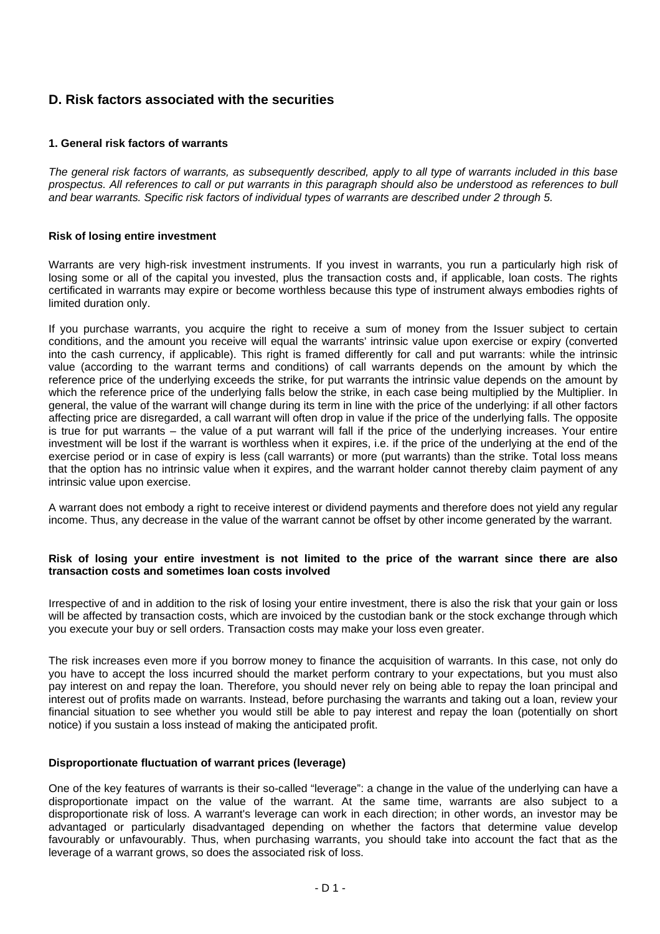# **D. Risk factors associated with the securities**

# **1. General risk factors of warrants**

*The general risk factors of warrants, as subsequently described, apply to all type of warrants included in this base prospectus. All references to call or put warrants in this paragraph should also be understood as references to bull and bear warrants. Specific risk factors of individual types of warrants are described under 2 through 5.* 

#### **Risk of losing entire investment**

Warrants are very high-risk investment instruments. If you invest in warrants, you run a particularly high risk of losing some or all of the capital you invested, plus the transaction costs and, if applicable, loan costs. The rights certificated in warrants may expire or become worthless because this type of instrument always embodies rights of limited duration only.

If you purchase warrants, you acquire the right to receive a sum of money from the Issuer subject to certain conditions, and the amount you receive will equal the warrants' intrinsic value upon exercise or expiry (converted into the cash currency, if applicable). This right is framed differently for call and put warrants: while the intrinsic value (according to the warrant terms and conditions) of call warrants depends on the amount by which the reference price of the underlying exceeds the strike, for put warrants the intrinsic value depends on the amount by which the reference price of the underlying falls below the strike, in each case being multiplied by the Multiplier. In general, the value of the warrant will change during its term in line with the price of the underlying: if all other factors affecting price are disregarded, a call warrant will often drop in value if the price of the underlying falls. The opposite is true for put warrants – the value of a put warrant will fall if the price of the underlying increases. Your entire investment will be lost if the warrant is worthless when it expires, i.e. if the price of the underlying at the end of the exercise period or in case of expiry is less (call warrants) or more (put warrants) than the strike. Total loss means that the option has no intrinsic value when it expires, and the warrant holder cannot thereby claim payment of any intrinsic value upon exercise.

A warrant does not embody a right to receive interest or dividend payments and therefore does not yield any regular income. Thus, any decrease in the value of the warrant cannot be offset by other income generated by the warrant.

#### **Risk of losing your entire investment is not limited to the price of the warrant since there are also transaction costs and sometimes loan costs involved**

Irrespective of and in addition to the risk of losing your entire investment, there is also the risk that your gain or loss will be affected by transaction costs, which are invoiced by the custodian bank or the stock exchange through which you execute your buy or sell orders. Transaction costs may make your loss even greater.

The risk increases even more if you borrow money to finance the acquisition of warrants. In this case, not only do you have to accept the loss incurred should the market perform contrary to your expectations, but you must also pay interest on and repay the loan. Therefore, you should never rely on being able to repay the loan principal and interest out of profits made on warrants. Instead, before purchasing the warrants and taking out a loan, review your financial situation to see whether you would still be able to pay interest and repay the loan (potentially on short notice) if you sustain a loss instead of making the anticipated profit.

#### **Disproportionate fluctuation of warrant prices (leverage)**

One of the key features of warrants is their so-called "leverage": a change in the value of the underlying can have a disproportionate impact on the value of the warrant. At the same time, warrants are also subject to a disproportionate risk of loss. A warrant's leverage can work in each direction; in other words, an investor may be advantaged or particularly disadvantaged depending on whether the factors that determine value develop favourably or unfavourably. Thus, when purchasing warrants, you should take into account the fact that as the leverage of a warrant grows, so does the associated risk of loss.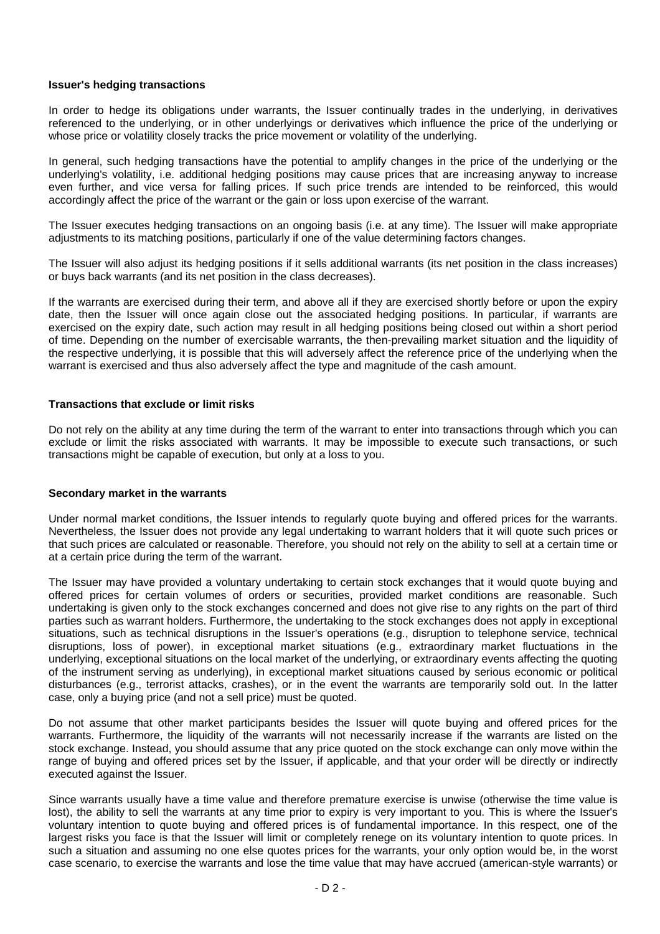#### **Issuer's hedging transactions**

In order to hedge its obligations under warrants, the Issuer continually trades in the underlying, in derivatives referenced to the underlying, or in other underlyings or derivatives which influence the price of the underlying or whose price or volatility closely tracks the price movement or volatility of the underlying.

In general, such hedging transactions have the potential to amplify changes in the price of the underlying or the underlying's volatility, i.e. additional hedging positions may cause prices that are increasing anyway to increase even further, and vice versa for falling prices. If such price trends are intended to be reinforced, this would accordingly affect the price of the warrant or the gain or loss upon exercise of the warrant.

The Issuer executes hedging transactions on an ongoing basis (i.e. at any time). The Issuer will make appropriate adjustments to its matching positions, particularly if one of the value determining factors changes.

The Issuer will also adjust its hedging positions if it sells additional warrants (its net position in the class increases) or buys back warrants (and its net position in the class decreases).

If the warrants are exercised during their term, and above all if they are exercised shortly before or upon the expiry date, then the Issuer will once again close out the associated hedging positions. In particular, if warrants are exercised on the expiry date, such action may result in all hedging positions being closed out within a short period of time. Depending on the number of exercisable warrants, the then-prevailing market situation and the liquidity of the respective underlying, it is possible that this will adversely affect the reference price of the underlying when the warrant is exercised and thus also adversely affect the type and magnitude of the cash amount.

### **Transactions that exclude or limit risks**

Do not rely on the ability at any time during the term of the warrant to enter into transactions through which you can exclude or limit the risks associated with warrants. It may be impossible to execute such transactions, or such transactions might be capable of execution, but only at a loss to you.

#### **Secondary market in the warrants**

Under normal market conditions, the Issuer intends to regularly quote buying and offered prices for the warrants. Nevertheless, the Issuer does not provide any legal undertaking to warrant holders that it will quote such prices or that such prices are calculated or reasonable. Therefore, you should not rely on the ability to sell at a certain time or at a certain price during the term of the warrant.

The Issuer may have provided a voluntary undertaking to certain stock exchanges that it would quote buying and offered prices for certain volumes of orders or securities, provided market conditions are reasonable. Such undertaking is given only to the stock exchanges concerned and does not give rise to any rights on the part of third parties such as warrant holders. Furthermore, the undertaking to the stock exchanges does not apply in exceptional situations, such as technical disruptions in the Issuer's operations (e.g., disruption to telephone service, technical disruptions, loss of power), in exceptional market situations (e.g., extraordinary market fluctuations in the underlying, exceptional situations on the local market of the underlying, or extraordinary events affecting the quoting of the instrument serving as underlying), in exceptional market situations caused by serious economic or political disturbances (e.g., terrorist attacks, crashes), or in the event the warrants are temporarily sold out. In the latter case, only a buying price (and not a sell price) must be quoted.

Do not assume that other market participants besides the Issuer will quote buying and offered prices for the warrants. Furthermore, the liquidity of the warrants will not necessarily increase if the warrants are listed on the stock exchange. Instead, you should assume that any price quoted on the stock exchange can only move within the range of buying and offered prices set by the Issuer, if applicable, and that your order will be directly or indirectly executed against the Issuer.

Since warrants usually have a time value and therefore premature exercise is unwise (otherwise the time value is lost), the ability to sell the warrants at any time prior to expiry is very important to you. This is where the Issuer's voluntary intention to quote buying and offered prices is of fundamental importance. In this respect, one of the largest risks you face is that the Issuer will limit or completely renege on its voluntary intention to quote prices. In such a situation and assuming no one else quotes prices for the warrants, your only option would be, in the worst case scenario, to exercise the warrants and lose the time value that may have accrued (american-style warrants) or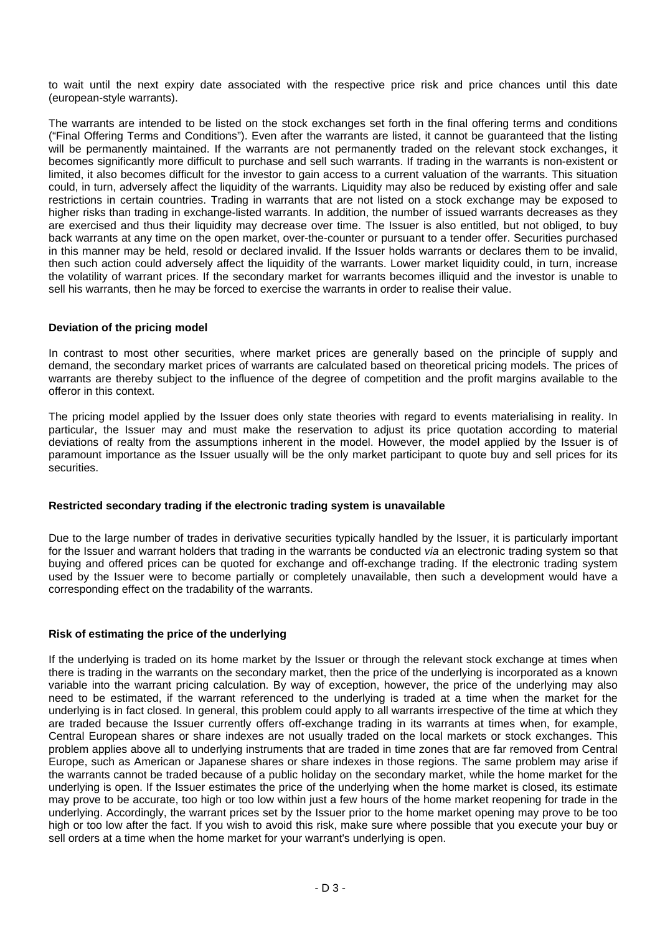to wait until the next expiry date associated with the respective price risk and price chances until this date (european-style warrants).

The warrants are intended to be listed on the stock exchanges set forth in the final offering terms and conditions ("Final Offering Terms and Conditions"). Even after the warrants are listed, it cannot be guaranteed that the listing will be permanently maintained. If the warrants are not permanently traded on the relevant stock exchanges, it becomes significantly more difficult to purchase and sell such warrants. If trading in the warrants is non-existent or limited, it also becomes difficult for the investor to gain access to a current valuation of the warrants. This situation could, in turn, adversely affect the liquidity of the warrants. Liquidity may also be reduced by existing offer and sale restrictions in certain countries. Trading in warrants that are not listed on a stock exchange may be exposed to higher risks than trading in exchange-listed warrants. In addition, the number of issued warrants decreases as they are exercised and thus their liquidity may decrease over time. The Issuer is also entitled, but not obliged, to buy back warrants at any time on the open market, over-the-counter or pursuant to a tender offer. Securities purchased in this manner may be held, resold or declared invalid. If the Issuer holds warrants or declares them to be invalid, then such action could adversely affect the liquidity of the warrants. Lower market liquidity could, in turn, increase the volatility of warrant prices. If the secondary market for warrants becomes illiquid and the investor is unable to sell his warrants, then he may be forced to exercise the warrants in order to realise their value.

## **Deviation of the pricing model**

In contrast to most other securities, where market prices are generally based on the principle of supply and demand, the secondary market prices of warrants are calculated based on theoretical pricing models. The prices of warrants are thereby subject to the influence of the degree of competition and the profit margins available to the offeror in this context.

The pricing model applied by the Issuer does only state theories with regard to events materialising in reality. In particular, the Issuer may and must make the reservation to adjust its price quotation according to material deviations of realty from the assumptions inherent in the model. However, the model applied by the Issuer is of paramount importance as the Issuer usually will be the only market participant to quote buy and sell prices for its securities.

#### **Restricted secondary trading if the electronic trading system is unavailable**

Due to the large number of trades in derivative securities typically handled by the Issuer, it is particularly important for the Issuer and warrant holders that trading in the warrants be conducted *via* an electronic trading system so that buying and offered prices can be quoted for exchange and off-exchange trading. If the electronic trading system used by the Issuer were to become partially or completely unavailable, then such a development would have a corresponding effect on the tradability of the warrants.

# **Risk of estimating the price of the underlying**

If the underlying is traded on its home market by the Issuer or through the relevant stock exchange at times when there is trading in the warrants on the secondary market, then the price of the underlying is incorporated as a known variable into the warrant pricing calculation. By way of exception, however, the price of the underlying may also need to be estimated, if the warrant referenced to the underlying is traded at a time when the market for the underlying is in fact closed. In general, this problem could apply to all warrants irrespective of the time at which they are traded because the Issuer currently offers off-exchange trading in its warrants at times when, for example, Central European shares or share indexes are not usually traded on the local markets or stock exchanges. This problem applies above all to underlying instruments that are traded in time zones that are far removed from Central Europe, such as American or Japanese shares or share indexes in those regions. The same problem may arise if the warrants cannot be traded because of a public holiday on the secondary market, while the home market for the underlying is open. If the Issuer estimates the price of the underlying when the home market is closed, its estimate may prove to be accurate, too high or too low within just a few hours of the home market reopening for trade in the underlying. Accordingly, the warrant prices set by the Issuer prior to the home market opening may prove to be too high or too low after the fact. If you wish to avoid this risk, make sure where possible that you execute your buy or sell orders at a time when the home market for your warrant's underlying is open.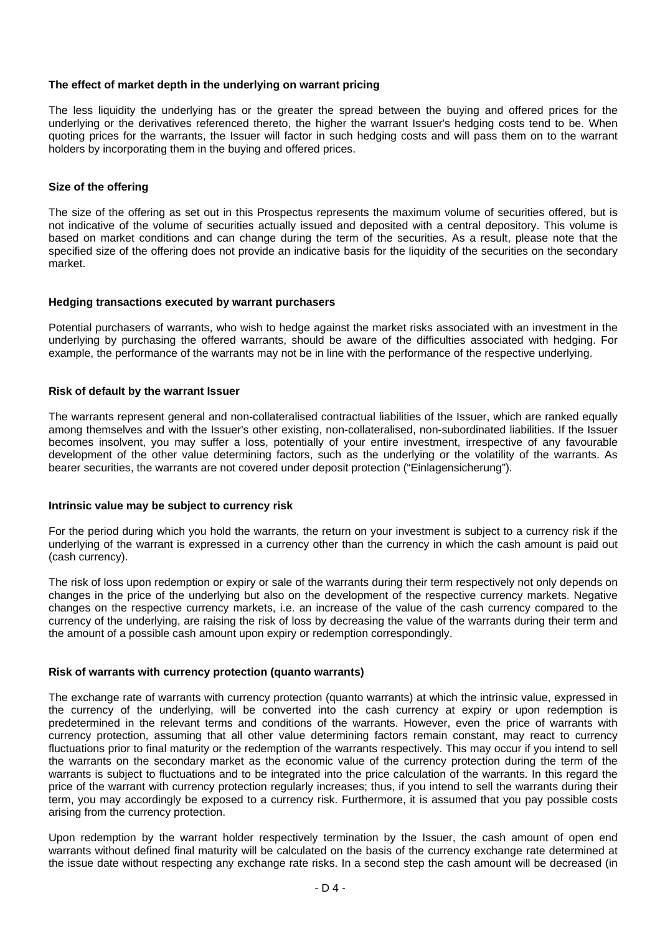#### **The effect of market depth in the underlying on warrant pricing**

The less liquidity the underlying has or the greater the spread between the buying and offered prices for the underlying or the derivatives referenced thereto, the higher the warrant Issuer's hedging costs tend to be. When quoting prices for the warrants, the Issuer will factor in such hedging costs and will pass them on to the warrant holders by incorporating them in the buying and offered prices.

## **Size of the offering**

The size of the offering as set out in this Prospectus represents the maximum volume of securities offered, but is not indicative of the volume of securities actually issued and deposited with a central depository. This volume is based on market conditions and can change during the term of the securities. As a result, please note that the specified size of the offering does not provide an indicative basis for the liquidity of the securities on the secondary market.

#### **Hedging transactions executed by warrant purchasers**

Potential purchasers of warrants, who wish to hedge against the market risks associated with an investment in the underlying by purchasing the offered warrants, should be aware of the difficulties associated with hedging. For example, the performance of the warrants may not be in line with the performance of the respective underlying.

## **Risk of default by the warrant Issuer**

The warrants represent general and non-collateralised contractual liabilities of the Issuer, which are ranked equally among themselves and with the Issuer's other existing, non-collateralised, non-subordinated liabilities. If the Issuer becomes insolvent, you may suffer a loss, potentially of your entire investment, irrespective of any favourable development of the other value determining factors, such as the underlying or the volatility of the warrants. As bearer securities, the warrants are not covered under deposit protection ("Einlagensicherung").

#### **Intrinsic value may be subject to currency risk**

For the period during which you hold the warrants, the return on your investment is subject to a currency risk if the underlying of the warrant is expressed in a currency other than the currency in which the cash amount is paid out (cash currency).

The risk of loss upon redemption or expiry or sale of the warrants during their term respectively not only depends on changes in the price of the underlying but also on the development of the respective currency markets. Negative changes on the respective currency markets, i.e. an increase of the value of the cash currency compared to the currency of the underlying, are raising the risk of loss by decreasing the value of the warrants during their term and the amount of a possible cash amount upon expiry or redemption correspondingly.

#### **Risk of warrants with currency protection (quanto warrants)**

The exchange rate of warrants with currency protection (quanto warrants) at which the intrinsic value, expressed in the currency of the underlying, will be converted into the cash currency at expiry or upon redemption is predetermined in the relevant terms and conditions of the warrants. However, even the price of warrants with currency protection, assuming that all other value determining factors remain constant, may react to currency fluctuations prior to final maturity or the redemption of the warrants respectively. This may occur if you intend to sell the warrants on the secondary market as the economic value of the currency protection during the term of the warrants is subject to fluctuations and to be integrated into the price calculation of the warrants. In this regard the price of the warrant with currency protection regularly increases; thus, if you intend to sell the warrants during their term, you may accordingly be exposed to a currency risk. Furthermore, it is assumed that you pay possible costs arising from the currency protection.

Upon redemption by the warrant holder respectively termination by the Issuer, the cash amount of open end warrants without defined final maturity will be calculated on the basis of the currency exchange rate determined at the issue date without respecting any exchange rate risks. In a second step the cash amount will be decreased (in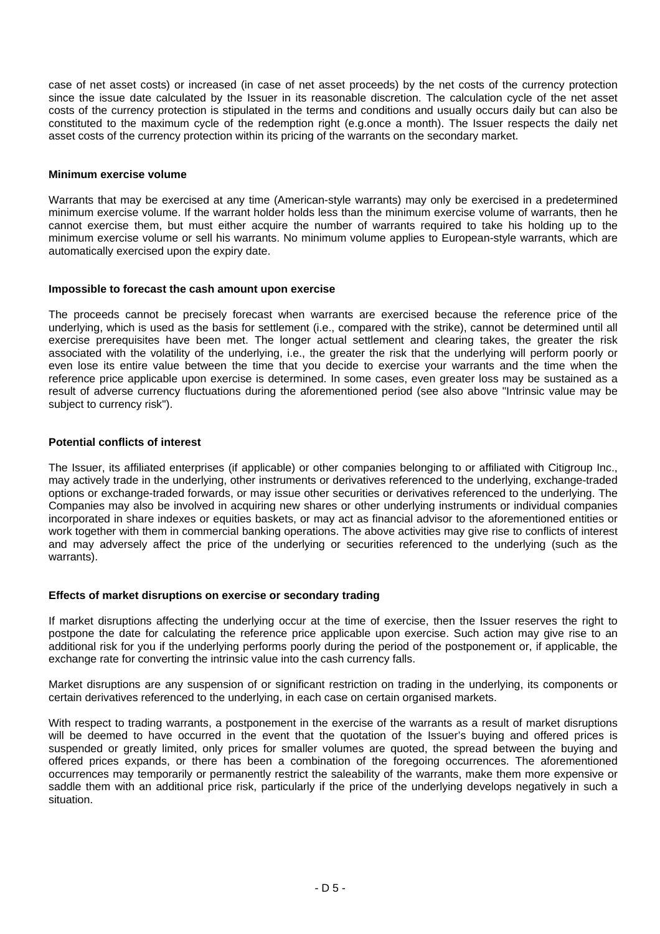case of net asset costs) or increased (in case of net asset proceeds) by the net costs of the currency protection since the issue date calculated by the Issuer in its reasonable discretion. The calculation cycle of the net asset costs of the currency protection is stipulated in the terms and conditions and usually occurs daily but can also be constituted to the maximum cycle of the redemption right (e.g.once a month). The Issuer respects the daily net asset costs of the currency protection within its pricing of the warrants on the secondary market.

#### **Minimum exercise volume**

Warrants that may be exercised at any time (American-style warrants) may only be exercised in a predetermined minimum exercise volume. If the warrant holder holds less than the minimum exercise volume of warrants, then he cannot exercise them, but must either acquire the number of warrants required to take his holding up to the minimum exercise volume or sell his warrants. No minimum volume applies to European-style warrants, which are automatically exercised upon the expiry date.

#### **Impossible to forecast the cash amount upon exercise**

The proceeds cannot be precisely forecast when warrants are exercised because the reference price of the underlying, which is used as the basis for settlement (i.e., compared with the strike), cannot be determined until all exercise prerequisites have been met. The longer actual settlement and clearing takes, the greater the risk associated with the volatility of the underlying, i.e., the greater the risk that the underlying will perform poorly or even lose its entire value between the time that you decide to exercise your warrants and the time when the reference price applicable upon exercise is determined. In some cases, even greater loss may be sustained as a result of adverse currency fluctuations during the aforementioned period (see also above "Intrinsic value may be subject to currency risk").

## **Potential conflicts of interest**

The Issuer, its affiliated enterprises (if applicable) or other companies belonging to or affiliated with Citigroup Inc., may actively trade in the underlying, other instruments or derivatives referenced to the underlying, exchange-traded options or exchange-traded forwards, or may issue other securities or derivatives referenced to the underlying. The Companies may also be involved in acquiring new shares or other underlying instruments or individual companies incorporated in share indexes or equities baskets, or may act as financial advisor to the aforementioned entities or work together with them in commercial banking operations. The above activities may give rise to conflicts of interest and may adversely affect the price of the underlying or securities referenced to the underlying (such as the warrants).

#### **Effects of market disruptions on exercise or secondary trading**

If market disruptions affecting the underlying occur at the time of exercise, then the Issuer reserves the right to postpone the date for calculating the reference price applicable upon exercise. Such action may give rise to an additional risk for you if the underlying performs poorly during the period of the postponement or, if applicable, the exchange rate for converting the intrinsic value into the cash currency falls.

Market disruptions are any suspension of or significant restriction on trading in the underlying, its components or certain derivatives referenced to the underlying, in each case on certain organised markets.

With respect to trading warrants, a postponement in the exercise of the warrants as a result of market disruptions will be deemed to have occurred in the event that the quotation of the Issuer's buying and offered prices is suspended or greatly limited, only prices for smaller volumes are quoted, the spread between the buying and offered prices expands, or there has been a combination of the foregoing occurrences. The aforementioned occurrences may temporarily or permanently restrict the saleability of the warrants, make them more expensive or saddle them with an additional price risk, particularly if the price of the underlying develops negatively in such a situation.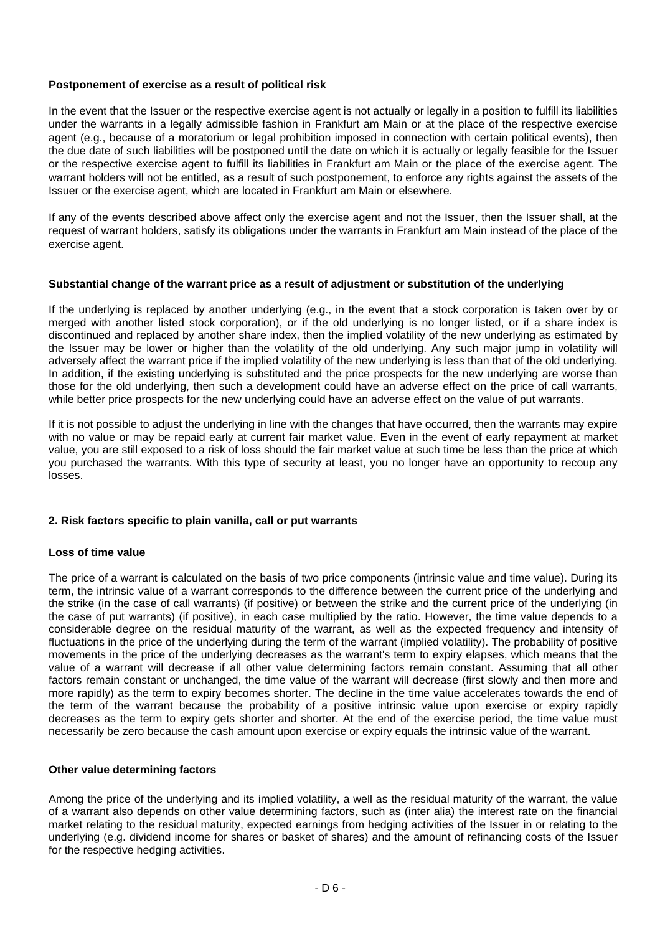# **Postponement of exercise as a result of political risk**

In the event that the Issuer or the respective exercise agent is not actually or legally in a position to fulfill its liabilities under the warrants in a legally admissible fashion in Frankfurt am Main or at the place of the respective exercise agent (e.g., because of a moratorium or legal prohibition imposed in connection with certain political events), then the due date of such liabilities will be postponed until the date on which it is actually or legally feasible for the Issuer or the respective exercise agent to fulfill its liabilities in Frankfurt am Main or the place of the exercise agent. The warrant holders will not be entitled, as a result of such postponement, to enforce any rights against the assets of the Issuer or the exercise agent, which are located in Frankfurt am Main or elsewhere.

If any of the events described above affect only the exercise agent and not the Issuer, then the Issuer shall, at the request of warrant holders, satisfy its obligations under the warrants in Frankfurt am Main instead of the place of the exercise agent.

#### **Substantial change of the warrant price as a result of adjustment or substitution of the underlying**

If the underlying is replaced by another underlying (e.g., in the event that a stock corporation is taken over by or merged with another listed stock corporation), or if the old underlying is no longer listed, or if a share index is discontinued and replaced by another share index, then the implied volatility of the new underlying as estimated by the Issuer may be lower or higher than the volatility of the old underlying. Any such major jump in volatility will adversely affect the warrant price if the implied volatility of the new underlying is less than that of the old underlying. In addition, if the existing underlying is substituted and the price prospects for the new underlying are worse than those for the old underlying, then such a development could have an adverse effect on the price of call warrants, while better price prospects for the new underlying could have an adverse effect on the value of put warrants.

If it is not possible to adjust the underlying in line with the changes that have occurred, then the warrants may expire with no value or may be repaid early at current fair market value. Even in the event of early repayment at market value, you are still exposed to a risk of loss should the fair market value at such time be less than the price at which you purchased the warrants. With this type of security at least, you no longer have an opportunity to recoup any losses.

# **2. Risk factors specific to plain vanilla, call or put warrants**

#### **Loss of time value**

The price of a warrant is calculated on the basis of two price components (intrinsic value and time value). During its term, the intrinsic value of a warrant corresponds to the difference between the current price of the underlying and the strike (in the case of call warrants) (if positive) or between the strike and the current price of the underlying (in the case of put warrants) (if positive), in each case multiplied by the ratio. However, the time value depends to a considerable degree on the residual maturity of the warrant, as well as the expected frequency and intensity of fluctuations in the price of the underlying during the term of the warrant (implied volatility). The probability of positive movements in the price of the underlying decreases as the warrant's term to expiry elapses, which means that the value of a warrant will decrease if all other value determining factors remain constant. Assuming that all other factors remain constant or unchanged, the time value of the warrant will decrease (first slowly and then more and more rapidly) as the term to expiry becomes shorter. The decline in the time value accelerates towards the end of the term of the warrant because the probability of a positive intrinsic value upon exercise or expiry rapidly decreases as the term to expiry gets shorter and shorter. At the end of the exercise period, the time value must necessarily be zero because the cash amount upon exercise or expiry equals the intrinsic value of the warrant.

#### **Other value determining factors**

Among the price of the underlying and its implied volatility, a well as the residual maturity of the warrant, the value of a warrant also depends on other value determining factors, such as (inter alia) the interest rate on the financial market relating to the residual maturity, expected earnings from hedging activities of the Issuer in or relating to the underlying (e.g. dividend income for shares or basket of shares) and the amount of refinancing costs of the Issuer for the respective hedging activities.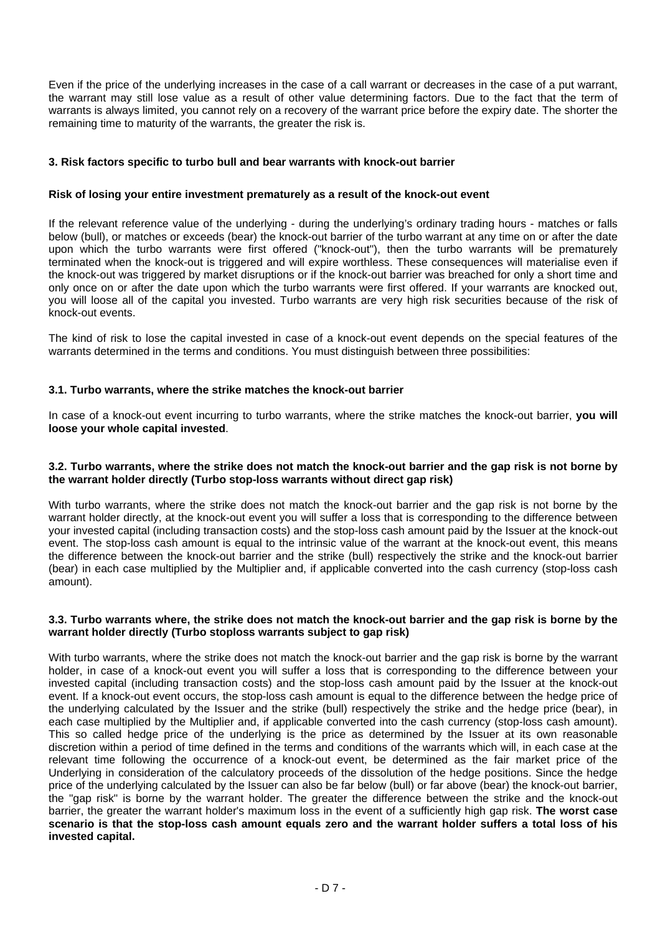Even if the price of the underlying increases in the case of a call warrant or decreases in the case of a put warrant, the warrant may still lose value as a result of other value determining factors. Due to the fact that the term of warrants is always limited, you cannot rely on a recovery of the warrant price before the expiry date. The shorter the remaining time to maturity of the warrants, the greater the risk is.

# **3. Risk factors specific to turbo bull and bear warrants with knock-out barrier**

#### **Risk of losing your entire investment prematurely as a result of the knock-out event**

If the relevant reference value of the underlying - during the underlying's ordinary trading hours - matches or falls below (bull), or matches or exceeds (bear) the knock-out barrier of the turbo warrant at any time on or after the date upon which the turbo warrants were first offered ("knock-out"), then the turbo warrants will be prematurely terminated when the knock-out is triggered and will expire worthless. These consequences will materialise even if the knock-out was triggered by market disruptions or if the knock-out barrier was breached for only a short time and only once on or after the date upon which the turbo warrants were first offered. If your warrants are knocked out, you will loose all of the capital you invested. Turbo warrants are very high risk securities because of the risk of knock-out events.

The kind of risk to lose the capital invested in case of a knock-out event depends on the special features of the warrants determined in the terms and conditions. You must distinguish between three possibilities:

#### **3.1. Turbo warrants, where the strike matches the knock-out barrier**

In case of a knock-out event incurring to turbo warrants, where the strike matches the knock-out barrier, **you will loose your whole capital invested**.

#### **3.2. Turbo warrants, where the strike does not match the knock-out barrier and the gap risk is not borne by the warrant holder directly (Turbo stop-loss warrants without direct gap risk)**

With turbo warrants, where the strike does not match the knock-out barrier and the gap risk is not borne by the warrant holder directly, at the knock-out event you will suffer a loss that is corresponding to the difference between your invested capital (including transaction costs) and the stop-loss cash amount paid by the Issuer at the knock-out event. The stop-loss cash amount is equal to the intrinsic value of the warrant at the knock-out event, this means the difference between the knock-out barrier and the strike (bull) respectively the strike and the knock-out barrier (bear) in each case multiplied by the Multiplier and, if applicable converted into the cash currency (stop-loss cash amount).

#### **3.3. Turbo warrants where, the strike does not match the knock-out barrier and the gap risk is borne by the warrant holder directly (Turbo stoploss warrants subject to gap risk)**

With turbo warrants, where the strike does not match the knock-out barrier and the gap risk is borne by the warrant holder, in case of a knock-out event you will suffer a loss that is corresponding to the difference between your invested capital (including transaction costs) and the stop-loss cash amount paid by the Issuer at the knock-out event. If a knock-out event occurs, the stop-loss cash amount is equal to the difference between the hedge price of the underlying calculated by the Issuer and the strike (bull) respectively the strike and the hedge price (bear), in each case multiplied by the Multiplier and, if applicable converted into the cash currency (stop-loss cash amount). This so called hedge price of the underlying is the price as determined by the Issuer at its own reasonable discretion within a period of time defined in the terms and conditions of the warrants which will, in each case at the relevant time following the occurrence of a knock-out event, be determined as the fair market price of the Underlying in consideration of the calculatory proceeds of the dissolution of the hedge positions. Since the hedge price of the underlying calculated by the Issuer can also be far below (bull) or far above (bear) the knock-out barrier, the "gap risk" is borne by the warrant holder. The greater the difference between the strike and the knock-out barrier, the greater the warrant holder's maximum loss in the event of a sufficiently high gap risk. **The worst case scenario is that the stop-loss cash amount equals zero and the warrant holder suffers a total loss of his invested capital.**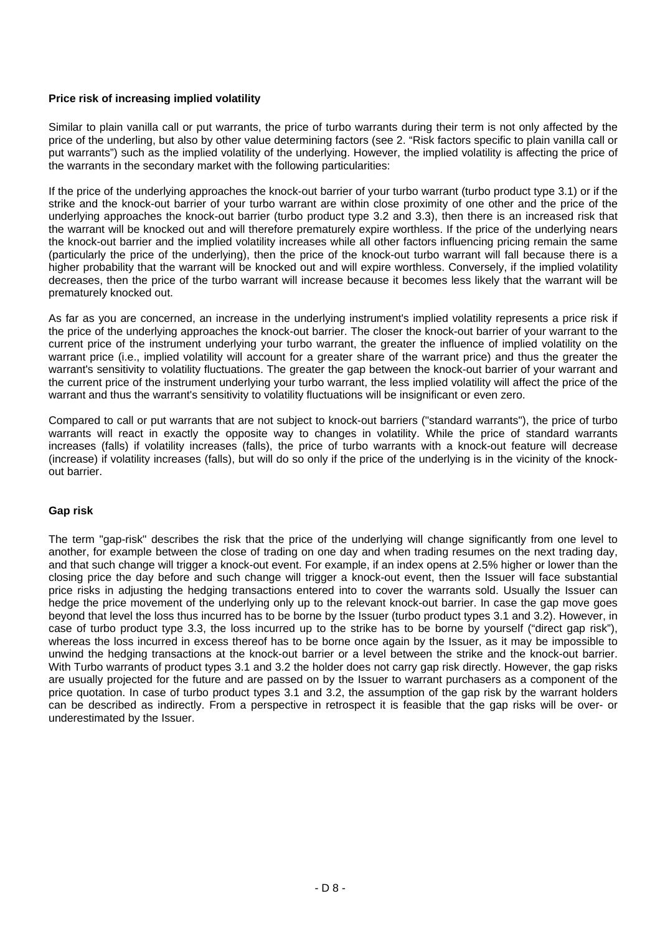# **Price risk of increasing implied volatility**

Similar to plain vanilla call or put warrants, the price of turbo warrants during their term is not only affected by the price of the underling, but also by other value determining factors (see 2. "Risk factors specific to plain vanilla call or put warrants") such as the implied volatility of the underlying. However, the implied volatility is affecting the price of the warrants in the secondary market with the following particularities:

If the price of the underlying approaches the knock-out barrier of your turbo warrant (turbo product type 3.1) or if the strike and the knock-out barrier of your turbo warrant are within close proximity of one other and the price of the underlying approaches the knock-out barrier (turbo product type 3.2 and 3.3), then there is an increased risk that the warrant will be knocked out and will therefore prematurely expire worthless. If the price of the underlying nears the knock-out barrier and the implied volatility increases while all other factors influencing pricing remain the same (particularly the price of the underlying), then the price of the knock-out turbo warrant will fall because there is a higher probability that the warrant will be knocked out and will expire worthless. Conversely, if the implied volatility decreases, then the price of the turbo warrant will increase because it becomes less likely that the warrant will be prematurely knocked out.

As far as you are concerned, an increase in the underlying instrument's implied volatility represents a price risk if the price of the underlying approaches the knock-out barrier. The closer the knock-out barrier of your warrant to the current price of the instrument underlying your turbo warrant, the greater the influence of implied volatility on the warrant price (i.e., implied volatility will account for a greater share of the warrant price) and thus the greater the warrant's sensitivity to volatility fluctuations. The greater the gap between the knock-out barrier of your warrant and the current price of the instrument underlying your turbo warrant, the less implied volatility will affect the price of the warrant and thus the warrant's sensitivity to volatility fluctuations will be insignificant or even zero.

Compared to call or put warrants that are not subject to knock-out barriers ("standard warrants"), the price of turbo warrants will react in exactly the opposite way to changes in volatility. While the price of standard warrants increases (falls) if volatility increases (falls), the price of turbo warrants with a knock-out feature will decrease (increase) if volatility increases (falls), but will do so only if the price of the underlying is in the vicinity of the knockout barrier.

#### **Gap risk**

The term "gap-risk" describes the risk that the price of the underlying will change significantly from one level to another, for example between the close of trading on one day and when trading resumes on the next trading day, and that such change will trigger a knock-out event. For example, if an index opens at 2.5% higher or lower than the closing price the day before and such change will trigger a knock-out event, then the Issuer will face substantial price risks in adjusting the hedging transactions entered into to cover the warrants sold. Usually the Issuer can hedge the price movement of the underlying only up to the relevant knock-out barrier. In case the gap move goes beyond that level the loss thus incurred has to be borne by the Issuer (turbo product types 3.1 and 3.2). However, in case of turbo product type 3.3, the loss incurred up to the strike has to be borne by yourself ("direct gap risk"), whereas the loss incurred in excess thereof has to be borne once again by the Issuer, as it may be impossible to unwind the hedging transactions at the knock-out barrier or a level between the strike and the knock-out barrier. With Turbo warrants of product types 3.1 and 3.2 the holder does not carry gap risk directly. However, the gap risks are usually projected for the future and are passed on by the Issuer to warrant purchasers as a component of the price quotation. In case of turbo product types 3.1 and 3.2, the assumption of the gap risk by the warrant holders can be described as indirectly. From a perspective in retrospect it is feasible that the gap risks will be over- or underestimated by the Issuer.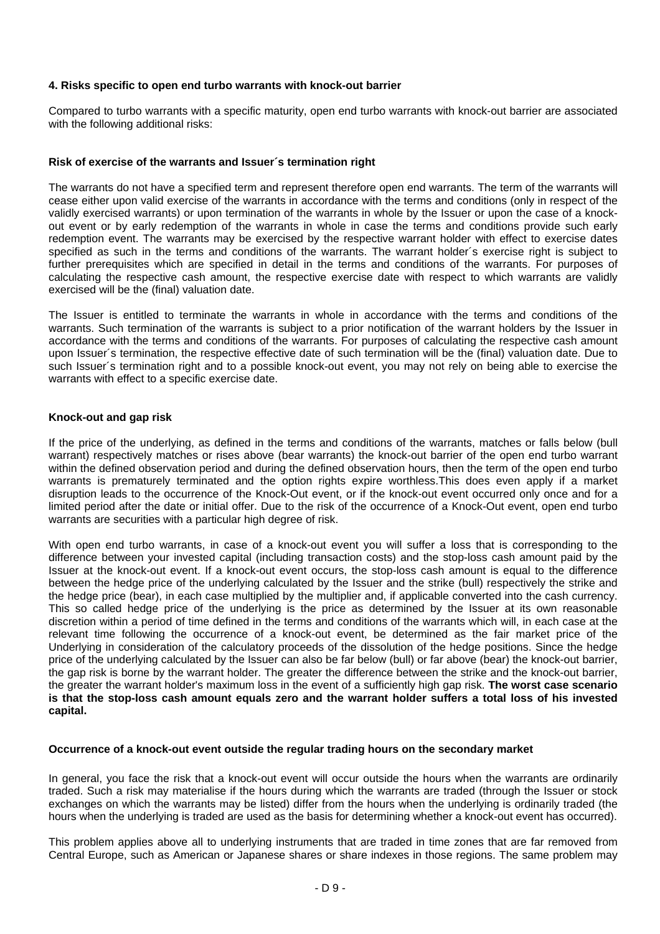# **4. Risks specific to open end turbo warrants with knock-out barrier**

Compared to turbo warrants with a specific maturity, open end turbo warrants with knock-out barrier are associated with the following additional risks:

## **Risk of exercise of the warrants and Issuer´s termination right**

The warrants do not have a specified term and represent therefore open end warrants. The term of the warrants will cease either upon valid exercise of the warrants in accordance with the terms and conditions (only in respect of the validly exercised warrants) or upon termination of the warrants in whole by the Issuer or upon the case of a knockout event or by early redemption of the warrants in whole in case the terms and conditions provide such early redemption event. The warrants may be exercised by the respective warrant holder with effect to exercise dates specified as such in the terms and conditions of the warrants. The warrant holder´s exercise right is subject to further prerequisites which are specified in detail in the terms and conditions of the warrants. For purposes of calculating the respective cash amount, the respective exercise date with respect to which warrants are validly exercised will be the (final) valuation date.

The Issuer is entitled to terminate the warrants in whole in accordance with the terms and conditions of the warrants. Such termination of the warrants is subject to a prior notification of the warrant holders by the Issuer in accordance with the terms and conditions of the warrants. For purposes of calculating the respective cash amount upon Issuer´s termination, the respective effective date of such termination will be the (final) valuation date. Due to such Issuer´s termination right and to a possible knock-out event, you may not rely on being able to exercise the warrants with effect to a specific exercise date.

## **Knock-out and gap risk**

If the price of the underlying, as defined in the terms and conditions of the warrants, matches or falls below (bull warrant) respectively matches or rises above (bear warrants) the knock-out barrier of the open end turbo warrant within the defined observation period and during the defined observation hours, then the term of the open end turbo warrants is prematurely terminated and the option rights expire worthless.This does even apply if a market disruption leads to the occurrence of the Knock-Out event, or if the knock-out event occurred only once and for a limited period after the date or initial offer. Due to the risk of the occurrence of a Knock-Out event, open end turbo warrants are securities with a particular high degree of risk.

With open end turbo warrants, in case of a knock-out event you will suffer a loss that is corresponding to the difference between your invested capital (including transaction costs) and the stop-loss cash amount paid by the Issuer at the knock-out event. If a knock-out event occurs, the stop-loss cash amount is equal to the difference between the hedge price of the underlying calculated by the Issuer and the strike (bull) respectively the strike and the hedge price (bear), in each case multiplied by the multiplier and, if applicable converted into the cash currency. This so called hedge price of the underlying is the price as determined by the Issuer at its own reasonable discretion within a period of time defined in the terms and conditions of the warrants which will, in each case at the relevant time following the occurrence of a knock-out event, be determined as the fair market price of the Underlying in consideration of the calculatory proceeds of the dissolution of the hedge positions. Since the hedge price of the underlying calculated by the Issuer can also be far below (bull) or far above (bear) the knock-out barrier, the gap risk is borne by the warrant holder. The greater the difference between the strike and the knock-out barrier, the greater the warrant holder's maximum loss in the event of a sufficiently high gap risk. **The worst case scenario is that the stop-loss cash amount equals zero and the warrant holder suffers a total loss of his invested capital.** 

#### **Occurrence of a knock-out event outside the regular trading hours on the secondary market**

In general, you face the risk that a knock-out event will occur outside the hours when the warrants are ordinarily traded. Such a risk may materialise if the hours during which the warrants are traded (through the Issuer or stock exchanges on which the warrants may be listed) differ from the hours when the underlying is ordinarily traded (the hours when the underlying is traded are used as the basis for determining whether a knock-out event has occurred).

This problem applies above all to underlying instruments that are traded in time zones that are far removed from Central Europe, such as American or Japanese shares or share indexes in those regions. The same problem may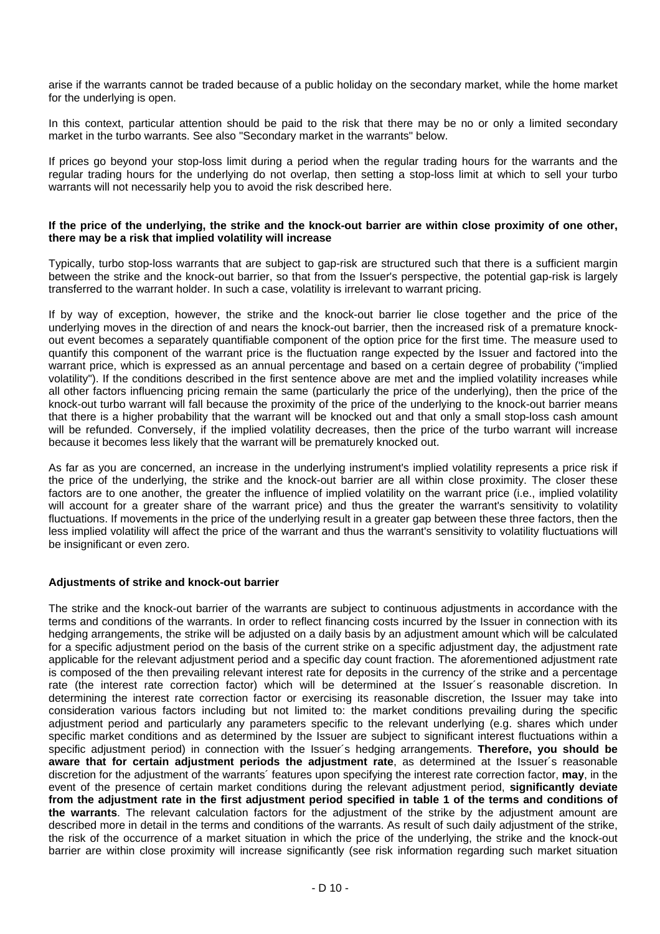arise if the warrants cannot be traded because of a public holiday on the secondary market, while the home market for the underlying is open.

In this context, particular attention should be paid to the risk that there may be no or only a limited secondary market in the turbo warrants. See also "Secondary market in the warrants" below.

If prices go beyond your stop-loss limit during a period when the regular trading hours for the warrants and the regular trading hours for the underlying do not overlap, then setting a stop-loss limit at which to sell your turbo warrants will not necessarily help you to avoid the risk described here.

#### **If the price of the underlying, the strike and the knock-out barrier are within close proximity of one other, there may be a risk that implied volatility will increase**

Typically, turbo stop-loss warrants that are subject to gap-risk are structured such that there is a sufficient margin between the strike and the knock-out barrier, so that from the Issuer's perspective, the potential gap-risk is largely transferred to the warrant holder. In such a case, volatility is irrelevant to warrant pricing.

If by way of exception, however, the strike and the knock-out barrier lie close together and the price of the underlying moves in the direction of and nears the knock-out barrier, then the increased risk of a premature knockout event becomes a separately quantifiable component of the option price for the first time. The measure used to quantify this component of the warrant price is the fluctuation range expected by the Issuer and factored into the warrant price, which is expressed as an annual percentage and based on a certain degree of probability ("implied volatility"). If the conditions described in the first sentence above are met and the implied volatility increases while all other factors influencing pricing remain the same (particularly the price of the underlying), then the price of the knock-out turbo warrant will fall because the proximity of the price of the underlying to the knock-out barrier means that there is a higher probability that the warrant will be knocked out and that only a small stop-loss cash amount will be refunded. Conversely, if the implied volatility decreases, then the price of the turbo warrant will increase because it becomes less likely that the warrant will be prematurely knocked out.

As far as you are concerned, an increase in the underlying instrument's implied volatility represents a price risk if the price of the underlying, the strike and the knock-out barrier are all within close proximity. The closer these factors are to one another, the greater the influence of implied volatility on the warrant price (i.e., implied volatility will account for a greater share of the warrant price) and thus the greater the warrant's sensitivity to volatility fluctuations. If movements in the price of the underlying result in a greater gap between these three factors, then the less implied volatility will affect the price of the warrant and thus the warrant's sensitivity to volatility fluctuations will be insignificant or even zero.

# **Adjustments of strike and knock-out barrier**

The strike and the knock-out barrier of the warrants are subject to continuous adjustments in accordance with the terms and conditions of the warrants. In order to reflect financing costs incurred by the Issuer in connection with its hedging arrangements, the strike will be adjusted on a daily basis by an adjustment amount which will be calculated for a specific adjustment period on the basis of the current strike on a specific adjustment day, the adjustment rate applicable for the relevant adjustment period and a specific day count fraction. The aforementioned adjustment rate is composed of the then prevailing relevant interest rate for deposits in the currency of the strike and a percentage rate (the interest rate correction factor) which will be determined at the Issuer´s reasonable discretion. In determining the interest rate correction factor or exercising its reasonable discretion, the Issuer may take into consideration various factors including but not limited to: the market conditions prevailing during the specific adjustment period and particularly any parameters specific to the relevant underlying (e.g. shares which under specific market conditions and as determined by the Issuer are subject to significant interest fluctuations within a specific adjustment period) in connection with the Issuer´s hedging arrangements. **Therefore, you should be aware that for certain adjustment periods the adjustment rate**, as determined at the Issuer´s reasonable discretion for the adjustment of the warrants´ features upon specifying the interest rate correction factor, **may**, in the event of the presence of certain market conditions during the relevant adjustment period, **significantly deviate from the adjustment rate in the first adjustment period specified in table 1 of the terms and conditions of the warrants**. The relevant calculation factors for the adjustment of the strike by the adjustment amount are described more in detail in the terms and conditions of the warrants. As result of such daily adjustment of the strike, the risk of the occurrence of a market situation in which the price of the underlying, the strike and the knock-out barrier are within close proximity will increase significantly (see risk information regarding such market situation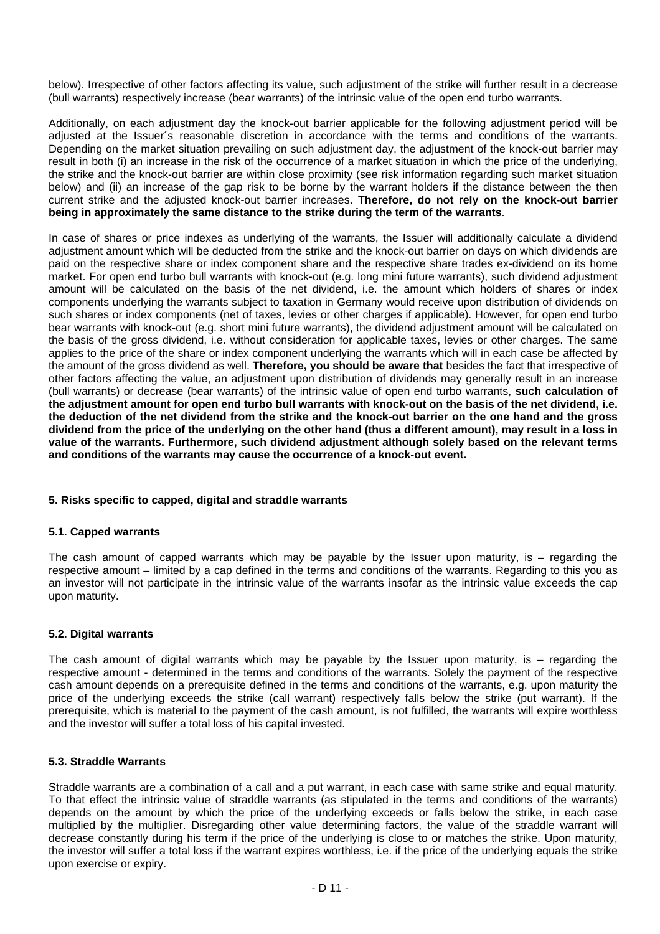below). Irrespective of other factors affecting its value, such adjustment of the strike will further result in a decrease (bull warrants) respectively increase (bear warrants) of the intrinsic value of the open end turbo warrants.

Additionally, on each adjustment day the knock-out barrier applicable for the following adjustment period will be adjusted at the Issuer´s reasonable discretion in accordance with the terms and conditions of the warrants. Depending on the market situation prevailing on such adjustment day, the adjustment of the knock-out barrier may result in both (i) an increase in the risk of the occurrence of a market situation in which the price of the underlying, the strike and the knock-out barrier are within close proximity (see risk information regarding such market situation below) and (ii) an increase of the gap risk to be borne by the warrant holders if the distance between the then current strike and the adjusted knock-out barrier increases. **Therefore, do not rely on the knock-out barrier being in approximately the same distance to the strike during the term of the warrants**.

In case of shares or price indexes as underlying of the warrants, the Issuer will additionally calculate a dividend adjustment amount which will be deducted from the strike and the knock-out barrier on days on which dividends are paid on the respective share or index component share and the respective share trades ex-dividend on its home market. For open end turbo bull warrants with knock-out (e.g. long mini future warrants), such dividend adjustment amount will be calculated on the basis of the net dividend, i.e. the amount which holders of shares or index components underlying the warrants subject to taxation in Germany would receive upon distribution of dividends on such shares or index components (net of taxes, levies or other charges if applicable). However, for open end turbo bear warrants with knock-out (e.g. short mini future warrants), the dividend adjustment amount will be calculated on the basis of the gross dividend, i.e. without consideration for applicable taxes, levies or other charges. The same applies to the price of the share or index component underlying the warrants which will in each case be affected by the amount of the gross dividend as well. **Therefore, you should be aware that** besides the fact that irrespective of other factors affecting the value, an adjustment upon distribution of dividends may generally result in an increase (bull warrants) or decrease (bear warrants) of the intrinsic value of open end turbo warrants, **such calculation of the adjustment amount for open end turbo bull warrants with knock-out on the basis of the net dividend, i.e. the deduction of the net dividend from the strike and the knock-out barrier on the one hand and the gross dividend from the price of the underlying on the other hand (thus a different amount), may result in a loss in value of the warrants. Furthermore, such dividend adjustment although solely based on the relevant terms and conditions of the warrants may cause the occurrence of a knock-out event.** 

# **5. Risks specific to capped, digital and straddle warrants**

#### **5.1. Capped warrants**

The cash amount of capped warrants which may be payable by the Issuer upon maturity, is – regarding the respective amount – limited by a cap defined in the terms and conditions of the warrants. Regarding to this you as an investor will not participate in the intrinsic value of the warrants insofar as the intrinsic value exceeds the cap upon maturity.

#### **5.2. Digital warrants**

The cash amount of digital warrants which may be payable by the Issuer upon maturity, is – regarding the respective amount - determined in the terms and conditions of the warrants. Solely the payment of the respective cash amount depends on a prerequisite defined in the terms and conditions of the warrants, e.g. upon maturity the price of the underlying exceeds the strike (call warrant) respectively falls below the strike (put warrant). If the prerequisite, which is material to the payment of the cash amount, is not fulfilled, the warrants will expire worthless and the investor will suffer a total loss of his capital invested.

#### **5.3. Straddle Warrants**

Straddle warrants are a combination of a call and a put warrant, in each case with same strike and equal maturity. To that effect the intrinsic value of straddle warrants (as stipulated in the terms and conditions of the warrants) depends on the amount by which the price of the underlying exceeds or falls below the strike, in each case multiplied by the multiplier. Disregarding other value determining factors, the value of the straddle warrant will decrease constantly during his term if the price of the underlying is close to or matches the strike. Upon maturity, the investor will suffer a total loss if the warrant expires worthless, i.e. if the price of the underlying equals the strike upon exercise or expiry.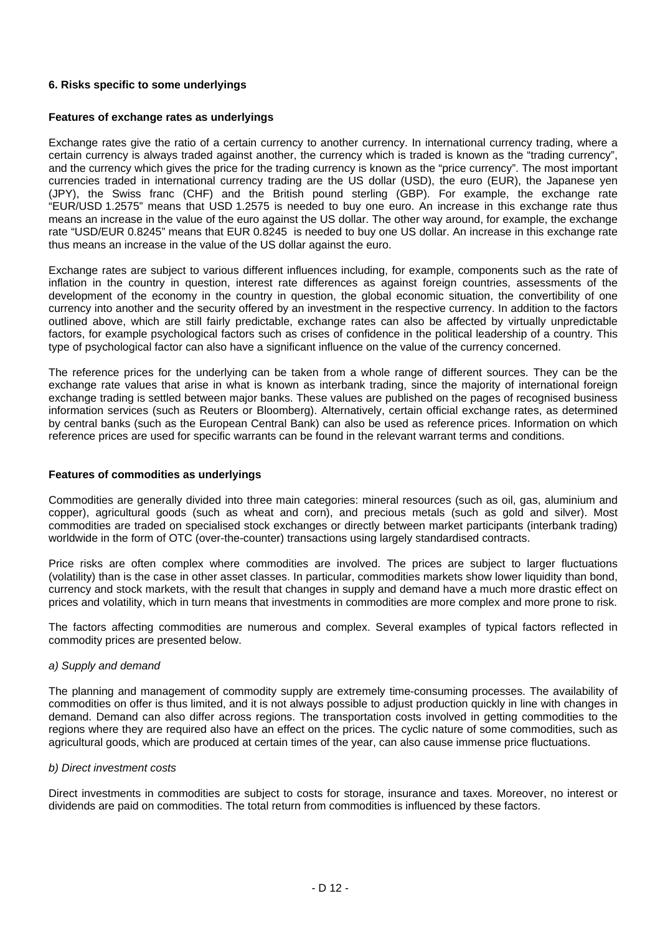# **6. Risks specific to some underlyings**

#### **Features of exchange rates as underlyings**

Exchange rates give the ratio of a certain currency to another currency. In international currency trading, where a certain currency is always traded against another, the currency which is traded is known as the "trading currency", and the currency which gives the price for the trading currency is known as the "price currency". The most important currencies traded in international currency trading are the US dollar (USD), the euro (EUR), the Japanese yen (JPY), the Swiss franc (CHF) and the British pound sterling (GBP). For example, the exchange rate "EUR/USD 1.2575" means that USD 1.2575 is needed to buy one euro. An increase in this exchange rate thus means an increase in the value of the euro against the US dollar. The other way around, for example, the exchange rate "USD/EUR 0.8245" means that EUR 0.8245 is needed to buy one US dollar. An increase in this exchange rate thus means an increase in the value of the US dollar against the euro.

Exchange rates are subject to various different influences including, for example, components such as the rate of inflation in the country in question, interest rate differences as against foreign countries, assessments of the development of the economy in the country in question, the global economic situation, the convertibility of one currency into another and the security offered by an investment in the respective currency. In addition to the factors outlined above, which are still fairly predictable, exchange rates can also be affected by virtually unpredictable factors, for example psychological factors such as crises of confidence in the political leadership of a country. This type of psychological factor can also have a significant influence on the value of the currency concerned.

The reference prices for the underlying can be taken from a whole range of different sources. They can be the exchange rate values that arise in what is known as interbank trading, since the majority of international foreign exchange trading is settled between major banks. These values are published on the pages of recognised business information services (such as Reuters or Bloomberg). Alternatively, certain official exchange rates, as determined by central banks (such as the European Central Bank) can also be used as reference prices. Information on which reference prices are used for specific warrants can be found in the relevant warrant terms and conditions.

#### **Features of commodities as underlyings**

Commodities are generally divided into three main categories: mineral resources (such as oil, gas, aluminium and copper), agricultural goods (such as wheat and corn), and precious metals (such as gold and silver). Most commodities are traded on specialised stock exchanges or directly between market participants (interbank trading) worldwide in the form of OTC (over-the-counter) transactions using largely standardised contracts.

Price risks are often complex where commodities are involved. The prices are subject to larger fluctuations (volatility) than is the case in other asset classes. In particular, commodities markets show lower liquidity than bond, currency and stock markets, with the result that changes in supply and demand have a much more drastic effect on prices and volatility, which in turn means that investments in commodities are more complex and more prone to risk.

The factors affecting commodities are numerous and complex. Several examples of typical factors reflected in commodity prices are presented below.

#### *a) Supply and demand*

The planning and management of commodity supply are extremely time-consuming processes. The availability of commodities on offer is thus limited, and it is not always possible to adjust production quickly in line with changes in demand. Demand can also differ across regions. The transportation costs involved in getting commodities to the regions where they are required also have an effect on the prices. The cyclic nature of some commodities, such as agricultural goods, which are produced at certain times of the year, can also cause immense price fluctuations.

#### *b) Direct investment costs*

Direct investments in commodities are subject to costs for storage, insurance and taxes. Moreover, no interest or dividends are paid on commodities. The total return from commodities is influenced by these factors.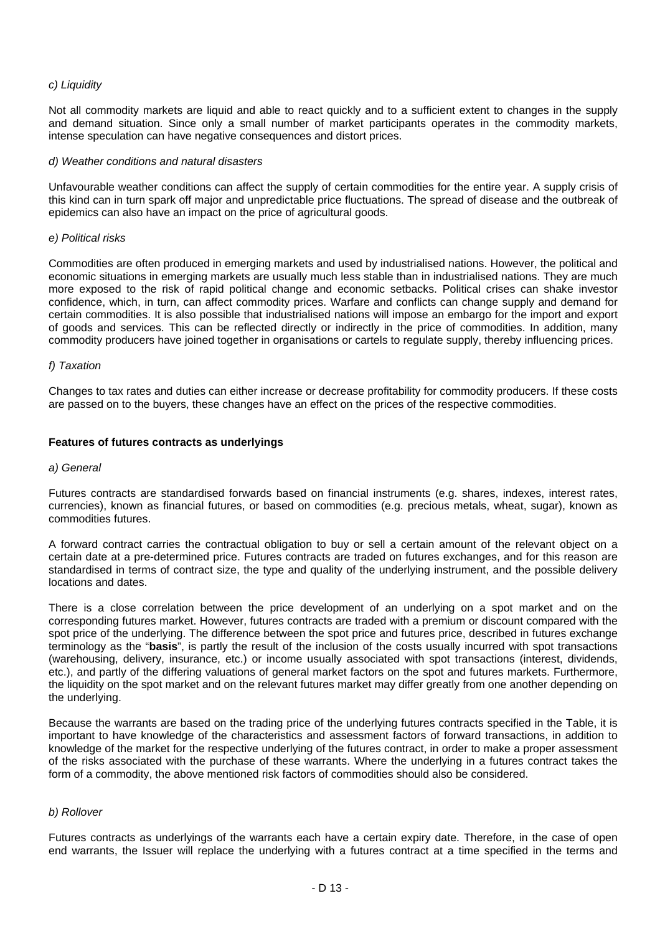#### *c) Liquidity*

Not all commodity markets are liquid and able to react quickly and to a sufficient extent to changes in the supply and demand situation. Since only a small number of market participants operates in the commodity markets, intense speculation can have negative consequences and distort prices.

#### *d) Weather conditions and natural disasters*

Unfavourable weather conditions can affect the supply of certain commodities for the entire year. A supply crisis of this kind can in turn spark off major and unpredictable price fluctuations. The spread of disease and the outbreak of epidemics can also have an impact on the price of agricultural goods.

#### *e) Political risks*

Commodities are often produced in emerging markets and used by industrialised nations. However, the political and economic situations in emerging markets are usually much less stable than in industrialised nations. They are much more exposed to the risk of rapid political change and economic setbacks. Political crises can shake investor confidence, which, in turn, can affect commodity prices. Warfare and conflicts can change supply and demand for certain commodities. It is also possible that industrialised nations will impose an embargo for the import and export of goods and services. This can be reflected directly or indirectly in the price of commodities. In addition, many commodity producers have joined together in organisations or cartels to regulate supply, thereby influencing prices.

#### *f) Taxation*

Changes to tax rates and duties can either increase or decrease profitability for commodity producers. If these costs are passed on to the buyers, these changes have an effect on the prices of the respective commodities.

#### **Features of futures contracts as underlyings**

#### *a) General*

Futures contracts are standardised forwards based on financial instruments (e.g. shares, indexes, interest rates, currencies), known as financial futures, or based on commodities (e.g. precious metals, wheat, sugar), known as commodities futures.

A forward contract carries the contractual obligation to buy or sell a certain amount of the relevant object on a certain date at a pre-determined price. Futures contracts are traded on futures exchanges, and for this reason are standardised in terms of contract size, the type and quality of the underlying instrument, and the possible delivery locations and dates.

There is a close correlation between the price development of an underlying on a spot market and on the corresponding futures market. However, futures contracts are traded with a premium or discount compared with the spot price of the underlying. The difference between the spot price and futures price, described in futures exchange terminology as the "**basis**", is partly the result of the inclusion of the costs usually incurred with spot transactions (warehousing, delivery, insurance, etc.) or income usually associated with spot transactions (interest, dividends, etc.), and partly of the differing valuations of general market factors on the spot and futures markets. Furthermore, the liquidity on the spot market and on the relevant futures market may differ greatly from one another depending on the underlying.

Because the warrants are based on the trading price of the underlying futures contracts specified in the Table, it is important to have knowledge of the characteristics and assessment factors of forward transactions, in addition to knowledge of the market for the respective underlying of the futures contract, in order to make a proper assessment of the risks associated with the purchase of these warrants. Where the underlying in a futures contract takes the form of a commodity, the above mentioned risk factors of commodities should also be considered.

#### *b) Rollover*

Futures contracts as underlyings of the warrants each have a certain expiry date. Therefore, in the case of open end warrants, the Issuer will replace the underlying with a futures contract at a time specified in the terms and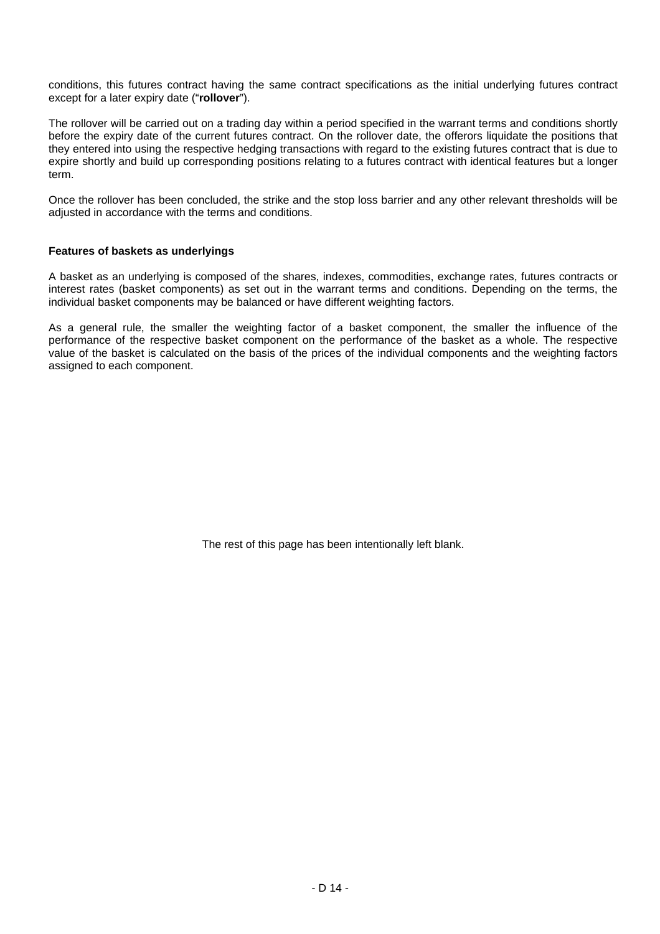conditions, this futures contract having the same contract specifications as the initial underlying futures contract except for a later expiry date ("**rollover**").

The rollover will be carried out on a trading day within a period specified in the warrant terms and conditions shortly before the expiry date of the current futures contract. On the rollover date, the offerors liquidate the positions that they entered into using the respective hedging transactions with regard to the existing futures contract that is due to expire shortly and build up corresponding positions relating to a futures contract with identical features but a longer term.

Once the rollover has been concluded, the strike and the stop loss barrier and any other relevant thresholds will be adjusted in accordance with the terms and conditions.

## **Features of baskets as underlyings**

A basket as an underlying is composed of the shares, indexes, commodities, exchange rates, futures contracts or interest rates (basket components) as set out in the warrant terms and conditions. Depending on the terms, the individual basket components may be balanced or have different weighting factors.

As a general rule, the smaller the weighting factor of a basket component, the smaller the influence of the performance of the respective basket component on the performance of the basket as a whole. The respective value of the basket is calculated on the basis of the prices of the individual components and the weighting factors assigned to each component.

The rest of this page has been intentionally left blank.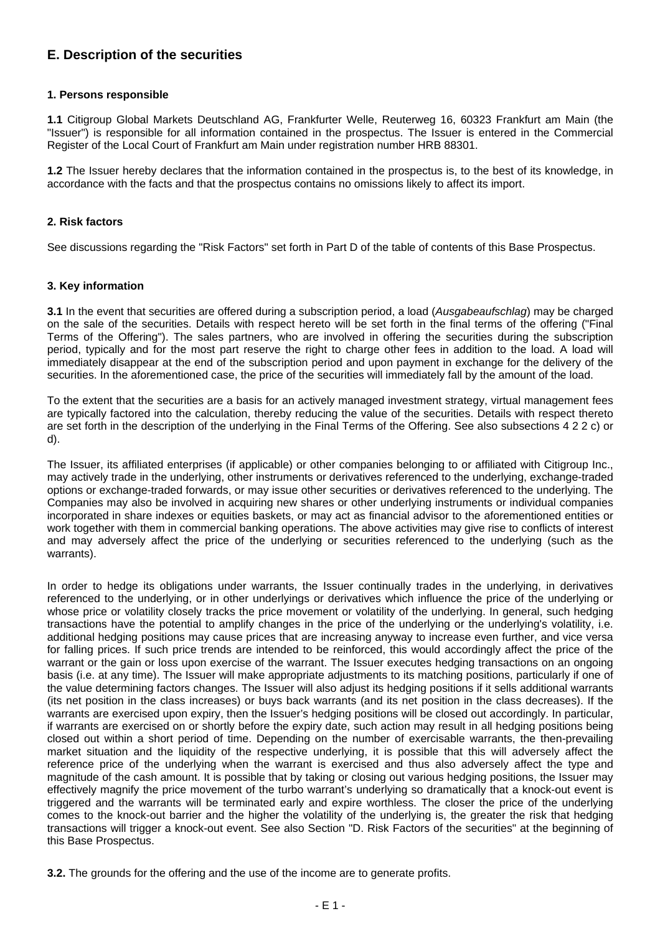# **E. Description of the securities**

# **1. Persons responsible**

**1.1** Citigroup Global Markets Deutschland AG, Frankfurter Welle, Reuterweg 16, 60323 Frankfurt am Main (the "Issuer") is responsible for all information contained in the prospectus. The Issuer is entered in the Commercial Register of the Local Court of Frankfurt am Main under registration number HRB 88301.

**1.2** The Issuer hereby declares that the information contained in the prospectus is, to the best of its knowledge, in accordance with the facts and that the prospectus contains no omissions likely to affect its import.

# **2. Risk factors**

See discussions regarding the "Risk Factors" set forth in Part D of the table of contents of this Base Prospectus.

## **3. Key information**

**3.1** In the event that securities are offered during a subscription period, a load (*Ausgabeaufschlag*) may be charged on the sale of the securities. Details with respect hereto will be set forth in the final terms of the offering ("Final Terms of the Offering"). The sales partners, who are involved in offering the securities during the subscription period, typically and for the most part reserve the right to charge other fees in addition to the load. A load will immediately disappear at the end of the subscription period and upon payment in exchange for the delivery of the securities. In the aforementioned case, the price of the securities will immediately fall by the amount of the load.

To the extent that the securities are a basis for an actively managed investment strategy, virtual management fees are typically factored into the calculation, thereby reducing the value of the securities. Details with respect thereto are set forth in the description of the underlying in the Final Terms of the Offering. See also subsections 4 2 2 c) or d).

The Issuer, its affiliated enterprises (if applicable) or other companies belonging to or affiliated with Citigroup Inc., may actively trade in the underlying, other instruments or derivatives referenced to the underlying, exchange-traded options or exchange-traded forwards, or may issue other securities or derivatives referenced to the underlying. The Companies may also be involved in acquiring new shares or other underlying instruments or individual companies incorporated in share indexes or equities baskets, or may act as financial advisor to the aforementioned entities or work together with them in commercial banking operations. The above activities may give rise to conflicts of interest and may adversely affect the price of the underlying or securities referenced to the underlying (such as the warrants).

In order to hedge its obligations under warrants, the Issuer continually trades in the underlying, in derivatives referenced to the underlying, or in other underlyings or derivatives which influence the price of the underlying or whose price or volatility closely tracks the price movement or volatility of the underlying. In general, such hedging transactions have the potential to amplify changes in the price of the underlying or the underlying's volatility, i.e. additional hedging positions may cause prices that are increasing anyway to increase even further, and vice versa for falling prices. If such price trends are intended to be reinforced, this would accordingly affect the price of the warrant or the gain or loss upon exercise of the warrant. The Issuer executes hedging transactions on an ongoing basis (i.e. at any time). The Issuer will make appropriate adjustments to its matching positions, particularly if one of the value determining factors changes. The Issuer will also adjust its hedging positions if it sells additional warrants (its net position in the class increases) or buys back warrants (and its net position in the class decreases). If the warrants are exercised upon expiry, then the Issuer's hedging positions will be closed out accordingly. In particular, if warrants are exercised on or shortly before the expiry date, such action may result in all hedging positions being closed out within a short period of time. Depending on the number of exercisable warrants, the then-prevailing market situation and the liquidity of the respective underlying, it is possible that this will adversely affect the reference price of the underlying when the warrant is exercised and thus also adversely affect the type and magnitude of the cash amount. It is possible that by taking or closing out various hedging positions, the Issuer may effectively magnify the price movement of the turbo warrant's underlying so dramatically that a knock-out event is triggered and the warrants will be terminated early and expire worthless. The closer the price of the underlying comes to the knock-out barrier and the higher the volatility of the underlying is, the greater the risk that hedging transactions will trigger a knock-out event. See also Section "D. Risk Factors of the securities" at the beginning of this Base Prospectus.

**3.2.** The grounds for the offering and the use of the income are to generate profits.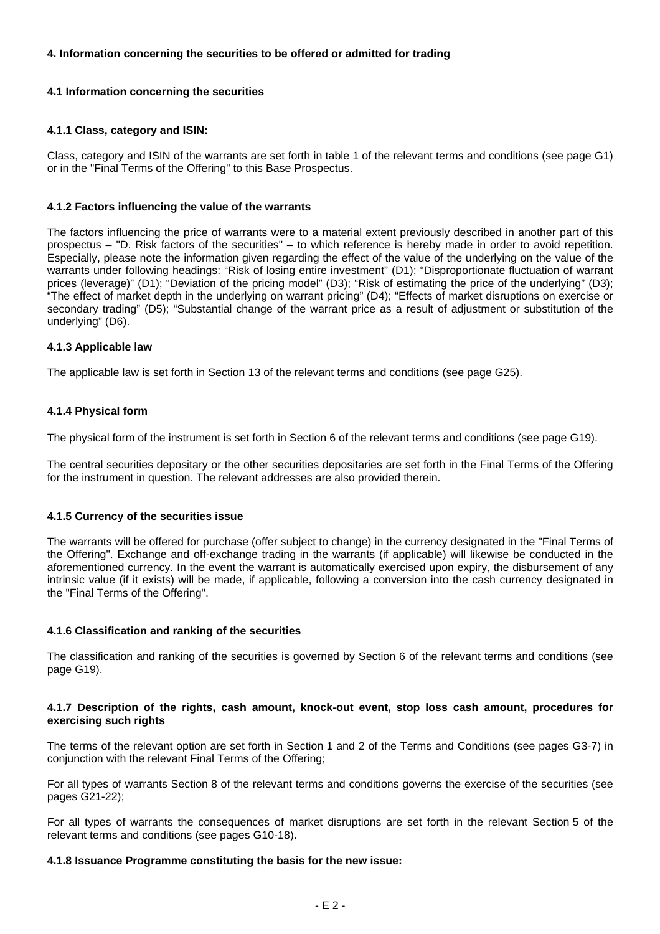# **4. Information concerning the securities to be offered or admitted for trading**

# **4.1 Information concerning the securities**

# **4.1.1 Class, category and ISIN:**

Class, category and ISIN of the warrants are set forth in table 1 of the relevant terms and conditions (see page G1) or in the "Final Terms of the Offering" to this Base Prospectus.

## **4.1.2 Factors influencing the value of the warrants**

The factors influencing the price of warrants were to a material extent previously described in another part of this prospectus – "D. Risk factors of the securities" – to which reference is hereby made in order to avoid repetition. Especially, please note the information given regarding the effect of the value of the underlying on the value of the warrants under following headings: "Risk of losing entire investment" (D1); "Disproportionate fluctuation of warrant prices (leverage)" (D1); "Deviation of the pricing model" (D3); "Risk of estimating the price of the underlying" (D3); "The effect of market depth in the underlying on warrant pricing" (D4); "Effects of market disruptions on exercise or secondary trading" (D5); "Substantial change of the warrant price as a result of adjustment or substitution of the underlying" (D6).

## **4.1.3 Applicable law**

The applicable law is set forth in Section 13 of the relevant terms and conditions (see page G25).

## **4.1.4 Physical form**

The physical form of the instrument is set forth in Section 6 of the relevant terms and conditions (see page G19).

The central securities depositary or the other securities depositaries are set forth in the Final Terms of the Offering for the instrument in question. The relevant addresses are also provided therein.

# **4.1.5 Currency of the securities issue**

The warrants will be offered for purchase (offer subject to change) in the currency designated in the "Final Terms of the Offering". Exchange and off-exchange trading in the warrants (if applicable) will likewise be conducted in the aforementioned currency. In the event the warrant is automatically exercised upon expiry, the disbursement of any intrinsic value (if it exists) will be made, if applicable, following a conversion into the cash currency designated in the "Final Terms of the Offering".

# **4.1.6 Classification and ranking of the securities**

The classification and ranking of the securities is governed by Section 6 of the relevant terms and conditions (see page G19).

## **4.1.7 Description of the rights, cash amount, knock-out event, stop loss cash amount, procedures for exercising such rights**

The terms of the relevant option are set forth in Section 1 and 2 of the Terms and Conditions (see pages G3-7) in conjunction with the relevant Final Terms of the Offering;

For all types of warrants Section 8 of the relevant terms and conditions governs the exercise of the securities (see pages G21-22);

For all types of warrants the consequences of market disruptions are set forth in the relevant Section 5 of the relevant terms and conditions (see pages G10-18).

#### **4.1.8 Issuance Programme constituting the basis for the new issue:**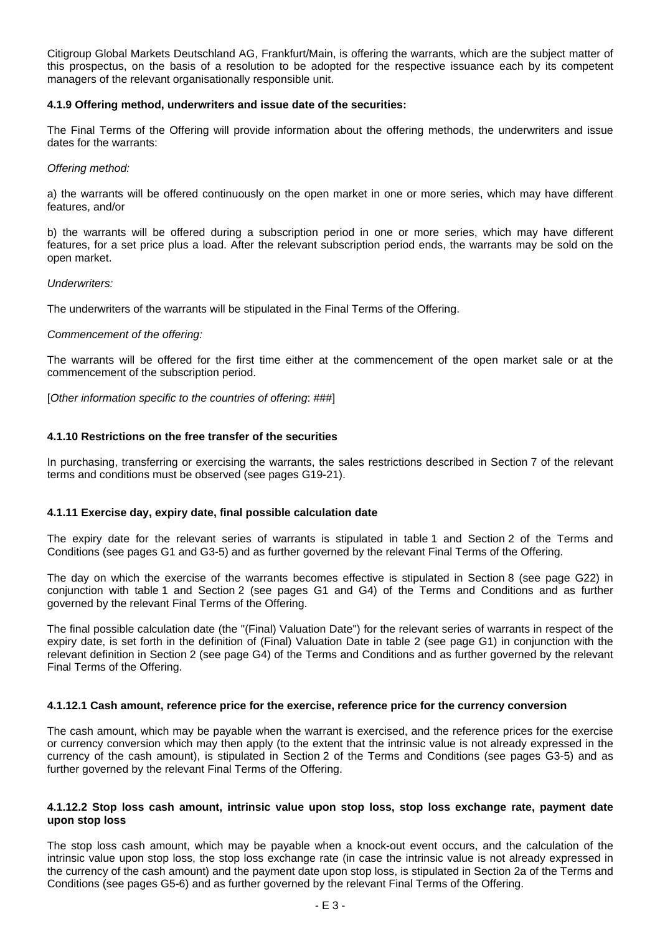Citigroup Global Markets Deutschland AG, Frankfurt/Main, is offering the warrants, which are the subject matter of this prospectus, on the basis of a resolution to be adopted for the respective issuance each by its competent managers of the relevant organisationally responsible unit.

#### **4.1.9 Offering method, underwriters and issue date of the securities:**

The Final Terms of the Offering will provide information about the offering methods, the underwriters and issue dates for the warrants:

#### *Offering method:*

a) the warrants will be offered continuously on the open market in one or more series, which may have different features, and/or

b) the warrants will be offered during a subscription period in one or more series, which may have different features, for a set price plus a load. After the relevant subscription period ends, the warrants may be sold on the open market.

## *Underwriters:*

The underwriters of the warrants will be stipulated in the Final Terms of the Offering.

## *Commencement of the offering:*

The warrants will be offered for the first time either at the commencement of the open market sale or at the commencement of the subscription period.

[*Other information specific to the countries of offering*: ###]

## **4.1.10 Restrictions on the free transfer of the securities**

In purchasing, transferring or exercising the warrants, the sales restrictions described in Section 7 of the relevant terms and conditions must be observed (see pages G19-21).

# **4.1.11 Exercise day, expiry date, final possible calculation date**

The expiry date for the relevant series of warrants is stipulated in table 1 and Section 2 of the Terms and Conditions (see pages G1 and G3-5) and as further governed by the relevant Final Terms of the Offering.

The day on which the exercise of the warrants becomes effective is stipulated in Section 8 (see page G22) in conjunction with table 1 and Section 2 (see pages G1 and G4) of the Terms and Conditions and as further governed by the relevant Final Terms of the Offering.

The final possible calculation date (the "(Final) Valuation Date") for the relevant series of warrants in respect of the expiry date, is set forth in the definition of (Final) Valuation Date in table 2 (see page G1) in conjunction with the relevant definition in Section 2 (see page G4) of the Terms and Conditions and as further governed by the relevant Final Terms of the Offering.

#### **4.1.12.1 Cash amount, reference price for the exercise, reference price for the currency conversion**

The cash amount, which may be payable when the warrant is exercised, and the reference prices for the exercise or currency conversion which may then apply (to the extent that the intrinsic value is not already expressed in the currency of the cash amount), is stipulated in Section 2 of the Terms and Conditions (see pages G3-5) and as further governed by the relevant Final Terms of the Offering.

#### **4.1.12.2 Stop loss cash amount, intrinsic value upon stop loss, stop loss exchange rate, payment date upon stop loss**

The stop loss cash amount, which may be payable when a knock-out event occurs, and the calculation of the intrinsic value upon stop loss, the stop loss exchange rate (in case the intrinsic value is not already expressed in the currency of the cash amount) and the payment date upon stop loss, is stipulated in Section 2a of the Terms and Conditions (see pages G5-6) and as further governed by the relevant Final Terms of the Offering.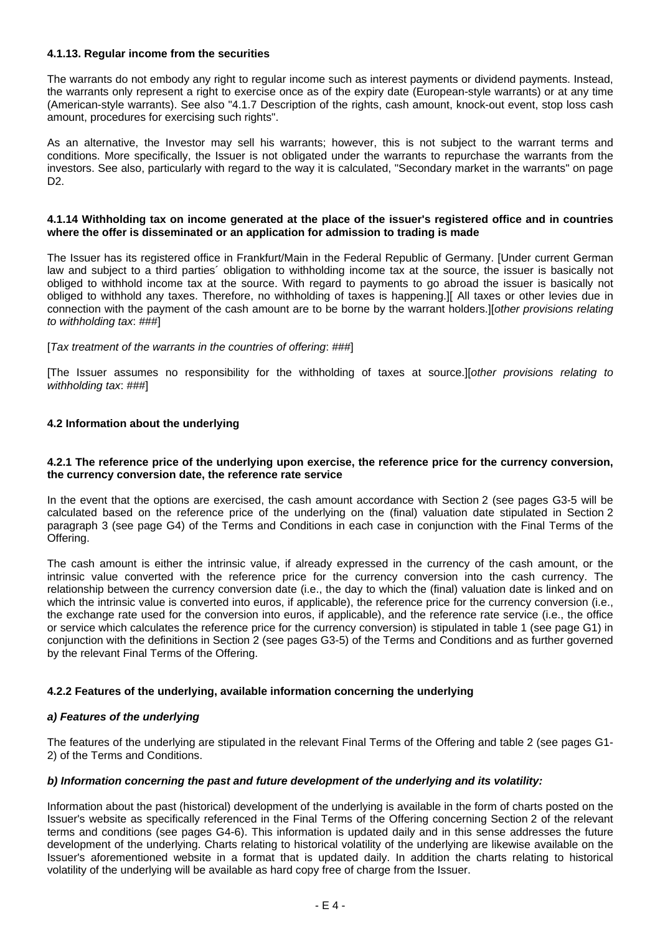# **4.1.13. Regular income from the securities**

The warrants do not embody any right to regular income such as interest payments or dividend payments. Instead, the warrants only represent a right to exercise once as of the expiry date (European-style warrants) or at any time (American-style warrants). See also "4.1.7 Description of the rights, cash amount, knock-out event, stop loss cash amount, procedures for exercising such rights".

As an alternative, the Investor may sell his warrants; however, this is not subject to the warrant terms and conditions. More specifically, the Issuer is not obligated under the warrants to repurchase the warrants from the investors. See also, particularly with regard to the way it is calculated, "Secondary market in the warrants" on page D<sub>2</sub>.

#### **4.1.14 Withholding tax on income generated at the place of the issuer's registered office and in countries where the offer is disseminated or an application for admission to trading is made**

The Issuer has its registered office in Frankfurt/Main in the Federal Republic of Germany. [Under current German law and subject to a third parties´ obligation to withholding income tax at the source, the issuer is basically not obliged to withhold income tax at the source. With regard to payments to go abroad the issuer is basically not obliged to withhold any taxes. Therefore, no withholding of taxes is happening.][ All taxes or other levies due in connection with the payment of the cash amount are to be borne by the warrant holders.][*other provisions relating to withholding tax*: ###]

## [*Tax treatment of the warrants in the countries of offering*: ###]

[The Issuer assumes no responsibility for the withholding of taxes at source.][*other provisions relating to withholding tax*: ###]

# **4.2 Information about the underlying**

#### **4.2.1 The reference price of the underlying upon exercise, the reference price for the currency conversion, the currency conversion date, the reference rate service**

In the event that the options are exercised, the cash amount accordance with Section 2 (see pages G3-5 will be calculated based on the reference price of the underlying on the (final) valuation date stipulated in Section 2 paragraph 3 (see page G4) of the Terms and Conditions in each case in conjunction with the Final Terms of the Offering.

The cash amount is either the intrinsic value, if already expressed in the currency of the cash amount, or the intrinsic value converted with the reference price for the currency conversion into the cash currency. The relationship between the currency conversion date (i.e., the day to which the (final) valuation date is linked and on which the intrinsic value is converted into euros, if applicable), the reference price for the currency conversion (i.e., the exchange rate used for the conversion into euros, if applicable), and the reference rate service (i.e., the office or service which calculates the reference price for the currency conversion) is stipulated in table 1 (see page G1) in conjunction with the definitions in Section 2 (see pages G3-5) of the Terms and Conditions and as further governed by the relevant Final Terms of the Offering.

# **4.2.2 Features of the underlying, available information concerning the underlying**

# *a) Features of the underlying*

The features of the underlying are stipulated in the relevant Final Terms of the Offering and table 2 (see pages G1- 2) of the Terms and Conditions.

#### *b) Information concerning the past and future development of the underlying and its volatility:*

Information about the past (historical) development of the underlying is available in the form of charts posted on the Issuer's website as specifically referenced in the Final Terms of the Offering concerning Section 2 of the relevant terms and conditions (see pages G4-6). This information is updated daily and in this sense addresses the future development of the underlying. Charts relating to historical volatility of the underlying are likewise available on the Issuer's aforementioned website in a format that is updated daily. In addition the charts relating to historical volatility of the underlying will be available as hard copy free of charge from the Issuer.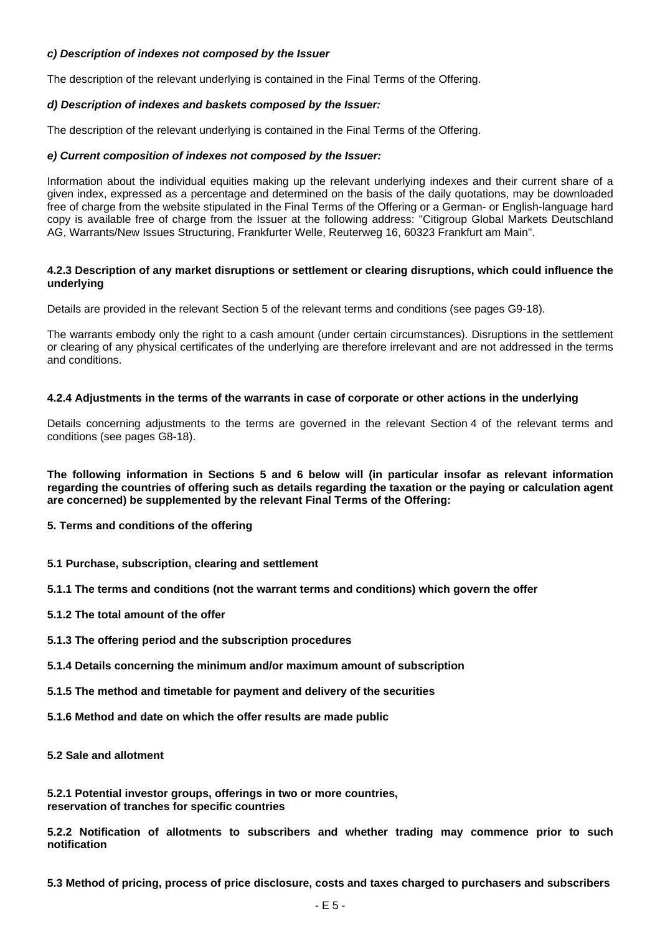# *c) Description of indexes not composed by the Issuer*

The description of the relevant underlying is contained in the Final Terms of the Offering.

## *d) Description of indexes and baskets composed by the Issuer:*

The description of the relevant underlying is contained in the Final Terms of the Offering.

# *e) Current composition of indexes not composed by the Issuer:*

Information about the individual equities making up the relevant underlying indexes and their current share of a given index, expressed as a percentage and determined on the basis of the daily quotations, may be downloaded free of charge from the website stipulated in the Final Terms of the Offering or a German- or English-language hard copy is available free of charge from the Issuer at the following address: "Citigroup Global Markets Deutschland AG, Warrants/New Issues Structuring, Frankfurter Welle, Reuterweg 16, 60323 Frankfurt am Main".

#### **4.2.3 Description of any market disruptions or settlement or clearing disruptions, which could influence the underlying**

Details are provided in the relevant Section 5 of the relevant terms and conditions (see pages G9-18).

The warrants embody only the right to a cash amount (under certain circumstances). Disruptions in the settlement or clearing of any physical certificates of the underlying are therefore irrelevant and are not addressed in the terms and conditions.

# **4.2.4 Adjustments in the terms of the warrants in case of corporate or other actions in the underlying**

Details concerning adjustments to the terms are governed in the relevant Section 4 of the relevant terms and conditions (see pages G8-18).

**The following information in Sections 5 and 6 below will (in particular insofar as relevant information regarding the countries of offering such as details regarding the taxation or the paying or calculation agent are concerned) be supplemented by the relevant Final Terms of the Offering:** 

**5. Terms and conditions of the offering** 

- **5.1 Purchase, subscription, clearing and settlement**
- **5.1.1 The terms and conditions (not the warrant terms and conditions) which govern the offer**
- **5.1.2 The total amount of the offer**
- **5.1.3 The offering period and the subscription procedures**
- **5.1.4 Details concerning the minimum and/or maximum amount of subscription**
- **5.1.5 The method and timetable for payment and delivery of the securities**
- **5.1.6 Method and date on which the offer results are made public**
- **5.2 Sale and allotment**

**5.2.1 Potential investor groups, offerings in two or more countries, reservation of tranches for specific countries** 

**5.2.2 Notification of allotments to subscribers and whether trading may commence prior to such notification** 

**5.3 Method of pricing, process of price disclosure, costs and taxes charged to purchasers and subscribers**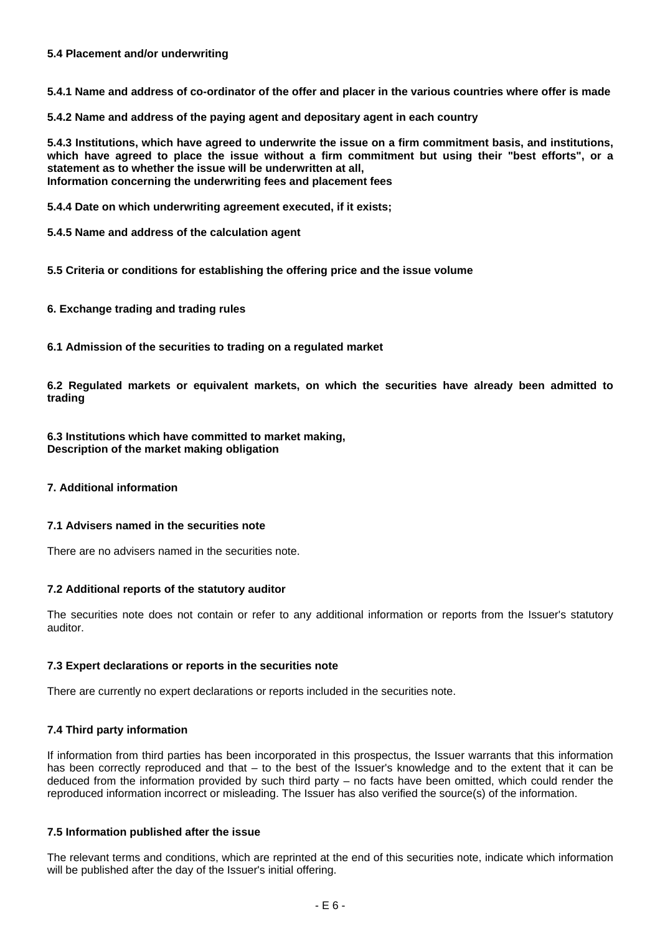#### **5.4 Placement and/or underwriting**

**5.4.1 Name and address of co-ordinator of the offer and placer in the various countries where offer is made** 

**5.4.2 Name and address of the paying agent and depositary agent in each country** 

**5.4.3 Institutions, which have agreed to underwrite the issue on a firm commitment basis, and institutions, which have agreed to place the issue without a firm commitment but using their "best efforts", or a statement as to whether the issue will be underwritten at all, Information concerning the underwriting fees and placement fees** 

**5.4.4 Date on which underwriting agreement executed, if it exists;** 

**5.4.5 Name and address of the calculation agent** 

**5.5 Criteria or conditions for establishing the offering price and the issue volume** 

**6. Exchange trading and trading rules** 

**6.1 Admission of the securities to trading on a regulated market** 

**6.2 Regulated markets or equivalent markets, on which the securities have already been admitted to trading** 

**6.3 Institutions which have committed to market making, Description of the market making obligation** 

#### **7. Additional information**

#### **7.1 Advisers named in the securities note**

There are no advisers named in the securities note.

# **7.2 Additional reports of the statutory auditor**

The securities note does not contain or refer to any additional information or reports from the Issuer's statutory auditor.

#### **7.3 Expert declarations or reports in the securities note**

There are currently no expert declarations or reports included in the securities note.

#### **7.4 Third party information**

If information from third parties has been incorporated in this prospectus, the Issuer warrants that this information has been correctly reproduced and that – to the best of the Issuer's knowledge and to the extent that it can be deduced from the information provided by such third party – no facts have been omitted, which could render the reproduced information incorrect or misleading. The Issuer has also verified the source(s) of the information.

#### **7.5 Information published after the issue**

The relevant terms and conditions, which are reprinted at the end of this securities note, indicate which information will be published after the day of the Issuer's initial offering.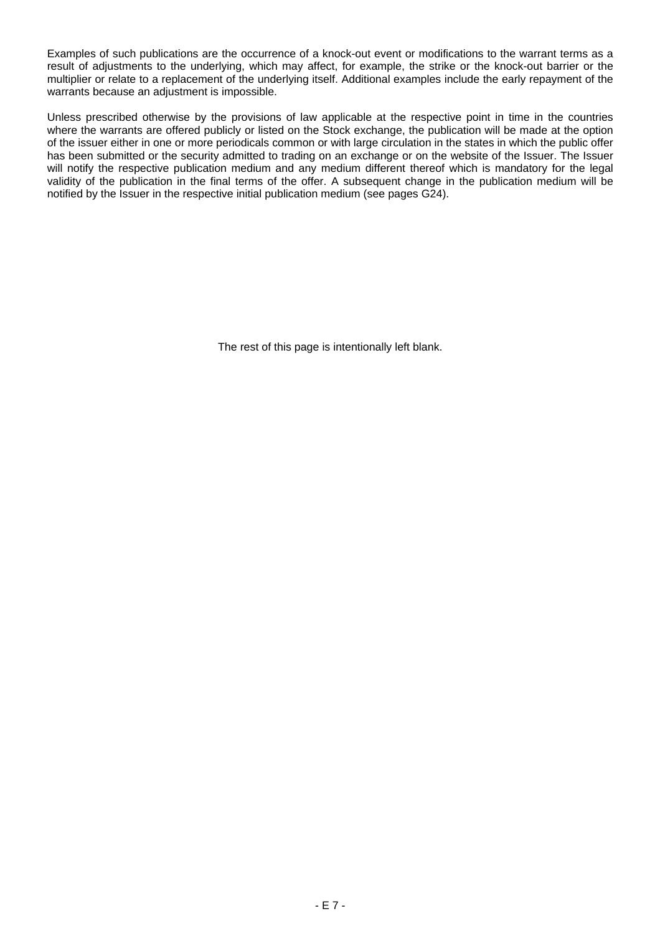Examples of such publications are the occurrence of a knock-out event or modifications to the warrant terms as a result of adjustments to the underlying, which may affect, for example, the strike or the knock-out barrier or the multiplier or relate to a replacement of the underlying itself. Additional examples include the early repayment of the warrants because an adjustment is impossible.

Unless prescribed otherwise by the provisions of law applicable at the respective point in time in the countries where the warrants are offered publicly or listed on the Stock exchange, the publication will be made at the option of the issuer either in one or more periodicals common or with large circulation in the states in which the public offer has been submitted or the security admitted to trading on an exchange or on the website of the Issuer. The Issuer will notify the respective publication medium and any medium different thereof which is mandatory for the legal validity of the publication in the final terms of the offer. A subsequent change in the publication medium will be notified by the Issuer in the respective initial publication medium (see pages G24).

The rest of this page is intentionally left blank.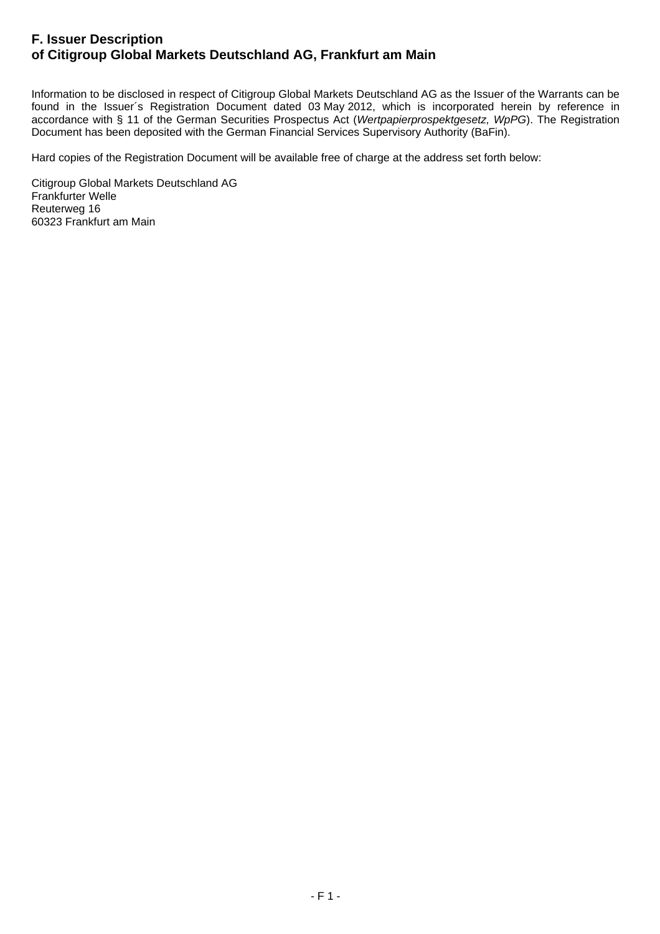# **F. Issuer Description of Citigroup Global Markets Deutschland AG, Frankfurt am Main**

Information to be disclosed in respect of Citigroup Global Markets Deutschland AG as the Issuer of the Warrants can be found in the Issuer´s Registration Document dated 03 May 2012, which is incorporated herein by reference in accordance with § 11 of the German Securities Prospectus Act (*Wertpapierprospektgesetz, WpPG*). The Registration Document has been deposited with the German Financial Services Supervisory Authority (BaFin).

Hard copies of the Registration Document will be available free of charge at the address set forth below:

Citigroup Global Markets Deutschland AG Frankfurter Welle Reuterweg 16 60323 Frankfurt am Main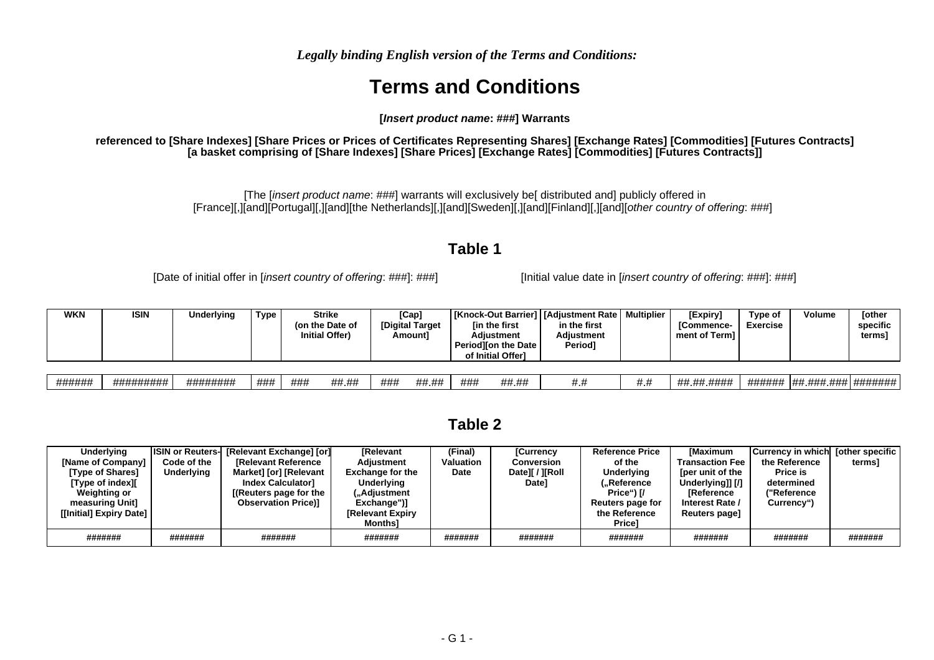*Legally binding English version of the Terms and Conditions:* 

# **Terms and Conditions**

**[***Insert product name***: ###] Warrants** 

**referenced to [Share Indexes] [Share Prices or Prices of Certificates Representing Shares] [Exchange Rates] [Commodities] [Futures Contracts] [a basket comprising of [Share Indexes] [Share Prices] [Exchange Rates] [Commodities] [Futures Contracts]]** 

> [The [*insert product name*: ###] warrants will exclusively be[ distributed and] publicly offered in [France][,][and][Portugal][,][and][the Netherlands][,][and][Sweden][,][and][Finland][,][and][*other country of offering*: ###]

# **Table 1**

[Date of initial offer in [*insert country of offering*: ###]: ###] [Initial value date in [*insert country of offering*: ###]: ###]

| <b>WKN</b> | <b>ISIN</b> | Underlying | Type | <b>Strike</b><br>(on the Date of<br>Initial Offer) |       |     | [Cap]<br>[Digital Target<br>Amount] | [Knock-Out Barrier]   [Adjustment Rate   Multiplier<br><b>Tin the first</b><br>Adjustment<br>Period][on the Date  <br>of Initial Offer1 |       | in the first<br><b>Adiustment</b><br><b>Period1</b> |     | [Expiry]<br><b>ICommence-</b><br>ment of Term1 | Type of<br><b>Exercise</b> | <b>Volume</b>      | <b>Tother</b><br>specific<br>termsl |
|------------|-------------|------------|------|----------------------------------------------------|-------|-----|-------------------------------------|-----------------------------------------------------------------------------------------------------------------------------------------|-------|-----------------------------------------------------|-----|------------------------------------------------|----------------------------|--------------------|-------------------------------------|
|            |             |            |      |                                                    |       |     |                                     |                                                                                                                                         |       |                                                     |     |                                                |                            |                    |                                     |
| ######     | #########   | ########   | ###  | ###                                                | ##.## | ### | ##.##                               | ###                                                                                                                                     | ##.## | #.#                                                 | #.# | ##.##.####                                     | ######                     | H#.###.### ####### |                                     |

# **Table 2**

| <b>Underlying</b>       |                   | <b>ISIN or Reuters- [Relevant Exchange] [or]</b> | <b>[Relevant</b>        | (Final)          | [Currency       | <b>Reference Price</b> | <b>Maximum</b>         | Currency in which [other specific] |         |
|-------------------------|-------------------|--------------------------------------------------|-------------------------|------------------|-----------------|------------------------|------------------------|------------------------------------|---------|
| [Name of Company]       | Code of the       | <b>IRelevant Reference</b>                       | Adiustment              | <b>Valuation</b> | Conversion      | of the                 | <b>Transaction Fee</b> | the Reference                      | terms]  |
| [Type of Shares]        | <b>Underlying</b> | Market] [or] [Relevant                           | <b>Exchange for the</b> | Date             | Date][ / ][Roll | Underlying             | [per unit of the       | Price is                           |         |
| [Type of index][        |                   | <b>Index Calculator]</b>                         | Underlying              |                  | Date1           | <b>Reference</b>       | Underlying]] [/]       | determined                         |         |
| Weighting or            |                   | [(Reuters page for the                           | ("Adjustment            |                  |                 | Price") [/             | <b>Reference</b>       | ("Reference                        |         |
| measuring Unit]         |                   | <b>Observation Price)]</b>                       | Exchange")]             |                  |                 | Reuters page for       | Interest Rate /        | Currency")                         |         |
| [[Initial] Expiry Date] |                   |                                                  | <b>Relevant Expiry</b>  |                  |                 | the Reference          | Reuters page]          |                                    |         |
|                         |                   |                                                  | <b>Months1</b>          |                  |                 | Pricel                 |                        |                                    |         |
| #######                 | #######           | #######                                          | #######                 | #######          | #######         | #######                | #######                | #######                            | ####### |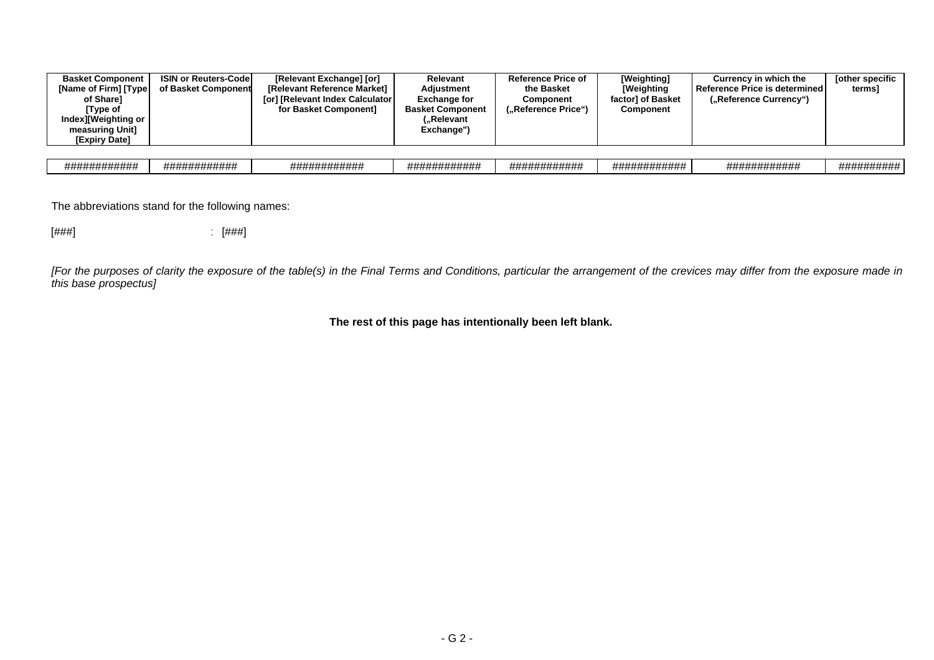| <b>Basket Component</b><br>[Name of Firm] [Type]<br>of Share]<br>[Type of<br>Index][Weighting or<br>measuring Unit]<br>[Expiry Date] | <b>ISIN or Reuters-Codel</b><br>of Basket Component | [Relevant Exchange] [or]<br>[Relevant Reference Market]<br>[or] [Relevant Index Calculator]<br>for Basket Component] | Relevant<br>Adjustment<br><b>Exchange for</b><br><b>Basket Component</b><br>("Relevant<br>Exchange") | <b>Reference Price of</b><br>the Basket<br>Component<br>"Reference Price") | [Weighting]<br>[Weighting<br>factor] of Basket<br>Component | Currency in which the<br>l Reference Price is determined l<br>("Reference Currency") | <b>Tother specific</b><br>terms] |
|--------------------------------------------------------------------------------------------------------------------------------------|-----------------------------------------------------|----------------------------------------------------------------------------------------------------------------------|------------------------------------------------------------------------------------------------------|----------------------------------------------------------------------------|-------------------------------------------------------------|--------------------------------------------------------------------------------------|----------------------------------|
|                                                                                                                                      |                                                     |                                                                                                                      |                                                                                                      |                                                                            |                                                             |                                                                                      |                                  |
| ############                                                                                                                         | ############                                        | ############                                                                                                         | ############                                                                                         | ############                                                               | ############                                                | ############                                                                         | ##########                       |

The abbreviations stand for the following names:

 $[$ ###]  $[$   $]$   $[$   $]$   $[$   $]$   $[$   $]$   $[$   $]$   $[$   $]$   $[$   $]$   $[$   $]$   $[$   $]$   $[$   $]$   $[$   $]$   $[$   $]$   $[$   $]$   $[$   $]$   $[$   $]$   $[$   $]$   $[$   $]$   $[$   $]$   $[$   $]$   $[$   $]$   $[$   $]$   $[$   $]$   $[$   $]$   $[$   $]$   $[$   $]$   $[$   $]$   $[$ 

*[For the purposes of clarity the exposure of the table(s) in the Final Terms and Conditions, particular the arrangement of the crevices may differ from the exposure made in this base prospectus]* 

**The rest of this page has intentionally been left blank.**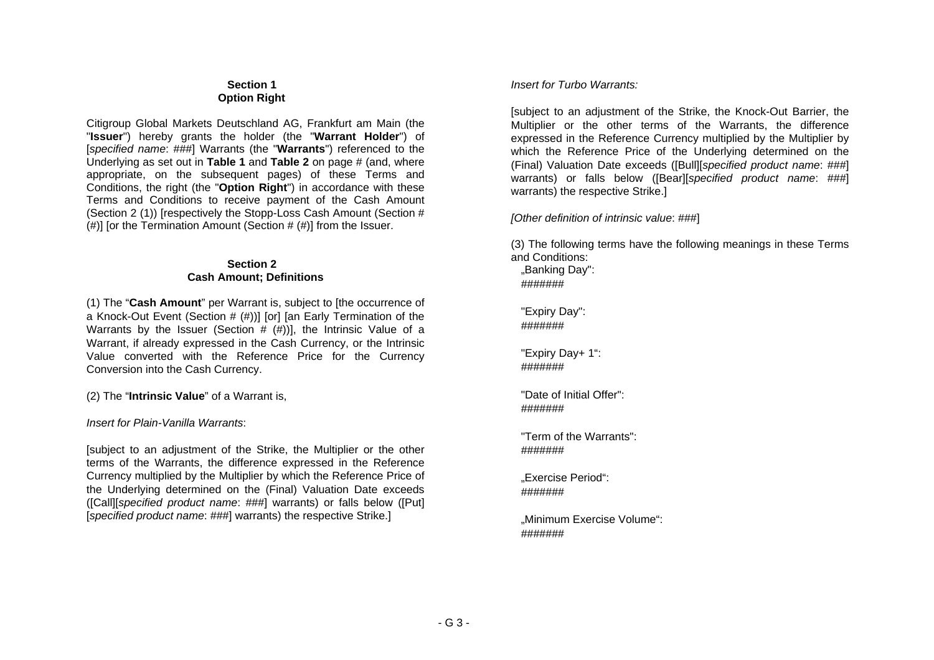# **Section 1 Option Right**

Citigroup Global Markets Deutschland AG, Frankfurt am Main (the "**Issuer**") hereby grants the holder (the "**Warrant Holder**") of [*specified name*: ###] Warrants (the "**Warrants**") referenced to the Underlying as set out in **Table 1** and **Table 2** on page # (and, where appropriate, on the subsequent pages) of these Terms and Conditions, the right (the "**Option Right**") in accordance with these Terms and Conditions to receive payment of the Cash Amount (Section 2 (1)) [respectively the Stopp-Loss Cash Amount (Section #  $(\#)$ ] [or the Termination Amount (Section  $\# (\#)$ ] from the Issuer.

# **Section 2 Cash Amount; Definitions**

(1) The "**Cash Amount**" per Warrant is, subject to [the occurrence of a Knock-Out Event (Section # (#))] [or] [an Early Termination of the Warrants by the Issuer (Section  $#$   $(\#))$ ], the Intrinsic Value of a Warrant, if already expressed in the Cash Currency, or the Intrinsic Value converted with the Reference Price for the Currency Conversion into the Cash Currency.

(2) The "**Intrinsic Value**" of a Warrant is,

*Insert for Plain-Vanilla Warrants*:

[subject to an adjustment of the Strike, the Multiplier or the other terms of the Warrants, the difference expressed in the Reference Currency multiplied by the Multiplier by which the Reference Price of the Underlying determined on the (Final) Valuation Date exceeds ([Call][*specified product name*: ###] warrants) or falls below ([Put] [*specified product name*: ###] warrants) the respective Strike.]

# *Insert for Turbo Warrants:*

[subject to an adjustment of the Strike, the Knock-Out Barrier, the Multiplier or the other terms of the Warrants, the difference expressed in the Reference Currency multiplied by the Multiplier by which the Reference Price of the Underlying determined on the (Final) Valuation Date exceeds ([Bull][*specified product name*: ###] warrants) or falls below ([Bear][*specified product name*: ###] warrants) the respective Strike.]

*[Other definition of intrinsic value*: ###]

(3) The following terms have the following meanings in these Terms and Conditions: "Banking Day":

#######

"Expiry Day": #######

"Expiry Day+ 1": #######

"Date of Initial Offer": #######

"Term of the Warrants": #######

"Exercise Period": #######

"Minimum Exercise Volume": #######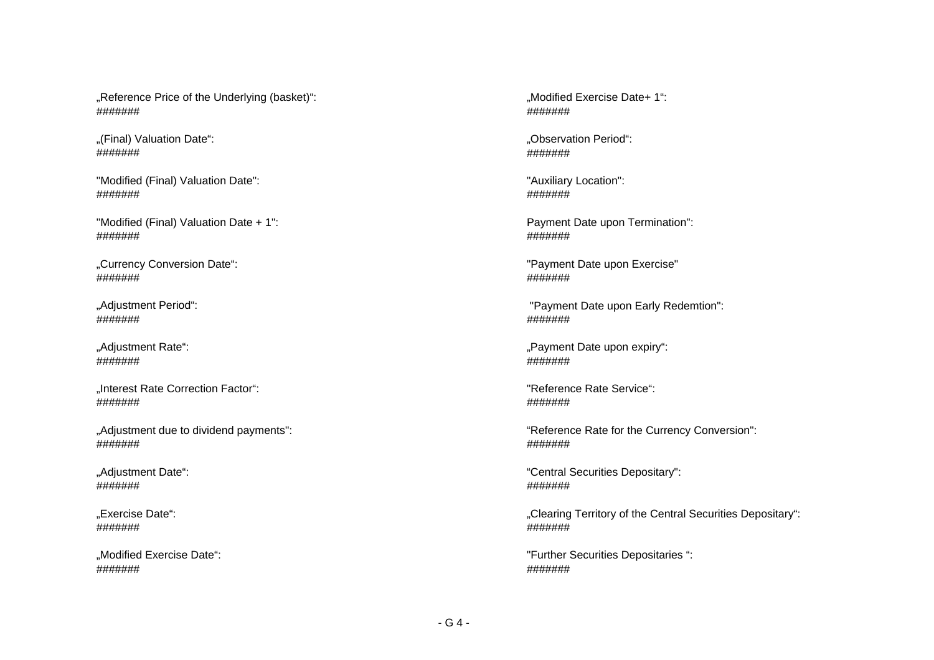"Reference Price of the Underlying (basket)": #######

"(Final) Valuation Date": #######

"Modified (Final) Valuation Date": #######

"Modified (Final) Valuation Date + 1": #######

"Currency Conversion Date": #######

"Adjustment Period": #######

"Adjustment Rate": #######

..Interest Rate Correction Factor": #######

"Adjustment due to dividend payments": #######

"Adjustment Date": #######

.Exercise Date": #######

"Modified Exercise Date": #######

"Modified Exercise Date+ 1": #######

"Observation Period": #######

"Auxiliary Location": #######

Payment Date upon Termination": #######

"Payment Date upon Exercise" #######

 "Payment Date upon Early Redemtion": #######

"Payment Date upon expiry": #######

"Reference Rate Service": #######

"Reference Rate for the Currency Conversion": #######

"Central Securities Depositary": #######

"Clearing Territory of the Central Securities Depositary": #######

"Further Securities Depositaries ": #######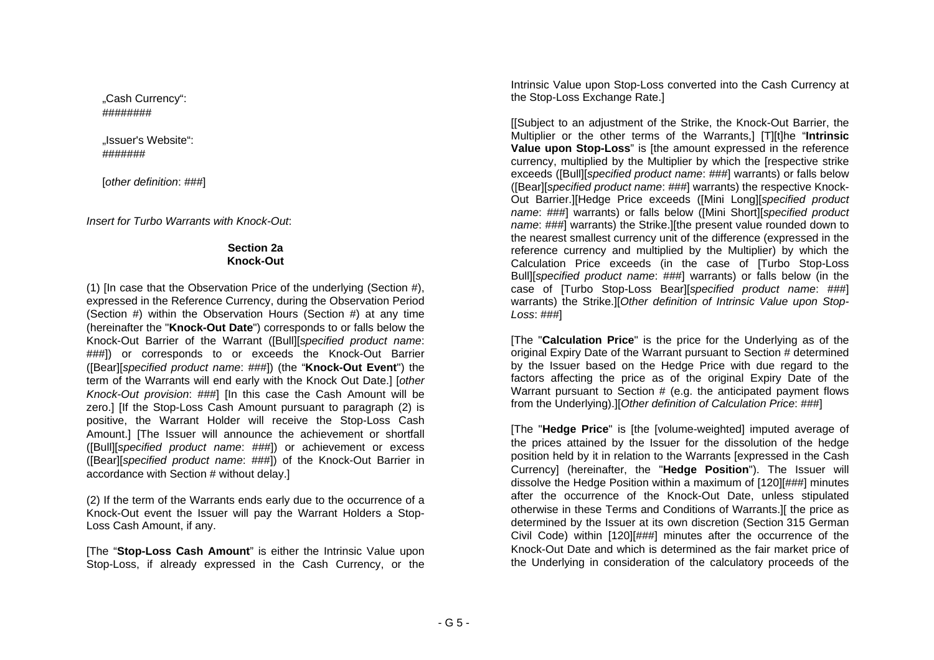"Cash Currency": ########

"Issuer's Website": #######

[*other definition*: ###]

*Insert for Turbo Warrants with Knock-Out*:

#### **Section 2a Knock-Out**

(1) [In case that the Observation Price of the underlying (Section #), expressed in the Reference Currency, during the Observation Period (Section #) within the Observation Hours (Section #) at any time (hereinafter the "**Knock-Out Date**") corresponds to or falls below the Knock-Out Barrier of the Warrant ([Bull][*specified product name*: ###]) or corresponds to or exceeds the Knock-Out Barrier ([Bear][*specified product name*: ###]) (the "**Knock-Out Event**") the term of the Warrants will end early with the Knock Out Date.] [*other Knock-Out provision*: ###] [In this case the Cash Amount will be zero.] [If the Stop-Loss Cash Amount pursuant to paragraph (2) is positive, the Warrant Holder will receive the Stop-Loss Cash Amount.] [The Issuer will announce the achievement or shortfall ([Bull][*specified product name*: ###]) or achievement or excess ([Bear][*specified product name*: ###]) of the Knock-Out Barrier in accordance with Section # without delay.]

(2) If the term of the Warrants ends early due to the occurrence of a Knock-Out event the Issuer will pay the Warrant Holders a Stop-Loss Cash Amount, if any.

[The "**Stop-Loss Cash Amount**" is either the Intrinsic Value upon Stop-Loss, if already expressed in the Cash Currency, or the Intrinsic Value upon Stop-Loss converted into the Cash Currency at the Stop-Loss Exchange Rate.]

[[Subject to an adjustment of the Strike, the Knock-Out Barrier, the Multiplier or the other terms of the Warrants,] [T][t]he "**Intrinsic Value upon Stop-Loss**" is [the amount expressed in the reference currency, multiplied by the Multiplier by which the [respective strike exceeds ([Bull][*specified product name*: ###] warrants) or falls below ([Bear][*specified product name*: ###] warrants) the respective Knock-Out Barrier.][Hedge Price exceeds ([Mini Long][*specified product name*: ###] warrants) or falls below ([Mini Short][*specified product name*: ###] warrants) the Strike.][the present value rounded down to the nearest smallest currency unit of the difference (expressed in the reference currency and multiplied by the Multiplier) by which the Calculation Price exceeds (in the case of [Turbo Stop-Loss Bull][*specified product name*: ###] warrants) or falls below (in the case of [Turbo Stop-Loss Bear][*specified product name*: ###] warrants) the Strike.][*Other definition of Intrinsic Value upon Stop-Loss*: ###]

[The "**Calculation Price**" is the price for the Underlying as of the original Expiry Date of the Warrant pursuant to Section # determined by the Issuer based on the Hedge Price with due regard to the factors affecting the price as of the original Expiry Date of the Warrant pursuant to Section # (e.g. the anticipated payment flows from the Underlying).][*Other definition of Calculation Price*: ###]

[The "**Hedge Price**" is [the [volume-weighted] imputed average of the prices attained by the Issuer for the dissolution of the hedge position held by it in relation to the Warrants [expressed in the Cash Currency] (hereinafter, the "**Hedge Position**"). The Issuer will dissolve the Hedge Position within a maximum of [120][###] minutes after the occurrence of the Knock-Out Date, unless stipulated otherwise in these Terms and Conditions of Warrants.][ the price as determined by the Issuer at its own discretion (Section 315 German Civil Code) within [120][###] minutes after the occurrence of the Knock-Out Date and which is determined as the fair market price of the Underlying in consideration of the calculatory proceeds of the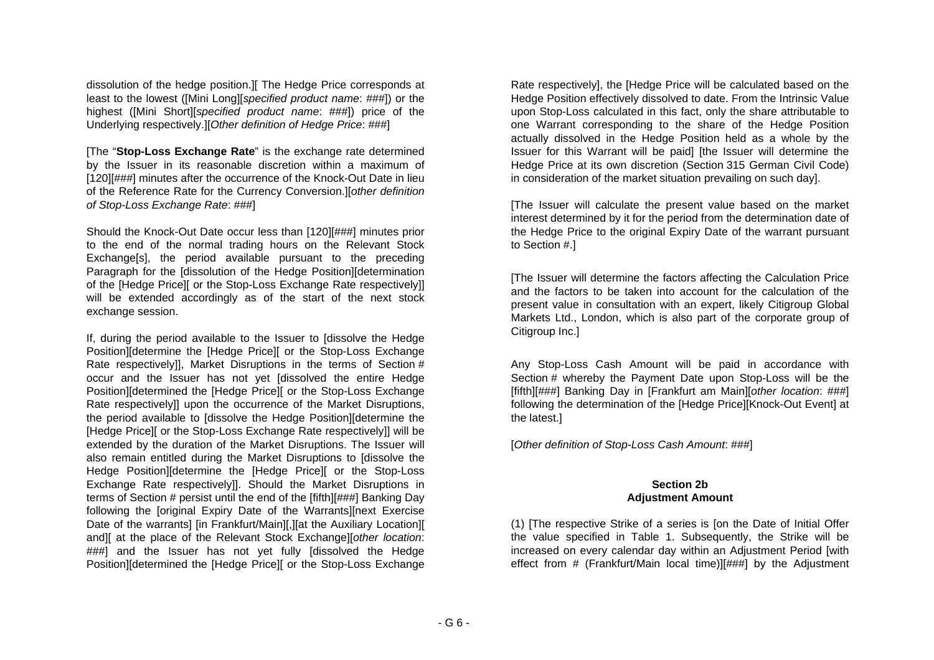dissolution of the hedge position.][ The Hedge Price corresponds at least to the lowest ([Mini Long][*specified product name*: ###]) or the highest ([Mini Short][*specified product name*: ###]) price of the Underlying respectively.][*Other definition of Hedge Price*: ###]

[The "**Stop-Loss Exchange Rate**" is the exchange rate determined by the Issuer in its reasonable discretion within a maximum of [120][###] minutes after the occurrence of the Knock-Out Date in lieu of the Reference Rate for the Currency Conversion.][*other definition of Stop-Loss Exchange Rate*: ###]

Should the Knock-Out Date occur less than [120][###] minutes prior to the end of the normal trading hours on the Relevant Stock Exchange [s], the period available pursuant to the preceding Paragraph for the [dissolution of the Hedge Position][determination of the [Hedge Price][ or the Stop-Loss Exchange Rate respectively]] will be extended accordingly as of the start of the next stock exchange session.

If, during the period available to the Issuer to [dissolve the Hedge Position][determine the [Hedge Price][ or the Stop-Loss Exchange Rate respectively]], Market Disruptions in the terms of Section # occur and the Issuer has not yet [dissolved the entire Hedge Position][determined the [Hedge Price][ or the Stop-Loss Exchange Rate respectively]] upon the occurrence of the Market Disruptions, the period available to [dissolve the Hedge Position][determine the [Hedge Price][ or the Stop-Loss Exchange Rate respectively]] will be extended by the duration of the Market Disruptions. The Issuer will also remain entitled during the Market Disruptions to [dissolve the Hedge Position][determine the [Hedge Price][ or the Stop-Loss Exchange Rate respectively]]. Should the Market Disruptions in terms of Section # persist until the end of the [fifth][###] Banking Day following the [original Expiry Date of the Warrants][next Exercise Date of the warrants] [in Frankfurt/Main][,][at the Auxiliary Location][ and][ at the place of the Relevant Stock Exchange][*other location*: ###] and the Issuer has not yet fully [dissolved the Hedge Position][determined the [Hedge Price][ or the Stop-Loss Exchange Rate respectively], the [Hedge Price will be calculated based on the Hedge Position effectively dissolved to date. From the Intrinsic Value upon Stop-Loss calculated in this fact, only the share attributable to one Warrant corresponding to the share of the Hedge Position actually dissolved in the Hedge Position held as a whole by the Issuer for this Warrant will be paid] [the Issuer will determine the Hedge Price at its own discretion (Section 315 German Civil Code) in consideration of the market situation prevailing on such day].

[The Issuer will calculate the present value based on the market interest determined by it for the period from the determination date of the Hedge Price to the original Expiry Date of the warrant pursuant to Section #.]

[The Issuer will determine the factors affecting the Calculation Price and the factors to be taken into account for the calculation of the present value in consultation with an expert, likely Citigroup Global Markets Ltd., London, which is also part of the corporate group of Citigroup Inc.]

Any Stop-Loss Cash Amount will be paid in accordance with Section # whereby the Payment Date upon Stop-Loss will be the [fifth][###] Banking Day in [Frankfurt am Main][*other location*: ###] following the determination of the [Hedge Price][Knock-Out Event] at the latest.]

[*Other definition of Stop-Loss Cash Amount*: ###]

## **Section 2b Adjustment Amount**

(1) [The respective Strike of a series is [on the Date of Initial Offer the value specified in Table 1. Subsequently, the Strike will be increased on every calendar day within an Adjustment Period [with effect from # (Frankfurt/Main local time)][###] by the Adjustment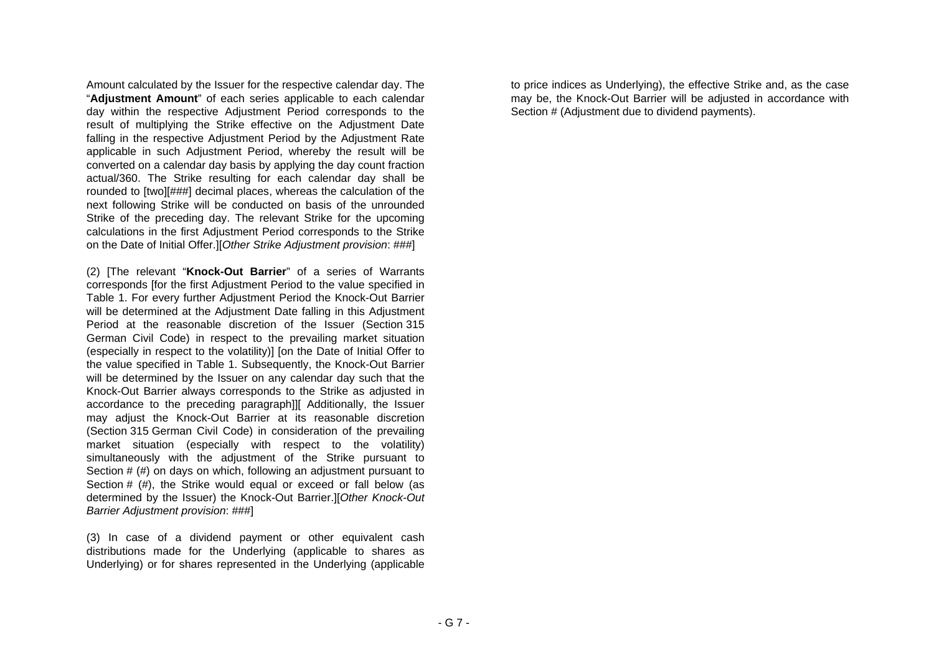Amount calculated by the Issuer for the respective calendar day. The "**Adjustment Amount**" of each series applicable to each calendar day within the respective Adjustment Period corresponds to the result of multiplying the Strike effective on the Adjustment Date falling in the respective Adjustment Period by the Adjustment Rate applicable in such Adjustment Period, whereby the result will be converted on a calendar day basis by applying the day count fraction actual/360. The Strike resulting for each calendar day shall be rounded to [two][###] decimal places, whereas the calculation of the next following Strike will be conducted on basis of the unrounded Strike of the preceding day. The relevant Strike for the upcoming calculations in the first Adjustment Period corresponds to the Strike on the Date of Initial Offer.][*Other Strike Adjustment provision*: ###]

(2) [The relevant "**Knock-Out Barrier**" of a series of Warrants corresponds [for the first Adjustment Period to the value specified in Table 1. For every further Adjustment Period the Knock-Out Barrier will be determined at the Adjustment Date falling in this Adjustment Period at the reasonable discretion of the Issuer (Section 315 German Civil Code) in respect to the prevailing market situation (especially in respect to the volatility)] [on the Date of Initial Offer to the value specified in Table 1. Subsequently, the Knock-Out Barrier will be determined by the Issuer on any calendar day such that the Knock-Out Barrier always corresponds to the Strike as adjusted in accordance to the preceding paragraph]][ Additionally, the Issuer may adjust the Knock-Out Barrier at its reasonable discretion (Section 315 German Civil Code) in consideration of the prevailing market situation (especially with respect to the volatility) simultaneously with the adjustment of the Strike pursuant to Section # (#) on days on which, following an adjustment pursuant to Section # (#), the Strike would equal or exceed or fall below (as determined by the Issuer) the Knock-Out Barrier.][*Other Knock-Out Barrier Adjustment provision*: ###]

(3) In case of a dividend payment or other equivalent cash distributions made for the Underlying (applicable to shares as Underlying) or for shares represented in the Underlying (applicable to price indices as Underlying), the effective Strike and, as the case may be, the Knock-Out Barrier will be adjusted in accordance with Section # (Adjustment due to dividend payments).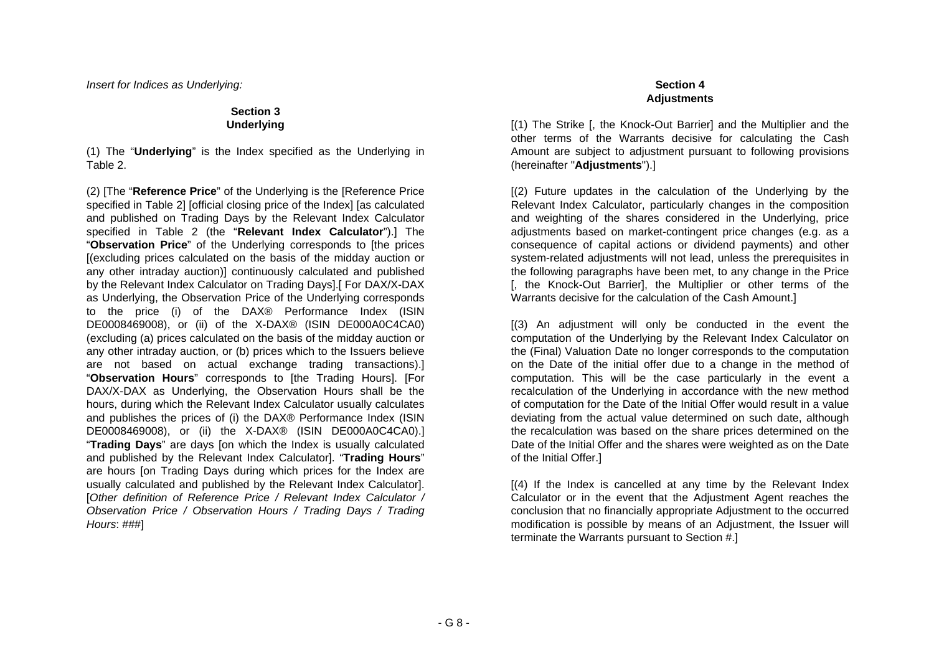*Insert for Indices as Underlying:* 

#### **Section 3 Underlying**

(1) The "**Underlying**" is the Index specified as the Underlying in Table 2.

(2) [The "**Reference Price**" of the Underlying is the [Reference Price specified in Table 2] [official closing price of the Index] [as calculated and published on Trading Days by the Relevant Index Calculator specified in Table 2 (the "**Relevant Index Calculator**").] The "**Observation Price**" of the Underlying corresponds to [the prices [(excluding prices calculated on the basis of the midday auction or any other intraday auction)] continuously calculated and published by the Relevant Index Calculator on Trading Days].[ For DAX/X-DAX as Underlying, the Observation Price of the Underlying corresponds to the price (i) of the DAX® Performance Index (ISIN DE0008469008), or (ii) of the X-DAX® (ISIN DE000A0C4CA0) (excluding (a) prices calculated on the basis of the midday auction or any other intraday auction, or (b) prices which to the Issuers believe are not based on actual exchange trading transactions).] "**Observation Hours**" corresponds to [the Trading Hours]. [For DAX/X-DAX as Underlying, the Observation Hours shall be the hours, during which the Relevant Index Calculator usually calculates and publishes the prices of (i) the DAX® Performance Index (ISIN DE0008469008), or (ii) the X-DAX® (ISIN DE000A0C4CA0).] "**Trading Days**" are days [on which the Index is usually calculated and published by the Relevant Index Calculator]. "**Trading Hours**" are hours [on Trading Days during which prices for the Index are usually calculated and published by the Relevant Index Calculator]. [*Other definition of Reference Price / Relevant Index Calculator / Observation Price / Observation Hours / Trading Days / Trading Hours*: ###]

# **Section 4 Adjustments**

[(1) The Strike [, the Knock-Out Barrier] and the Multiplier and the other terms of the Warrants decisive for calculating the Cash Amount are subject to adjustment pursuant to following provisions (hereinafter "**Adjustments**").]

[(2) Future updates in the calculation of the Underlying by the Relevant Index Calculator, particularly changes in the composition and weighting of the shares considered in the Underlying, price adjustments based on market-contingent price changes (e.g. as a consequence of capital actions or dividend payments) and other system-related adjustments will not lead, unless the prerequisites in the following paragraphs have been met, to any change in the Price [, the Knock-Out Barrier], the Multiplier or other terms of the Warrants decisive for the calculation of the Cash Amount.]

[(3) An adjustment will only be conducted in the event the computation of the Underlying by the Relevant Index Calculator on the (Final) Valuation Date no longer corresponds to the computation on the Date of the initial offer due to a change in the method of computation. This will be the case particularly in the event a recalculation of the Underlying in accordance with the new method of computation for the Date of the Initial Offer would result in a value deviating from the actual value determined on such date, although the recalculation was based on the share prices determined on the Date of the Initial Offer and the shares were weighted as on the Date of the Initial Offer.]

 $[(4)$  If the Index is cancelled at any time by the Relevant Index Calculator or in the event that the Adjustment Agent reaches the conclusion that no financially appropriate Adjustment to the occurred modification is possible by means of an Adjustment, the Issuer will terminate the Warrants pursuant to Section #.]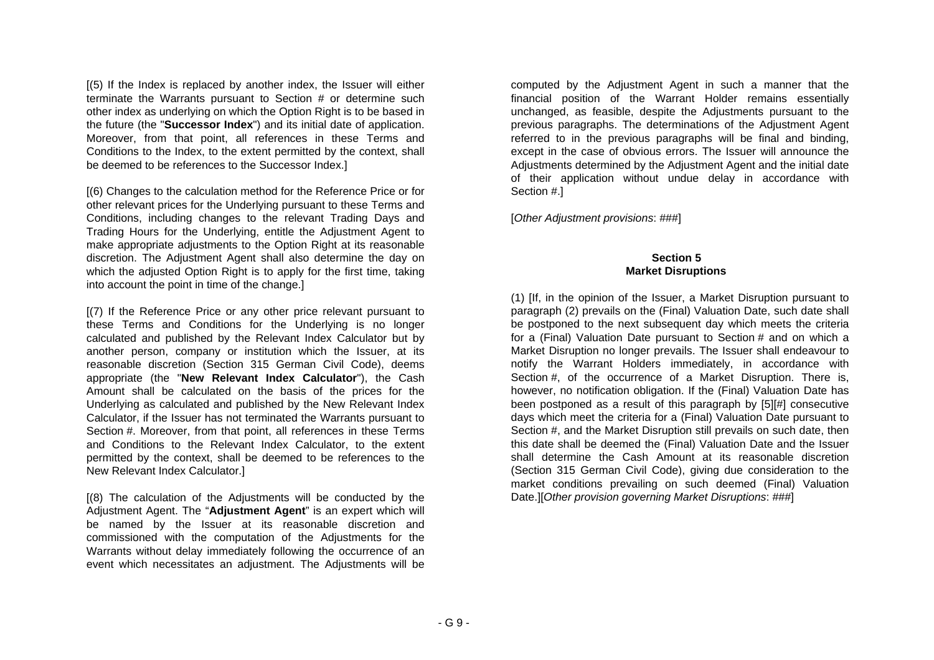[(5) If the Index is replaced by another index, the Issuer will either terminate the Warrants pursuant to Section # or determine such other index as underlying on which the Option Right is to be based in the future (the "**Successor Index**") and its initial date of application. Moreover, from that point, all references in these Terms and Conditions to the Index, to the extent permitted by the context, shall be deemed to be references to the Successor Index.]

[(6) Changes to the calculation method for the Reference Price or for other relevant prices for the Underlying pursuant to these Terms and Conditions, including changes to the relevant Trading Days and Trading Hours for the Underlying, entitle the Adjustment Agent to make appropriate adjustments to the Option Right at its reasonable discretion. The Adjustment Agent shall also determine the day on which the adjusted Option Right is to apply for the first time, taking into account the point in time of the change.]

[(7) If the Reference Price or any other price relevant pursuant to these Terms and Conditions for the Underlying is no longer calculated and published by the Relevant Index Calculator but by another person, company or institution which the Issuer, at its reasonable discretion (Section 315 German Civil Code), deems appropriate (the "**New Relevant Index Calculator**"), the Cash Amount shall be calculated on the basis of the prices for the Underlying as calculated and published by the New Relevant Index Calculator, if the Issuer has not terminated the Warrants pursuant to Section #. Moreover, from that point, all references in these Terms and Conditions to the Relevant Index Calculator, to the extent permitted by the context, shall be deemed to be references to the New Relevant Index Calculator.]

[(8) The calculation of the Adjustments will be conducted by the Adjustment Agent. The "**Adjustment Agent**" is an expert which will be named by the Issuer at its reasonable discretion and commissioned with the computation of the Adjustments for the Warrants without delay immediately following the occurrence of an event which necessitates an adjustment. The Adjustments will be

computed by the Adjustment Agent in such a manner that the financial position of the Warrant Holder remains essentially unchanged, as feasible, despite the Adjustments pursuant to the previous paragraphs. The determinations of the Adjustment Agent referred to in the previous paragraphs will be final and binding, except in the case of obvious errors. The Issuer will announce the Adjustments determined by the Adjustment Agent and the initial date of their application without undue delay in accordance with Section #.]

[*Other Adjustment provisions*: ###]

## **Section 5 Market Disruptions**

(1) [If, in the opinion of the Issuer, a Market Disruption pursuant to paragraph (2) prevails on the (Final) Valuation Date, such date shall be postponed to the next subsequent day which meets the criteria for a (Final) Valuation Date pursuant to Section # and on which a Market Disruption no longer prevails. The Issuer shall endeavour to notify the Warrant Holders immediately, in accordance with Section #, of the occurrence of a Market Disruption. There is, however, no notification obligation. If the (Final) Valuation Date has been postponed as a result of this paragraph by [5][#] consecutive days which meet the criteria for a (Final) Valuation Date pursuant to Section #, and the Market Disruption still prevails on such date, then this date shall be deemed the (Final) Valuation Date and the Issuer shall determine the Cash Amount at its reasonable discretion (Section 315 German Civil Code), giving due consideration to the market conditions prevailing on such deemed (Final) Valuation Date.][*Other provision governing Market Disruptions*: ###]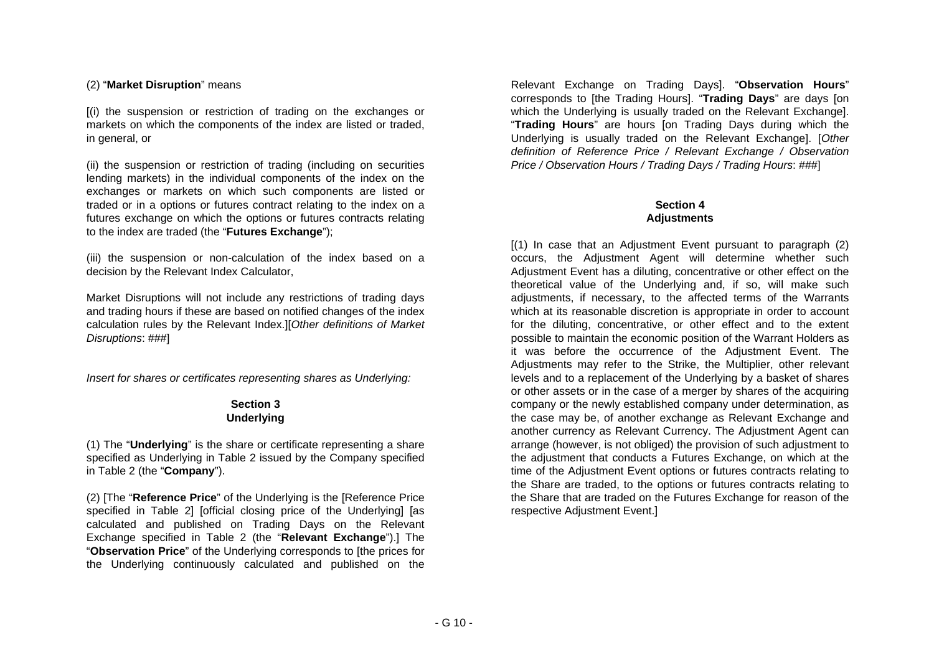# (2) "**Market Disruption**" means

[(i) the suspension or restriction of trading on the exchanges or markets on which the components of the index are listed or traded, in general, or

(ii) the suspension or restriction of trading (including on securities lending markets) in the individual components of the index on the exchanges or markets on which such components are listed or traded or in a options or futures contract relating to the index on a futures exchange on which the options or futures contracts relating to the index are traded (the "**Futures Exchange**");

(iii) the suspension or non-calculation of the index based on a decision by the Relevant Index Calculator,

Market Disruptions will not include any restrictions of trading days and trading hours if these are based on notified changes of the index calculation rules by the Relevant Index.][*Other definitions of Market Disruptions*: ###]

*Insert for shares or certificates representing shares as Underlying:* 

## **Section 3 Underlying**

(1) The "**Underlying**" is the share or certificate representing a share specified as Underlying in Table 2 issued by the Company specified in Table 2 (the "**Company**").

(2) [The "**Reference Price**" of the Underlying is the [Reference Price specified in Table 2] [official closing price of the Underlying] [as calculated and published on Trading Days on the Relevant Exchange specified in Table 2 (the "**Relevant Exchange**").] The "**Observation Price**" of the Underlying corresponds to [the prices for the Underlying continuously calculated and published on the

Relevant Exchange on Trading Days]. "**Observation Hours**" corresponds to [the Trading Hours]. "**Trading Days**" are days [on which the Underlying is usually traded on the Relevant Exchange]. "**Trading Hours**" are hours [on Trading Days during which the Underlying is usually traded on the Relevant Exchange]. [*Other definition of Reference Price / Relevant Exchange / Observation Price / Observation Hours / Trading Days / Trading Hours*: ###]

#### **Section 4 Adjustments**

[(1) In case that an Adjustment Event pursuant to paragraph (2) occurs, the Adjustment Agent will determine whether such Adjustment Event has a diluting, concentrative or other effect on the theoretical value of the Underlying and, if so, will make such adjustments, if necessary, to the affected terms of the Warrants which at its reasonable discretion is appropriate in order to account for the diluting, concentrative, or other effect and to the extent possible to maintain the economic position of the Warrant Holders as it was before the occurrence of the Adjustment Event. The Adjustments may refer to the Strike, the Multiplier, other relevant levels and to a replacement of the Underlying by a basket of shares or other assets or in the case of a merger by shares of the acquiring company or the newly established company under determination, as the case may be, of another exchange as Relevant Exchange and another currency as Relevant Currency. The Adjustment Agent can arrange (however, is not obliged) the provision of such adjustment to the adjustment that conducts a Futures Exchange, on which at the time of the Adjustment Event options or futures contracts relating to the Share are traded, to the options or futures contracts relating to the Share that are traded on the Futures Exchange for reason of the respective Adjustment Event.]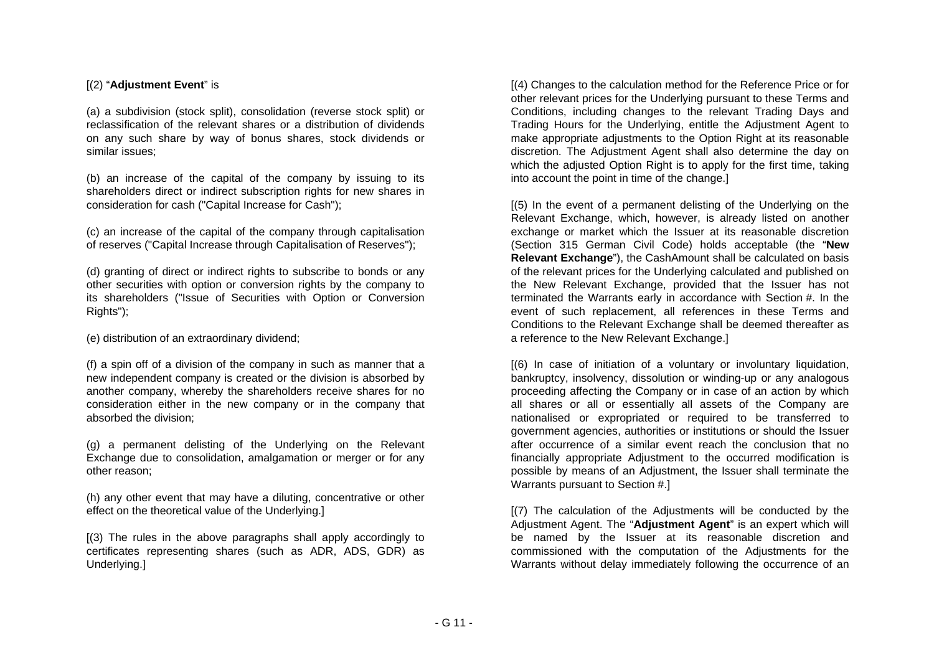# [(2) "**Adjustment Event**" is

(a) a subdivision (stock split), consolidation (reverse stock split) or reclassification of the relevant shares or a distribution of dividends on any such share by way of bonus shares, stock dividends or similar issues;

(b) an increase of the capital of the company by issuing to its shareholders direct or indirect subscription rights for new shares in consideration for cash ("Capital Increase for Cash");

(c) an increase of the capital of the company through capitalisation of reserves ("Capital Increase through Capitalisation of Reserves");

(d) granting of direct or indirect rights to subscribe to bonds or any other securities with option or conversion rights by the company to its shareholders ("Issue of Securities with Option or Conversion Rights");

(e) distribution of an extraordinary dividend;

(f) a spin off of a division of the company in such as manner that a new independent company is created or the division is absorbed by another company, whereby the shareholders receive shares for no consideration either in the new company or in the company that absorbed the division;

(g) a permanent delisting of the Underlying on the Relevant Exchange due to consolidation, amalgamation or merger or for any other reason;

(h) any other event that may have a diluting, concentrative or other effect on the theoretical value of the Underlying.]

[(3) The rules in the above paragraphs shall apply accordingly to certificates representing shares (such as ADR, ADS, GDR) as Underlying.]

[(4) Changes to the calculation method for the Reference Price or for other relevant prices for the Underlying pursuant to these Terms and Conditions, including changes to the relevant Trading Days and Trading Hours for the Underlying, entitle the Adjustment Agent to make appropriate adjustments to the Option Right at its reasonable discretion. The Adjustment Agent shall also determine the day on which the adjusted Option Right is to apply for the first time, taking into account the point in time of the change.]

[(5) In the event of a permanent delisting of the Underlying on the Relevant Exchange, which, however, is already listed on another exchange or market which the Issuer at its reasonable discretion (Section 315 German Civil Code) holds acceptable (the "**New Relevant Exchange**"), the CashAmount shall be calculated on basis of the relevant prices for the Underlying calculated and published on the New Relevant Exchange, provided that the Issuer has not terminated the Warrants early in accordance with Section #. In the event of such replacement, all references in these Terms and Conditions to the Relevant Exchange shall be deemed thereafter as a reference to the New Relevant Exchange.]

[(6) In case of initiation of a voluntary or involuntary liquidation, bankruptcy, insolvency, dissolution or winding-up or any analogous proceeding affecting the Company or in case of an action by which all shares or all or essentially all assets of the Company are nationalised or expropriated or required to be transferred to government agencies, authorities or institutions or should the Issuer after occurrence of a similar event reach the conclusion that no financially appropriate Adjustment to the occurred modification is possible by means of an Adjustment, the Issuer shall terminate the Warrants pursuant to Section #.]

[(7) The calculation of the Adjustments will be conducted by the Adjustment Agent. The "**Adjustment Agent**" is an expert which will be named by the Issuer at its reasonable discretion and commissioned with the computation of the Adjustments for the Warrants without delay immediately following the occurrence of an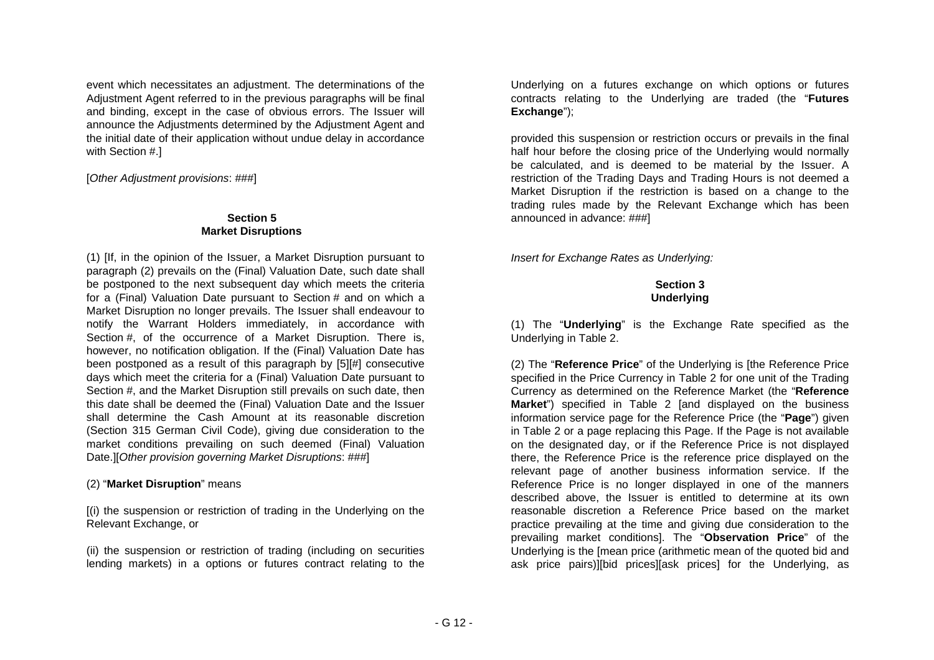event which necessitates an adjustment. The determinations of the Adjustment Agent referred to in the previous paragraphs will be final and binding, except in the case of obvious errors. The Issuer will announce the Adjustments determined by the Adjustment Agent and the initial date of their application without undue delay in accordance with Section #.]

[*Other Adjustment provisions*: ###]

# **Section 5 Market Disruptions**

(1) [If, in the opinion of the Issuer, a Market Disruption pursuant to paragraph (2) prevails on the (Final) Valuation Date, such date shall be postponed to the next subsequent day which meets the criteria for a (Final) Valuation Date pursuant to Section # and on which a Market Disruption no longer prevails. The Issuer shall endeavour to notify the Warrant Holders immediately, in accordance with Section #, of the occurrence of a Market Disruption. There is, however, no notification obligation. If the (Final) Valuation Date has been postponed as a result of this paragraph by [5][#] consecutive days which meet the criteria for a (Final) Valuation Date pursuant to Section #, and the Market Disruption still prevails on such date, then this date shall be deemed the (Final) Valuation Date and the Issuer shall determine the Cash Amount at its reasonable discretion (Section 315 German Civil Code), giving due consideration to the market conditions prevailing on such deemed (Final) Valuation Date.][*Other provision governing Market Disruptions*: ###]

# (2) "**Market Disruption**" means

[(i) the suspension or restriction of trading in the Underlying on the Relevant Exchange, or

(ii) the suspension or restriction of trading (including on securities lending markets) in a options or futures contract relating to the Underlying on a futures exchange on which options or futures contracts relating to the Underlying are traded (the "**Futures Exchange**");

provided this suspension or restriction occurs or prevails in the final half hour before the closing price of the Underlying would normally be calculated, and is deemed to be material by the Issuer. A restriction of the Trading Days and Trading Hours is not deemed a Market Disruption if the restriction is based on a change to the trading rules made by the Relevant Exchange which has been announced in advance: ###]

*Insert for Exchange Rates as Underlying:* 

# **Section 3 Underlying**

(1) The "**Underlying**" is the Exchange Rate specified as the Underlying in Table 2.

(2) The "**Reference Price**" of the Underlying is [the Reference Price specified in the Price Currency in Table 2 for one unit of the Trading Currency as determined on the Reference Market (the "**Reference Market**") specified in Table 2 [and displayed on the business information service page for the Reference Price (the "**Page**") given in Table 2 or a page replacing this Page. If the Page is not available on the designated day, or if the Reference Price is not displayed there, the Reference Price is the reference price displayed on the relevant page of another business information service. If the Reference Price is no longer displayed in one of the manners described above, the Issuer is entitled to determine at its own reasonable discretion a Reference Price based on the market practice prevailing at the time and giving due consideration to the prevailing market conditions]. The "**Observation Price**" of the Underlying is the [mean price (arithmetic mean of the quoted bid and ask price pairs)][bid prices][ask prices] for the Underlying, as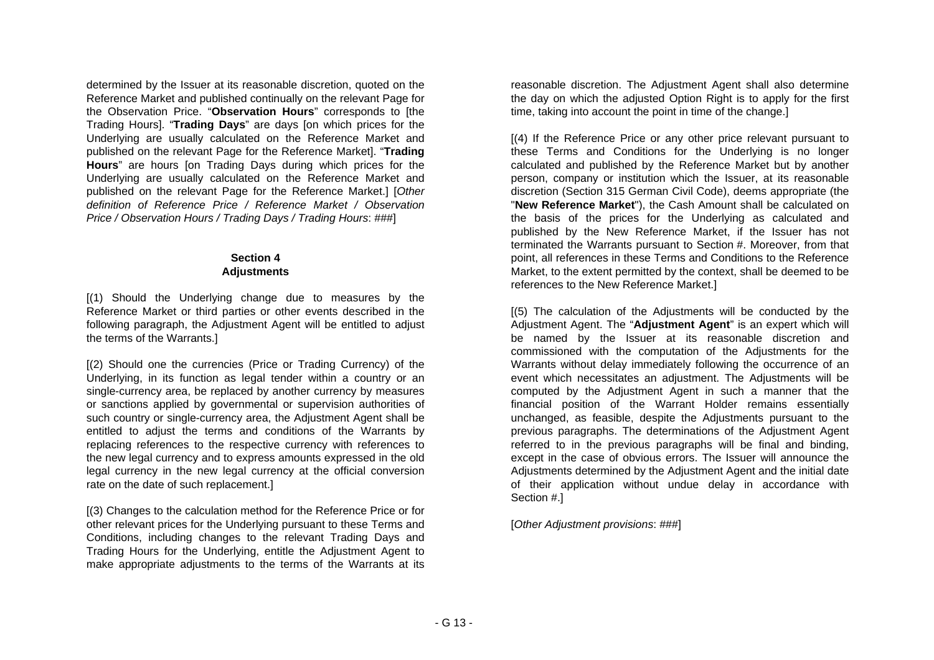determined by the Issuer at its reasonable discretion, quoted on the Reference Market and published continually on the relevant Page for the Observation Price. "**Observation Hours**" corresponds to [the Trading Hours]. "**Trading Days**" are days [on which prices for the Underlying are usually calculated on the Reference Market and published on the relevant Page for the Reference Market]. "**Trading Hours**" are hours [on Trading Days during which prices for the Underlying are usually calculated on the Reference Market and published on the relevant Page for the Reference Market.] [*Other definition of Reference Price / Reference Market / Observation Price / Observation Hours / Trading Days / Trading Hours*: ###]

# **Section 4 Adjustments**

[(1) Should the Underlying change due to measures by the Reference Market or third parties or other events described in the following paragraph, the Adjustment Agent will be entitled to adjust the terms of the Warrants.]

[(2) Should one the currencies (Price or Trading Currency) of the Underlying, in its function as legal tender within a country or an single-currency area, be replaced by another currency by measures or sanctions applied by governmental or supervision authorities of such country or single-currency area, the Adjustment Agent shall be entitled to adjust the terms and conditions of the Warrants by replacing references to the respective currency with references to the new legal currency and to express amounts expressed in the old legal currency in the new legal currency at the official conversion rate on the date of such replacement.]

[(3) Changes to the calculation method for the Reference Price or for other relevant prices for the Underlying pursuant to these Terms and Conditions, including changes to the relevant Trading Days and Trading Hours for the Underlying, entitle the Adjustment Agent to make appropriate adjustments to the terms of the Warrants at its

reasonable discretion. The Adjustment Agent shall also determine the day on which the adjusted Option Right is to apply for the first time, taking into account the point in time of the change.]

[(4) If the Reference Price or any other price relevant pursuant to these Terms and Conditions for the Underlying is no longer calculated and published by the Reference Market but by another person, company or institution which the Issuer, at its reasonable discretion (Section 315 German Civil Code), deems appropriate (the "**New Reference Market**"), the Cash Amount shall be calculated on the basis of the prices for the Underlying as calculated and published by the New Reference Market, if the Issuer has not terminated the Warrants pursuant to Section #. Moreover, from that point, all references in these Terms and Conditions to the Reference Market, to the extent permitted by the context, shall be deemed to be references to the New Reference Market.]

[(5) The calculation of the Adjustments will be conducted by the Adjustment Agent. The "**Adjustment Agent**" is an expert which will be named by the Issuer at its reasonable discretion and commissioned with the computation of the Adjustments for the Warrants without delay immediately following the occurrence of an event which necessitates an adjustment. The Adjustments will be computed by the Adjustment Agent in such a manner that the financial position of the Warrant Holder remains essentially unchanged, as feasible, despite the Adjustments pursuant to the previous paragraphs. The determinations of the Adjustment Agent referred to in the previous paragraphs will be final and binding, except in the case of obvious errors. The Issuer will announce the Adjustments determined by the Adjustment Agent and the initial date of their application without undue delay in accordance with Section #.]

[*Other Adjustment provisions*: ###]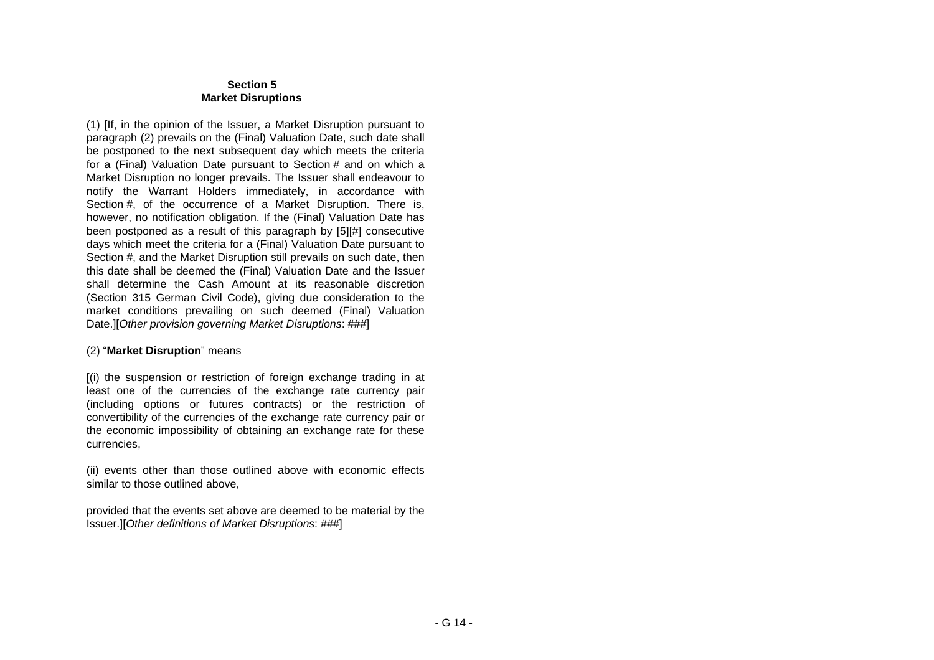# **Section 5 Market Disruptions**

(1) [If, in the opinion of the Issuer, a Market Disruption pursuant to paragraph (2) prevails on the (Final) Valuation Date, such date shall be postponed to the next subsequent day which meets the criteria for a (Final) Valuation Date pursuant to Section # and on which a Market Disruption no longer prevails. The Issuer shall endeavour to notify the Warrant Holders immediately, in accordance with Section #, of the occurrence of a Market Disruption. There is, however, no notification obligation. If the (Final) Valuation Date has been postponed as a result of this paragraph by [5][#] consecutive days which meet the criteria for a (Final) Valuation Date pursuant to Section #, and the Market Disruption still prevails on such date, then this date shall be deemed the (Final) Valuation Date and the Issuer shall determine the Cash Amount at its reasonable discretion (Section 315 German Civil Code), giving due consideration to the market conditions prevailing on such deemed (Final) Valuation Date.][*Other provision governing Market Disruptions*: ###]

#### (2) "**Market Disruption**" means

[(i) the suspension or restriction of foreign exchange trading in at least one of the currencies of the exchange rate currency pair (including options or futures contracts) or the restriction of convertibility of the currencies of the exchange rate currency pair or the economic impossibility of obtaining an exchange rate for these currencies,

(ii) events other than those outlined above with economic effects similar to those outlined above.

provided that the events set above are deemed to be material by the Issuer.][*Other definitions of Market Disruptions*: ###]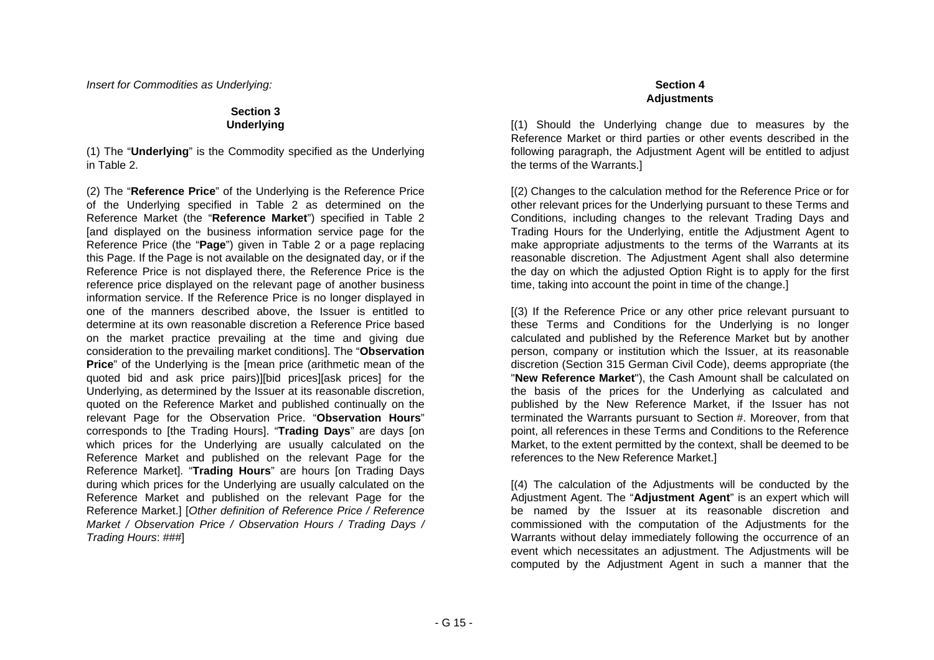*Insert for Commodities as Underlying:* 

#### **Section 3 Underlying**

(1) The "**Underlying**" is the Commodity specified as the Underlying in Table 2.

(2) The "**Reference Price**" of the Underlying is the Reference Price of the Underlying specified in Table 2 as determined on the Reference Market (the "**Reference Market**") specified in Table 2 [and displayed on the business information service page for the Reference Price (the "**Page**") given in Table 2 or a page replacing this Page. If the Page is not available on the designated day, or if the Reference Price is not displayed there, the Reference Price is the reference price displayed on the relevant page of another business information service. If the Reference Price is no longer displayed in one of the manners described above, the Issuer is entitled to determine at its own reasonable discretion a Reference Price based on the market practice prevailing at the time and giving due consideration to the prevailing market conditions]. The "**Observation Price**" of the Underlying is the [mean price (arithmetic mean of the quoted bid and ask price pairs)][bid prices][ask prices] for the Underlying, as determined by the Issuer at its reasonable discretion, quoted on the Reference Market and published continually on the relevant Page for the Observation Price. "**Observation Hours**" corresponds to [the Trading Hours]. "**Trading Days**" are days [on which prices for the Underlying are usually calculated on the Reference Market and published on the relevant Page for the Reference Market]. "**Trading Hours**" are hours [on Trading Days during which prices for the Underlying are usually calculated on the Reference Market and published on the relevant Page for the Reference Market.] [*Other definition of Reference Price / Reference Market / Observation Price / Observation Hours / Trading Days / Trading Hours*: ###]

# **Section 4 Adjustments**

[(1) Should the Underlying change due to measures by the Reference Market or third parties or other events described in the following paragraph, the Adjustment Agent will be entitled to adjust the terms of the Warrants.]

[(2) Changes to the calculation method for the Reference Price or for other relevant prices for the Underlying pursuant to these Terms and Conditions, including changes to the relevant Trading Days and Trading Hours for the Underlying, entitle the Adjustment Agent to make appropriate adjustments to the terms of the Warrants at its reasonable discretion. The Adjustment Agent shall also determine the day on which the adjusted Option Right is to apply for the first time, taking into account the point in time of the change.]

[(3) If the Reference Price or any other price relevant pursuant to these Terms and Conditions for the Underlying is no longer calculated and published by the Reference Market but by another person, company or institution which the Issuer, at its reasonable discretion (Section 315 German Civil Code), deems appropriate (the "**New Reference Market**"), the Cash Amount shall be calculated on the basis of the prices for the Underlying as calculated and published by the New Reference Market, if the Issuer has not terminated the Warrants pursuant to Section #. Moreover, from that point, all references in these Terms and Conditions to the Reference Market, to the extent permitted by the context, shall be deemed to be references to the New Reference Market.]

[(4) The calculation of the Adjustments will be conducted by the Adjustment Agent. The "**Adjustment Agent**" is an expert which will be named by the Issuer at its reasonable discretion and commissioned with the computation of the Adjustments for the Warrants without delay immediately following the occurrence of an event which necessitates an adjustment. The Adjustments will be computed by the Adjustment Agent in such a manner that the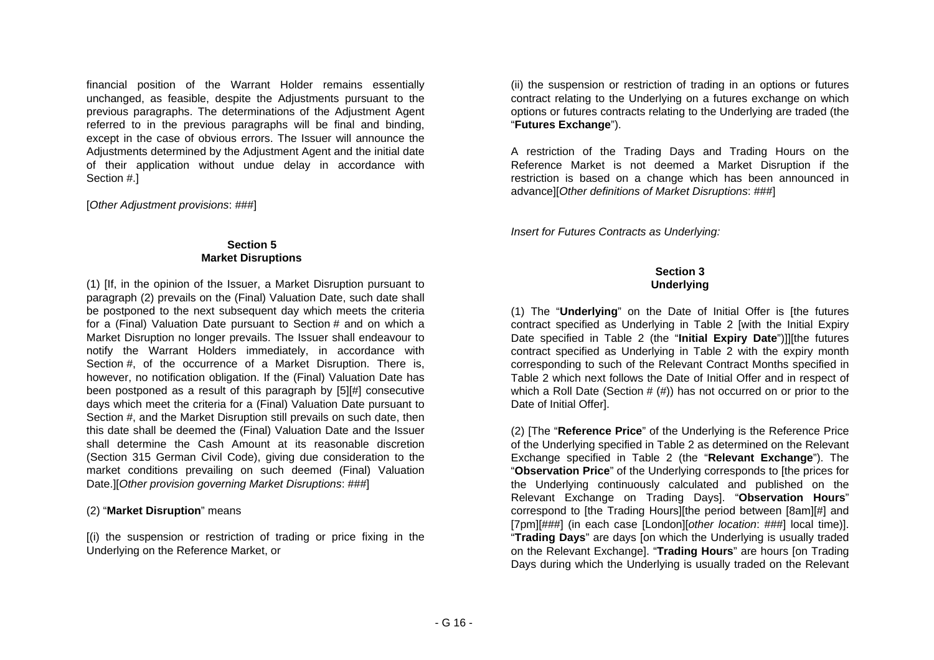financial position of the Warrant Holder remains essentially unchanged, as feasible, despite the Adjustments pursuant to the previous paragraphs. The determinations of the Adjustment Agent referred to in the previous paragraphs will be final and binding, except in the case of obvious errors. The Issuer will announce the Adjustments determined by the Adjustment Agent and the initial date of their application without undue delay in accordance with Section #.]

[*Other Adjustment provisions*: ###]

# **Section 5 Market Disruptions**

(1) [If, in the opinion of the Issuer, a Market Disruption pursuant to paragraph (2) prevails on the (Final) Valuation Date, such date shall be postponed to the next subsequent day which meets the criteria for a (Final) Valuation Date pursuant to Section # and on which a Market Disruption no longer prevails. The Issuer shall endeavour to notify the Warrant Holders immediately, in accordance with Section #, of the occurrence of a Market Disruption. There is, however, no notification obligation. If the (Final) Valuation Date has been postponed as a result of this paragraph by [5][#] consecutive days which meet the criteria for a (Final) Valuation Date pursuant to Section #, and the Market Disruption still prevails on such date, then this date shall be deemed the (Final) Valuation Date and the Issuer shall determine the Cash Amount at its reasonable discretion (Section 315 German Civil Code), giving due consideration to the market conditions prevailing on such deemed (Final) Valuation Date.][*Other provision governing Market Disruptions*: ###]

(2) "**Market Disruption**" means

[(i) the suspension or restriction of trading or price fixing in the Underlying on the Reference Market, or

(ii) the suspension or restriction of trading in an options or futures contract relating to the Underlying on a futures exchange on which options or futures contracts relating to the Underlying are traded (the "**Futures Exchange**").

A restriction of the Trading Days and Trading Hours on the Reference Market is not deemed a Market Disruption if the restriction is based on a change which has been announced in advance][*Other definitions of Market Disruptions*: ###]

*Insert for Futures Contracts as Underlying:* 

# **Section 3 Underlying**

(1) The "**Underlying**" on the Date of Initial Offer is [the futures contract specified as Underlying in Table 2 [with the Initial Expiry Date specified in Table 2 (the "**Initial Expiry Date**")]][the futures contract specified as Underlying in Table 2 with the expiry month corresponding to such of the Relevant Contract Months specified in Table 2 which next follows the Date of Initial Offer and in respect of which a Roll Date (Section # (#)) has not occurred on or prior to the Date of Initial Offer].

(2) [The "**Reference Price**" of the Underlying is the Reference Price of the Underlying specified in Table 2 as determined on the Relevant Exchange specified in Table 2 (the "**Relevant Exchange**"). The "**Observation Price**" of the Underlying corresponds to [the prices for the Underlying continuously calculated and published on the Relevant Exchange on Trading Days]. "**Observation Hours**" correspond to [the Trading Hours][the period between [8am][#] and [7pm][###] (in each case [London][*other location*: ###] local time)]. "**Trading Days**" are days [on which the Underlying is usually traded on the Relevant Exchange]. "**Trading Hours**" are hours [on Trading Days during which the Underlying is usually traded on the Relevant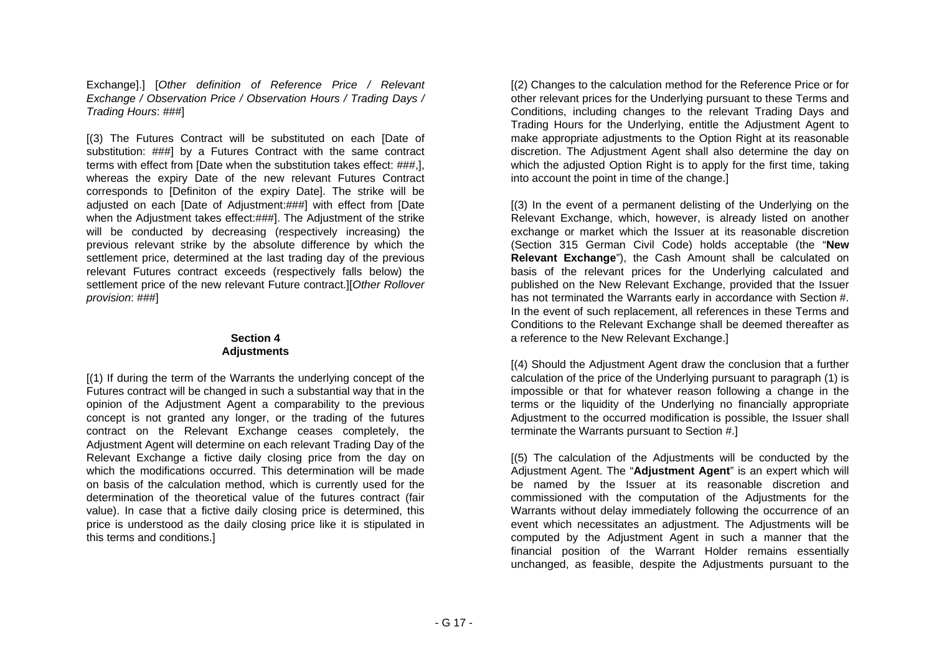Exchange].] [*Other definition of Reference Price / Relevant Exchange / Observation Price / Observation Hours / Trading Days / Trading Hours*: ###]

[(3) The Futures Contract will be substituted on each [Date of substitution: ###] by a Futures Contract with the same contract terms with effect from [Date when the substitution takes effect: ###,], whereas the expiry Date of the new relevant Futures Contract corresponds to [Definiton of the expiry Date]. The strike will be adjusted on each [Date of Adjustment:###] with effect from [Date when the Adjustment takes effect:###]. The Adjustment of the strike will be conducted by decreasing (respectively increasing) the previous relevant strike by the absolute difference by which the settlement price, determined at the last trading day of the previous relevant Futures contract exceeds (respectively falls below) the settlement price of the new relevant Future contract.][*Other Rollover provision*: ###]

# **Section 4 Adjustments**

[(1) If during the term of the Warrants the underlying concept of the Futures contract will be changed in such a substantial way that in the opinion of the Adjustment Agent a comparability to the previous concept is not granted any longer, or the trading of the futures contract on the Relevant Exchange ceases completely, the Adjustment Agent will determine on each relevant Trading Day of the Relevant Exchange a fictive daily closing price from the day on which the modifications occurred. This determination will be made on basis of the calculation method, which is currently used for the determination of the theoretical value of the futures contract (fair value). In case that a fictive daily closing price is determined, this price is understood as the daily closing price like it is stipulated in this terms and conditions.]

[(2) Changes to the calculation method for the Reference Price or for other relevant prices for the Underlying pursuant to these Terms and Conditions, including changes to the relevant Trading Days and Trading Hours for the Underlying, entitle the Adjustment Agent to make appropriate adjustments to the Option Right at its reasonable discretion. The Adjustment Agent shall also determine the day on which the adjusted Option Right is to apply for the first time, taking into account the point in time of the change.]

[(3) In the event of a permanent delisting of the Underlying on the Relevant Exchange, which, however, is already listed on another exchange or market which the Issuer at its reasonable discretion (Section 315 German Civil Code) holds acceptable (the "**New Relevant Exchange**"), the Cash Amount shall be calculated on basis of the relevant prices for the Underlying calculated and published on the New Relevant Exchange, provided that the Issuer has not terminated the Warrants early in accordance with Section #. In the event of such replacement, all references in these Terms and Conditions to the Relevant Exchange shall be deemed thereafter as a reference to the New Relevant Exchange.]

[(4) Should the Adjustment Agent draw the conclusion that a further calculation of the price of the Underlying pursuant to paragraph (1) is impossible or that for whatever reason following a change in the terms or the liquidity of the Underlying no financially appropriate Adjustment to the occurred modification is possible, the Issuer shall terminate the Warrants pursuant to Section #.]

[(5) The calculation of the Adjustments will be conducted by the Adjustment Agent. The "**Adjustment Agent**" is an expert which will be named by the Issuer at its reasonable discretion and commissioned with the computation of the Adjustments for the Warrants without delay immediately following the occurrence of an event which necessitates an adjustment. The Adjustments will be computed by the Adjustment Agent in such a manner that the financial position of the Warrant Holder remains essentially unchanged, as feasible, despite the Adjustments pursuant to the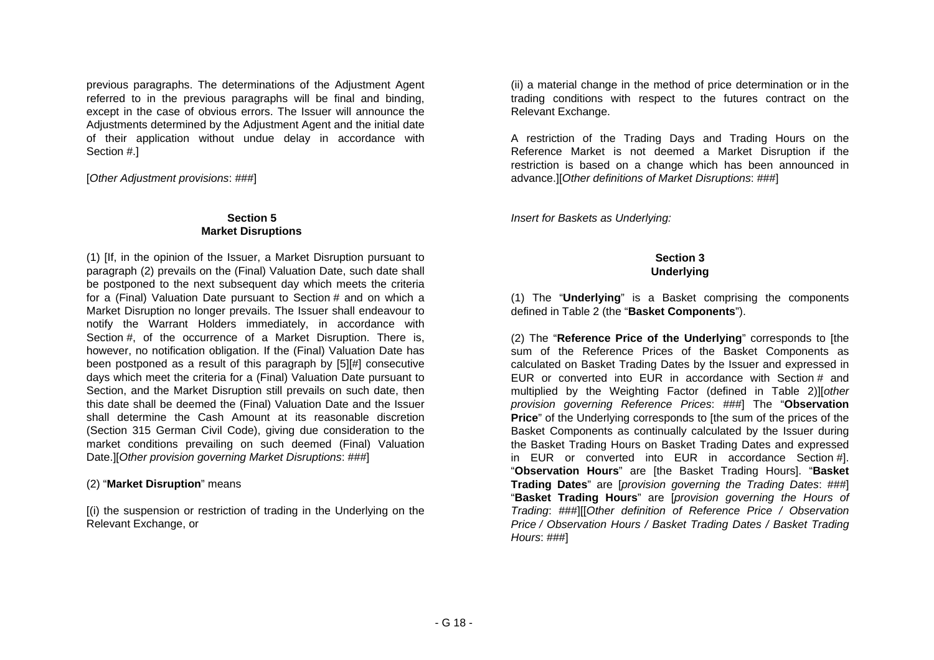previous paragraphs. The determinations of the Adjustment Agent referred to in the previous paragraphs will be final and binding, except in the case of obvious errors. The Issuer will announce the Adjustments determined by the Adjustment Agent and the initial date of their application without undue delay in accordance with Section #.]

[*Other Adjustment provisions*: ###]

# **Section 5 Market Disruptions**

(1) [If, in the opinion of the Issuer, a Market Disruption pursuant to paragraph (2) prevails on the (Final) Valuation Date, such date shall be postponed to the next subsequent day which meets the criteria for a (Final) Valuation Date pursuant to Section # and on which a Market Disruption no longer prevails. The Issuer shall endeavour to notify the Warrant Holders immediately, in accordance with Section #, of the occurrence of a Market Disruption. There is, however, no notification obligation. If the (Final) Valuation Date has been postponed as a result of this paragraph by [5][#] consecutive days which meet the criteria for a (Final) Valuation Date pursuant to Section, and the Market Disruption still prevails on such date, then this date shall be deemed the (Final) Valuation Date and the Issuer shall determine the Cash Amount at its reasonable discretion (Section 315 German Civil Code), giving due consideration to the market conditions prevailing on such deemed (Final) Valuation Date.][*Other provision governing Market Disruptions*: ###]

# (2) "**Market Disruption**" means

[(i) the suspension or restriction of trading in the Underlying on the Relevant Exchange, or

(ii) a material change in the method of price determination or in the trading conditions with respect to the futures contract on the Relevant Exchange.

A restriction of the Trading Days and Trading Hours on the Reference Market is not deemed a Market Disruption if the restriction is based on a change which has been announced in advance.][*Other definitions of Market Disruptions*: ###]

*Insert for Baskets as Underlying:* 

#### **Section 3 Underlying**

(1) The "**Underlying**" is a Basket comprising the components defined in Table 2 (the "**Basket Components**").

(2) The "**Reference Price of the Underlying**" corresponds to [the sum of the Reference Prices of the Basket Components as calculated on Basket Trading Dates by the Issuer and expressed in EUR or converted into EUR in accordance with Section # and multiplied by the Weighting Factor (defined in Table 2)][*other provision governing Reference Prices*: ###] The "**Observation Price**" of the Underlying corresponds to [the sum of the prices of the Basket Components as continually calculated by the Issuer during the Basket Trading Hours on Basket Trading Dates and expressed in EUR or converted into EUR in accordance Section #]. "**Observation Hours**" are [the Basket Trading Hours]. "**Basket Trading Dates**" are [*provision governing the Trading Dates*: ###] "**Basket Trading Hours**" are [*provision governing the Hours of Trading*: ###][[*Other definition of Reference Price / Observation Price / Observation Hours / Basket Trading Dates / Basket Trading Hours*: ###]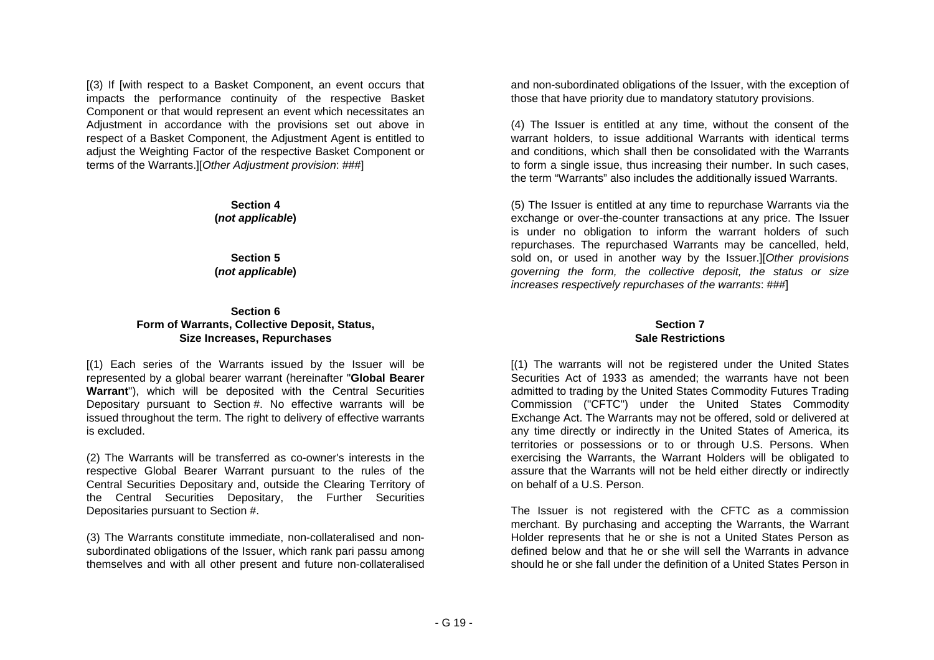[(3) If [with respect to a Basket Component, an event occurs that impacts the performance continuity of the respective Basket Component or that would represent an event which necessitates an Adjustment in accordance with the provisions set out above in respect of a Basket Component, the Adjustment Agent is entitled to adjust the Weighting Factor of the respective Basket Component or terms of the Warrants.][*Other Adjustment provision*: ###]

> **Section 4 (***not applicable***)**

**Section 5 (***not applicable***)** 

#### **Section 6 Form of Warrants, Collective Deposit, Status, Size Increases, Repurchases**

[(1) Each series of the Warrants issued by the Issuer will be represented by a global bearer warrant (hereinafter "**Global Bearer Warrant**"), which will be deposited with the Central Securities Depositary pursuant to Section #. No effective warrants will be issued throughout the term. The right to delivery of effective warrants is excluded.

(2) The Warrants will be transferred as co-owner's interests in the respective Global Bearer Warrant pursuant to the rules of the Central Securities Depositary and, outside the Clearing Territory of the Central Securities Depositary, the Further Securities Depositaries pursuant to Section #.

(3) The Warrants constitute immediate, non-collateralised and nonsubordinated obligations of the Issuer, which rank pari passu among themselves and with all other present and future non-collateralised and non-subordinated obligations of the Issuer, with the exception of those that have priority due to mandatory statutory provisions.

(4) The Issuer is entitled at any time, without the consent of the warrant holders, to issue additional Warrants with identical terms and conditions, which shall then be consolidated with the Warrants to form a single issue, thus increasing their number. In such cases, the term "Warrants" also includes the additionally issued Warrants.

(5) The Issuer is entitled at any time to repurchase Warrants via the exchange or over-the-counter transactions at any price. The Issuer is under no obligation to inform the warrant holders of such repurchases. The repurchased Warrants may be cancelled, held, sold on, or used in another way by the Issuer.][*Other provisions governing the form, the collective deposit, the status or size increases respectively repurchases of the warrants*: ###]

# **Section 7 Sale Restrictions**

[(1) The warrants will not be registered under the United States Securities Act of 1933 as amended; the warrants have not been admitted to trading by the United States Commodity Futures Trading Commission ("CFTC") under the United States Commodity Exchange Act. The Warrants may not be offered, sold or delivered at any time directly or indirectly in the United States of America, its territories or possessions or to or through U.S. Persons. When exercising the Warrants, the Warrant Holders will be obligated to assure that the Warrants will not be held either directly or indirectly on behalf of a U.S. Person.

The Issuer is not registered with the CFTC as a commission merchant. By purchasing and accepting the Warrants, the Warrant Holder represents that he or she is not a United States Person as defined below and that he or she will sell the Warrants in advance should he or she fall under the definition of a United States Person in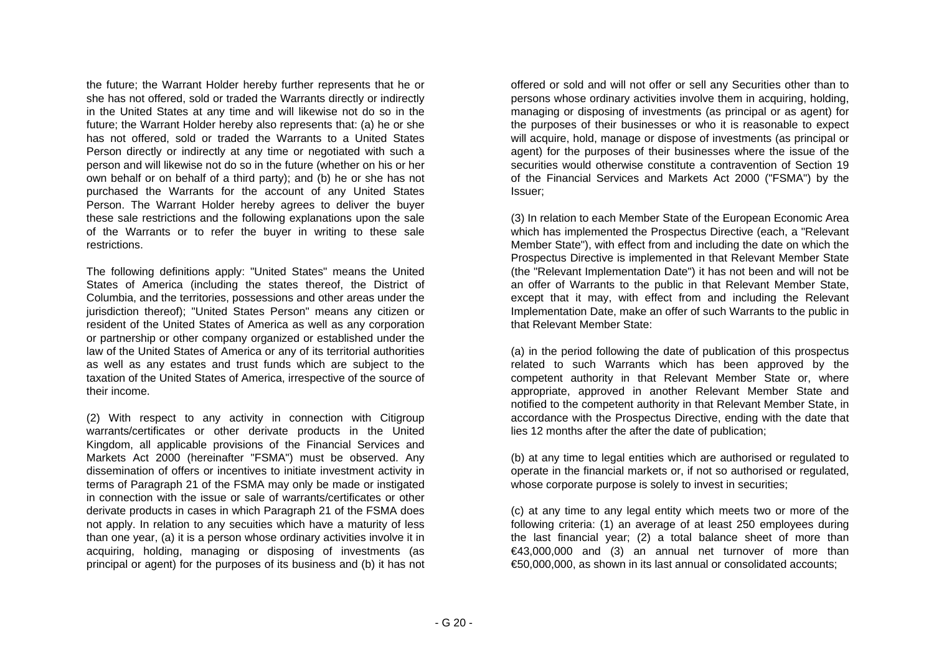the future; the Warrant Holder hereby further represents that he or she has not offered, sold or traded the Warrants directly or indirectly in the United States at any time and will likewise not do so in the future; the Warrant Holder hereby also represents that: (a) he or she has not offered, sold or traded the Warrants to a United States Person directly or indirectly at any time or negotiated with such a person and will likewise not do so in the future (whether on his or her own behalf or on behalf of a third party); and (b) he or she has not purchased the Warrants for the account of any United States Person. The Warrant Holder hereby agrees to deliver the buyer these sale restrictions and the following explanations upon the sale of the Warrants or to refer the buyer in writing to these sale restrictions.

The following definitions apply: "United States" means the United States of America (including the states thereof, the District of Columbia, and the territories, possessions and other areas under the jurisdiction thereof); "United States Person" means any citizen or resident of the United States of America as well as any corporation or partnership or other company organized or established under the law of the United States of America or any of its territorial authorities as well as any estates and trust funds which are subject to the taxation of the United States of America, irrespective of the source of their income.

(2) With respect to any activity in connection with Citigroup warrants/certificates or other derivate products in the United Kingdom, all applicable provisions of the Financial Services and Markets Act 2000 (hereinafter "FSMA") must be observed. Any dissemination of offers or incentives to initiate investment activity in terms of Paragraph 21 of the FSMA may only be made or instigated in connection with the issue or sale of warrants/certificates or other derivate products in cases in which Paragraph 21 of the FSMA does not apply. In relation to any secuities which have a maturity of less than one year, (a) it is a person whose ordinary activities involve it in acquiring, holding, managing or disposing of investments (as principal or agent) for the purposes of its business and (b) it has not

offered or sold and will not offer or sell any Securities other than to persons whose ordinary activities involve them in acquiring, holding, managing or disposing of investments (as principal or as agent) for the purposes of their businesses or who it is reasonable to expect will acquire, hold, manage or dispose of investments (as principal or agent) for the purposes of their businesses where the issue of the securities would otherwise constitute a contravention of Section 19 of the Financial Services and Markets Act 2000 ("FSMA") by the Issuer;

(3) In relation to each Member State of the European Economic Area which has implemented the Prospectus Directive (each, a "Relevant Member State"), with effect from and including the date on which the Prospectus Directive is implemented in that Relevant Member State (the "Relevant Implementation Date") it has not been and will not be an offer of Warrants to the public in that Relevant Member State, except that it may, with effect from and including the Relevant Implementation Date, make an offer of such Warrants to the public in that Relevant Member State:

(a) in the period following the date of publication of this prospectus related to such Warrants which has been approved by the competent authority in that Relevant Member State or, where appropriate, approved in another Relevant Member State and notified to the competent authority in that Relevant Member State, in accordance with the Prospectus Directive, ending with the date that lies 12 months after the after the date of publication;

(b) at any time to legal entities which are authorised or regulated to operate in the financial markets or, if not so authorised or regulated, whose corporate purpose is solely to invest in securities;

(c) at any time to any legal entity which meets two or more of the following criteria: (1) an average of at least 250 employees during the last financial year; (2) a total balance sheet of more than €43,000,000 and (3) an annual net turnover of more than €50,000,000, as shown in its last annual or consolidated accounts;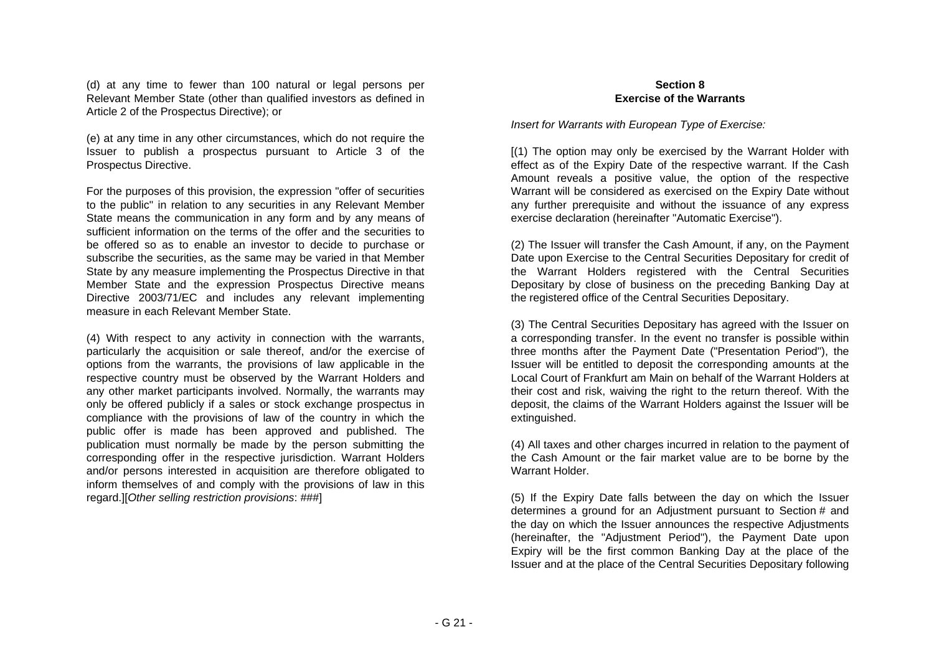(d) at any time to fewer than 100 natural or legal persons per Relevant Member State (other than qualified investors as defined in Article 2 of the Prospectus Directive); or

(e) at any time in any other circumstances, which do not require the Issuer to publish a prospectus pursuant to Article 3 of the Prospectus Directive.

For the purposes of this provision, the expression "offer of securities to the public" in relation to any securities in any Relevant Member State means the communication in any form and by any means of sufficient information on the terms of the offer and the securities to be offered so as to enable an investor to decide to purchase or subscribe the securities, as the same may be varied in that Member State by any measure implementing the Prospectus Directive in that Member State and the expression Prospectus Directive means Directive 2003/71/EC and includes any relevant implementing measure in each Relevant Member State.

(4) With respect to any activity in connection with the warrants, particularly the acquisition or sale thereof, and/or the exercise of options from the warrants, the provisions of law applicable in the respective country must be observed by the Warrant Holders and any other market participants involved. Normally, the warrants may only be offered publicly if a sales or stock exchange prospectus in compliance with the provisions of law of the country in which the public offer is made has been approved and published. The publication must normally be made by the person submitting the corresponding offer in the respective jurisdiction. Warrant Holders and/or persons interested in acquisition are therefore obligated to inform themselves of and comply with the provisions of law in this regard.][*Other selling restriction provisions*: ###]

#### **Section 8 Exercise of the Warrants**

*Insert for Warrants with European Type of Exercise:* 

[(1) The option may only be exercised by the Warrant Holder with effect as of the Expiry Date of the respective warrant. If the Cash Amount reveals a positive value, the option of the respective Warrant will be considered as exercised on the Expiry Date without any further prerequisite and without the issuance of any express exercise declaration (hereinafter "Automatic Exercise").

(2) The Issuer will transfer the Cash Amount, if any, on the Payment Date upon Exercise to the Central Securities Depositary for credit of the Warrant Holders registered with the Central Securities Depositary by close of business on the preceding Banking Day at the registered office of the Central Securities Depositary.

(3) The Central Securities Depositary has agreed with the Issuer on a corresponding transfer. In the event no transfer is possible within three months after the Payment Date ("Presentation Period"), the Issuer will be entitled to deposit the corresponding amounts at the Local Court of Frankfurt am Main on behalf of the Warrant Holders at their cost and risk, waiving the right to the return thereof. With the deposit, the claims of the Warrant Holders against the Issuer will be extinguished.

(4) All taxes and other charges incurred in relation to the payment of the Cash Amount or the fair market value are to be borne by the Warrant Holder

(5) If the Expiry Date falls between the day on which the Issuer determines a ground for an Adjustment pursuant to Section # and the day on which the Issuer announces the respective Adjustments (hereinafter, the "Adjustment Period"), the Payment Date upon Expiry will be the first common Banking Day at the place of the Issuer and at the place of the Central Securities Depositary following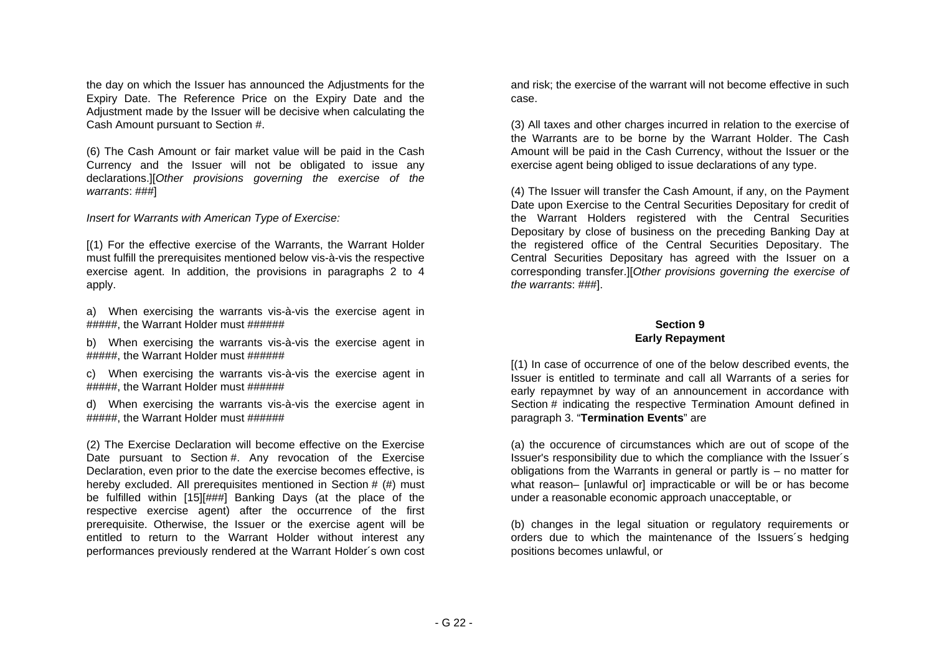the day on which the Issuer has announced the Adjustments for the Expiry Date. The Reference Price on the Expiry Date and the Adjustment made by the Issuer will be decisive when calculating the Cash Amount pursuant to Section #.

(6) The Cash Amount or fair market value will be paid in the Cash Currency and the Issuer will not be obligated to issue any declarations.][*Other provisions governing the exercise of the warrants*: ###]

*Insert for Warrants with American Type of Exercise:* 

[(1) For the effective exercise of the Warrants, the Warrant Holder must fulfill the prerequisites mentioned below vis-à-vis the respective exercise agent. In addition, the provisions in paragraphs 2 to 4 apply.

a) When exercising the warrants vis-à-vis the exercise agent in #####, the Warrant Holder must ######

b) When exercising the warrants vis-à-vis the exercise agent in ######, the Warrant Holder must #######

c) When exercising the warrants vis-à-vis the exercise agent in ######, the Warrant Holder must #######

d) When exercising the warrants vis-à-vis the exercise agent in #####, the Warrant Holder must ######

(2) The Exercise Declaration will become effective on the Exercise Date pursuant to Section #. Any revocation of the Exercise Declaration, even prior to the date the exercise becomes effective, is hereby excluded. All prerequisites mentioned in Section # (#) must be fulfilled within [15][###] Banking Days (at the place of the respective exercise agent) after the occurrence of the first prerequisite. Otherwise, the Issuer or the exercise agent will be entitled to return to the Warrant Holder without interest any performances previously rendered at the Warrant Holder´s own cost and risk; the exercise of the warrant will not become effective in such case.

(3) All taxes and other charges incurred in relation to the exercise of the Warrants are to be borne by the Warrant Holder. The Cash Amount will be paid in the Cash Currency, without the Issuer or the exercise agent being obliged to issue declarations of any type.

(4) The Issuer will transfer the Cash Amount, if any, on the Payment Date upon Exercise to the Central Securities Depositary for credit of the Warrant Holders registered with the Central Securities Depositary by close of business on the preceding Banking Day at the registered office of the Central Securities Depositary. The Central Securities Depositary has agreed with the Issuer on a corresponding transfer.][*Other provisions governing the exercise of the warrants*: ###].

#### **Section 9 Early Repayment**

[(1) In case of occurrence of one of the below described events, the Issuer is entitled to terminate and call all Warrants of a series for early repaymnet by way of an announcement in accordance with Section # indicating the respective Termination Amount defined in paragraph 3. "**Termination Events**" are

(a) the occurence of circumstances which are out of scope of the Issuer's responsibility due to which the compliance with the Issuer´s obligations from the Warrants in general or partly is – no matter for what reason– [unlawful or] impracticable or will be or has become under a reasonable economic approach unacceptable, or

(b) changes in the legal situation or regulatory requirements or orders due to which the maintenance of the Issuers´s hedging positions becomes unlawful, or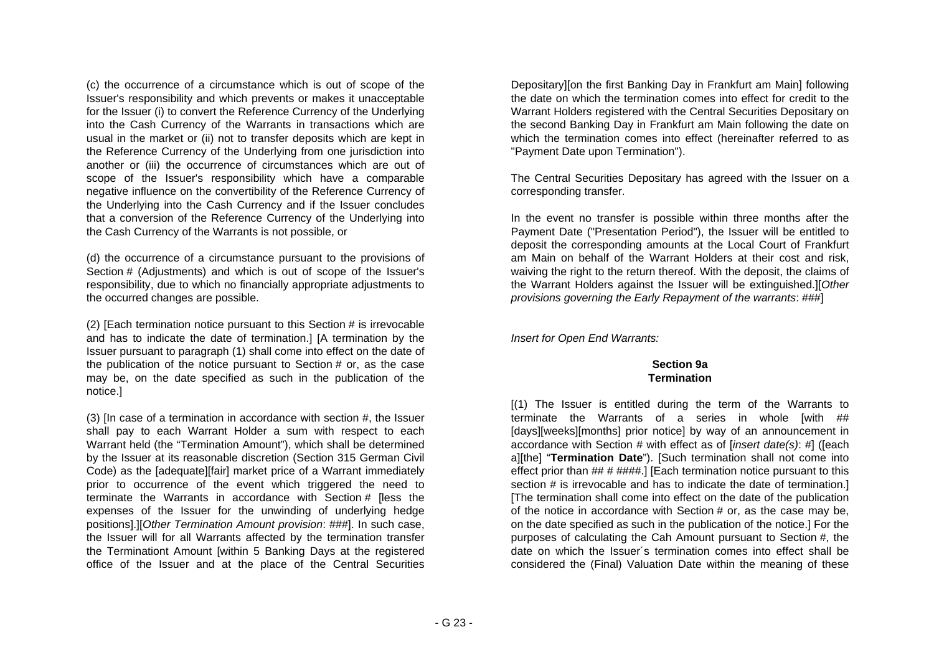(c) the occurrence of a circumstance which is out of scope of the Issuer's responsibility and which prevents or makes it unacceptable for the Issuer (i) to convert the Reference Currency of the Underlying into the Cash Currency of the Warrants in transactions which are usual in the market or (ii) not to transfer deposits which are kept in the Reference Currency of the Underlying from one jurisdiction into another or (iii) the occurrence of circumstances which are out of scope of the Issuer's responsibility which have a comparable negative influence on the convertibility of the Reference Currency of the Underlying into the Cash Currency and if the Issuer concludes that a conversion of the Reference Currency of the Underlying into the Cash Currency of the Warrants is not possible, or

(d) the occurrence of a circumstance pursuant to the provisions of Section # (Adjustments) and which is out of scope of the Issuer's responsibility, due to which no financially appropriate adjustments to the occurred changes are possible.

(2) [Each termination notice pursuant to this Section # is irrevocable and has to indicate the date of termination.] [A termination by the Issuer pursuant to paragraph (1) shall come into effect on the date of the publication of the notice pursuant to Section # or, as the case may be, on the date specified as such in the publication of the notice.]

(3) [In case of a termination in accordance with section #, the Issuer shall pay to each Warrant Holder a sum with respect to each Warrant held (the "Termination Amount"), which shall be determined by the Issuer at its reasonable discretion (Section 315 German Civil Code) as the [adequate][fair] market price of a Warrant immediately prior to occurrence of the event which triggered the need to terminate the Warrants in accordance with Section # [less the expenses of the Issuer for the unwinding of underlying hedge positions].][*Other Termination Amount provision*: ###]. In such case, the Issuer will for all Warrants affected by the termination transfer the Terminationt Amount [within 5 Banking Days at the registered office of the Issuer and at the place of the Central Securities Depositary][on the first Banking Day in Frankfurt am Main] following the date on which the termination comes into effect for credit to the Warrant Holders registered with the Central Securities Depositary on the second Banking Day in Frankfurt am Main following the date on which the termination comes into effect (hereinafter referred to as "Payment Date upon Termination").

The Central Securities Depositary has agreed with the Issuer on a corresponding transfer.

In the event no transfer is possible within three months after the Payment Date ("Presentation Period"), the Issuer will be entitled to deposit the corresponding amounts at the Local Court of Frankfurt am Main on behalf of the Warrant Holders at their cost and risk, waiving the right to the return thereof. With the deposit, the claims of the Warrant Holders against the Issuer will be extinguished.][*Other provisions governing the Early Repayment of the warrants*: ###]

*Insert for Open End Warrants:* 

## **Section 9a Termination**

[(1) The Issuer is entitled during the term of the Warrants to terminate the Warrants of a series in whole [with ## [days][weeks][months] prior notice] by way of an announcement in accordance with Section # with effect as of [*insert date(s)*: #] ([each a][the] "**Termination Date**"). [Such termination shall not come into effect prior than ## # ####.] [Each termination notice pursuant to this section # is irrevocable and has to indicate the date of termination.] [The termination shall come into effect on the date of the publication of the notice in accordance with Section # or, as the case may be, on the date specified as such in the publication of the notice.] For the purposes of calculating the Cah Amount pursuant to Section #, the date on which the Issuer´s termination comes into effect shall be considered the (Final) Valuation Date within the meaning of these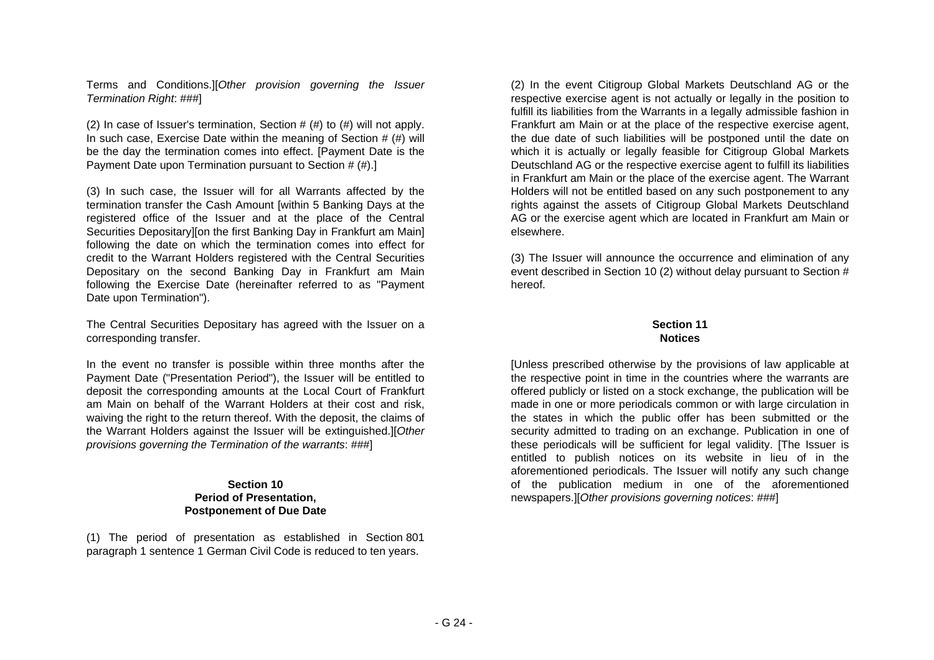Terms and Conditions.][*Other provision governing the Issuer Termination Right*: ###]

(2) In case of Issuer's termination, Section  $#$   $(H)$  to  $(H)$  will not apply. In such case, Exercise Date within the meaning of Section # (#) will be the day the termination comes into effect. [Payment Date is the Payment Date upon Termination pursuant to Section # (#).]

(3) In such case, the Issuer will for all Warrants affected by the termination transfer the Cash Amount [within 5 Banking Days at the registered office of the Issuer and at the place of the Central Securities Depositary][on the first Banking Day in Frankfurt am Main] following the date on which the termination comes into effect for credit to the Warrant Holders registered with the Central Securities Depositary on the second Banking Day in Frankfurt am Main following the Exercise Date (hereinafter referred to as "Payment Date upon Termination").

The Central Securities Depositary has agreed with the Issuer on a corresponding transfer.

In the event no transfer is possible within three months after the Payment Date ("Presentation Period"), the Issuer will be entitled to deposit the corresponding amounts at the Local Court of Frankfurt am Main on behalf of the Warrant Holders at their cost and risk, waiving the right to the return thereof. With the deposit, the claims of the Warrant Holders against the Issuer will be extinguished.][*Other provisions governing the Termination of the warrants*: ###]

# **Section 10 Period of Presentation, Postponement of Due Date**

(1) The period of presentation as established in Section 801 paragraph 1 sentence 1 German Civil Code is reduced to ten years.

(2) In the event Citigroup Global Markets Deutschland AG or the respective exercise agent is not actually or legally in the position to fulfill its liabilities from the Warrants in a legally admissible fashion in Frankfurt am Main or at the place of the respective exercise agent, the due date of such liabilities will be postponed until the date on which it is actually or legally feasible for Citigroup Global Markets Deutschland AG or the respective exercise agent to fulfill its liabilities in Frankfurt am Main or the place of the exercise agent. The Warrant Holders will not be entitled based on any such postponement to any rights against the assets of Citigroup Global Markets Deutschland AG or the exercise agent which are located in Frankfurt am Main or elsewhere.

(3) The Issuer will announce the occurrence and elimination of any event described in Section 10 (2) without delay pursuant to Section # hereof.

# **Section 11 Notices**

[Unless prescribed otherwise by the provisions of law applicable at the respective point in time in the countries where the warrants are offered publicly or listed on a stock exchange, the publication will be made in one or more periodicals common or with large circulation in the states in which the public offer has been submitted or the security admitted to trading on an exchange. Publication in one of these periodicals will be sufficient for legal validity. [The Issuer is entitled to publish notices on its website in lieu of in the aforementioned periodicals. The Issuer will notify any such change of the publication medium in one of the aforementioned newspapers.][*Other provisions governing notices*: ###]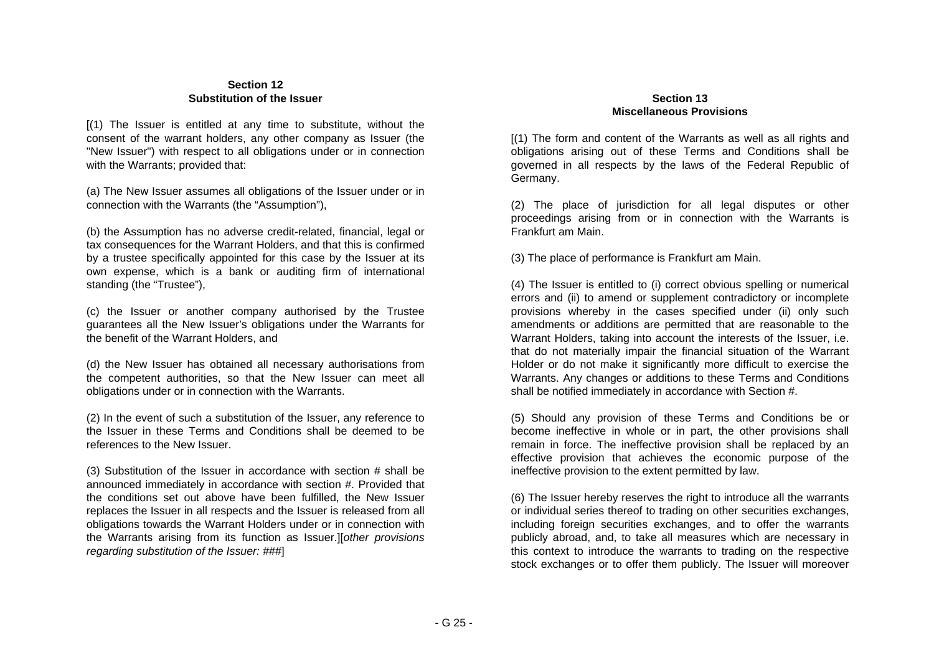### **Section 12 Substitution of the Issuer**

[(1) The Issuer is entitled at any time to substitute, without the consent of the warrant holders, any other company as Issuer (the "New Issuer") with respect to all obligations under or in connection with the Warrants; provided that:

(a) The New Issuer assumes all obligations of the Issuer under or in connection with the Warrants (the "Assumption"),

(b) the Assumption has no adverse credit-related, financial, legal or tax consequences for the Warrant Holders, and that this is confirmed by a trustee specifically appointed for this case by the Issuer at its own expense, which is a bank or auditing firm of international standing (the "Trustee"),

(c) the Issuer or another company authorised by the Trustee guarantees all the New Issuer's obligations under the Warrants for the benefit of the Warrant Holders, and

(d) the New Issuer has obtained all necessary authorisations from the competent authorities, so that the New Issuer can meet all obligations under or in connection with the Warrants.

(2) In the event of such a substitution of the Issuer, any reference to the Issuer in these Terms and Conditions shall be deemed to be references to the New Issuer.

(3) Substitution of the Issuer in accordance with section # shall be announced immediately in accordance with section #. Provided that the conditions set out above have been fulfilled, the New Issuer replaces the Issuer in all respects and the Issuer is released from all obligations towards the Warrant Holders under or in connection with the Warrants arising from its function as Issuer.][*other provisions regarding substitution of the Issuer: ###*]

# **Section 13 Miscellaneous Provisions**

[(1) The form and content of the Warrants as well as all rights and obligations arising out of these Terms and Conditions shall be governed in all respects by the laws of the Federal Republic of Germany.

(2) The place of jurisdiction for all legal disputes or other proceedings arising from or in connection with the Warrants is Frankfurt am Main.

(3) The place of performance is Frankfurt am Main.

(4) The Issuer is entitled to (i) correct obvious spelling or numerical errors and (ii) to amend or supplement contradictory or incomplete provisions whereby in the cases specified under (ii) only such amendments or additions are permitted that are reasonable to the Warrant Holders, taking into account the interests of the Issuer, i.e. that do not materially impair the financial situation of the Warrant Holder or do not make it significantly more difficult to exercise the Warrants. Any changes or additions to these Terms and Conditions shall be notified immediately in accordance with Section #.

(5) Should any provision of these Terms and Conditions be or become ineffective in whole or in part, the other provisions shall remain in force. The ineffective provision shall be replaced by an effective provision that achieves the economic purpose of the ineffective provision to the extent permitted by law.

(6) The Issuer hereby reserves the right to introduce all the warrants or individual series thereof to trading on other securities exchanges, including foreign securities exchanges, and to offer the warrants publicly abroad, and, to take all measures which are necessary in this context to introduce the warrants to trading on the respective stock exchanges or to offer them publicly. The Issuer will moreover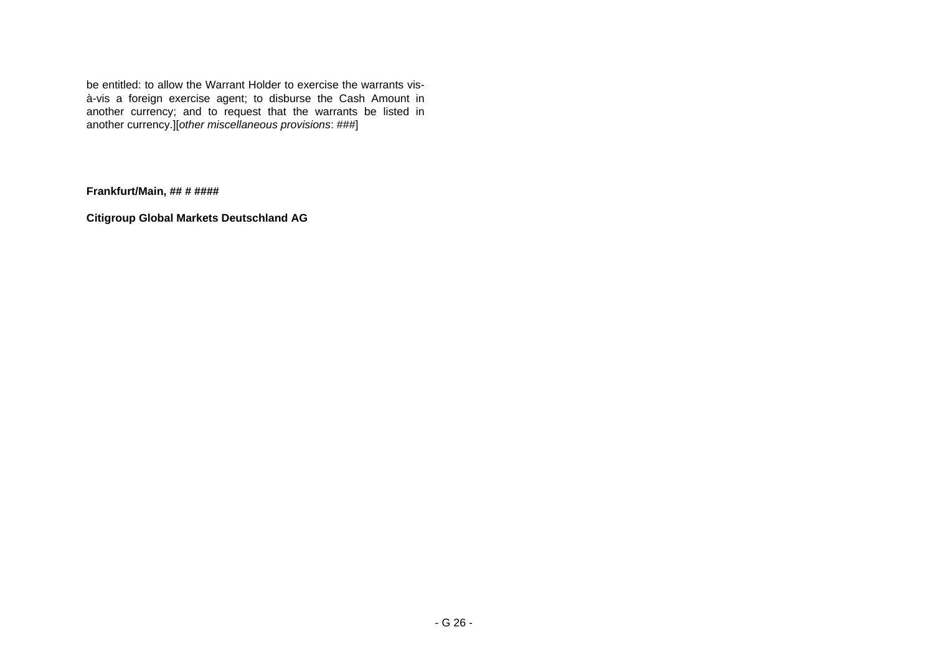be entitled: to allow the Warrant Holder to exercise the warrants visà-vis a foreign exercise agent; to disburse the Cash Amount in another currency; and to request that the warrants be listed in another currency.][*other miscellaneous provisions*: ###]

# **Frankfurt/Main, ## # ####**

**Citigroup Global Markets Deutschland AG**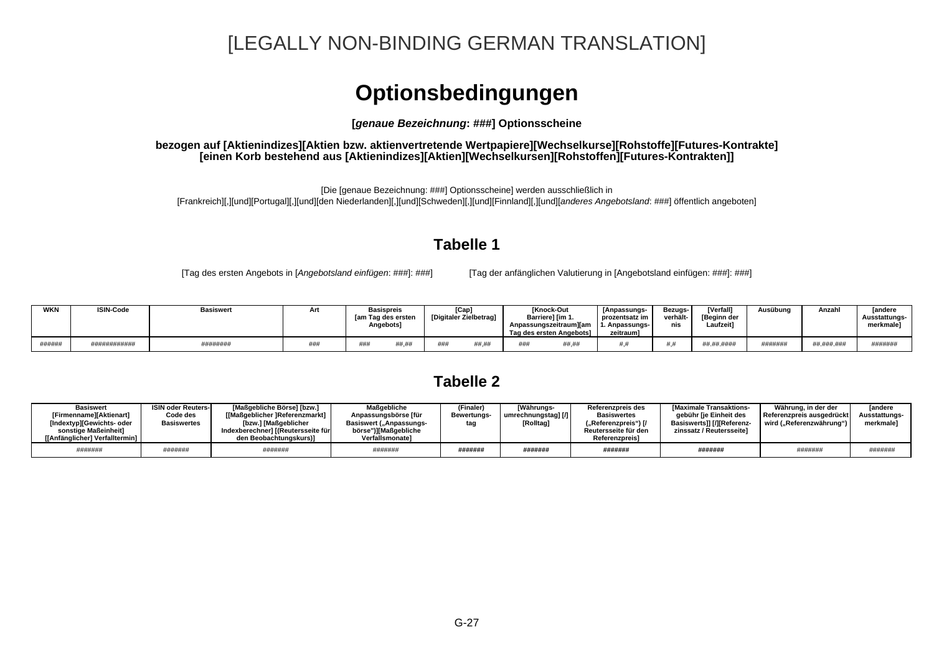# [LEGALLY NON-BINDING GERMAN TRANSLATION]

# **Optionsbedingungen**

**[***genaue Bezeichnung***: ###] Optionsscheine** 

**bezogen auf [Aktienindizes][Aktien bzw. aktienvertretende Wertpapiere][Wechselkurse][Rohstoffe][Futures-Kontrakte] [einen Korb bestehend aus [Aktienindizes][Aktien][Wechselkursen][Rohstoffen][Futures-Kontrakten]]** 

[Die [genaue Bezeichnung: ###] Optionsscheine] werden ausschließlich in [Frankreich][,][und][Portugal][,][und][den Niederlanden][,][und][Schweden][,][und][Finnland][,][und][*anderes Angebotsland*: ###] öffentlich angeboten]

# **Tabelle 1**

[Tag des ersten Angebots in [*Angebotsland einfügen*: ###]: ###] [Tag der anfänglichen Valutierung in [Angebotsland einfügen: ###]: ###]

| <b>WKN</b> | <b>ISIN-Code</b> | <b>Basiswert</b> |     | <b>Basispreis</b><br><b>Jam Tag des ersten</b><br>Angebots] |       | [Cap]<br>[Digitaler Zielbetrag] |       | [Knock-Out<br>Barriere] [im 1.<br>Anpassungszeitraum][am<br>Tag des ersten Angebots1 |  | [Anpassungs-<br>prozentsatz im<br>. Anpassungs-<br>zeitrauml | Bezugs-<br>verhält<br>nis | [Verfall]<br>[Beginn der<br>Laufzeit | Ausübuna | Anzahl     | <b>Tandere</b><br><b>Ausstattungs-</b><br>merkmale] |
|------------|------------------|------------------|-----|-------------------------------------------------------------|-------|---------------------------------|-------|--------------------------------------------------------------------------------------|--|--------------------------------------------------------------|---------------------------|--------------------------------------|----------|------------|-----------------------------------------------------|
| ######     | ############     | ########         | ### |                                                             | ##.## | ##                              | ##,## | ##.#                                                                                 |  |                                                              |                           | ##.##.####                           | #######  | ##.###.### | ######                                              |

# **Tabelle 2**

| <b>Basiswert</b>               | <b>ISIN oder Reuters-I</b> | [Maßgebliche Börse] [bzw.]         | Maßgebliche                    | <b>Finaler)</b>    | <b>IWährungs-</b>   | Referenzpreis des    | <b>Maximale Transaktions-</b> | Währung, in der der        | <b>Tandere</b>       |
|--------------------------------|----------------------------|------------------------------------|--------------------------------|--------------------|---------------------|----------------------|-------------------------------|----------------------------|----------------------|
| [Firmenname][Aktienart]        | Code des                   | [IMaßgeblicher ]Referenzmarkt]     | Anpassungsbörse ffür           | <b>Bewertungs-</b> | umrechnungstag] [/] | <b>Basiswertes</b>   | gebühr lie Einheit des        | Referenzpreis ausgedrückt  | <b>Ausstattungs-</b> |
| [Indextyp][Gewichts- oder      | <b>Basiswertes</b>         | [bzw.] [Maßgeblicher               | <b>Basiswert ("Anpassungs-</b> | tag                | [Rolltag]           | "Referenzpreis") [/  | Basiswerts]] [/][Referenz-    | wird ("Referenzwährung") I | merkmale]            |
| sonstige Maßeinheit]           |                            | Indexberechner] [(Reutersseite für | börse")][Maßgebliche           |                    |                     | Reutersseite für den | zinssatz / Reutersseite]      |                            |                      |
| [[Anfänglicher] Verfalltermin] |                            | den Beobachtungskurs)]             | Verfallsmonatel                |                    |                     | Referenzpreisl       |                               |                            |                      |
| #######                        | #######                    | #######                            | #######                        | #######            | #######             | #######              | ######                        | #######                    | #######              |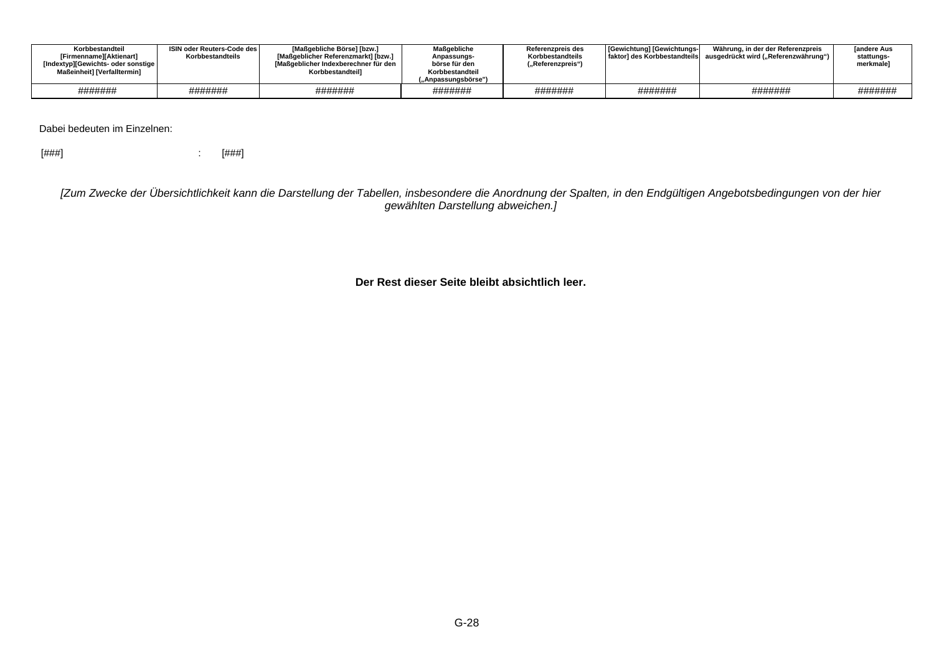| Korbbestandteil<br>[Firmenname][Aktienart]<br>[Indextyp][Gewichts- oder sonstige]<br>Maßeinheit1 [Verfalltermin] | ISIN oder Reuters-Code des<br>Korbbestandteils | [Maßgebliche Börse] [bzw.]<br>[Maßgeblicher Referenzmarkt] [bzw.]<br>[Maßgeblicher Indexberechner für den<br>Korbbestandteil1 | Maßgebliche<br>Anpassungs-<br>börse für den<br>Korbbestandteil<br>("Anpassungsbörse") | Referenzpreis des<br>Korbbestandteils<br>("Referenzpreis") | <b>I</b> [Gewichtung] [Gewichtungs- | Währung, in der der Referenzpreis<br>[faktor] des Korbbestandteils   ausgedrückt wird ("Referenzwährung") | <b>Tandere Aus</b><br>stattungs-<br>merkmale] |
|------------------------------------------------------------------------------------------------------------------|------------------------------------------------|-------------------------------------------------------------------------------------------------------------------------------|---------------------------------------------------------------------------------------|------------------------------------------------------------|-------------------------------------|-----------------------------------------------------------------------------------------------------------|-----------------------------------------------|
| #######                                                                                                          | #######                                        | #######                                                                                                                       | #######                                                                               | #######                                                    | #######                             | #######                                                                                                   | #######                                       |

Dabei bedeuten im Einzelnen:

 $[$ ###]  $[$   $]$   $]$   $[$   $]$   $[$   $]$   $[$   $]$   $[$   $]$   $[$   $]$   $[$   $]$   $[$   $]$   $]$   $[$   $]$   $[$   $]$   $]$   $[$   $]$   $]$   $[$   $]$   $[$   $]$   $[$   $]$   $[$   $]$   $[$   $]$   $[$   $]$   $[$   $]$   $[$   $]$   $[$   $]$   $[$   $]$   $[$   $]$   $[$   $]$   $[$   $]$   $[$ 

*[Zum Zwecke der Übersichtlichkeit kann die Darstellung der Tabellen, insbesondere die Anordnung der Spalten, in den Endgültigen Angebotsbedingungen von der hier gewählten Darstellung abweichen.]* 

**Der Rest dieser Seite bleibt absichtlich leer.**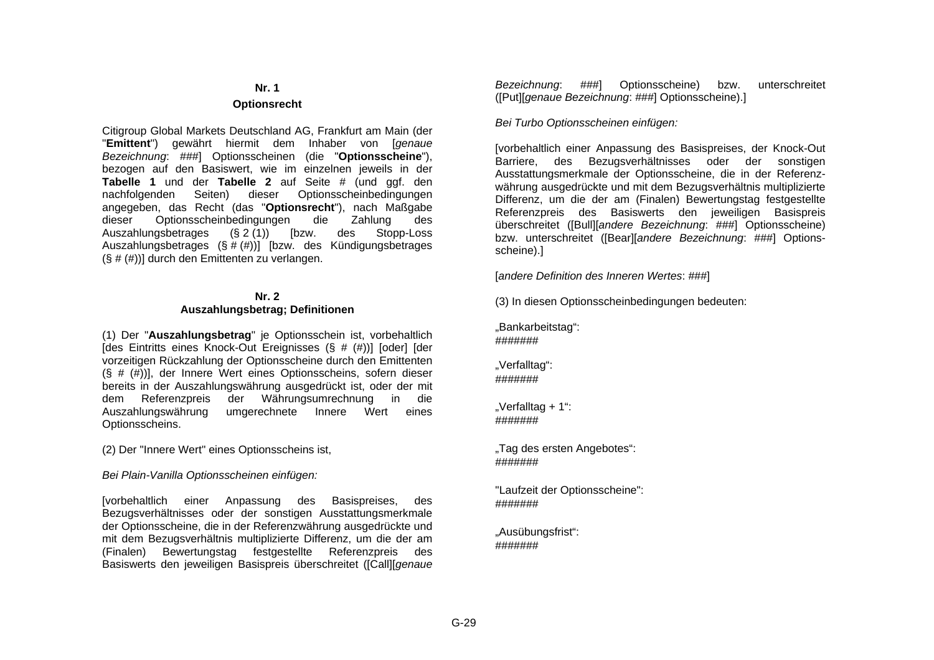#### **Nr. 1**

#### **Optionsrecht**

Citigroup Global Markets Deutschland AG, Frankfurt am Main (der "**Emittent**") gewährt hiermit dem Inhaber von [*genaue Bezeichnung*: ###] Optionsscheinen (die "**Optionsscheine**"), bezogen auf den Basiswert, wie im einzelnen jeweils in der **Tabelle 1** und der **Tabelle 2** auf Seite # (und ggf. den nachfolgenden Seiten) dieser Optionsscheinbedingungen angegeben, das Recht (das "**Optionsrecht**"), nach Maßgabe dieser Optionsscheinbedingungen die Zahlung des Auszahlungsbetrages (§ 2 (1)) [bzw. des Stopp-Loss Auszahlungsbetrages (§ # (#))] [bzw. des Kündigungsbetrages (§ # (#))] durch den Emittenten zu verlangen.

#### **Nr. 2 Auszahlungsbetrag; Definitionen**

(1) Der "**Auszahlungsbetrag**" je Optionsschein ist, vorbehaltlich  $[$ des Eintritts eines Knock-Out Ereignisses (§ #  $($ #))]  $[$ oder]  $[$ der vorzeitigen Rückzahlung der Optionsscheine durch den Emittenten (§ # (#))], der Innere Wert eines Optionsscheins, sofern dieser bereits in der Auszahlungswährung ausgedrückt ist, oder der mit dem Referenzpreis der Währungsumrechnung in die Auszahlungswährung umgerechnete Innere Wert eines Optionsscheins.

(2) Der "Innere Wert" eines Optionsscheins ist,

*Bei Plain-Vanilla Optionsscheinen einfügen:* 

[vorbehaltlich einer Anpassung des Basispreises, des Bezugsverhältnisses oder der sonstigen Ausstattungsmerkmale der Optionsscheine, die in der Referenzwährung ausgedrückte und mit dem Bezugsverhältnis multiplizierte Differenz, um die der am (Finalen) Bewertungstag festgestellte Referenzpreis des Basiswerts den jeweiligen Basispreis überschreitet ([Call][*genaue* *Bezeichnung*: ###] Optionsscheine) bzw. unterschreitet ([Put][*genaue Bezeichnung*: ###] Optionsscheine).]

*Bei Turbo Optionsscheinen einfügen:* 

[vorbehaltlich einer Anpassung des Basispreises, der Knock-Out Barriere, des Bezugsverhältnisses oder der sonstigen Ausstattungsmerkmale der Optionsscheine, die in der Referenzwährung ausgedrückte und mit dem Bezugsverhältnis multiplizierte Differenz, um die der am (Finalen) Bewertungstag festgestellte Referenzpreis des Basiswerts den jeweiligen Basispreis überschreitet ([Bull][*andere Bezeichnung*: ###] Optionsscheine) bzw. unterschreitet ([Bear][*andere Bezeichnung*: ###] Optionsscheine).]

[*andere Definition des Inneren Wertes*: ###]

(3) In diesen Optionsscheinbedingungen bedeuten:

"Bankarbeitstag": #######

"Verfalltag": #######

 $\sqrt{v}$  Verfalltag + 1": #######

"Tag des ersten Angebotes": #######

"Laufzeit der Optionsscheine": #######

"Ausübungsfrist": #######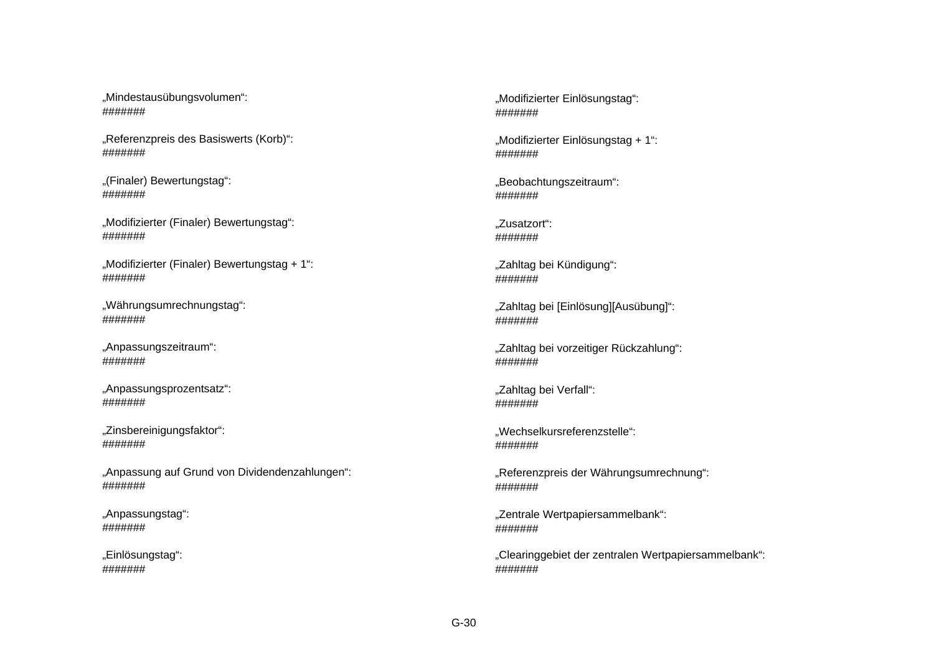"Mindestausübungsvolumen": #######

"Referenzpreis des Basiswerts (Korb)": #######

"(Finaler) Bewertungstag": #######

"Modifizierter (Finaler) Bewertungstag": #######

"Modifizierter (Finaler) Bewertungstag + 1": #######

"Währungsumrechnungstag": #######

"Anpassungszeitraum": #######

"Anpassungsprozentsatz": #######

"Zinsbereinigungsfaktor": #######

"Anpassung auf Grund von Dividendenzahlungen": #######

"Anpassungstag": #######

"Einlösungstag": #######

"Modifizierter Einlösungstag": #######

"Modifizierter Einlösungstag + 1": #######

"Beobachtungszeitraum": #######

"Zusatzort": #######

"Zahltag bei Kündigung": #######

"Zahltag bei [Einlösung][Ausübung]": #######

"Zahltag bei vorzeitiger Rückzahlung": #######

"Zahltag bei Verfall": #######

"Wechselkursreferenzstelle": #######

"Referenzpreis der Währungsumrechnung": #######

"Zentrale Wertpapiersammelbank": #######

"Clearinggebiet der zentralen Wertpapiersammelbank": #######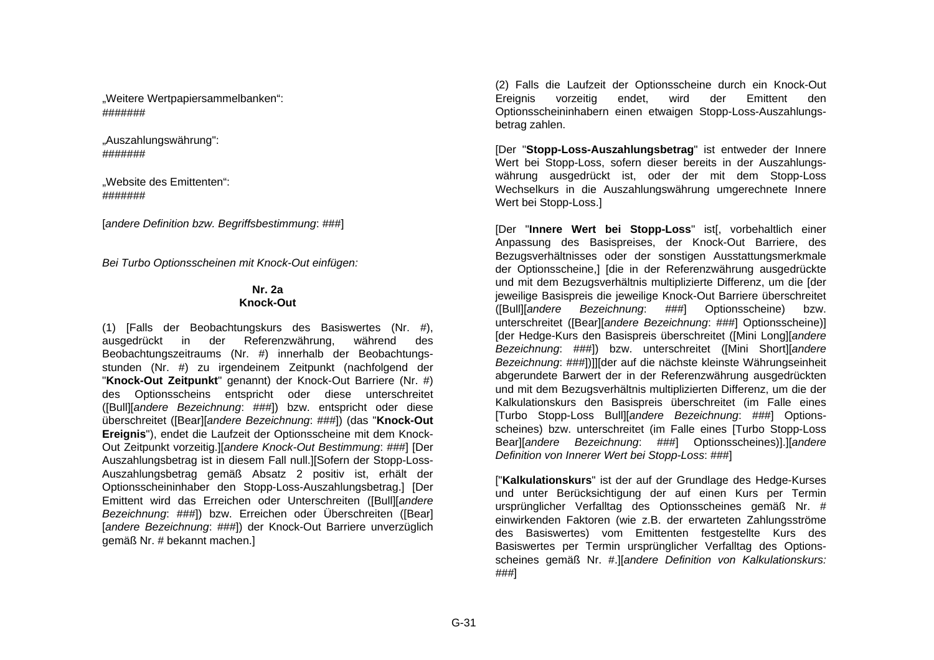"Weitere Wertpapiersammelbanken": #######

"Auszahlungswährung": #######

"Website des Emittenten": #######

[*andere Definition bzw. Begriffsbestimmung*: ###]

*Bei Turbo Optionsscheinen mit Knock-Out einfügen:* 

#### **Nr. 2a Knock-Out**

(1) [Falls der Beobachtungskurs des Basiswertes (Nr. #), ausgedrückt in der Referenzwährung, während des Beobachtungszeitraums (Nr. #) innerhalb der Beobachtungsstunden (Nr. #) zu irgendeinem Zeitpunkt (nachfolgend der "**Knock-Out Zeitpunkt**" genannt) der Knock-Out Barriere (Nr. #) des Optionsscheins entspricht oder diese unterschreitet ([Bull][*andere Bezeichnung*: ###]) bzw. entspricht oder diese überschreitet ([Bear][*andere Bezeichnung*: ###]) (das "**Knock-Out Ereignis**"), endet die Laufzeit der Optionsscheine mit dem Knock-Out Zeitpunkt vorzeitig.][*andere Knock-Out Bestimmung*: ###] [Der Auszahlungsbetrag ist in diesem Fall null.][Sofern der Stopp-Loss-Auszahlungsbetrag gemäß Absatz 2 positiv ist, erhält der Optionsscheininhaber den Stopp-Loss-Auszahlungsbetrag.] [Der Emittent wird das Erreichen oder Unterschreiten ([Bull][*andere Bezeichnung*: ###]) bzw. Erreichen oder Überschreiten ([Bear] [*andere Bezeichnung*: ###]) der Knock-Out Barriere unverzüglich gemäß Nr. # bekannt machen.]

(2) Falls die Laufzeit der Optionsscheine durch ein Knock-Out Ereignis vorzeitig endet, wird der Emittent den Optionsscheininhabern einen etwaigen Stopp-Loss-Auszahlungsbetrag zahlen.

[Der "**Stopp-Loss-Auszahlungsbetrag**" ist entweder der Innere Wert bei Stopp-Loss, sofern dieser bereits in der Auszahlungswährung ausgedrückt ist, oder der mit dem Stopp-Loss Wechselkurs in die Auszahlungswährung umgerechnete Innere Wert bei Stopp-Loss.]

[Der "**Innere Wert bei Stopp-Loss**" ist[, vorbehaltlich einer Anpassung des Basispreises, der Knock-Out Barriere, des Bezugsverhältnisses oder der sonstigen Ausstattungsmerkmale der Optionsscheine,] [die in der Referenzwährung ausgedrückte und mit dem Bezugsverhältnis multiplizierte Differenz, um die [der jeweilige Basispreis die jeweilige Knock-Out Barriere überschreitet ([Bull][*andere Bezeichnung*: ###] Optionsscheine) bzw. unterschreitet ([Bear][*andere Bezeichnung*: ###] Optionsscheine)] [der Hedge-Kurs den Basispreis überschreitet ([Mini Long][*andere Bezeichnung*: ###]) bzw. unterschreitet ([Mini Short][*andere Bezeichnung*: ###])]][der auf die nächste kleinste Währungseinheit abgerundete Barwert der in der Referenzwährung ausgedrückten und mit dem Bezugsverhältnis multiplizierten Differenz, um die der Kalkulationskurs den Basispreis überschreitet (im Falle eines [Turbo Stopp-Loss Bull][*andere Bezeichnung*: ###] Optionsscheines) bzw. unterschreitet (im Falle eines [Turbo Stopp-Loss Bear][*andere Bezeichnung*: ###] Optionsscheines)].][*andere Definition von Innerer Wert bei Stopp-Loss*: ###]

["**Kalkulationskurs**" ist der auf der Grundlage des Hedge-Kurses und unter Berücksichtigung der auf einen Kurs per Termin ursprünglicher Verfalltag des Optionsscheines gemäß Nr. # einwirkenden Faktoren (wie z.B. der erwarteten Zahlungsströme des Basiswertes) vom Emittenten festgestellte Kurs des Basiswertes per Termin ursprünglicher Verfalltag des Optionsscheines gemäß Nr. #.][*andere Definition von Kalkulationskurs: ###*]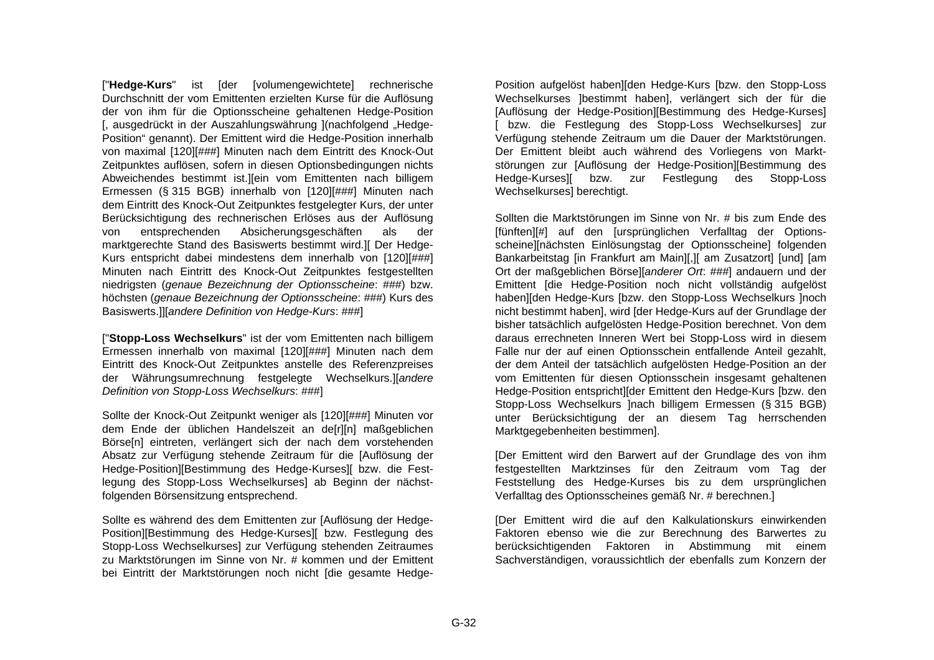["**Hedge-Kurs**" ist [der [volumengewichtete] rechnerische Durchschnitt der vom Emittenten erzielten Kurse für die Auflösung der von ihm für die Optionsscheine gehaltenen Hedge-Position [, ausgedrückt in der Auszahlungswährung ](nachfolgend "Hedge-Position" genannt). Der Emittent wird die Hedge-Position innerhalb von maximal [120][###] Minuten nach dem Eintritt des Knock-Out Zeitpunktes auflösen, sofern in diesen Optionsbedingungen nichts Abweichendes bestimmt ist.][ein vom Emittenten nach billigem Ermessen (§ 315 BGB) innerhalb von [120][###] Minuten nach dem Eintritt des Knock-Out Zeitpunktes festgelegter Kurs, der unter Berücksichtigung des rechnerischen Erlöses aus der Auflösung von entsprechenden Absicherungsgeschäften als der marktgerechte Stand des Basiswerts bestimmt wird.][ Der Hedge-Kurs entspricht dabei mindestens dem innerhalb von [120][###] Minuten nach Eintritt des Knock-Out Zeitpunktes festgestellten niedrigsten (*genaue Bezeichnung der Optionsscheine*: ###) bzw. höchsten (*genaue Bezeichnung der Optionsscheine*: ###) Kurs des Basiswerts.]][*andere Definition von Hedge-Kurs*: ###]

["**Stopp-Loss Wechselkurs**" ist der vom Emittenten nach billigem Ermessen innerhalb von maximal [120][###] Minuten nach dem Eintritt des Knock-Out Zeitpunktes anstelle des Referenzpreises der Währungsumrechnung festgelegte Wechselkurs.][*andere Definition von Stopp-Loss Wechselkurs*: ###]

Sollte der Knock-Out Zeitpunkt weniger als [120][###] Minuten vor dem Ende der üblichen Handelszeit an de[r][n] maßgeblichen Börse[n] eintreten, verlängert sich der nach dem vorstehenden Absatz zur Verfügung stehende Zeitraum für die [Auflösung der Hedge-Position][Bestimmung des Hedge-Kurses][ bzw. die Festlegung des Stopp-Loss Wechselkurses] ab Beginn der nächstfolgenden Börsensitzung entsprechend.

Sollte es während des dem Emittenten zur [Auflösung der Hedge-Position][Bestimmung des Hedge-Kurses][ bzw. Festlegung des Stopp-Loss Wechselkurses] zur Verfügung stehenden Zeitraumes zu Marktstörungen im Sinne von Nr. # kommen und der Emittent bei Eintritt der Marktstörungen noch nicht [die gesamte HedgePosition aufgelöst haben][den Hedge-Kurs [bzw. den Stopp-Loss<br>Wechselkurses ]bestimmt haben], verlängert sich der für die<br>[Auflösung der Hedge-Position][Bestimmung des Hedge-Kurses]<br>[ bzw. die Festlegung des Stopp-Loss Wec störungen zur [Auflösung der Hedge-Position][Bestimmung des<br>Hedge-Kurses][ bzw. zur Festlegung des Stopp-Loss<br>Wechselkurses] berechtigt.<br>Sollten die Marktstörungen im Sinne von Nr. # bis zum Ende des<br>[fünften][#] auf den [

scheine][nächsten Einlösungstag der Optionsscheine] folgenden<br>Bankarbeitstag [in Frankfurt am Main][.][ am Zusatzort] [und] [am Amin]<br>Ort der mäßgeblichen Börse][anderer Ort: ###] andauern und der<br>Emittent [die Hedge-Posit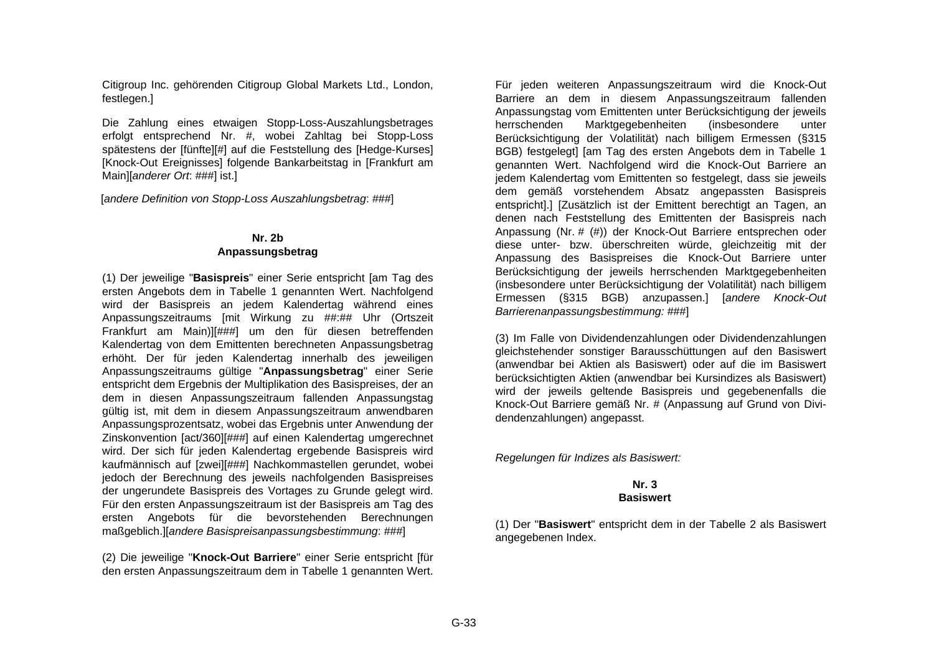Citigroup Inc. gehörenden Citigroup Global Markets Ltd., London, festlegen.]

Die Zahlung eines etwaigen Stopp-Loss-Auszahlungsbetrages erfolgt entsprechend Nr. #, wobei Zahltag bei Stopp-Loss spätestens der [fünfte][#] auf die Feststellung des [Hedge-Kurses] [Knock-Out Ereignisses] folgende Bankarbeitstag in [Frankfurt am Main][*anderer Ort*: ###] ist.]

[*andere Definition von Stopp-Loss Auszahlungsbetrag*: ###]

# **Nr. 2b Anpassungsbetrag**

(1) Der jeweilige "**Basispreis**" einer Serie entspricht [am Tag des ersten Angebots dem in Tabelle 1 genannten Wert. Nachfolgend wird der Basispreis an jedem Kalendertag während eines Anpassungszeitraums [mit Wirkung zu ##:## Uhr (Ortszeit Frankfurt am Main)][###] um den für diesen betreffenden Kalendertag von dem Emittenten berechneten Anpassungsbetrag erhöht. Der für jeden Kalendertag innerhalb des jeweiligen Anpassungszeitraums gültige "**Anpassungsbetrag**" einer Serie entspricht dem Ergebnis der Multiplikation des Basispreises, der an dem in diesen Anpassungszeitraum fallenden Anpassungstag gültig ist, mit dem in diesem Anpassungszeitraum anwendbaren Anpassungsprozentsatz, wobei das Ergebnis unter Anwendung der Zinskonvention [act/360][###] auf einen Kalendertag umgerechnet wird. Der sich für jeden Kalendertag ergebende Basispreis wird kaufmännisch auf [zwei][###] Nachkommastellen gerundet, wobei jedoch der Berechnung des jeweils nachfolgenden Basispreises der ungerundete Basispreis des Vortages zu Grunde gelegt wird. Für den ersten Anpassungszeitraum ist der Basispreis am Tag des ersten Angebots für die bevorstehenden Berechnungen maßgeblich.][*andere Basispreisanpassungsbestimmung*: ###]

(2) Die jeweilige "**Knock-Out Barriere**" einer Serie entspricht [für den ersten Anpassungszeitraum dem in Tabelle 1 genannten Wert.

Für jeden weiteren Anpassungszeitraum wird die Knock-Out Barriere an dem in diesem Anpassungszeitraum fallenden Anpassungstag vom Emittenten unter Berücksichtigung der jeweils herrschenden Marktgegebenheiten (insbesondere unter Berücksichtigung der Volatilität) nach billigem Ermessen (§315 BGB) festgelegt] [am Tag des ersten Angebots dem in Tabelle 1 genannten Wert. Nachfolgend wird die Knock-Out Barriere an jedem Kalendertag vom Emittenten so festgelegt, dass sie jeweils dem gemäß vorstehendem Absatz angepassten Basispreis entspricht].] [Zusätzlich ist der Emittent berechtigt an Tagen, an denen nach Feststellung des Emittenten der Basispreis nach Anpassung (Nr. # (#)) der Knock-Out Barriere entsprechen oder diese unter- bzw. überschreiten würde, gleichzeitig mit der Anpassung des Basispreises die Knock-Out Barriere unter Berücksichtigung der jeweils herrschenden Marktgegebenheiten (insbesondere unter Berücksichtigung der Volatilität) nach billigem Ermessen (§315 BGB) anzupassen.] [*andere Knock-Out Barrierenanpassungsbestimmung:* ###]

(3) Im Falle von Dividendenzahlungen oder Dividendenzahlungen gleichstehender sonstiger Barausschüttungen auf den Basiswert (anwendbar bei Aktien als Basiswert) oder auf die im Basiswert berücksichtigten Aktien (anwendbar bei Kursindizes als Basiswert) wird der jeweils geltende Basispreis und gegebenenfalls die Knock-Out Barriere gemäß Nr. # (Anpassung auf Grund von Dividendenzahlungen) angepasst.

 *Regelungen für Indizes als Basiswert:* 

#### **Nr. 3 Basiswert**

 (1) Der "**Basiswert**" entspricht dem in der Tabelle 2 als Basiswert angegebenen Index.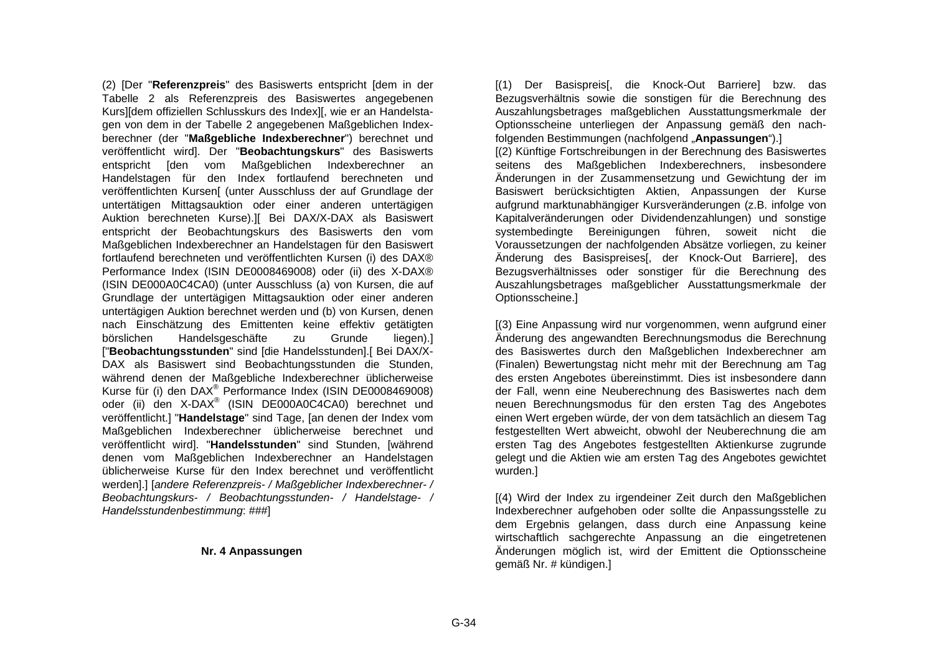(2) [Der "**Referenzpreis**" des Basiswerts entspricht [dem in der Tabelle 2 als Referenzpreis des Basiswertes angegebenen Kurs][dem offiziellen Schlusskurs des Index][, wie er an Handelstagen von dem in der Tabelle 2 angegebenen Maßgeblichen Indexberechner (der "**Maßgebliche Indexberechner**") berechnet und veröffentlicht wird]. Der "**Beobachtungskurs**" des Basiswerts entspricht [den vom Maßgeblichen Indexberechner an Handelstagen für den Index fortlaufend berechneten und veröffentlichten Kursen[ (unter Ausschluss der auf Grundlage der untertätigen Mittagsauktion oder einer anderen untertägigen Auktion berechneten Kurse).][ Bei DAX/X-DAX als Basiswert entspricht der Beobachtungskurs des Basiswerts den vom Maßgeblichen Indexberechner an Handelstagen für den Basiswert fortlaufend berechneten und veröffentlichten Kursen (i) des DAX® Performance Index (ISIN DE0008469008) oder (ii) des X-DAX® (ISIN DE000A0C4CA0) (unter Ausschluss (a) von Kursen, die auf Grundlage der untertägigen Mittagsauktion oder einer anderen untertägigen Auktion berechnet werden und (b) von Kursen, denen nach Einschätzung des Emittenten keine effektiv getätigten börslichen Handelsgeschäfte zu Grunde liegen).] ["**Beobachtungsstunden**" sind [die Handelsstunden].[ Bei DAX/X-DAX als Basiswert sind Beobachtungsstunden die Stunden, während denen der Maßgebliche Indexberechner üblicherweise Kurse für (i) den DAX® Performance Index (ISIN DE0008469008) oder (ii) den X-DAX® (ISIN DE000A0C4CA0) berechnet und veröffentlicht.] "**Handelstage**" sind Tage, [an denen der Index vom Maßgeblichen Indexberechner üblicherweise berechnet und veröffentlicht wird]. "**Handelsstunden**" sind Stunden, [während denen vom Maßgeblichen Indexberechner an Handelstagen üblicherweise Kurse für den Index berechnet und veröffentlicht werden].] [*andere Referenzpreis- / Maßgeblicher Indexberechner- / Beobachtungskurs- / Beobachtungsstunden- / Handelstage- / Handelsstundenbestimmung*: ###]

#### **Nr. 4 Anpassungen**

 [(1) Der Basispreis[, die Knock-Out Barriere] bzw. das Bezugsverhältnis sowie die sonstigen für die Berechnung des Auszahlungsbetrages maßgeblichen Ausstattungsmerkmale der Optionsscheine unterliegen der Anpassung gemäß den nachfolgenden Bestimmungen (nachfolgend "Anpassungen").]

 [(2) Künftige Fortschreibungen in der Berechnung des Basiswertes seitens des Maßgeblichen Indexberechners, insbesondere Änderungen in der Zusammensetzung und Gewichtung der im Basiswert berücksichtigten Aktien, Anpassungen der Kurse aufgrund marktunabhängiger Kursveränderungen (z.B. infolge von Kapitalveränderungen oder Dividendenzahlungen) und sonstige systembedingte Bereinigungen führen, soweit nicht die Voraussetzungen der nachfolgenden Absätze vorliegen, zu keiner Änderung des Basispreises[, der Knock-Out Barriere], des Bezugsverhältnisses oder sonstiger für die Berechnung des Auszahlungsbetrages maßgeblicher Ausstattungsmerkmale der Optionsscheine.]

 [(3) Eine Anpassung wird nur vorgenommen, wenn aufgrund einer Änderung des angewandten Berechnungsmodus die Berechnung des Basiswertes durch den Maßgeblichen Indexberechner am (Finalen) Bewertungstag nicht mehr mit der Berechnung am Tag des ersten Angebotes übereinstimmt. Dies ist insbesondere dann der Fall, wenn eine Neuberechnung des Basiswertes nach dem neuen Berechnungsmodus für den ersten Tag des Angebotes einen Wert ergeben würde, der von dem tatsächlich an diesem Tag festgestellten Wert abweicht, obwohl der Neuberechnung die am ersten Tag des Angebotes festgestellten Aktienkurse zugrunde gelegt und die Aktien wie am ersten Tag des Angebotes gewichtet wurden.]

 [(4) Wird der Index zu irgendeiner Zeit durch den Maßgeblichen Indexberechner aufgehoben oder sollte die Anpassungsstelle zu dem Ergebnis gelangen, dass durch eine Anpassung keine wirtschaftlich sachgerechte Anpassung an die eingetretenen Änderungen möglich ist, wird der Emittent die Optionsscheine gemäß Nr. # kündigen.]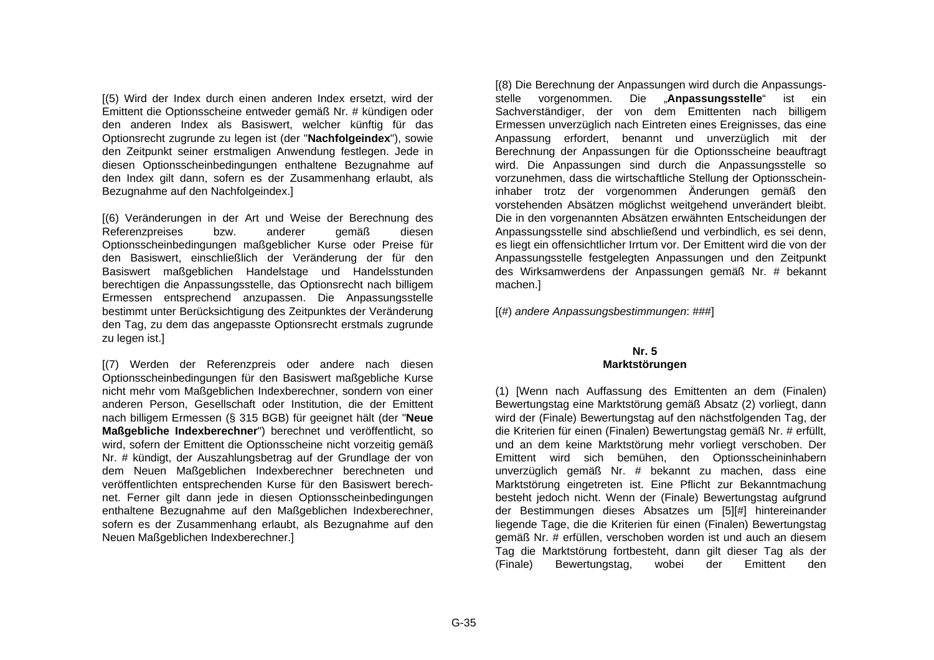[(5) Wird der Index durch einen anderen Index ersetzt, wird der Emittent die Optionsscheine entweder gemäß Nr. # kündigen oder den anderen Index als Basiswert, welcher künftig für das Optionsrecht zugrunde zu legen ist (der "**Nachfolgeindex**"), sowie den Zeitpunkt seiner erstmaligen Anwendung festlegen. Jede in diesen Optionsscheinbedingungen enthaltene Bezugnahme auf den Index gilt dann, sofern es der Zusammenhang erlaubt, als Bezugnahme auf den Nachfolgeindex.]

 [(6) Veränderungen in der Art und Weise der Berechnung des Referenzpreises bzw. anderer gemäß diesen Optionsscheinbedingungen maßgeblicher Kurse oder Preise für den Basiswert, einschließlich der Veränderung der für den Basiswert maßgeblichen Handelstage und Handelsstunden berechtigen die Anpassungsstelle, das Optionsrecht nach billigem Ermessen entsprechend anzupassen. Die Anpassungsstelle bestimmt unter Berücksichtigung des Zeitpunktes der Veränderung den Tag, zu dem das angepasste Optionsrecht erstmals zugrunde zu legen ist.]

 [(7) Werden der Referenzpreis oder andere nach diesen Optionsscheinbedingungen für den Basiswert maßgebliche Kurse nicht mehr vom Maßgeblichen Indexberechner, sondern von einer anderen Person, Gesellschaft oder Institution, die der Emittent nach billigem Ermessen (§ 315 BGB) für geeignet hält (der "**Neue Maßgebliche Indexberechner**") berechnet und veröffentlicht, so wird, sofern der Emittent die Optionsscheine nicht vorzeitig gemäß Nr. # kündigt, der Auszahlungsbetrag auf der Grundlage der von dem Neuen Maßgeblichen Indexberechner berechneten und veröffentlichten entsprechenden Kurse für den Basiswert berechnet. Ferner gilt dann jede in diesen Optionsscheinbedingungen enthaltene Bezugnahme auf den Maßgeblichen Indexberechner, sofern es der Zusammenhang erlaubt, als Bezugnahme auf den Neuen Maßgeblichen Indexberechner.]

 [(8) Die Berechnung der Anpassungen wird durch die Anpassungsstelle vorgenommen. Die "**Anpassungsstelle**" ist ein Sachverständiger, der von dem Emittenten nach billigem Ermessen unverzüglich nach Eintreten eines Ereignisses, das eine Anpassung erfordert, benannt und unverzüglich mit der Berechnung der Anpassungen für die Optionsscheine beauftragt wird. Die Anpassungen sind durch die Anpassungsstelle so vorzunehmen, dass die wirtschaftliche Stellung der Optionsscheininhaber trotz der vorgenommen Änderungen gemäß den vorstehenden Absätzen möglichst weitgehend unverändert bleibt. Die in den vorgenannten Absätzen erwähnten Entscheidungen der Anpassungsstelle sind abschließend und verbindlich, es sei denn, es liegt ein offensichtlicher Irrtum vor. Der Emittent wird die von der Anpassungsstelle festgelegten Anpassungen und den Zeitpunkt des Wirksamwerdens der Anpassungen gemäß Nr. # bekannt machen.]

[(#) *andere Anpassungsbestimmungen*: ###]

## **Nr. 5 Marktstörungen**

 (1) [Wenn nach Auffassung des Emittenten an dem (Finalen) Bewertungstag eine Marktstörung gemäß Absatz (2) vorliegt, dann wird der (Finale) Bewertungstag auf den nächstfolgenden Tag, der die Kriterien für einen (Finalen) Bewertungstag gemäß Nr. # erfüllt, und an dem keine Marktstörung mehr vorliegt verschoben. Der Emittent wird sich bemühen, den Optionsscheininhabern unverzüglich gemäß Nr. # bekannt zu machen, dass eine Marktstörung eingetreten ist. Eine Pflicht zur Bekanntmachung besteht jedoch nicht. Wenn der (Finale) Bewertungstag aufgrund der Bestimmungen dieses Absatzes um [5][#] hintereinander liegende Tage, die die Kriterien für einen (Finalen) Bewertungstag gemäß Nr. # erfüllen, verschoben worden ist und auch an diesem Tag die Marktstörung fortbesteht, dann gilt dieser Tag als der (Finale) Bewertungstag, wobei der Emittent den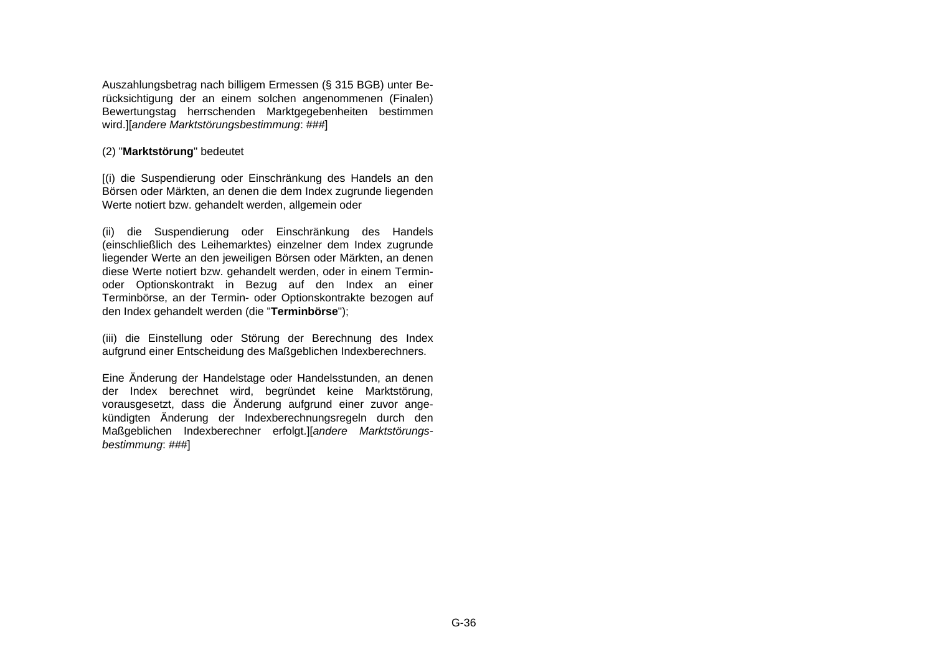Auszahlungsbetrag nach billigem Ermessen (§ 315 BGB) unter Berücksichtigung der an einem solchen angenommenen (Finalen) Bewertungstag herrschenden Marktgegebenheiten bestimmen wird.][*andere Marktstörungsbestimmung*: ###]

#### (2) "**Marktstörung**" bedeutet

 [(i) die Suspendierung oder Einschränkung des Handels an den Börsen oder Märkten, an denen die dem Index zugrunde liegenden Werte notiert bzw. gehandelt werden, allgemein oder

 (ii) die Suspendierung oder Einschränkung des Handels (einschließlich des Leihemarktes) einzelner dem Index zugrunde liegender Werte an den jeweiligen Börsen oder Märkten, an denen diese Werte notiert bzw. gehandelt werden, oder in einem Terminoder Optionskontrakt in Bezug auf den Index an einer Terminbörse, an der Termin- oder Optionskontrakte bezogen auf den Index gehandelt werden (die "**Terminbörse**");

 (iii) die Einstellung oder Störung der Berechnung des Index aufgrund einer Entscheidung des Maßgeblichen Indexberechners.

 Eine Änderung der Handelstage oder Handelsstunden, an denen der Index berechnet wird, begründet keine Marktstörung, vorausgesetzt, dass die Änderung aufgrund einer zuvor angekündigten Änderung der Indexberechnungsregeln durch den Maßgeblichen Indexberechner erfolgt.][*andere Marktstörungsbestimmung*: ###]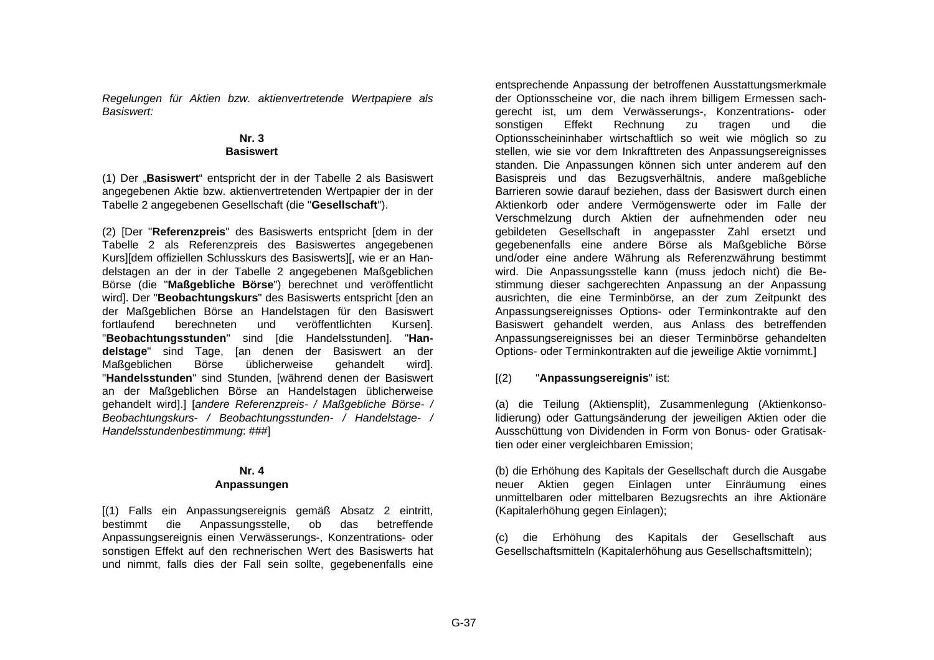*Regelungen für Aktien bzw. aktienvertretende Wertpapiere als Basiswert:* 

#### **Nr. 3 Basiswert**

 (1) Der "**Basiswert**" entspricht der in der Tabelle 2 als Basiswert angegebenen Aktie bzw. aktienvertretenden Wertpapier der in der Tabelle 2 angegebenen Gesellschaft (die "**Gesellschaft**").

 (2) [Der "**Referenzpreis**" des Basiswerts entspricht [dem in der Tabelle 2 als Referenzpreis des Basiswertes angegebenen Kurs][dem offiziellen Schlusskurs des Basiswerts][, wie er an Handelstagen an der in der Tabelle 2 angegebenen Maßgeblichen Börse (die "**Maßgebliche Börse**") berechnet und veröffentlicht wird]. Der "**Beobachtungskurs**" des Basiswerts entspricht [den an der Maßgeblichen Börse an Handelstagen für den Basiswert fortlaufend berechneten und veröffentlichten Kursen]. "**Beobachtungsstunden**" sind [die Handelsstunden]. "**Handelstage**" sind Tage, [an denen der Basiswert an der Maßgeblichen Börse üblicherweise gehandelt wird]. "**Handelsstunden**" sind Stunden, [während denen der Basiswert an der Maßgeblichen Börse an Handelstagen üblicherweise gehandelt wird].] [*andere Referenzpreis- / Maßgebliche Börse- / Beobachtungskurs- / Beobachtungsstunden- / Handelstage- / Handelsstundenbestimmung*: ###]

#### **Nr. 4 Anpassungen**

 [(1) Falls ein Anpassungsereignis gemäß Absatz 2 eintritt, bestimmt die Anpassungsstelle, ob das betreffende Anpassungsereignis einen Verwässerungs-, Konzentrations- oder sonstigen Effekt auf den rechnerischen Wert des Basiswerts hat und nimmt, falls dies der Fall sein sollte, gegebenenfalls eine

entsprechende Anpassung der betroffenen Ausstattungsmerkmale der Optionsscheine vor, die nach ihrem billigem Ermessen sachgerecht ist, um dem Verwässerungs-, Konzentrations- oder sonstigen Effekt Rechnung zu tragen und die Optionsscheininhaber wirtschaftlich so weit wie möglich so zu stellen, wie sie vor dem Inkrafttreten des Anpassungsereignisses standen. Die Anpassungen können sich unter anderem auf den Basispreis und das Bezugsverhältnis, andere maßgebliche Barrieren sowie darauf beziehen, dass der Basiswert durch einen Aktienkorb oder andere Vermögenswerte oder im Falle der Verschmelzung durch Aktien der aufnehmenden oder neu gebildeten Gesellschaft in angepasster Zahl ersetzt und gegebenenfalls eine andere Börse als Maßgebliche Börse und/oder eine andere Währung als Referenzwährung bestimmt wird. Die Anpassungsstelle kann (muss jedoch nicht) die Bestimmung dieser sachgerechten Anpassung an der Anpassung ausrichten, die eine Terminbörse, an der zum Zeitpunkt des Anpassungsereignisses Options- oder Terminkontrakte auf den Basiswert gehandelt werden, aus Anlass des betreffenden Anpassungsereignisses bei an dieser Terminbörse gehandelten Options- oder Terminkontrakten auf die jeweilige Aktie vornimmt.]

# [(2) "**Anpassungsereignis**" ist:

 (a) die Teilung (Aktiensplit), Zusammenlegung (Aktienkonsolidierung) oder Gattungsänderung der jeweiligen Aktien oder die Ausschüttung von Dividenden in Form von Bonus- oder Gratisaktien oder einer vergleichbaren Emission;

 (b) die Erhöhung des Kapitals der Gesellschaft durch die Ausgabe neuer Aktien gegen Einlagen unter Einräumung eines unmittelbaren oder mittelbaren Bezugsrechts an ihre Aktionäre (Kapitalerhöhung gegen Einlagen);

 (c) die Erhöhung des Kapitals der Gesellschaft aus Gesellschaftsmitteln (Kapitalerhöhung aus Gesellschaftsmitteln);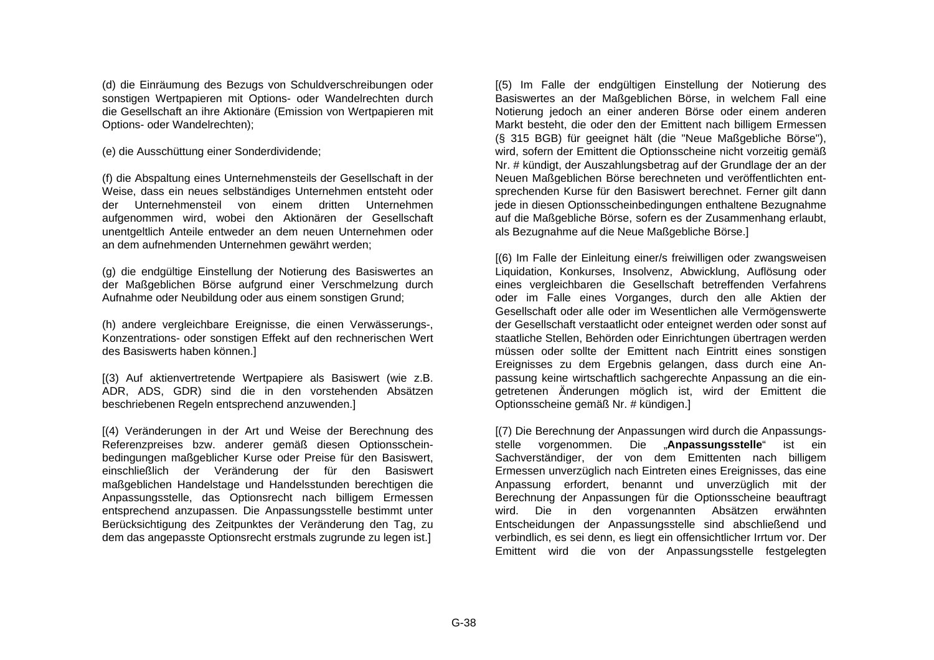(d) die Einräumung des Bezugs von Schuldverschreibungen oder sonstigen Wertpapieren mit Options- oder Wandelrechten durch die Gesellschaft an ihre Aktionäre (Emission von Wertpapieren mit Options- oder Wandelrechten);

(e) die Ausschüttung einer Sonderdividende;

 (f) die Abspaltung eines Unternehmensteils der Gesellschaft in der Weise, dass ein neues selbständiges Unternehmen entsteht oder der Unternehmensteil von einem dritten Unternehmen aufgenommen wird, wobei den Aktionären der Gesellschaft unentgeltlich Anteile entweder an dem neuen Unternehmen oder an dem aufnehmenden Unternehmen gewährt werden;

 (g) die endgültige Einstellung der Notierung des Basiswertes an der Maßgeblichen Börse aufgrund einer Verschmelzung durch Aufnahme oder Neubildung oder aus einem sonstigen Grund;

 (h) andere vergleichbare Ereignisse, die einen Verwässerungs-, Konzentrations- oder sonstigen Effekt auf den rechnerischen Wert des Basiswerts haben können.]

 [(3) Auf aktienvertretende Wertpapiere als Basiswert (wie z.B. ADR, ADS, GDR) sind die in den vorstehenden Absätzen beschriebenen Regeln entsprechend anzuwenden.]

 [(4) Veränderungen in der Art und Weise der Berechnung des Referenzpreises bzw. anderer gemäß diesen Optionsscheinbedingungen maßgeblicher Kurse oder Preise für den Basiswert, einschließlich der Veränderung der für den Basiswert maßgeblichen Handelstage und Handelsstunden berechtigen die Anpassungsstelle, das Optionsrecht nach billigem Ermessen entsprechend anzupassen. Die Anpassungsstelle bestimmt unter Berücksichtigung des Zeitpunktes der Veränderung den Tag, zu dem das angepasste Optionsrecht erstmals zugrunde zu legen ist.]

 [(5) Im Falle der endgültigen Einstellung der Notierung des Basiswertes an der Maßgeblichen Börse, in welchem Fall eine Notierung jedoch an einer anderen Börse oder einem anderen Markt besteht, die oder den der Emittent nach billigem Ermessen (§ 315 BGB) für geeignet hält (die "Neue Maßgebliche Börse"), wird, sofern der Emittent die Optionsscheine nicht vorzeitig gemäß Nr. # kündigt, der Auszahlungsbetrag auf der Grundlage der an der Neuen Maßgeblichen Börse berechneten und veröffentlichten entsprechenden Kurse für den Basiswert berechnet. Ferner gilt dann jede in diesen Optionsscheinbedingungen enthaltene Bezugnahme auf die Maßgebliche Börse, sofern es der Zusammenhang erlaubt, als Bezugnahme auf die Neue Maßgebliche Börse.]

 [(6) Im Falle der Einleitung einer/s freiwilligen oder zwangsweisen Liquidation, Konkurses, Insolvenz, Abwicklung, Auflösung oder eines vergleichbaren die Gesellschaft betreffenden Verfahrens oder im Falle eines Vorganges, durch den alle Aktien der Gesellschaft oder alle oder im Wesentlichen alle Vermögenswerte der Gesellschaft verstaatlicht oder enteignet werden oder sonst auf staatliche Stellen, Behörden oder Einrichtungen übertragen werden müssen oder sollte der Emittent nach Eintritt eines sonstigen Ereignisses zu dem Ergebnis gelangen, dass durch eine Anpassung keine wirtschaftlich sachgerechte Anpassung an die eingetretenen Änderungen möglich ist, wird der Emittent die Optionsscheine gemäß Nr. # kündigen.]

 [(7) Die Berechnung der Anpassungen wird durch die Anpassungsstelle vorgenommen. Die "**Anpassungsstelle**" ist ein Sachverständiger, der von dem Emittenten nach billigem Ermessen unverzüglich nach Eintreten eines Ereignisses, das eine Anpassung erfordert, benannt und unverzüglich mit der Berechnung der Anpassungen für die Optionsscheine beauftragt wird. Die in den vorgenannten Absätzen erwähnten Entscheidungen der Anpassungsstelle sind abschließend und verbindlich, es sei denn, es liegt ein offensichtlicher Irrtum vor. Der Emittent wird die von der Anpassungsstelle festgelegten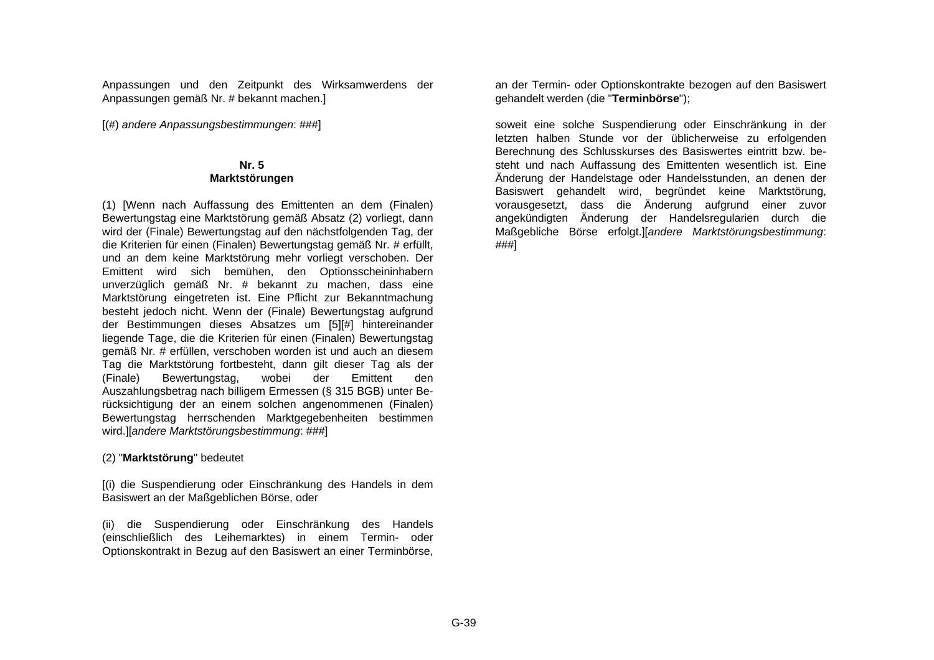Anpassungen und den Zeitpunkt des Wirksamwerdens der Anpassungen gemäß Nr. # bekannt machen.]

[(#) *andere Anpassungsbestimmungen*: ###]

#### **Nr. 5 Marktstörungen**

 (1) [Wenn nach Auffassung des Emittenten an dem (Finalen) Bewertungstag eine Marktstörung gemäß Absatz (2) vorliegt, dann wird der (Finale) Bewertungstag auf den nächstfolgenden Tag, der die Kriterien für einen (Finalen) Bewertungstag gemäß Nr. # erfüllt, und an dem keine Marktstörung mehr vorliegt verschoben. Der Emittent wird sich bemühen, den Optionsscheininhabern unverzüglich gemäß Nr. # bekannt zu machen, dass eine Marktstörung eingetreten ist. Eine Pflicht zur Bekanntmachung besteht jedoch nicht. Wenn der (Finale) Bewertungstag aufgrund der Bestimmungen dieses Absatzes um [5][#] hintereinander liegende Tage, die die Kriterien für einen (Finalen) Bewertungstag gemäß Nr. # erfüllen, verschoben worden ist und auch an diesem Tag die Marktstörung fortbesteht, dann gilt dieser Tag als der (Finale) Bewertungstag, wobei der Emittent den Auszahlungsbetrag nach billigem Ermessen (§ 315 BGB) unter Berücksichtigung der an einem solchen angenommenen (Finalen) Bewertungstag herrschenden Marktgegebenheiten bestimmen wird.][*andere Marktstörungsbestimmung*: ###]

# (2) "**Marktstörung**" bedeutet

 [(i) die Suspendierung oder Einschränkung des Handels in dem Basiswert an der Maßgeblichen Börse, oder

 (ii) die Suspendierung oder Einschränkung des Handels (einschließlich des Leihemarktes) in einem Termin- oder Optionskontrakt in Bezug auf den Basiswert an einer Terminbörse,

an der Termin- oder Optionskontrakte bezogen auf den Basiswert gehandelt werden (die "**Terminbörse**");

 soweit eine solche Suspendierung oder Einschränkung in der letzten halben Stunde vor der üblicherweise zu erfolgenden Berechnung des Schlusskurses des Basiswertes eintritt bzw. besteht und nach Auffassung des Emittenten wesentlich ist. Eine Änderung der Handelstage oder Handelsstunden, an denen der Basiswert gehandelt wird, begründet keine Marktstörung, vorausgesetzt, dass die Änderung aufgrund einer zuvor angekündigten Änderung der Handelsregularien durch die Maßgebliche Börse erfolgt.][*andere Marktstörungsbestimmung*: ###]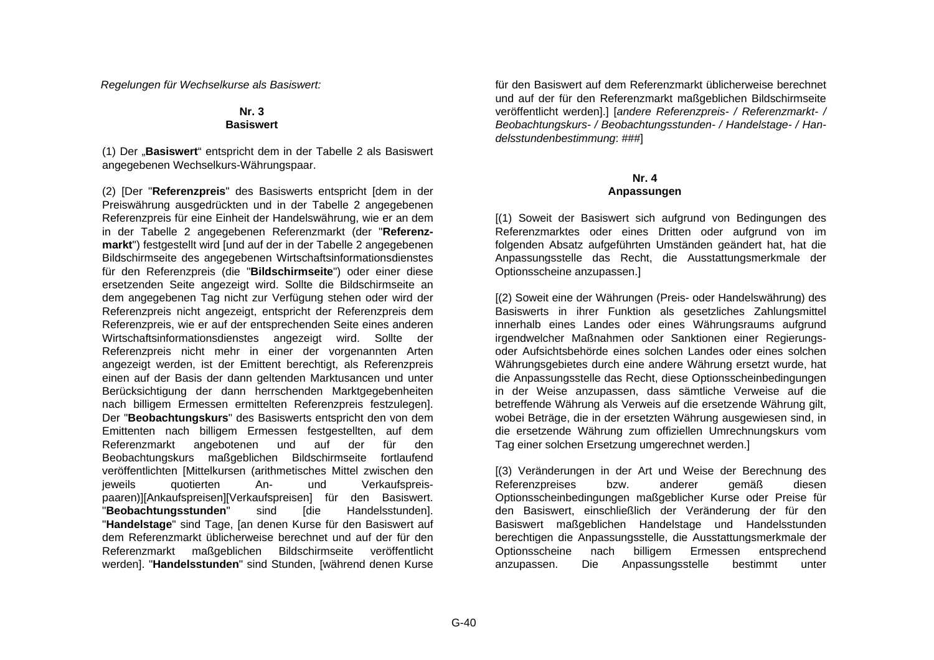*Regelungen für Wechselkurse als Basiswert:* 

#### **Nr. 3 Basiswert**

 (1) Der "**Basiswert**" entspricht dem in der Tabelle 2 als Basiswert angegebenen Wechselkurs-Währungspaar.

 (2) [Der "**Referenzpreis**" des Basiswerts entspricht [dem in der Preiswährung ausgedrückten und in der Tabelle 2 angegebenen Referenzpreis für eine Einheit der Handelswährung, wie er an dem in der Tabelle 2 angegebenen Referenzmarkt (der "**Referenzmarkt**") festgestellt wird [und auf der in der Tabelle 2 angegebenen Bildschirmseite des angegebenen Wirtschaftsinformationsdienstes für den Referenzpreis (die "**Bildschirmseite**") oder einer diese ersetzenden Seite angezeigt wird. Sollte die Bildschirmseite an dem angegebenen Tag nicht zur Verfügung stehen oder wird der Referenzpreis nicht angezeigt, entspricht der Referenzpreis dem Referenzpreis, wie er auf der entsprechenden Seite eines anderen Wirtschaftsinformationsdienstes angezeigt wird. Sollte der Referenzpreis nicht mehr in einer der vorgenannten Arten angezeigt werden, ist der Emittent berechtigt, als Referenzpreis einen auf der Basis der dann geltenden Marktusancen und unter Berücksichtigung der dann herrschenden Marktgegebenheiten nach billigem Ermessen ermittelten Referenzpreis festzulegen]. Der "**Beobachtungskurs**" des Basiswerts entspricht den von dem Emittenten nach billigem Ermessen festgestellten, auf dem Referenzmarkt angebotenen und auf der für den Beobachtungskurs maßgeblichen Bildschirmseite fortlaufend veröffentlichten [Mittelkursen (arithmetisches Mittel zwischen den jeweils quotierten An- und Verkaufspreispaaren)][Ankaufspreisen][Verkaufspreisen] für den Basiswert. "**Beobachtungsstunden**" sind [die Handelsstunden]. "**Handelstage**" sind Tage, [an denen Kurse für den Basiswert auf dem Referenzmarkt üblicherweise berechnet und auf der für den Referenzmarkt maßgeblichen Bildschirmseite veröffentlicht werden]. "**Handelsstunden**" sind Stunden, [während denen Kurse

für den Basiswert auf dem Referenzmarkt üblicherweise berechnet und auf der für den Referenzmarkt maßgeblichen Bildschirmseite veröffentlicht werden].] [*andere Referenzpreis- / Referenzmarkt- / Beobachtungskurs- / Beobachtungsstunden- / Handelstage- / Handelsstundenbestimmung*: ###]

#### **Nr. 4 Anpassungen**

 [(1) Soweit der Basiswert sich aufgrund von Bedingungen des Referenzmarktes oder eines Dritten oder aufgrund von im folgenden Absatz aufgeführten Umständen geändert hat, hat die Anpassungsstelle das Recht, die Ausstattungsmerkmale der Optionsscheine anzupassen.]

 [(2) Soweit eine der Währungen (Preis- oder Handelswährung) des Basiswerts in ihrer Funktion als gesetzliches Zahlungsmittel innerhalb eines Landes oder eines Währungsraums aufgrund irgendwelcher Maßnahmen oder Sanktionen einer Regierungsoder Aufsichtsbehörde eines solchen Landes oder eines solchen Währungsgebietes durch eine andere Währung ersetzt wurde, hat die Anpassungsstelle das Recht, diese Optionsscheinbedingungen in der Weise anzupassen, dass sämtliche Verweise auf die betreffende Währung als Verweis auf die ersetzende Währung gilt, wobei Beträge, die in der ersetzten Währung ausgewiesen sind, in die ersetzende Währung zum offiziellen Umrechnungskurs vom Tag einer solchen Ersetzung umgerechnet werden.]

 [(3) Veränderungen in der Art und Weise der Berechnung des Referenzpreises bzw. anderer gemäß diesen Optionsscheinbedingungen maßgeblicher Kurse oder Preise für den Basiswert, einschließlich der Veränderung der für den Basiswert maßgeblichen Handelstage und Handelsstunden berechtigen die Anpassungsstelle, die Ausstattungsmerkmale der Optionsscheine nach billigem Ermessen entsprechend anzupassen. Die Anpassungsstelle bestimmt unter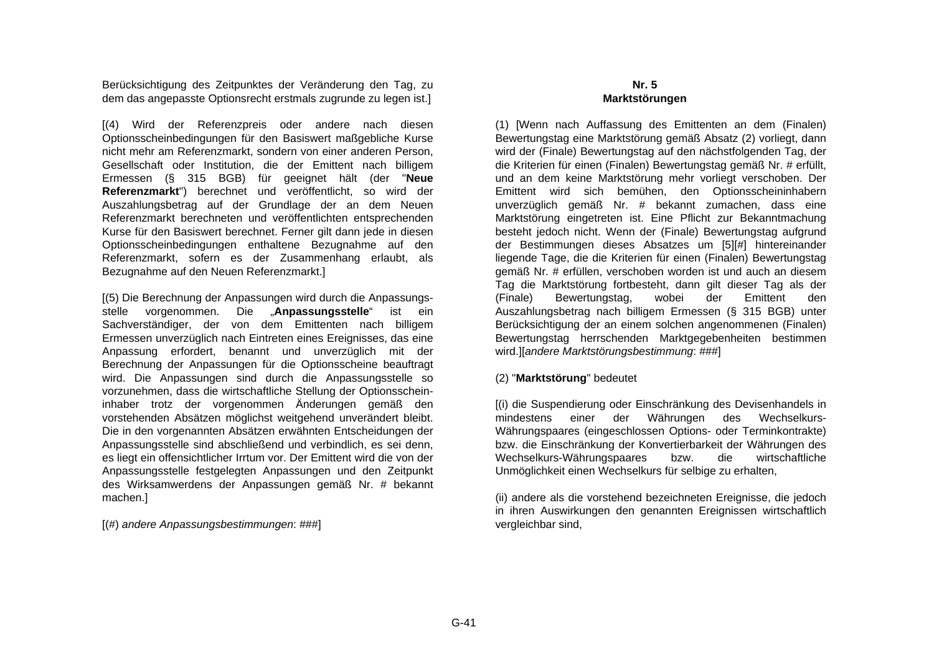Berücksichtigung des Zeitpunktes der Veränderung den Tag, zu dem das angepasste Optionsrecht erstmals zugrunde zu legen ist.]

 [(4) Wird der Referenzpreis oder andere nach diesen Optionsscheinbedingungen für den Basiswert maßgebliche Kurse nicht mehr am Referenzmarkt, sondern von einer anderen Person, Gesellschaft oder Institution, die der Emittent nach billigem Ermessen (§ 315 BGB) für geeignet hält (der "**Neue Referenzmarkt**") berechnet und veröffentlicht, so wird der Auszahlungsbetrag auf der Grundlage der an dem Neuen Referenzmarkt berechneten und veröffentlichten entsprechenden Kurse für den Basiswert berechnet. Ferner gilt dann jede in diesen Optionsscheinbedingungen enthaltene Bezugnahme auf den Referenzmarkt, sofern es der Zusammenhang erlaubt, als Bezugnahme auf den Neuen Referenzmarkt.]

 [(5) Die Berechnung der Anpassungen wird durch die Anpassungsstelle vorgenommen. Die "**Anpassungsstelle**" ist ein Sachverständiger, der von dem Emittenten nach billigem Ermessen unverzüglich nach Eintreten eines Ereignisses, das eine Anpassung erfordert, benannt und unverzüglich mit der Berechnung der Anpassungen für die Optionsscheine beauftragt wird. Die Anpassungen sind durch die Anpassungsstelle so vorzunehmen, dass die wirtschaftliche Stellung der Optionsscheininhaber trotz der vorgenommen Änderungen gemäß den vorstehenden Absätzen möglichst weitgehend unverändert bleibt. Die in den vorgenannten Absätzen erwähnten Entscheidungen der Anpassungsstelle sind abschließend und verbindlich, es sei denn, es liegt ein offensichtlicher Irrtum vor. Der Emittent wird die von der Anpassungsstelle festgelegten Anpassungen und den Zeitpunkt des Wirksamwerdens der Anpassungen gemäß Nr. # bekannt machen.]

[(#) *andere Anpassungsbestimmungen*: ###]

# **Nr. 5 Marktstörungen**

 (1) [Wenn nach Auffassung des Emittenten an dem (Finalen) Bewertungstag eine Marktstörung gemäß Absatz (2) vorliegt, dann wird der (Finale) Bewertungstag auf den nächstfolgenden Tag, der die Kriterien für einen (Finalen) Bewertungstag gemäß Nr. # erfüllt, und an dem keine Marktstörung mehr vorliegt verschoben. Der Emittent wird sich bemühen, den Optionsscheininhabern unverzüglich gemäß Nr. # bekannt zumachen, dass eine Marktstörung eingetreten ist. Eine Pflicht zur Bekanntmachung besteht jedoch nicht. Wenn der (Finale) Bewertungstag aufgrund der Bestimmungen dieses Absatzes um [5][#] hintereinander liegende Tage, die die Kriterien für einen (Finalen) Bewertungstag gemäß Nr. # erfüllen, verschoben worden ist und auch an diesem Tag die Marktstörung fortbesteht, dann gilt dieser Tag als der (Finale) Bewertungstag, wobei der Emittent den Auszahlungsbetrag nach billigem Ermessen (§ 315 BGB) unter Berücksichtigung der an einem solchen angenommenen (Finalen) Bewertungstag herrschenden Marktgegebenheiten bestimmen wird.][*andere Marktstörungsbestimmung*: ###]

# (2) "**Marktstörung**" bedeutet

 [(i) die Suspendierung oder Einschränkung des Devisenhandels in mindestens einer der Währungen des Wechselkurs-Währungspaares (eingeschlossen Options- oder Terminkontrakte) bzw. die Einschränkung der Konvertierbarkeit der Währungen des Wechselkurs-Währungspaares bzw. die wirtschaftliche Unmöglichkeit einen Wechselkurs für selbige zu erhalten,

 (ii) andere als die vorstehend bezeichneten Ereignisse, die jedoch in ihren Auswirkungen den genannten Ereignissen wirtschaftlich vergleichbar sind,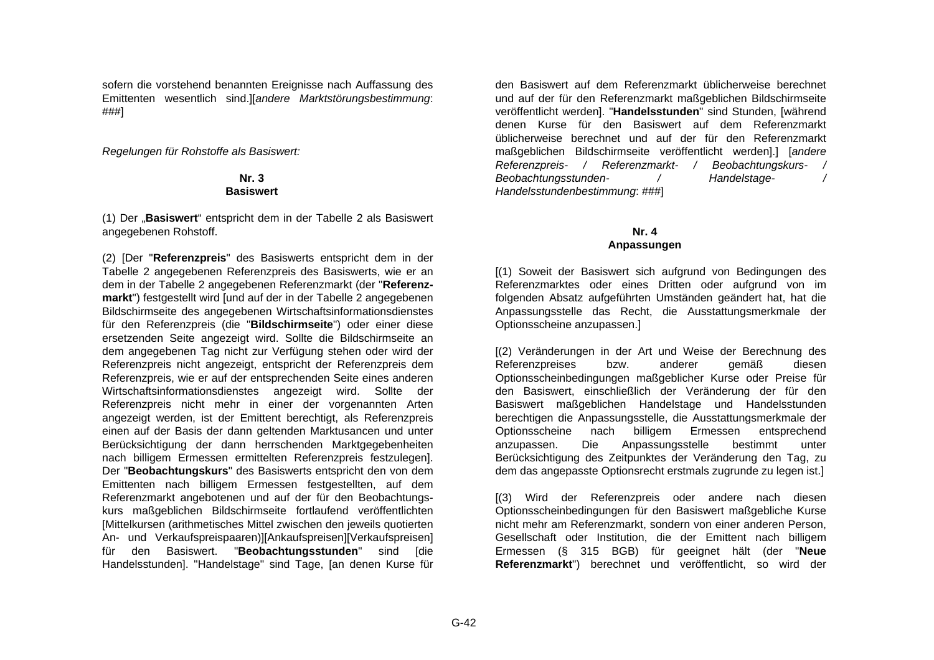sofern die vorstehend benannten Ereignisse nach Auffassung des Emittenten wesentlich sind.][*andere Marktstörungsbestimmung*: ###]

 *Regelungen für Rohstoffe als Basiswert:* 

#### **Nr. 3 Basiswert**

 (1) Der "**Basiswert**" entspricht dem in der Tabelle 2 als Basiswert angegebenen Rohstoff.

 (2) [Der "**Referenzpreis**" des Basiswerts entspricht dem in der Tabelle 2 angegebenen Referenzpreis des Basiswerts, wie er an dem in der Tabelle 2 angegebenen Referenzmarkt (der "**Referenzmarkt**") festgestellt wird [und auf der in der Tabelle 2 angegebenen Bildschirmseite des angegebenen Wirtschaftsinformationsdienstes für den Referenzpreis (die "**Bildschirmseite**") oder einer diese ersetzenden Seite angezeigt wird. Sollte die Bildschirmseite an dem angegebenen Tag nicht zur Verfügung stehen oder wird der Referenzpreis nicht angezeigt, entspricht der Referenzpreis dem Referenzpreis, wie er auf der entsprechenden Seite eines anderen Wirtschaftsinformationsdienstes angezeigt wird. Sollte der Referenzpreis nicht mehr in einer der vorgenannten Arten angezeigt werden, ist der Emittent berechtigt, als Referenzpreis einen auf der Basis der dann geltenden Marktusancen und unter Berücksichtigung der dann herrschenden Marktgegebenheiten nach billigem Ermessen ermittelten Referenzpreis festzulegen]. Der "**Beobachtungskurs**" des Basiswerts entspricht den von dem Emittenten nach billigem Ermessen festgestellten, auf dem Referenzmarkt angebotenen und auf der für den Beobachtungskurs maßgeblichen Bildschirmseite fortlaufend veröffentlichten [Mittelkursen (arithmetisches Mittel zwischen den jeweils quotierten An- und Verkaufspreispaaren)][Ankaufspreisen][Verkaufspreisen] für den Basiswert. "**Beobachtungsstunden**" sind [die Handelsstunden]. "Handelstage" sind Tage, [an denen Kurse für

den Basiswert auf dem Referenzmarkt üblicherweise berechnet und auf der für den Referenzmarkt maßgeblichen Bildschirmseite veröffentlicht werden]. "**Handelsstunden**" sind Stunden, [während denen Kurse für den Basiswert auf dem Referenzmarkt üblicherweise berechnet und auf der für den Referenzmarkt maßgeblichen Bildschirmseite veröffentlicht werden].] [*andere Referenzpreis- / Referenzmarkt- / Beobachtungskurs- / Beobachtungsstunden- / Handelstage- / Handelsstundenbestimmung*: ###]

# **Nr. 4 Anpassungen**

 [(1) Soweit der Basiswert sich aufgrund von Bedingungen des Referenzmarktes oder eines Dritten oder aufgrund von im folgenden Absatz aufgeführten Umständen geändert hat, hat die Anpassungsstelle das Recht, die Ausstattungsmerkmale der Optionsscheine anzupassen.]

 [(2) Veränderungen in der Art und Weise der Berechnung des Referenzpreises bzw. anderer gemäß diesen Optionsscheinbedingungen maßgeblicher Kurse oder Preise für den Basiswert, einschließlich der Veränderung der für den Basiswert maßgeblichen Handelstage und Handelsstunden berechtigen die Anpassungsstelle, die Ausstattungsmerkmale der Optionsscheine nach billigem Ermessen entsprechend anzupassen. Die Anpassungsstelle bestimmt unter Berücksichtigung des Zeitpunktes der Veränderung den Tag, zu dem das angepasste Optionsrecht erstmals zugrunde zu legen ist.]

 [(3) Wird der Referenzpreis oder andere nach diesen Optionsscheinbedingungen für den Basiswert maßgebliche Kurse nicht mehr am Referenzmarkt, sondern von einer anderen Person, Gesellschaft oder Institution, die der Emittent nach billigem Ermessen (§ 315 BGB) für geeignet hält (der "**Neue Referenzmarkt**") berechnet und veröffentlicht, so wird der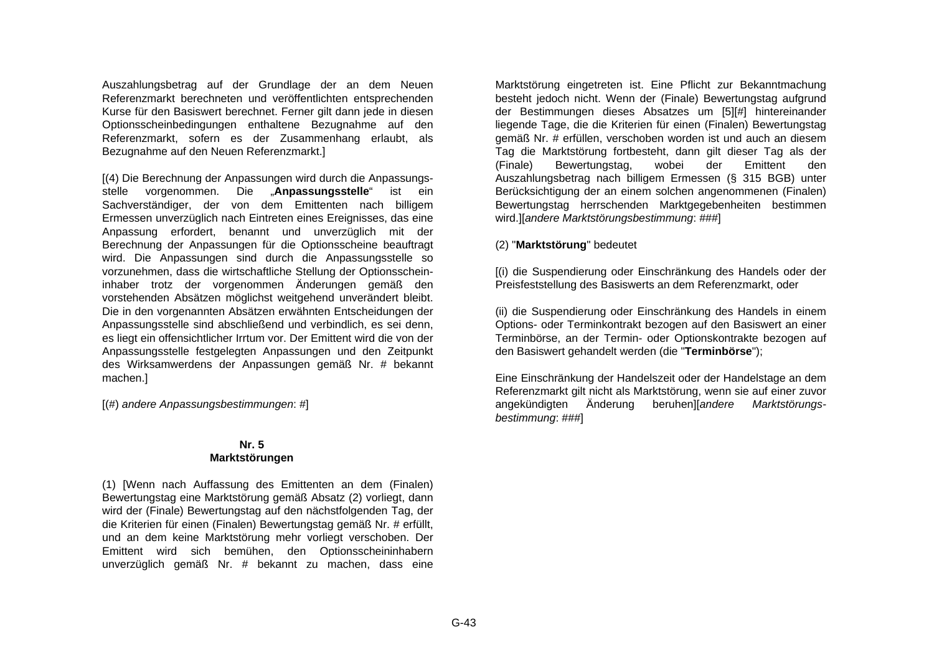Auszahlungsbetrag auf der Grundlage der an dem Neuen Referenzmarkt berechneten und veröffentlichten entsprechenden Kurse für den Basiswert berechnet. Ferner gilt dann jede in diesen Optionsscheinbedingungen enthaltene Bezugnahme auf den Referenzmarkt, sofern es der Zusammenhang erlaubt, als Bezugnahme auf den Neuen Referenzmarkt.]

 [(4) Die Berechnung der Anpassungen wird durch die Anpassungsstelle vorgenommen. Die "**Anpassungsstelle**" ist ein Sachverständiger, der von dem Emittenten nach billigem Ermessen unverzüglich nach Eintreten eines Ereignisses, das eine Anpassung erfordert, benannt und unverzüglich mit der Berechnung der Anpassungen für die Optionsscheine beauftragt wird. Die Anpassungen sind durch die Anpassungsstelle so vorzunehmen, dass die wirtschaftliche Stellung der Optionsscheininhaber trotz der vorgenommen Änderungen gemäß den vorstehenden Absätzen möglichst weitgehend unverändert bleibt. Die in den vorgenannten Absätzen erwähnten Entscheidungen der Anpassungsstelle sind abschließend und verbindlich, es sei denn, es liegt ein offensichtlicher Irrtum vor. Der Emittent wird die von der Anpassungsstelle festgelegten Anpassungen und den Zeitpunkt des Wirksamwerdens der Anpassungen gemäß Nr. # bekannt machen.]

[(#) *andere Anpassungsbestimmungen*: #]

## **Nr. 5 Marktstörungen**

 (1) [Wenn nach Auffassung des Emittenten an dem (Finalen) Bewertungstag eine Marktstörung gemäß Absatz (2) vorliegt, dann wird der (Finale) Bewertungstag auf den nächstfolgenden Tag, der die Kriterien für einen (Finalen) Bewertungstag gemäß Nr. # erfüllt, und an dem keine Marktstörung mehr vorliegt verschoben. Der Emittent wird sich bemühen, den Optionsscheininhabern unverzüglich gemäß Nr. # bekannt zu machen, dass eine Marktstörung eingetreten ist. Eine Pflicht zur Bekanntmachung besteht jedoch nicht. Wenn der (Finale) Bewertungstag aufgrund der Bestimmungen dieses Absatzes um [5][#] hintereinander liegende Tage, die die Kriterien für einen (Finalen) Bewertungstag gemäß Nr. # erfüllen, verschoben worden ist und auch an diesem Tag die Marktstörung fortbesteht, dann gilt dieser Tag als der (Finale) Bewertungstag, wobei der Emittent den Auszahlungsbetrag nach billigem Ermessen (§ 315 BGB) unter Berücksichtigung der an einem solchen angenommenen (Finalen) Bewertungstag herrschenden Marktgegebenheiten bestimmen wird.][*andere Marktstörungsbestimmung*: ###]

# (2) "**Marktstörung**" bedeutet

 [(i) die Suspendierung oder Einschränkung des Handels oder der Preisfeststellung des Basiswerts an dem Referenzmarkt, oder

 (ii) die Suspendierung oder Einschränkung des Handels in einem Options- oder Terminkontrakt bezogen auf den Basiswert an einer Terminbörse, an der Termin- oder Optionskontrakte bezogen auf den Basiswert gehandelt werden (die "**Terminbörse**");

 Eine Einschränkung der Handelszeit oder der Handelstage an dem Referenzmarkt gilt nicht als Marktstörung, wenn sie auf einer zuvor angekündigten Änderung beruhen][*andere Marktstörungsbestimmung*: ###]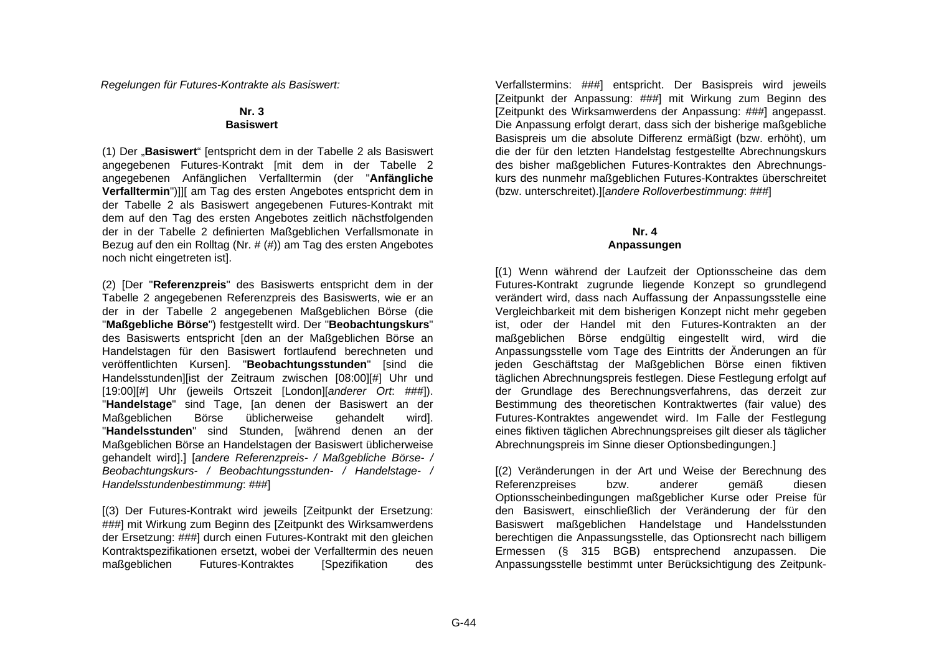*Regelungen für Futures-Kontrakte als Basiswert:* 

#### **Nr. 3 Basiswert**

 (1) Der "**Basiswert**" [entspricht dem in der Tabelle 2 als Basiswert angegebenen Futures-Kontrakt [mit dem in der Tabelle 2 angegebenen Anfänglichen Verfalltermin (der "**Anfängliche Verfalltermin**")]][ am Tag des ersten Angebotes entspricht dem in der Tabelle 2 als Basiswert angegebenen Futures-Kontrakt mit dem auf den Tag des ersten Angebotes zeitlich nächstfolgenden der in der Tabelle 2 definierten Maßgeblichen Verfallsmonate in Bezug auf den ein Rolltag (Nr. # (#)) am Tag des ersten Angebotes noch nicht eingetreten ist].

 (2) [Der "**Referenzpreis**" des Basiswerts entspricht dem in der Tabelle 2 angegebenen Referenzpreis des Basiswerts, wie er an der in der Tabelle 2 angegebenen Maßgeblichen Börse (die "**Maßgebliche Börse**") festgestellt wird. Der "**Beobachtungskurs**" des Basiswerts entspricht [den an der Maßgeblichen Börse an Handelstagen für den Basiswert fortlaufend berechneten und veröffentlichten Kursen]. "**Beobachtungsstunden**" [sind die Handelsstunden][ist der Zeitraum zwischen [08:00][#] Uhr und [19:00][#] Uhr (jeweils Ortszeit [London][*anderer Ort*: ###]). "**Handelstage**" sind Tage, [an denen der Basiswert an der Maßgeblichen Börse üblicherweise gehandelt wird]. "**Handelsstunden**" sind Stunden, [während denen an der Maßgeblichen Börse an Handelstagen der Basiswert üblicherweise gehandelt wird].] [*andere Referenzpreis- / Maßgebliche Börse- / Beobachtungskurs- / Beobachtungsstunden- / Handelstage- / Handelsstundenbestimmung*: ###]

 [(3) Der Futures-Kontrakt wird jeweils [Zeitpunkt der Ersetzung: ###] mit Wirkung zum Beginn des [Zeitpunkt des Wirksamwerdens der Ersetzung: ###] durch einen Futures-Kontrakt mit den gleichen Kontraktspezifikationen ersetzt, wobei der Verfalltermin des neuen maßgeblichen Futures-Kontraktes [Spezifikation des

Verfallstermins: ###] entspricht. Der Basispreis wird jeweils [Zeitpunkt der Anpassung: ###] mit Wirkung zum Beginn des [Zeitpunkt des Wirksamwerdens der Anpassung: ###] angepasst. Die Anpassung erfolgt derart, dass sich der bisherige maßgebliche Basispreis um die absolute Differenz ermäßigt (bzw. erhöht), um die der für den letzten Handelstag festgestellte Abrechnungskurs des bisher maßgeblichen Futures-Kontraktes den Abrechnungskurs des nunmehr maßgeblichen Futures-Kontraktes überschreitet (bzw. unterschreitet).][*andere Rolloverbestimmung*: ###]

# **Nr. 4 Anpassungen**

 [(1) Wenn während der Laufzeit der Optionsscheine das dem Futures-Kontrakt zugrunde liegende Konzept so grundlegend verändert wird, dass nach Auffassung der Anpassungsstelle eine Vergleichbarkeit mit dem bisherigen Konzept nicht mehr gegeben ist, oder der Handel mit den Futures-Kontrakten an der maßgeblichen Börse endgültig eingestellt wird, wird die Anpassungsstelle vom Tage des Eintritts der Änderungen an für jeden Geschäftstag der Maßgeblichen Börse einen fiktiven täglichen Abrechnungspreis festlegen. Diese Festlegung erfolgt auf der Grundlage des Berechnungsverfahrens, das derzeit zur Bestimmung des theoretischen Kontraktwertes (fair value) des Futures-Kontraktes angewendet wird. Im Falle der Festlegung eines fiktiven täglichen Abrechnungspreises gilt dieser als täglicher Abrechnungspreis im Sinne dieser Optionsbedingungen.]

 [(2) Veränderungen in der Art und Weise der Berechnung des Referenzpreises bzw. anderer gemäß diesen Optionsscheinbedingungen maßgeblicher Kurse oder Preise für den Basiswert, einschließlich der Veränderung der für den Basiswert maßgeblichen Handelstage und Handelsstunden berechtigen die Anpassungsstelle, das Optionsrecht nach billigem Ermessen (§ 315 BGB) entsprechend anzupassen. Die Anpassungsstelle bestimmt unter Berücksichtigung des Zeitpunk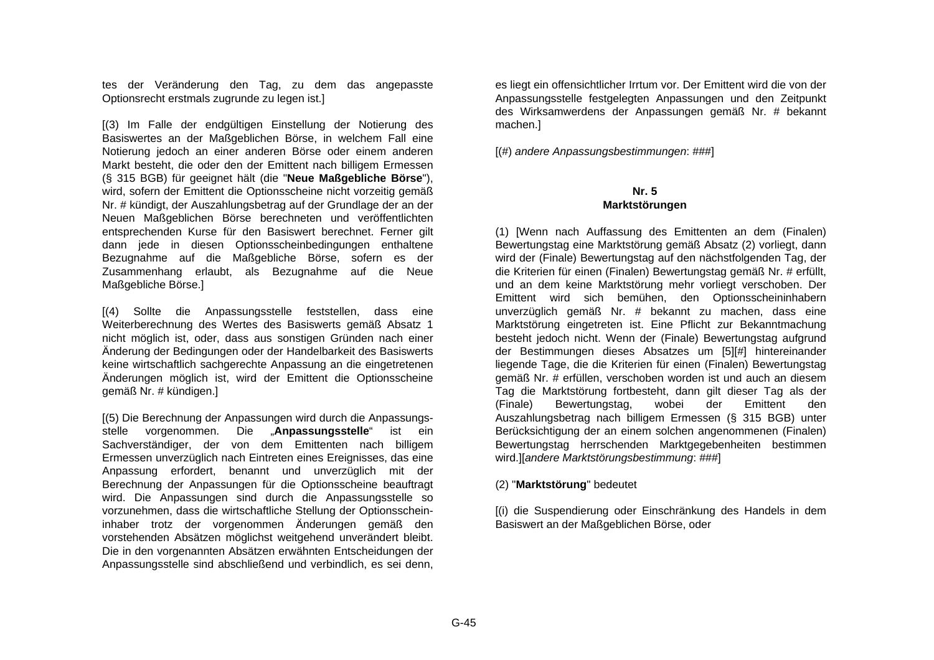tes der Veränderung den Tag, zu dem das angepasste Optionsrecht erstmals zugrunde zu legen ist.]

 [(3) Im Falle der endgültigen Einstellung der Notierung des Basiswertes an der Maßgeblichen Börse, in welchem Fall eine Notierung jedoch an einer anderen Börse oder einem anderen Markt besteht, die oder den der Emittent nach billigem Ermessen (§ 315 BGB) für geeignet hält (die "**Neue Maßgebliche Börse**"), wird, sofern der Emittent die Optionsscheine nicht vorzeitig gemäß Nr. # kündigt, der Auszahlungsbetrag auf der Grundlage der an der Neuen Maßgeblichen Börse berechneten und veröffentlichten entsprechenden Kurse für den Basiswert berechnet. Ferner gilt dann jede in diesen Optionsscheinbedingungen enthaltene Bezugnahme auf die Maßgebliche Börse, sofern es der Zusammenhang erlaubt, als Bezugnahme auf die Neue Maßgebliche Börse.]

 [(4) Sollte die Anpassungsstelle feststellen, dass eine Weiterberechnung des Wertes des Basiswerts gemäß Absatz 1 nicht möglich ist, oder, dass aus sonstigen Gründen nach einer Änderung der Bedingungen oder der Handelbarkeit des Basiswerts keine wirtschaftlich sachgerechte Anpassung an die eingetretenen Änderungen möglich ist, wird der Emittent die Optionsscheine gemäß Nr. # kündigen.]

 [(5) Die Berechnung der Anpassungen wird durch die Anpassungsstelle vorgenommen. Die "**Anpassungsstelle**" ist ein Sachverständiger, der von dem Emittenten nach billigem Ermessen unverzüglich nach Eintreten eines Ereignisses, das eine Anpassung erfordert, benannt und unverzüglich mit der Berechnung der Anpassungen für die Optionsscheine beauftragt wird. Die Anpassungen sind durch die Anpassungsstelle so vorzunehmen, dass die wirtschaftliche Stellung der Optionsscheininhaber trotz der vorgenommen Änderungen gemäß den vorstehenden Absätzen möglichst weitgehend unverändert bleibt. Die in den vorgenannten Absätzen erwähnten Entscheidungen der Anpassungsstelle sind abschließend und verbindlich, es sei denn,

es liegt ein offensichtlicher Irrtum vor. Der Emittent wird die von der Anpassungsstelle festgelegten Anpassungen und den Zeitpunkt des Wirksamwerdens der Anpassungen gemäß Nr. # bekannt machen.]

[(#) *andere Anpassungsbestimmungen*: ###]

## **Nr. 5 Marktstörungen**

 (1) [Wenn nach Auffassung des Emittenten an dem (Finalen) Bewertungstag eine Marktstörung gemäß Absatz (2) vorliegt, dann wird der (Finale) Bewertungstag auf den nächstfolgenden Tag, der die Kriterien für einen (Finalen) Bewertungstag gemäß Nr. # erfüllt, und an dem keine Marktstörung mehr vorliegt verschoben. Der Emittent wird sich bemühen, den Optionsscheininhabern unverzüglich gemäß Nr. # bekannt zu machen, dass eine Marktstörung eingetreten ist. Eine Pflicht zur Bekanntmachung besteht jedoch nicht. Wenn der (Finale) Bewertungstag aufgrund der Bestimmungen dieses Absatzes um [5][#] hintereinander liegende Tage, die die Kriterien für einen (Finalen) Bewertungstag gemäß Nr. # erfüllen, verschoben worden ist und auch an diesem Tag die Marktstörung fortbesteht, dann gilt dieser Tag als der (Finale) Bewertungstag, wobei der Emittent den Auszahlungsbetrag nach billigem Ermessen (§ 315 BGB) unter Berücksichtigung der an einem solchen angenommenen (Finalen) Bewertungstag herrschenden Marktgegebenheiten bestimmen wird.][*andere Marktstörungsbestimmung*: ###]

# (2) "**Marktstörung**" bedeutet

 [(i) die Suspendierung oder Einschränkung des Handels in dem Basiswert an der Maßgeblichen Börse, oder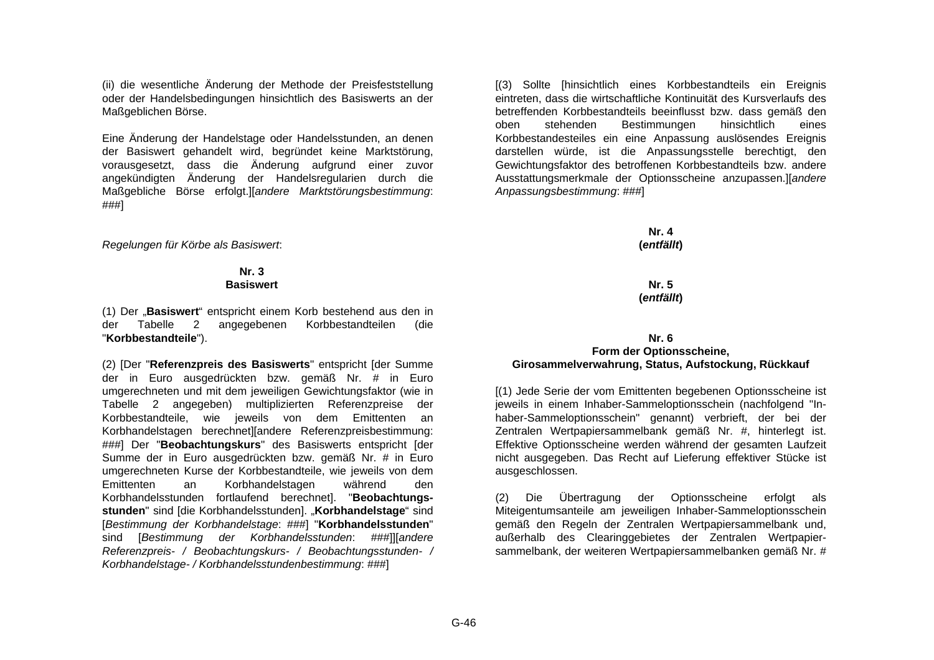(ii) die wesentliche Änderung der Methode der Preisfeststellung oder der Handelsbedingungen hinsichtlich des Basiswerts an der Maßgeblichen Börse.

 Eine Änderung der Handelstage oder Handelsstunden, an denen der Basiswert gehandelt wird, begründet keine Marktstörung, vorausgesetzt, dass die Änderung aufgrund einer zuvor angekündigten Änderung der Handelsregularien durch die Maßgebliche Börse erfolgt.][*andere Marktstörungsbestimmung*: ###]

 *Regelungen für Körbe als Basiswert*:

#### **Nr. 3 Basiswert**

 (1) Der "**Basiswert**" entspricht einem Korb bestehend aus den in der Tabelle 2 angegebenen Korbbestandteilen (die "**Korbbestandteile**").

 (2) [Der "**Referenzpreis des Basiswerts**" entspricht [der Summe der in Euro ausgedrückten bzw. gemäß Nr. # in Euro umgerechneten und mit dem jeweiligen Gewichtungsfaktor (wie in Tabelle 2 angegeben) multiplizierten Referenzpreise der Korbbestandteile, wie jeweils von dem Emittenten an Korbhandelstagen berechnet][andere Referenzpreisbestimmung: ###] Der "**Beobachtungskurs**" des Basiswerts entspricht [der Summe der in Euro ausgedrückten bzw. gemäß Nr. # in Euro umgerechneten Kurse der Korbbestandteile, wie jeweils von dem Emittenten an Korbhandelstagen während den Korbhandelsstunden fortlaufend berechnet]. "**Beobachtungsstunden**" sind [die Korbhandelsstunden]. "**Korbhandelstage**" sind [*Bestimmung der Korbhandelstage*: ###] "**Korbhandelsstunden**" sind [*Bestimmung der Korbhandelsstunden*: ###]][*andere Referenzpreis- / Beobachtungskurs- / Beobachtungsstunden- / Korbhandelstage- / Korbhandelsstundenbestimmung*: ###]

 [(3) Sollte [hinsichtlich eines Korbbestandteils ein Ereignis eintreten, dass die wirtschaftliche Kontinuität des Kursverlaufs des betreffenden Korbbestandteils beeinflusst bzw. dass gemäß den oben stehenden Bestimmungen hinsichtlich eines Korbbestandesteiles ein eine Anpassung auslösendes Ereignis darstellen würde, ist die Anpassungsstelle berechtigt, den Gewichtungsfaktor des betroffenen Korbbestandteils bzw. andere Ausstattungsmerkmale der Optionsscheine anzupassen.][*andere Anpassungsbestimmung*: ###]

> **Nr. 4 (***entfällt***)**

# **Nr. 5 (***entfällt***)**

#### **Nr. 6 Form der Optionsscheine, Girosammelverwahrung, Status, Aufstockung, Rückkauf**

 [(1) Jede Serie der vom Emittenten begebenen Optionsscheine ist jeweils in einem Inhaber-Sammeloptionsschein (nachfolgend "Inhaber-Sammeloptionsschein" genannt) verbrieft, der bei der Zentralen Wertpapiersammelbank gemäß Nr. #, hinterlegt ist. Effektive Optionsscheine werden während der gesamten Laufzeit nicht ausgegeben. Das Recht auf Lieferung effektiver Stücke ist ausgeschlossen.

 (2) Die Übertragung der Optionsscheine erfolgt als Miteigentumsanteile am jeweiligen Inhaber-Sammeloptionsschein gemäß den Regeln der Zentralen Wertpapiersammelbank und, außerhalb des Clearinggebietes der Zentralen Wertpapiersammelbank, der weiteren Wertpapiersammelbanken gemäß Nr. #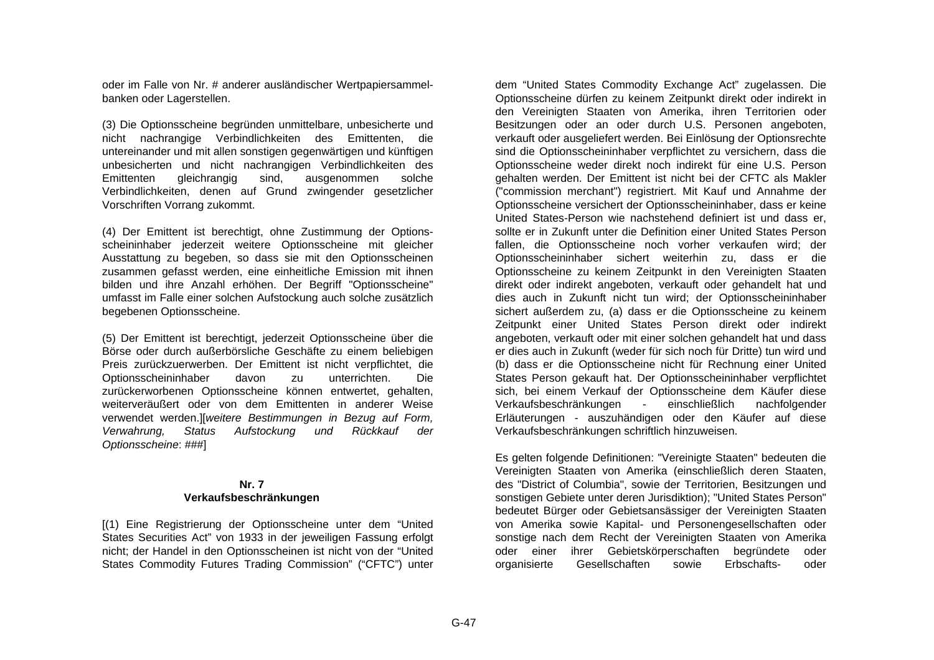oder im Falle von Nr. # anderer ausländischer Wertpapiersammelbanken oder Lagerstellen.

 (3) Die Optionsscheine begründen unmittelbare, unbesicherte und nicht nachrangige Verbindlichkeiten des Emittenten, die untereinander und mit allen sonstigen gegenwärtigen und künftigen unbesicherten und nicht nachrangigen Verbindlichkeiten des Emittenten gleichrangig sind, ausgenommen solche Verbindlichkeiten, denen auf Grund zwingender gesetzlicher Vorschriften Vorrang zukommt.

 (4) Der Emittent ist berechtigt, ohne Zustimmung der Optionsscheininhaber jederzeit weitere Optionsscheine mit gleicher Ausstattung zu begeben, so dass sie mit den Optionsscheinen zusammen gefasst werden, eine einheitliche Emission mit ihnen bilden und ihre Anzahl erhöhen. Der Begriff "Optionsscheine" umfasst im Falle einer solchen Aufstockung auch solche zusätzlich begebenen Optionsscheine.

 (5) Der Emittent ist berechtigt, jederzeit Optionsscheine über die Börse oder durch außerbörsliche Geschäfte zu einem beliebigen Preis zurückzuerwerben. Der Emittent ist nicht verpflichtet, die Optionsscheininhaber davon zu unterrichten. Die zurückerworbenen Optionsscheine können entwertet, gehalten, weiterveräußert oder von dem Emittenten in anderer Weise verwendet werden.][*weitere Bestimmungen in Bezug auf Form, Verwahrung, Status Aufstockung und Rückkauf der Optionsscheine*: ###]

# **Nr. 7 Verkaufsbeschränkungen**

 [(1) Eine Registrierung der Optionsscheine unter dem "United States Securities Act" von 1933 in der jeweiligen Fassung erfolgt nicht; der Handel in den Optionsscheinen ist nicht von der "United States Commodity Futures Trading Commission" ("CFTC") unter

dem "United States Commodity Exchange Act" zugelassen. Die Optionsscheine dürfen zu keinem Zeitpunkt direkt oder indirekt in den Vereinigten Staaten von Amerika, ihren Territorien oder Besitzungen oder an oder durch U.S. Personen angeboten, verkauft oder ausgeliefert werden. Bei Einlösung der Optionsrechte sind die Optionsscheininhaber verpflichtet zu versichern, dass die Optionsscheine weder direkt noch indirekt für eine U.S. Person gehalten werden. Der Emittent ist nicht bei der CFTC als Makler ("commission merchant") registriert. Mit Kauf und Annahme der Optionsscheine versichert der Optionsscheininhaber, dass er keine United States-Person wie nachstehend definiert ist und dass er, sollte er in Zukunft unter die Definition einer United States Person fallen, die Optionsscheine noch vorher verkaufen wird; der Optionsscheininhaber sichert weiterhin zu, dass er die Optionsscheine zu keinem Zeitpunkt in den Vereinigten Staaten direkt oder indirekt angeboten, verkauft oder gehandelt hat und dies auch in Zukunft nicht tun wird; der Optionsscheininhaber sichert außerdem zu, (a) dass er die Optionsscheine zu keinem Zeitpunkt einer United States Person direkt oder indirekt angeboten, verkauft oder mit einer solchen gehandelt hat und dass er dies auch in Zukunft (weder für sich noch für Dritte) tun wird und (b) dass er die Optionsscheine nicht für Rechnung einer United States Person gekauft hat. Der Optionsscheininhaber verpflichtet sich, bei einem Verkauf der Optionsscheine dem Käufer diese Verkaufsbeschränkungen - einschließlich nachfolgender Erläuterungen - auszuhändigen oder den Käufer auf diese Verkaufsbeschränkungen schriftlich hinzuweisen.

 Es gelten folgende Definitionen: "Vereinigte Staaten" bedeuten die Vereinigten Staaten von Amerika (einschließlich deren Staaten, des "District of Columbia", sowie der Territorien, Besitzungen und sonstigen Gebiete unter deren Jurisdiktion); "United States Person" bedeutet Bürger oder Gebietsansässiger der Vereinigten Staaten von Amerika sowie Kapital- und Personengesellschaften oder sonstige nach dem Recht der Vereinigten Staaten von Amerika oder einer ihrer Gebietskörperschaften begründete oder organisierte Gesellschaften sowie Erbschafts- oder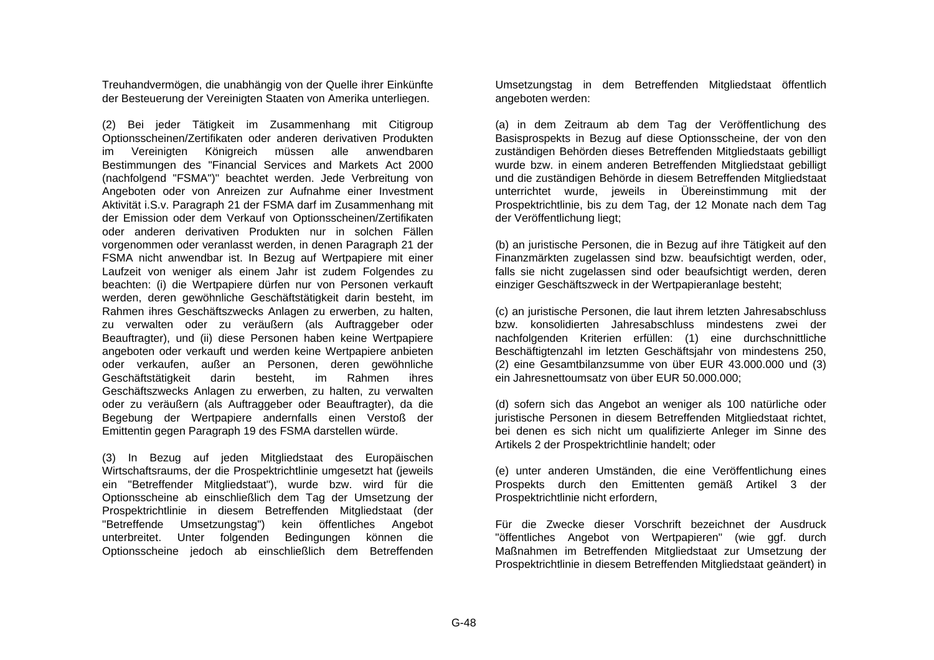Treuhandvermögen, die unabhängig von der Quelle ihrer Einkünfte der Besteuerung der Vereinigten Staaten von Amerika unterliegen.

 (2) Bei jeder Tätigkeit im Zusammenhang mit Citigroup Optionsscheinen/Zertifikaten oder anderen derivativen Produkten im Vereinigten Königreich müssen alle anwendbaren Bestimmungen des "Financial Services and Markets Act 2000 (nachfolgend "FSMA")" beachtet werden. Jede Verbreitung von Angeboten oder von Anreizen zur Aufnahme einer Investment Aktivität i.S.v. Paragraph 21 der FSMA darf im Zusammenhang mit der Emission oder dem Verkauf von Optionsscheinen/Zertifikaten oder anderen derivativen Produkten nur in solchen Fällen vorgenommen oder veranlasst werden, in denen Paragraph 21 der FSMA nicht anwendbar ist. In Bezug auf Wertpapiere mit einer Laufzeit von weniger als einem Jahr ist zudem Folgendes zu beachten: (i) die Wertpapiere dürfen nur von Personen verkauft werden, deren gewöhnliche Geschäftstätigkeit darin besteht, im Rahmen ihres Geschäftszwecks Anlagen zu erwerben, zu halten, zu verwalten oder zu veräußern (als Auftraggeber oder Beauftragter), und (ii) diese Personen haben keine Wertpapiere angeboten oder verkauft und werden keine Wertpapiere anbieten oder verkaufen, außer an Personen, deren gewöhnliche Geschäftstätigkeit darin besteht, im Rahmen ihres Geschäftszwecks Anlagen zu erwerben, zu halten, zu verwalten oder zu veräußern (als Auftraggeber oder Beauftragter), da die Begebung der Wertpapiere andernfalls einen Verstoß der Emittentin gegen Paragraph 19 des FSMA darstellen würde.

 (3) In Bezug auf jeden Mitgliedstaat des Europäischen Wirtschaftsraums, der die Prospektrichtlinie umgesetzt hat (jeweils ein "Betreffender Mitgliedstaat"), wurde bzw. wird für die Optionsscheine ab einschließlich dem Tag der Umsetzung der Prospektrichtlinie in diesem Betreffenden Mitgliedstaat (der "Betreffende Umsetzungstag") kein öffentliches Angebot unterbreitet. Unter folgenden Bedingungen können die Optionsscheine jedoch ab einschließlich dem Betreffenden Umsetzungstag in dem Betreffenden Mitgliedstaat öffentlich angeboten werden:

 (a) in dem Zeitraum ab dem Tag der Veröffentlichung des Basisprospekts in Bezug auf diese Optionsscheine, der von den zuständigen Behörden dieses Betreffenden Mitgliedstaats gebilligt wurde bzw. in einem anderen Betreffenden Mitgliedstaat gebilligt und die zuständigen Behörde in diesem Betreffenden Mitgliedstaat unterrichtet wurde, jeweils in Übereinstimmung mit der Prospektrichtlinie, bis zu dem Tag, der 12 Monate nach dem Tag der Veröffentlichung liegt;

 (b) an juristische Personen, die in Bezug auf ihre Tätigkeit auf den Finanzmärkten zugelassen sind bzw. beaufsichtigt werden, oder, falls sie nicht zugelassen sind oder beaufsichtigt werden, deren einziger Geschäftszweck in der Wertpapieranlage besteht;

 (c) an juristische Personen, die laut ihrem letzten Jahresabschluss bzw. konsolidierten Jahresabschluss mindestens zwei der nachfolgenden Kriterien erfüllen: (1) eine durchschnittliche Beschäftigtenzahl im letzten Geschäftsjahr von mindestens 250, (2) eine Gesamtbilanzsumme von über EUR 43.000.000 und (3) ein Jahresnettoumsatz von über EUR 50.000.000;

 (d) sofern sich das Angebot an weniger als 100 natürliche oder juristische Personen in diesem Betreffenden Mitgliedstaat richtet, bei denen es sich nicht um qualifizierte Anleger im Sinne des Artikels 2 der Prospektrichtlinie handelt; oder

 (e) unter anderen Umständen, die eine Veröffentlichung eines Prospekts durch den Emittenten gemäß Artikel 3 der Prospektrichtlinie nicht erfordern,

 Für die Zwecke dieser Vorschrift bezeichnet der Ausdruck "öffentliches Angebot von Wertpapieren" (wie ggf. durch Maßnahmen im Betreffenden Mitgliedstaat zur Umsetzung der Prospektrichtlinie in diesem Betreffenden Mitgliedstaat geändert) in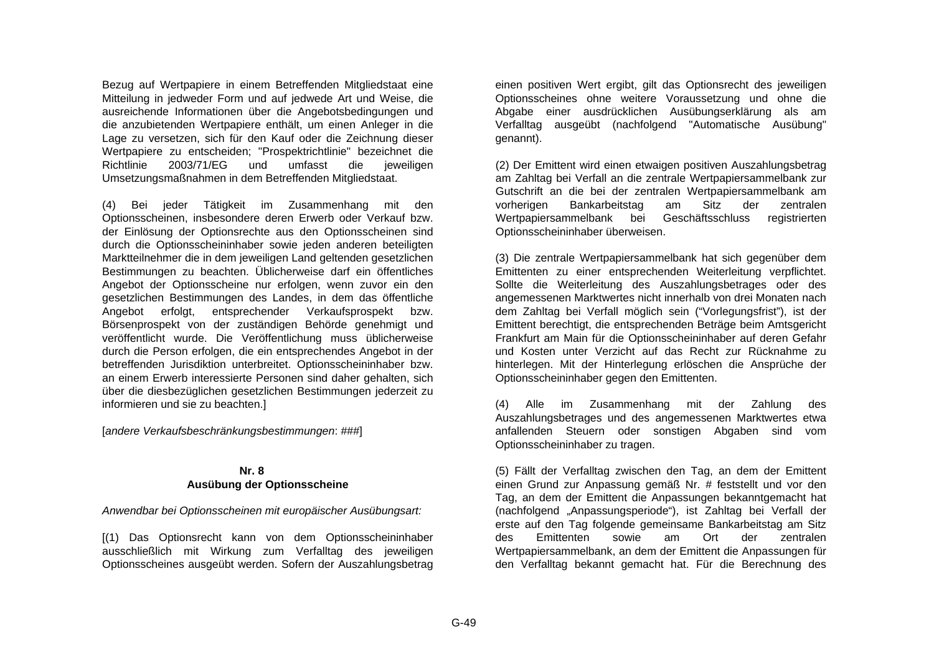Bezug auf Wertpapiere in einem Betreffenden Mitgliedstaat eine Mitteilung in jedweder Form und auf jedwede Art und Weise, die ausreichende Informationen über die Angebotsbedingungen und die anzubietenden Wertpapiere enthält, um einen Anleger in die Lage zu versetzen, sich für den Kauf oder die Zeichnung dieser Wertpapiere zu entscheiden; "Prospektrichtlinie" bezeichnet die Richtlinie 2003/71/EG und umfasst die jeweiligen Umsetzungsmaßnahmen in dem Betreffenden Mitgliedstaat.

 (4) Bei jeder Tätigkeit im Zusammenhang mit den Optionsscheinen, insbesondere deren Erwerb oder Verkauf bzw. der Einlösung der Optionsrechte aus den Optionsscheinen sind durch die Optionsscheininhaber sowie jeden anderen beteiligten Marktteilnehmer die in dem jeweiligen Land geltenden gesetzlichen Bestimmungen zu beachten. Üblicherweise darf ein öffentliches Angebot der Optionsscheine nur erfolgen, wenn zuvor ein den gesetzlichen Bestimmungen des Landes, in dem das öffentliche Angebot erfolgt, entsprechender Verkaufsprospekt bzw. Börsenprospekt von der zuständigen Behörde genehmigt und veröffentlicht wurde. Die Veröffentlichung muss üblicherweise durch die Person erfolgen, die ein entsprechendes Angebot in der betreffenden Jurisdiktion unterbreitet. Optionsscheininhaber bzw. an einem Erwerb interessierte Personen sind daher gehalten, sich über die diesbezüglichen gesetzlichen Bestimmungen jederzeit zu informieren und sie zu beachten.]

[*andere Verkaufsbeschränkungsbestimmungen*: ###]

#### **Nr. 8 Ausübung der Optionsscheine**

*Anwendbar bei Optionsscheinen mit europäischer Ausübungsart:* 

 [(1) Das Optionsrecht kann von dem Optionsscheininhaber ausschließlich mit Wirkung zum Verfalltag des jeweiligen Optionsscheines ausgeübt werden. Sofern der Auszahlungsbetrag

einen positiven Wert ergibt, gilt das Optionsrecht des jeweiligen Optionsscheines ohne weitere Voraussetzung und ohne die Abgabe einer ausdrücklichen Ausübungserklärung als am Verfalltag ausgeübt (nachfolgend "Automatische Ausübung" genannt).

 (2) Der Emittent wird einen etwaigen positiven Auszahlungsbetrag am Zahltag bei Verfall an die zentrale Wertpapiersammelbank zur Gutschrift an die bei der zentralen Wertpapiersammelbank am vorherigen Bankarbeitstag am Sitz der zentralen Wertpapiersammelbank bei Geschäftsschluss registrierten Optionsscheininhaber überweisen.

 (3) Die zentrale Wertpapiersammelbank hat sich gegenüber dem Emittenten zu einer entsprechenden Weiterleitung verpflichtet. Sollte die Weiterleitung des Auszahlungsbetrages oder des angemessenen Marktwertes nicht innerhalb von drei Monaten nach dem Zahltag bei Verfall möglich sein ("Vorlegungsfrist"), ist der Emittent berechtigt, die entsprechenden Beträge beim Amtsgericht Frankfurt am Main für die Optionsscheininhaber auf deren Gefahr und Kosten unter Verzicht auf das Recht zur Rücknahme zu hinterlegen. Mit der Hinterlegung erlöschen die Ansprüche der Optionsscheininhaber gegen den Emittenten.

 (4) Alle im Zusammenhang mit der Zahlung des Auszahlungsbetrages und des angemessenen Marktwertes etwa anfallenden Steuern oder sonstigen Abgaben sind vom Optionsscheininhaber zu tragen.

 (5) Fällt der Verfalltag zwischen den Tag, an dem der Emittent einen Grund zur Anpassung gemäß Nr. # feststellt und vor den Tag, an dem der Emittent die Anpassungen bekanntgemacht hat (nachfolgend "Anpassungsperiode"), ist Zahltag bei Verfall der erste auf den Tag folgende gemeinsame Bankarbeitstag am Sitz des Emittenten sowie am Ort der zentralen Wertpapiersammelbank, an dem der Emittent die Anpassungen für den Verfalltag bekannt gemacht hat. Für die Berechnung des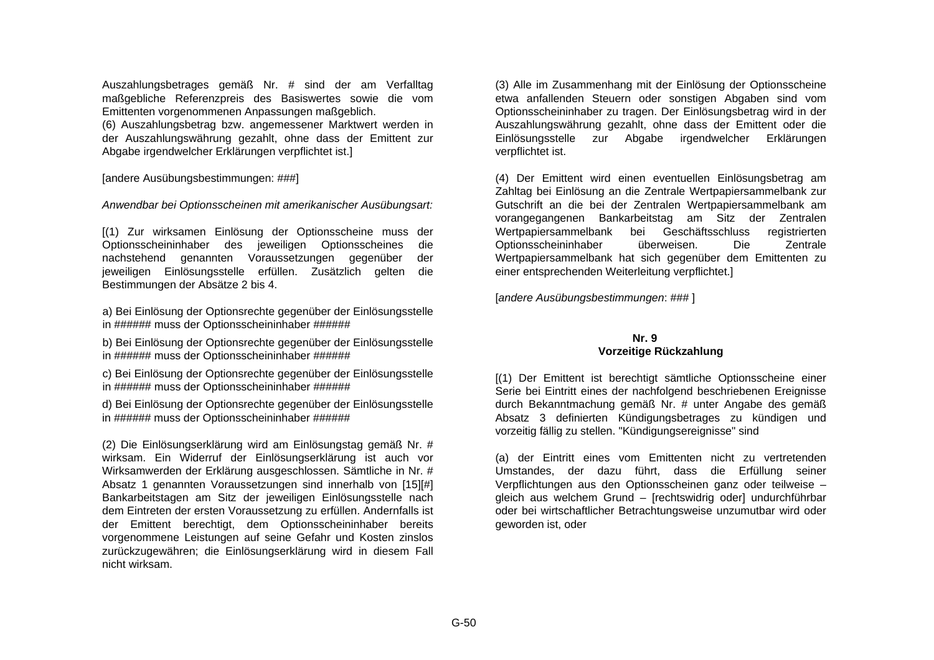Auszahlungsbetrages gemäß Nr. # sind der am Verfalltag maßgebliche Referenzpreis des Basiswertes sowie die vom Emittenten vorgenommenen Anpassungen maßgeblich.

 (6) Auszahlungsbetrag bzw. angemessener Marktwert werden in der Auszahlungswährung gezahlt, ohne dass der Emittent zur Abgabe irgendwelcher Erklärungen verpflichtet ist.]

[andere Ausübungsbestimmungen: ###]

*Anwendbar bei Optionsscheinen mit amerikanischer Ausübungsart:* 

 [(1) Zur wirksamen Einlösung der Optionsscheine muss der Optionsscheininhaber des jeweiligen Optionsscheines die nachstehend genannten Voraussetzungen gegenüber der jeweiligen Einlösungsstelle erfüllen. Zusätzlich gelten die Bestimmungen der Absätze 2 bis 4.

 a) Bei Einlösung der Optionsrechte gegenüber der Einlösungsstelle in ###### muss der Optionsscheininhaber ######

 b) Bei Einlösung der Optionsrechte gegenüber der Einlösungsstelle in ###### muss der Optionsscheininhaber ######

 c) Bei Einlösung der Optionsrechte gegenüber der Einlösungsstelle in ###### muss der Optionsscheininhaber ######

 d) Bei Einlösung der Optionsrechte gegenüber der Einlösungsstelle in ###### muss der Optionsscheininhaber ######

 (2) Die Einlösungserklärung wird am Einlösungstag gemäß Nr. # wirksam. Ein Widerruf der Einlösungserklärung ist auch vor Wirksamwerden der Erklärung ausgeschlossen. Sämtliche in Nr. # Absatz 1 genannten Voraussetzungen sind innerhalb von [15][#] Bankarbeitstagen am Sitz der jeweiligen Einlösungsstelle nach dem Eintreten der ersten Voraussetzung zu erfüllen. Andernfalls ist der Emittent berechtigt, dem Optionsscheininhaber bereits vorgenommene Leistungen auf seine Gefahr und Kosten zinslos zurückzugewähren; die Einlösungserklärung wird in diesem Fall nicht wirksam.

 (3) Alle im Zusammenhang mit der Einlösung der Optionsscheine etwa anfallenden Steuern oder sonstigen Abgaben sind vom Optionsscheininhaber zu tragen. Der Einlösungsbetrag wird in der Auszahlungswährung gezahlt, ohne dass der Emittent oder die Einlösungsstelle zur Abgabe irgendwelcher Erklärungen verpflichtet ist.

 (4) Der Emittent wird einen eventuellen Einlösungsbetrag am Zahltag bei Einlösung an die Zentrale Wertpapiersammelbank zur Gutschrift an die bei der Zentralen Wertpapiersammelbank am vorangegangenen Bankarbeitstag am Sitz der Zentralen Wertpapiersammelbank bei Geschäftsschluss registrierten Optionsscheininhaber überweisen. Die Zentrale Wertpapiersammelbank hat sich gegenüber dem Emittenten zu einer entsprechenden Weiterleitung verpflichtet.]

[*andere Ausübungsbestimmungen*: ### ]

## **Nr. 9 Vorzeitige Rückzahlung**

 [(1) Der Emittent ist berechtigt sämtliche Optionsscheine einer Serie bei Eintritt eines der nachfolgend beschriebenen Ereignisse durch Bekanntmachung gemäß Nr. # unter Angabe des gemäß Absatz 3 definierten Kündigungsbetrages zu kündigen und vorzeitig fällig zu stellen. "Kündigungsereignisse" sind

 (a) der Eintritt eines vom Emittenten nicht zu vertretenden Umstandes, der dazu führt, dass die Erfüllung seiner Verpflichtungen aus den Optionsscheinen ganz oder teilweise – gleich aus welchem Grund – [rechtswidrig oder] undurchführbar oder bei wirtschaftlicher Betrachtungsweise unzumutbar wird oder geworden ist, oder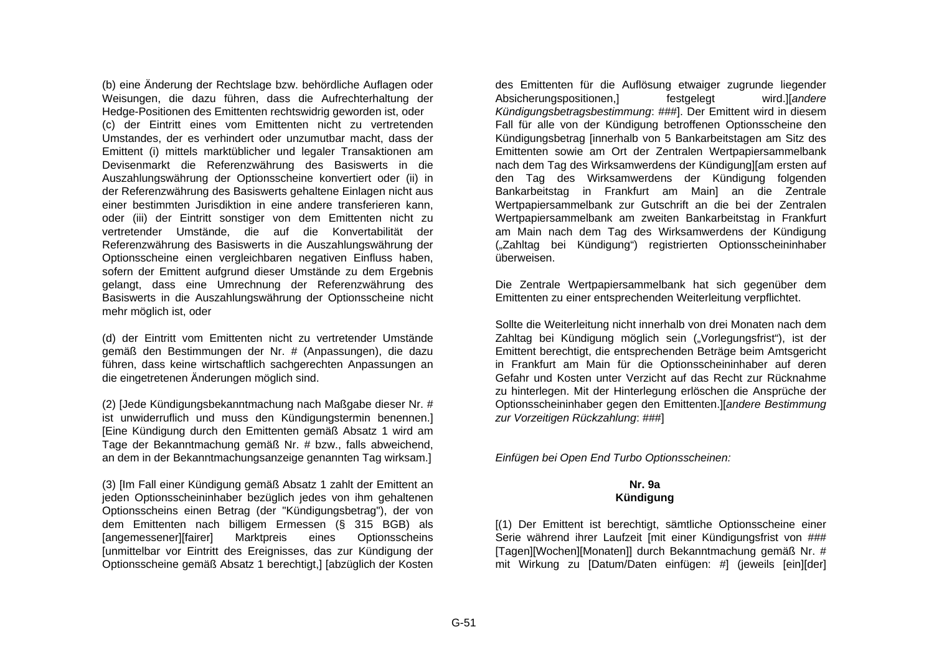(b) eine Änderung der Rechtslage bzw. behördliche Auflagen oder Weisungen, die dazu führen, dass die Aufrechterhaltung der Hedge-Positionen des Emittenten rechtswidrig geworden ist, oder (c) der Eintritt eines vom Emittenten nicht zu vertretenden Umstandes, der es verhindert oder unzumutbar macht, dass der Emittent (i) mittels marktüblicher und legaler Transaktionen am Devisenmarkt die Referenzwährung des Basiswerts in die Auszahlungswährung der Optionsscheine konvertiert oder (ii) in der Referenzwährung des Basiswerts gehaltene Einlagen nicht aus einer bestimmten Jurisdiktion in eine andere transferieren kann, oder (iii) der Eintritt sonstiger von dem Emittenten nicht zu vertretender Umstände, die auf die Konvertabilität der Referenzwährung des Basiswerts in die Auszahlungswährung der Optionsscheine einen vergleichbaren negativen Einfluss haben, sofern der Emittent aufgrund dieser Umstände zu dem Ergebnis gelangt, dass eine Umrechnung der Referenzwährung des Basiswerts in die Auszahlungswährung der Optionsscheine nicht mehr möglich ist, oder

 (d) der Eintritt vom Emittenten nicht zu vertretender Umstände gemäß den Bestimmungen der Nr. # (Anpassungen), die dazu führen, dass keine wirtschaftlich sachgerechten Anpassungen an die eingetretenen Änderungen möglich sind.

 (2) [Jede Kündigungsbekanntmachung nach Maßgabe dieser Nr. # ist unwiderruflich und muss den Kündigungstermin benennen.] [Eine Kündigung durch den Emittenten gemäß Absatz 1 wird am Tage der Bekanntmachung gemäß Nr. # bzw., falls abweichend, an dem in der Bekanntmachungsanzeige genannten Tag wirksam.]

 (3) [Im Fall einer Kündigung gemäß Absatz 1 zahlt der Emittent an jeden Optionsscheininhaber bezüglich jedes von ihm gehaltenen Optionsscheins einen Betrag (der "Kündigungsbetrag"), der von dem Emittenten nach billigem Ermessen (§ 315 BGB) als [angemessener][fairer] Marktpreis eines Optionsscheins [unmittelbar vor Eintritt des Ereignisses, das zur Kündigung der Optionsscheine gemäß Absatz 1 berechtigt,] [abzüglich der Kosten

des Emittenten für die Auflösung etwaiger zugrunde liegender Absicherungspositionen,] festgelegt wird.][*andere Kündigungsbetragsbestimmung*: ###]. Der Emittent wird in diesem Fall für alle von der Kündigung betroffenen Optionsscheine den Kündigungsbetrag [innerhalb von 5 Bankarbeitstagen am Sitz des Emittenten sowie am Ort der Zentralen Wertpapiersammelbank nach dem Tag des Wirksamwerdens der Kündigung][am ersten auf den Tag des Wirksamwerdens der Kündigung folgenden Bankarbeitstag in Frankfurt am Main] an die Zentrale Wertpapiersammelbank zur Gutschrift an die bei der Zentralen Wertpapiersammelbank am zweiten Bankarbeitstag in Frankfurt am Main nach dem Tag des Wirksamwerdens der Kündigung ("Zahltag bei Kündigung") registrierten Optionsscheininhaber überweisen.

 Die Zentrale Wertpapiersammelbank hat sich gegenüber dem Emittenten zu einer entsprechenden Weiterleitung verpflichtet.

 Sollte die Weiterleitung nicht innerhalb von drei Monaten nach dem Zahltag bei Kündigung möglich sein ("Vorlegungsfrist"), ist der Emittent berechtigt, die entsprechenden Beträge beim Amtsgericht in Frankfurt am Main für die Optionsscheininhaber auf deren Gefahr und Kosten unter Verzicht auf das Recht zur Rücknahme zu hinterlegen. Mit der Hinterlegung erlöschen die Ansprüche der Optionsscheininhaber gegen den Emittenten.][*andere Bestimmung zur Vorzeitigen Rückzahlung*: ###]

 *Einfügen bei Open End Turbo Optionsscheinen:* 

#### **Nr. 9a Kündigung**

 [(1) Der Emittent ist berechtigt, sämtliche Optionsscheine einer Serie während ihrer Laufzeit [mit einer Kündigungsfrist von ### [Tagen][Wochen][Monaten]] durch Bekanntmachung gemäß Nr. # mit Wirkung zu [Datum/Daten einfügen: #] (jeweils [ein][der]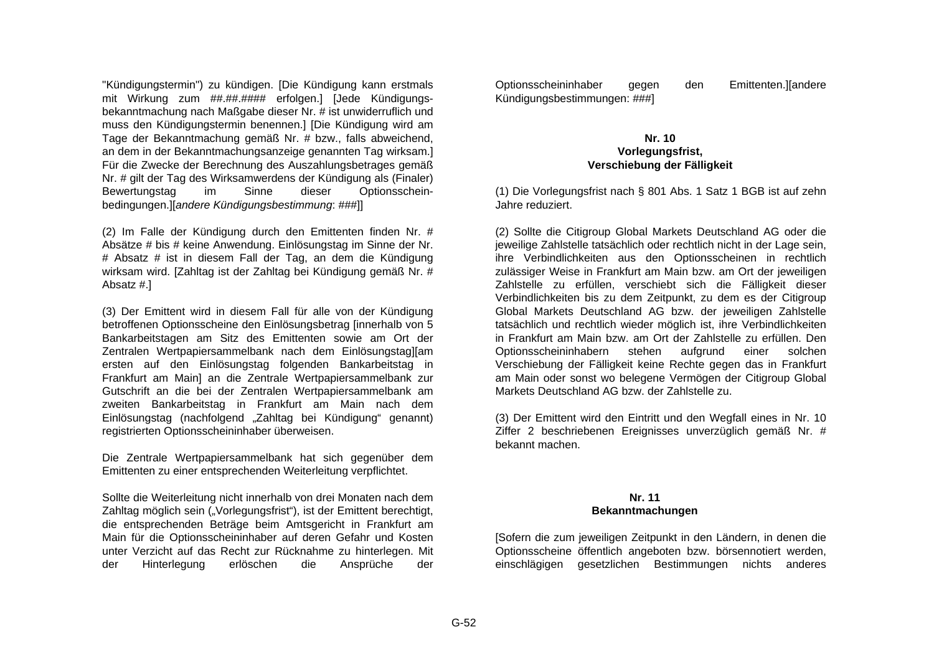"Kündigungstermin") zu kündigen. [Die Kündigung kann erstmals mit Wirkung zum ##.##.#### erfolgen.] [Jede Kündigungsbekanntmachung nach Maßgabe dieser Nr. # ist unwiderruflich und muss den Kündigungstermin benennen.] [Die Kündigung wird am Tage der Bekanntmachung gemäß Nr. # bzw., falls abweichend, an dem in der Bekanntmachungsanzeige genannten Tag wirksam.] Für die Zwecke der Berechnung des Auszahlungsbetrages gemäß Nr. # gilt der Tag des Wirksamwerdens der Kündigung als (Finaler) Bewertungstag im Sinne dieser Optionsscheinbedingungen.][*andere Kündigungsbestimmung*: ###]]

 (2) Im Falle der Kündigung durch den Emittenten finden Nr. # Absätze # bis # keine Anwendung. Einlösungstag im Sinne der Nr. # Absatz # ist in diesem Fall der Tag, an dem die Kündigung wirksam wird. [Zahltag ist der Zahltag bei Kündigung gemäß Nr. # Absatz #.]

 (3) Der Emittent wird in diesem Fall für alle von der Kündigung betroffenen Optionsscheine den Einlösungsbetrag [innerhalb von 5 Bankarbeitstagen am Sitz des Emittenten sowie am Ort der Zentralen Wertpapiersammelbank nach dem Einlösungstag][am ersten auf den Einlösungstag folgenden Bankarbeitstag in Frankfurt am Main] an die Zentrale Wertpapiersammelbank zur Gutschrift an die bei der Zentralen Wertpapiersammelbank am zweiten Bankarbeitstag in Frankfurt am Main nach dem Einlösungstag (nachfolgend "Zahltag bei Kündigung" genannt) registrierten Optionsscheininhaber überweisen.

 Die Zentrale Wertpapiersammelbank hat sich gegenüber dem Emittenten zu einer entsprechenden Weiterleitung verpflichtet.

 Sollte die Weiterleitung nicht innerhalb von drei Monaten nach dem Zahltag möglich sein ("Vorlegungsfrist"), ist der Emittent berechtigt, die entsprechenden Beträge beim Amtsgericht in Frankfurt am Main für die Optionsscheininhaber auf deren Gefahr und Kosten unter Verzicht auf das Recht zur Rücknahme zu hinterlegen. Mit der Hinterlegung erlöschen die Ansprüche der Optionsscheininhaber gegen den Emittenten.][andere Kündigungsbestimmungen: ###]

# **Nr. 10 Vorlegungsfrist, Verschiebung der Fälligkeit**

 (1) Die Vorlegungsfrist nach § 801 Abs. 1 Satz 1 BGB ist auf zehn Jahre reduziert.

 (2) Sollte die Citigroup Global Markets Deutschland AG oder die jeweilige Zahlstelle tatsächlich oder rechtlich nicht in der Lage sein, ihre Verbindlichkeiten aus den Optionsscheinen in rechtlich zulässiger Weise in Frankfurt am Main bzw. am Ort der jeweiligen Zahlstelle zu erfüllen, verschiebt sich die Fälligkeit dieser Verbindlichkeiten bis zu dem Zeitpunkt, zu dem es der Citigroup Global Markets Deutschland AG bzw. der jeweiligen Zahlstelle tatsächlich und rechtlich wieder möglich ist, ihre Verbindlichkeiten in Frankfurt am Main bzw. am Ort der Zahlstelle zu erfüllen. Den Optionsscheininhabern stehen aufgrund einer solchen Verschiebung der Fälligkeit keine Rechte gegen das in Frankfurt am Main oder sonst wo belegene Vermögen der Citigroup Global Markets Deutschland AG bzw. der Zahlstelle zu.

 (3) Der Emittent wird den Eintritt und den Wegfall eines in Nr. 10 Ziffer 2 beschriebenen Ereignisses unverzüglich gemäß Nr. # bekannt machen.

#### **Nr. 11 Bekanntmachungen**

 [Sofern die zum jeweiligen Zeitpunkt in den Ländern, in denen die Optionsscheine öffentlich angeboten bzw. börsennotiert werden, einschlägigen gesetzlichen Bestimmungen nichts anderes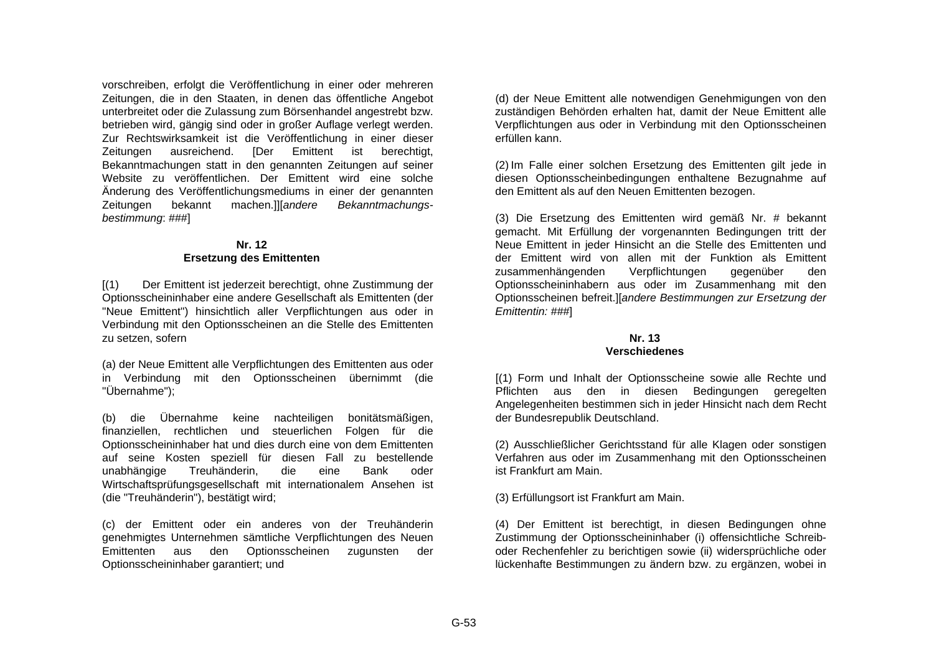vorschreiben, erfolgt die Veröffentlichung in einer oder mehreren Zeitungen, die in den Staaten, in denen das öffentliche Angebot unterbreitet oder die Zulassung zum Börsenhandel angestrebt bzw. betrieben wird, gängig sind oder in großer Auflage verlegt werden. Zur Rechtswirksamkeit ist die Veröffentlichung in einer dieser Zeitungen ausreichend. [Der Emittent ist berechtigt, Bekanntmachungen statt in den genannten Zeitungen auf seiner Website zu veröffentlichen. Der Emittent wird eine solche Änderung des Veröffentlichungsmediums in einer der genannten Zeitungen bekannt machen.]][*andere Bekanntmachungsbestimmung*: ###]

## **Nr. 12 Ersetzung des Emittenten**

 [(1) Der Emittent ist jederzeit berechtigt, ohne Zustimmung der Optionsscheininhaber eine andere Gesellschaft als Emittenten (der "Neue Emittent") hinsichtlich aller Verpflichtungen aus oder in Verbindung mit den Optionsscheinen an die Stelle des Emittenten zu setzen, sofern

 (a) der Neue Emittent alle Verpflichtungen des Emittenten aus oder in Verbindung mit den Optionsscheinen übernimmt (die "Übernahme");

 (b) die Übernahme keine nachteiligen bonitätsmäßigen, finanziellen, rechtlichen und steuerlichen Folgen für die Optionsscheininhaber hat und dies durch eine von dem Emittenten auf seine Kosten speziell für diesen Fall zu bestellende unabhängige Treuhänderin, die eine Bank oder Wirtschaftsprüfungsgesellschaft mit internationalem Ansehen ist (die "Treuhänderin"), bestätigt wird;

 (c) der Emittent oder ein anderes von der Treuhänderin genehmigtes Unternehmen sämtliche Verpflichtungen des Neuen Emittenten aus den Optionsscheinen zugunsten der Optionsscheininhaber garantiert; und

 (d) der Neue Emittent alle notwendigen Genehmigungen von den zuständigen Behörden erhalten hat, damit der Neue Emittent alle Verpflichtungen aus oder in Verbindung mit den Optionsscheinen erfüllen kann.

 (2) Im Falle einer solchen Ersetzung des Emittenten gilt jede in diesen Optionsscheinbedingungen enthaltene Bezugnahme auf den Emittent als auf den Neuen Emittenten bezogen.

 (3) Die Ersetzung des Emittenten wird gemäß Nr. # bekannt gemacht. Mit Erfüllung der vorgenannten Bedingungen tritt der Neue Emittent in jeder Hinsicht an die Stelle des Emittenten und der Emittent wird von allen mit der Funktion als Emittent zusammenhängenden Verpflichtungen gegenüber den Optionsscheininhabern aus oder im Zusammenhang mit den Optionsscheinen befreit.][*andere Bestimmungen zur Ersetzung der Emittentin: ###*]

## **Nr. 13 Verschiedenes**

 [(1) Form und Inhalt der Optionsscheine sowie alle Rechte und Pflichten aus den in diesen Bedingungen geregelten Angelegenheiten bestimmen sich in jeder Hinsicht nach dem Recht der Bundesrepublik Deutschland.

 (2) Ausschließlicher Gerichtsstand für alle Klagen oder sonstigen Verfahren aus oder im Zusammenhang mit den Optionsscheinen ist Frankfurt am Main.

(3) Erfüllungsort ist Frankfurt am Main.

 (4) Der Emittent ist berechtigt, in diesen Bedingungen ohne Zustimmung der Optionsscheininhaber (i) offensichtliche Schreiboder Rechenfehler zu berichtigen sowie (ii) widersprüchliche oder lückenhafte Bestimmungen zu ändern bzw. zu ergänzen, wobei in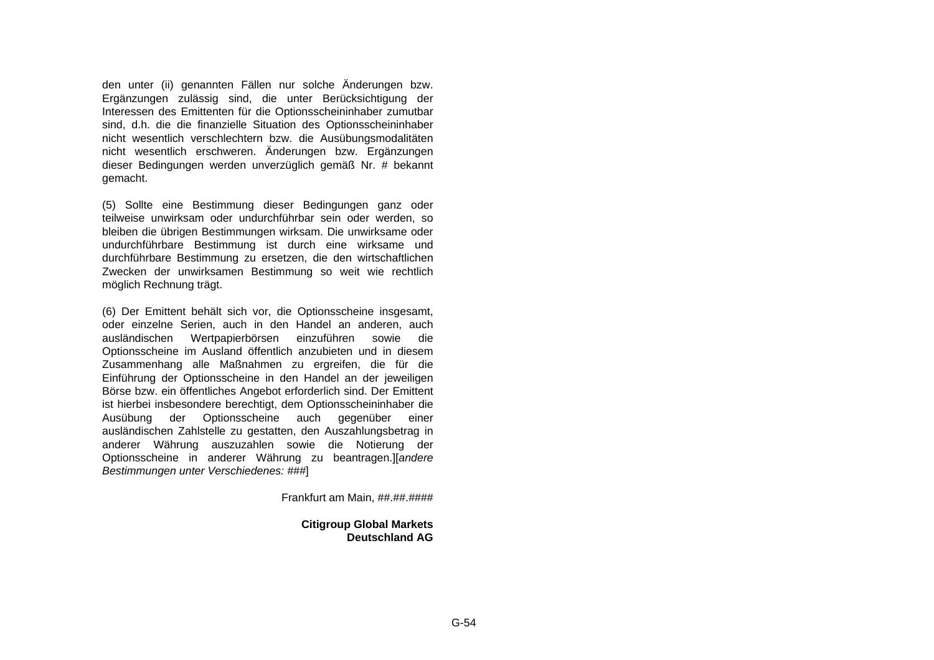den unter (ii) genannten Fällen nur solche Änderungen bzw. Ergänzungen zulässig sind, die unter Berücksichtigung der Interessen des Emittenten für die Optionsscheininhaber zumutbar sind, d.h. die die finanzielle Situation des Optionsscheininhaber nicht wesentlich verschlechtern bzw. die Ausübungsmodalitäten nicht wesentlich erschweren. Änderungen bzw. Ergänzungen dieser Bedingungen werden unverzüglich gemäß Nr. # bekannt gemacht.

 (5) Sollte eine Bestimmung dieser Bedingungen ganz oder teilweise unwirksam oder undurchführbar sein oder werden, so bleiben die übrigen Bestimmungen wirksam. Die unwirksame oder undurchführbare Bestimmung ist durch eine wirksame und durchführbare Bestimmung zu ersetzen, die den wirtschaftlichen Zwecken der unwirksamen Bestimmung so weit wie rechtlich möglich Rechnung trägt.

 (6) Der Emittent behält sich vor, die Optionsscheine insgesamt, oder einzelne Serien, auch in den Handel an anderen, auch ausländischen Wertpapierbörsen einzuführen sowie die Optionsscheine im Ausland öffentlich anzubieten und in diesem Zusammenhang alle Maßnahmen zu ergreifen, die für die Einführung der Optionsscheine in den Handel an der jeweiligen Börse bzw. ein öffentliches Angebot erforderlich sind. Der Emittent ist hierbei insbesondere berechtigt, dem Optionsscheininhaber die Ausübung der Optionsscheine auch gegenüber einer ausländischen Zahlstelle zu gestatten, den Auszahlungsbetrag in anderer Währung auszuzahlen sowie die Notierung der Optionsscheine in anderer Währung zu beantragen.][*andere Bestimmungen unter Verschiedenes: ###*]

Frankfurt am Main, ##.##.####

**Citigroup Global Markets Deutschland AG**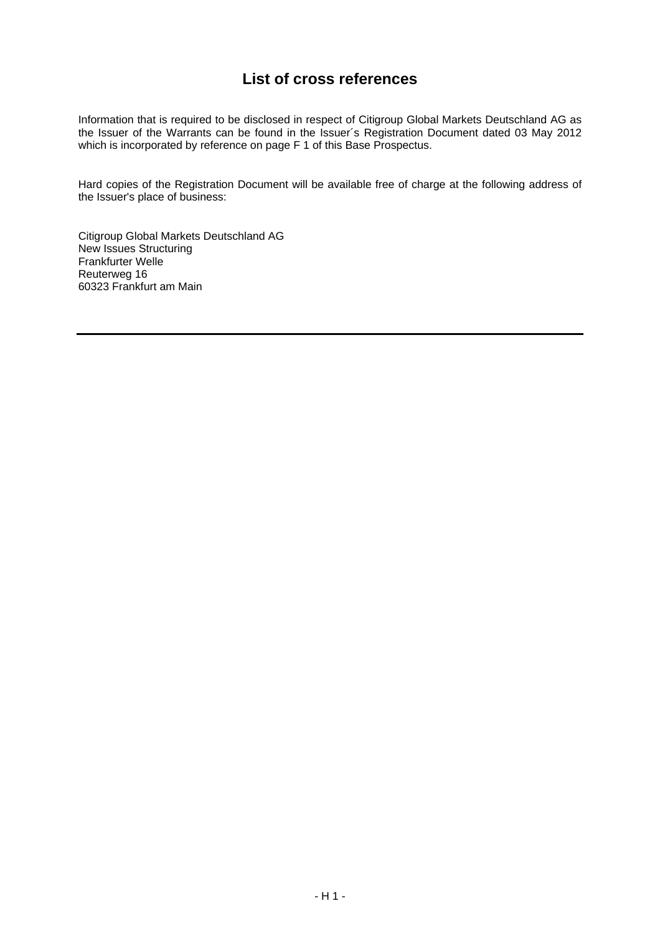## **List of cross references**

Information that is required to be disclosed in respect of Citigroup Global Markets Deutschland AG as the Issuer of the Warrants can be found in the Issuer´s Registration Document dated 03 May 2012 which is incorporated by reference on page F 1 of this Base Prospectus.

Hard copies of the Registration Document will be available free of charge at the following address of the Issuer's place of business:

Citigroup Global Markets Deutschland AG New Issues Structuring Frankfurter Welle Reuterweg 16 60323 Frankfurt am Main